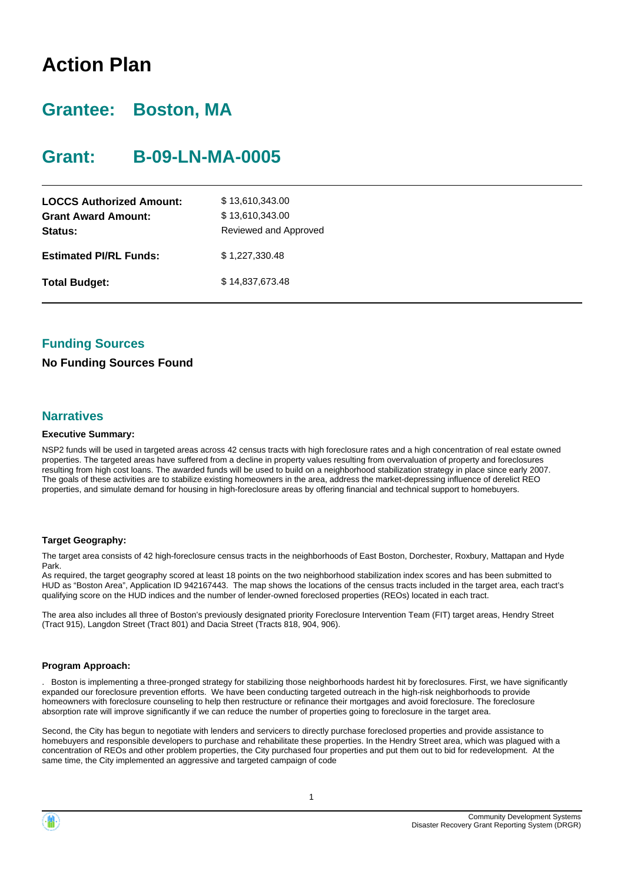# **Action Plan**

# **Grantee: Boston, MA**

# **Grant: B-09-LN-MA-0005**

| <b>LOCCS Authorized Amount:</b><br><b>Grant Award Amount:</b><br>Status: | \$13,610,343.00<br>\$13,610,343.00<br>Reviewed and Approved |
|--------------------------------------------------------------------------|-------------------------------------------------------------|
| <b>Estimated PI/RL Funds:</b>                                            | \$1,227,330.48                                              |
| <b>Total Budget:</b>                                                     | \$14,837,673.48                                             |

### **Funding Sources**

### **No Funding Sources Found**

### **Narratives**

#### **Executive Summary:**

NSP2 funds will be used in targeted areas across 42 census tracts with high foreclosure rates and a high concentration of real estate owned properties. The targeted areas have suffered from a decline in property values resulting from overvaluation of property and foreclosures resulting from high cost loans. The awarded funds will be used to build on a neighborhood stabilization strategy in place since early 2007. The goals of these activities are to stabilize existing homeowners in the area, address the market-depressing influence of derelict REO properties, and simulate demand for housing in high-foreclosure areas by offering financial and technical support to homebuyers.

#### **Target Geography:**

The target area consists of 42 high-foreclosure census tracts in the neighborhoods of East Boston, Dorchester, Roxbury, Mattapan and Hyde Park.

As required, the target geography scored at least 18 points on the two neighborhood stabilization index scores and has been submitted to HUD as "Boston Area", Application ID 942167443. The map shows the locations of the census tracts included in the target area, each tract's qualifying score on the HUD indices and the number of lender-owned foreclosed properties (REOs) located in each tract.

The area also includes all three of Boston's previously designated priority Foreclosure Intervention Team (FIT) target areas, Hendry Street (Tract 915), Langdon Street (Tract 801) and Dacia Street (Tracts 818, 904, 906).

#### **Program Approach:**

. Boston is implementing a three-pronged strategy for stabilizing those neighborhoods hardest hit by foreclosures. First, we have significantly expanded our foreclosure prevention efforts. We have been conducting targeted outreach in the high-risk neighborhoods to provide homeowners with foreclosure counseling to help then restructure or refinance their mortgages and avoid foreclosure. The foreclosure absorption rate will improve significantly if we can reduce the number of properties going to foreclosure in the target area.

Second, the City has begun to negotiate with lenders and servicers to directly purchase foreclosed properties and provide assistance to homebuyers and responsible developers to purchase and rehabilitate these properties. In the Hendry Street area, which was plagued with a concentration of REOs and other problem properties, the City purchased four properties and put them out to bid for redevelopment. At the same time, the City implemented an aggressive and targeted campaign of code

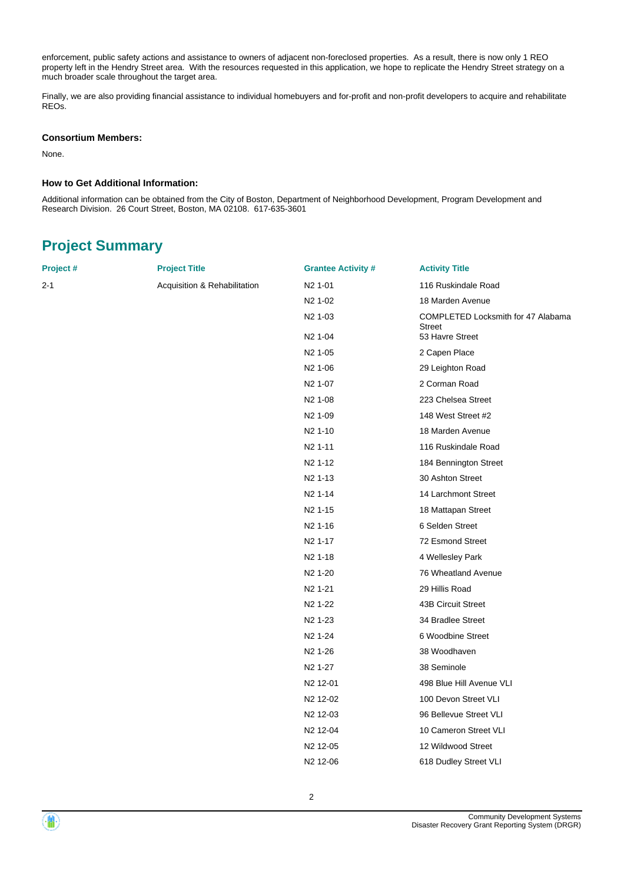enforcement, public safety actions and assistance to owners of adjacent non-foreclosed properties. As a result, there is now only 1 REO property left in the Hendry Street area. With the resources requested in this application, we hope to replicate the Hendry Street strategy on a much broader scale throughout the target area.

Finally, we are also providing financial assistance to individual homebuyers and for-profit and non-profit developers to acquire and rehabilitate REOs.

#### **Consortium Members:**

None.

#### **How to Get Additional Information:**

Additional information can be obtained from the City of Boston, Department of Neighborhood Development, Program Development and Research Division. 26 Court Street, Boston, MA 02108. 617-635-3601

## **Project Summary**

| <b>Project#</b> | <b>Project Title</b>         | <b>Grantee Activity #</b>       | <b>Activity Title</b>                               |
|-----------------|------------------------------|---------------------------------|-----------------------------------------------------|
| $2 - 1$         | Acquisition & Rehabilitation | N <sub>2</sub> 1-01             | 116 Ruskindale Road                                 |
|                 |                              | N <sub>2</sub> 1-0 <sub>2</sub> | 18 Marden Avenue                                    |
|                 |                              | N <sub>2</sub> 1-03             | COMPLETED Locksmith for 47 Alabama<br><b>Street</b> |
|                 |                              | N <sub>2</sub> 1-04             | 53 Havre Street                                     |
|                 |                              | N <sub>2</sub> 1-05             | 2 Capen Place                                       |
|                 |                              | N <sub>2</sub> 1-06             | 29 Leighton Road                                    |
|                 |                              | N <sub>2</sub> 1-07             | 2 Corman Road                                       |
|                 |                              | N <sub>2</sub> 1-08             | 223 Chelsea Street                                  |
|                 |                              | N2 1-09                         | 148 West Street #2                                  |
|                 |                              | N <sub>2</sub> 1-10             | 18 Marden Avenue                                    |
|                 |                              | N <sub>2</sub> 1-11             | 116 Ruskindale Road                                 |
|                 |                              | N <sub>2</sub> 1-12             | 184 Bennington Street                               |
|                 |                              | N <sub>2</sub> 1-13             | 30 Ashton Street                                    |
|                 |                              | N <sub>2</sub> 1-14             | 14 Larchmont Street                                 |
|                 |                              | N <sub>2</sub> 1-15             | 18 Mattapan Street                                  |
|                 |                              | N <sub>2</sub> 1-16             | 6 Selden Street                                     |
|                 |                              | N <sub>2</sub> 1-17             | 72 Esmond Street                                    |
|                 |                              | N <sub>2</sub> 1-18             | 4 Wellesley Park                                    |
|                 |                              | N <sub>2</sub> 1-20             | 76 Wheatland Avenue                                 |
|                 |                              | N <sub>2</sub> 1-21             | 29 Hillis Road                                      |
|                 |                              | N <sub>2</sub> 1-22             | 43B Circuit Street                                  |
|                 |                              | N <sub>2</sub> 1-23             | 34 Bradlee Street                                   |
|                 |                              | N <sub>2</sub> 1-24             | 6 Woodbine Street                                   |
|                 |                              | N <sub>2</sub> 1-26             | 38 Woodhaven                                        |
|                 |                              | N <sub>2</sub> 1-27             | 38 Seminole                                         |
|                 |                              | N <sub>2</sub> 12-01            | 498 Blue Hill Avenue VLI                            |
|                 |                              | N <sub>2</sub> 12-02            | 100 Devon Street VLI                                |
|                 |                              | N2 12-03                        | 96 Bellevue Street VLI                              |
|                 |                              | N <sub>2</sub> 12-04            | 10 Cameron Street VLI                               |
|                 |                              | N <sub>2</sub> 12-05            | 12 Wildwood Street                                  |
|                 |                              | N <sub>2</sub> 12-06            | 618 Dudley Street VLI                               |

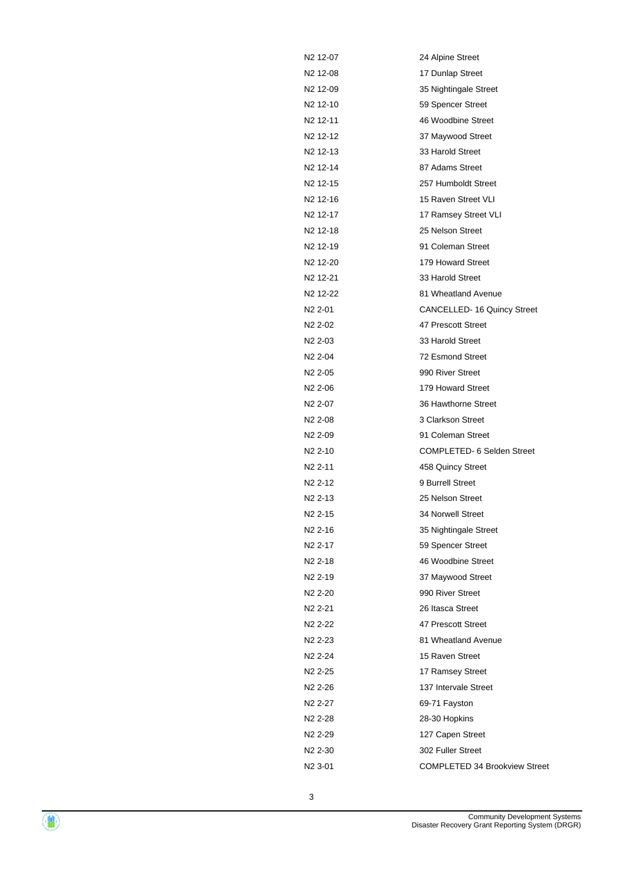| N <sub>2</sub> 12-07              | 24 Alpine Street                     |
|-----------------------------------|--------------------------------------|
| N <sub>2</sub> 12-08              | 17 Dunlap Street                     |
| N <sub>2</sub> 12-09              | 35 Nightingale Street                |
| N <sub>2</sub> 12-10              | 59 Spencer Street                    |
| N <sub>2</sub> 12-11              | 46 Woodbine Street                   |
| N <sub>2</sub> 12-12              | 37 Maywood Street                    |
| N <sub>2</sub> 12-13              | 33 Harold Street                     |
| N <sub>2</sub> 12-14              | 87 Adams Street                      |
| N <sub>2</sub> 12-15              | 257 Humboldt Street                  |
| N <sub>2</sub> 12-16              | 15 Raven Street VLI                  |
| N <sub>2</sub> 1 <sub>2</sub> -17 | 17 Ramsey Street VLI                 |
| N <sub>2</sub> 12-18              | 25 Nelson Street                     |
| N <sub>2</sub> 12-19              | 91 Coleman Street                    |
| N <sub>2</sub> 12-20              | 179 Howard Street                    |
| N <sub>2</sub> 12-21              | 33 Harold Street                     |
| N <sub>2</sub> 12-22              | 81 Wheatland Avenue                  |
| N <sub>2</sub> 2-01               | CANCELLED-16 Quincy Street           |
| N <sub>2</sub> 2-02               | 47 Prescott Street                   |
| N <sub>2</sub> 2-03               | 33 Harold Street                     |
| N <sub>2</sub> 2-04               | 72 Esmond Street                     |
| N <sub>2</sub> 2-05               | 990 River Street                     |
| N <sub>2</sub> 2-06               | 179 Howard Street                    |
| N <sub>2</sub> 2-07               | 36 Hawthorne Street                  |
| N <sub>2</sub> 2-08               | 3 Clarkson Street                    |
| N2 2-09                           | 91 Coleman Street                    |
| N <sub>2</sub> 2-10               | COMPLETED- 6 Selden Street           |
| N <sub>2</sub> 2-11               | 458 Quincy Street                    |
| N <sub>2</sub> 2-12               | 9 Burrell Street                     |
| N <sub>2</sub> 2-13               | 25 Nelson Street                     |
| N <sub>2</sub> 2-15               | 34 Norwell Street                    |
| N2 2-16                           | 35 Nightingale Street                |
| N <sub>2</sub> 2-17               | 59 Spencer Street                    |
| N <sub>2</sub> 2-18               | 46 Woodbine Street                   |
| N <sub>2</sub> 2-19               | 37 Maywood Street                    |
| N <sub>2</sub> 2-20               | 990 River Street                     |
| N <sub>2</sub> 2-21               | 26 Itasca Street                     |
| N <sub>2</sub> 2-22               | 47 Prescott Street                   |
| N <sub>2</sub> 2-23               | 81 Wheatland Avenue                  |
| N <sub>2</sub> 2-24               | 15 Raven Street                      |
| N <sub>2</sub> 2-25               | 17 Ramsey Street                     |
| N <sub>2</sub> 2-26               | 137 Intervale Street                 |
| N <sub>2</sub> 2-27               | 69-71 Fayston                        |
| N <sub>2</sub> 2-28               | 28-30 Hopkins                        |
| N2 2-29                           | 127 Capen Street                     |
| N <sub>2</sub> 2-30               | 302 Fuller Street                    |
| N <sub>2</sub> 3-01               | <b>COMPLETED 34 Brookview Street</b> |
|                                   |                                      |

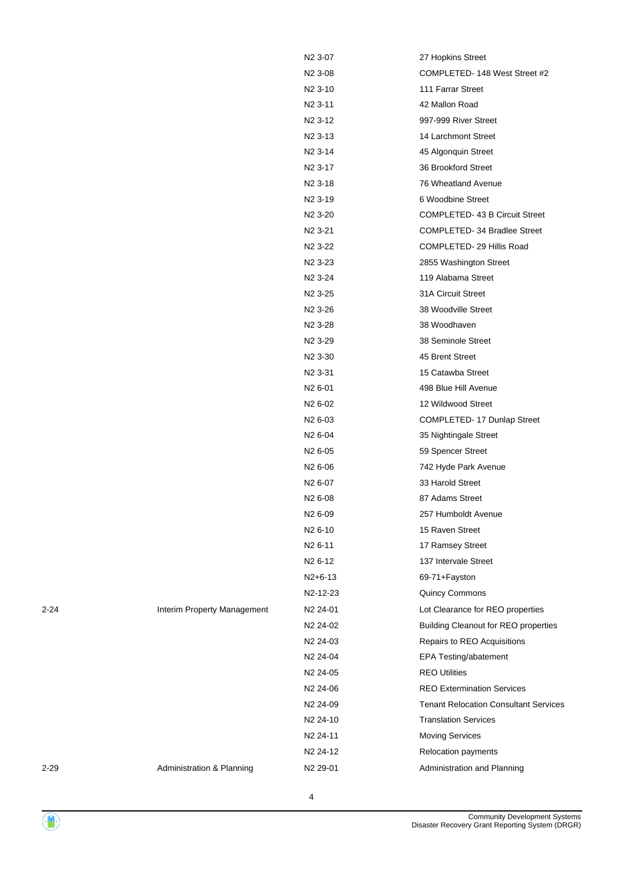|      |                             | N <sub>2</sub> 3-07  | 27 Hopkins Street                            |
|------|-----------------------------|----------------------|----------------------------------------------|
|      |                             | N <sub>2</sub> 3-08  | COMPLETED-148 West Street #2                 |
|      |                             | N <sub>2</sub> 3-10  | 111 Farrar Street                            |
|      |                             | N <sub>2</sub> 3-11  | 42 Mallon Road                               |
|      |                             | N <sub>2</sub> 3-12  | 997-999 River Street                         |
|      |                             | N <sub>2</sub> 3-13  | 14 Larchmont Street                          |
|      |                             | N <sub>2</sub> 3-14  | 45 Algonquin Street                          |
|      |                             | N <sub>2</sub> 3-17  | 36 Brookford Street                          |
|      |                             | N <sub>2</sub> 3-18  | 76 Wheatland Avenue                          |
|      |                             | N <sub>2</sub> 3-19  | 6 Woodbine Street                            |
|      |                             | N <sub>2</sub> 3-20  | <b>COMPLETED-43 B Circuit Street</b>         |
|      |                             | N <sub>2</sub> 3-21  | COMPLETED- 34 Bradlee Street                 |
|      |                             | N <sub>2</sub> 3-22  | COMPLETED-29 Hillis Road                     |
|      |                             | N <sub>2</sub> 3-23  | 2855 Washington Street                       |
|      |                             | N <sub>2</sub> 3-24  | 119 Alabama Street                           |
|      |                             | N <sub>2</sub> 3-25  | 31A Circuit Street                           |
|      |                             | N <sub>2</sub> 3-26  | 38 Woodville Street                          |
|      |                             | N <sub>2</sub> 3-28  | 38 Woodhaven                                 |
|      |                             | N <sub>2</sub> 3-29  | 38 Seminole Street                           |
|      |                             | N <sub>2</sub> 3-30  | 45 Brent Street                              |
|      |                             | N <sub>2</sub> 3-31  | 15 Catawba Street                            |
|      |                             | N <sub>2</sub> 6-01  | 498 Blue Hill Avenue                         |
|      |                             | N <sub>2</sub> 6-02  | 12 Wildwood Street                           |
|      |                             | N <sub>2</sub> 6-03  | COMPLETED-17 Dunlap Street                   |
|      |                             | N <sub>2</sub> 6-04  | 35 Nightingale Street                        |
|      |                             | N <sub>2</sub> 6-05  | 59 Spencer Street                            |
|      |                             | N <sub>2</sub> 6-06  | 742 Hyde Park Avenue                         |
|      |                             | N <sub>2</sub> 6-07  | 33 Harold Street                             |
|      |                             | N <sub>2</sub> 6-08  | 87 Adams Street                              |
|      |                             | N <sub>2</sub> 6-09  | 257 Humboldt Avenue                          |
|      |                             | N <sub>2</sub> 6-10  | 15 Raven Street                              |
|      |                             | N <sub>2</sub> 6-11  | 17 Ramsey Street                             |
|      |                             | N <sub>2</sub> 6-12  | 137 Intervale Street                         |
|      |                             | $N2+6-13$            | 69-71+Fayston                                |
|      |                             | N2-12-23             | <b>Quincy Commons</b>                        |
| 2-24 | Interim Property Management | N <sub>2</sub> 24-01 | Lot Clearance for REO properties             |
|      |                             | N <sub>2</sub> 24-02 | Building Cleanout for REO properties         |
|      |                             | N2 24-03             | Repairs to REO Acquisitions                  |
|      |                             | N <sub>2</sub> 24-04 | EPA Testing/abatement                        |
|      |                             | N <sub>2</sub> 24-05 | <b>REO Utilities</b>                         |
|      |                             | N2 24-06             | <b>REO Extermination Services</b>            |
|      |                             | N <sub>2</sub> 24-09 | <b>Tenant Relocation Consultant Services</b> |
|      |                             | N <sub>2</sub> 24-10 | <b>Translation Services</b>                  |
|      |                             | N <sub>2</sub> 24-11 | <b>Moving Services</b>                       |
|      |                             | N <sub>2</sub> 24-12 | Relocation payments                          |
| 2-29 | Administration & Planning   | N2 29-01             | Administration and Planning                  |
|      |                             |                      |                                              |

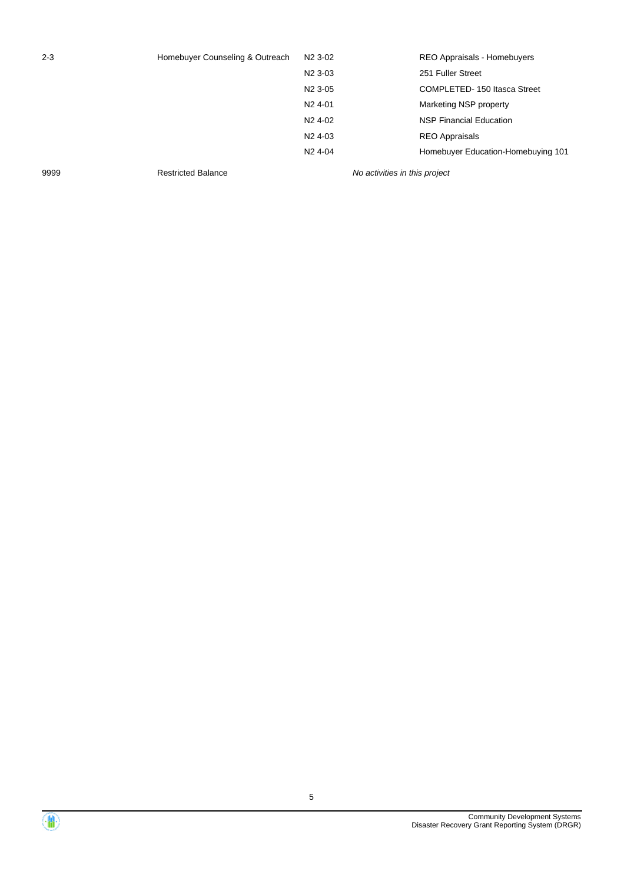| $2 - 3$ | Homebuyer Counseling & Outreach | N <sub>2</sub> 3-02             | REO Appraisals - Homebuyers        |
|---------|---------------------------------|---------------------------------|------------------------------------|
|         |                                 | N <sub>2</sub> 3-03             | 251 Fuller Street                  |
|         |                                 | N <sub>2</sub> 3-05             | COMPLETED-150 Itasca Street        |
|         |                                 | N <sub>2</sub> 4-01             | Marketing NSP property             |
|         |                                 | N <sub>2</sub> 4-0 <sub>2</sub> | <b>NSP Financial Education</b>     |
|         |                                 | N <sub>2</sub> 4-03             | <b>REO Appraisals</b>              |
|         |                                 | N <sub>2</sub> 4-04             | Homebuyer Education-Homebuying 101 |
| 9999    | <b>Restricted Balance</b>       |                                 | No activities in this project      |

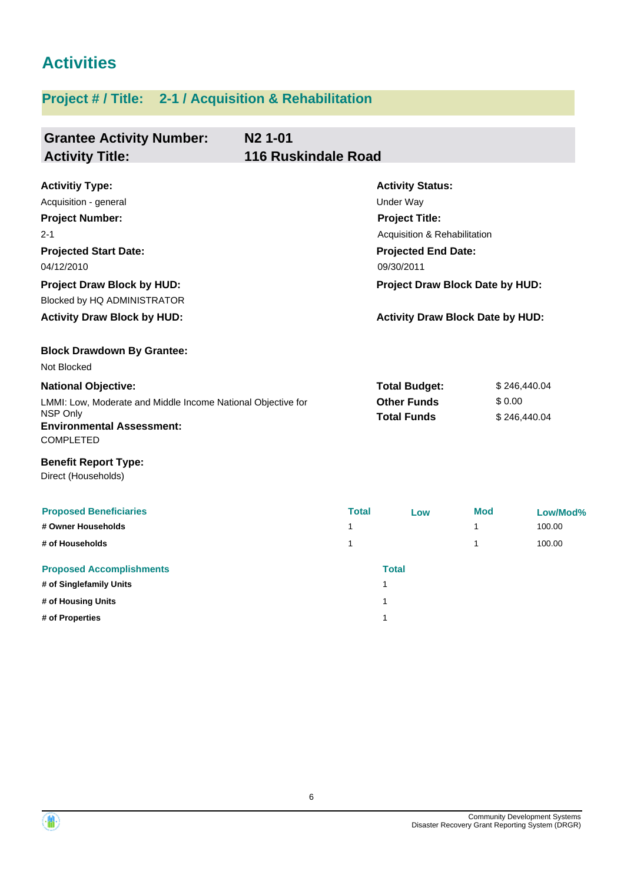# **Activities**

# **Project # / Title: 2-1 / Acquisition & Rehabilitation**

| <b>Grantee Activity Number:</b><br><b>Activity Title:</b>                | N <sub>2</sub> 1-01<br><b>116 Ruskindale Road</b> |                              |                                         |            |              |
|--------------------------------------------------------------------------|---------------------------------------------------|------------------------------|-----------------------------------------|------------|--------------|
| <b>Activitiy Type:</b>                                                   |                                                   |                              | <b>Activity Status:</b>                 |            |              |
| Acquisition - general                                                    |                                                   |                              | Under Way                               |            |              |
| <b>Project Number:</b>                                                   |                                                   |                              | <b>Project Title:</b>                   |            |              |
| $2 - 1$                                                                  |                                                   |                              | Acquisition & Rehabilitation            |            |              |
| <b>Projected Start Date:</b>                                             |                                                   |                              | <b>Projected End Date:</b>              |            |              |
| 04/12/2010                                                               |                                                   |                              | 09/30/2011                              |            |              |
| <b>Project Draw Block by HUD:</b>                                        |                                                   |                              | Project Draw Block Date by HUD:         |            |              |
| Blocked by HQ ADMINISTRATOR                                              |                                                   |                              |                                         |            |              |
| <b>Activity Draw Block by HUD:</b>                                       |                                                   |                              | <b>Activity Draw Block Date by HUD:</b> |            |              |
| <b>Block Drawdown By Grantee:</b>                                        |                                                   |                              |                                         |            |              |
| Not Blocked                                                              |                                                   |                              |                                         |            |              |
| <b>National Objective:</b>                                               |                                                   |                              | \$246,440.04<br><b>Total Budget:</b>    |            |              |
| LMMI: Low, Moderate and Middle Income National Objective for<br>NSP Only |                                                   | <b>Other Funds</b><br>\$0.00 |                                         |            |              |
| <b>Environmental Assessment:</b><br><b>COMPLETED</b>                     |                                                   |                              | <b>Total Funds</b>                      |            | \$246,440.04 |
| <b>Benefit Report Type:</b><br>Direct (Households)                       |                                                   |                              |                                         |            |              |
| <b>Proposed Beneficiaries</b>                                            |                                                   | <b>Total</b>                 | Low                                     | <b>Mod</b> | Low/Mod%     |
| # Owner Households                                                       |                                                   | 1                            |                                         | 1          | 100.00       |
| # of Households                                                          |                                                   | 1                            |                                         | 1          | 100.00       |
| <b>Proposed Accomplishments</b>                                          |                                                   |                              | <b>Total</b>                            |            |              |
| # of Singlefamily Units                                                  |                                                   |                              | 1                                       |            |              |
| # of Housing Units                                                       |                                                   |                              | 1                                       |            |              |
| # of Properties                                                          |                                                   |                              | $\mathbf{1}$                            |            |              |



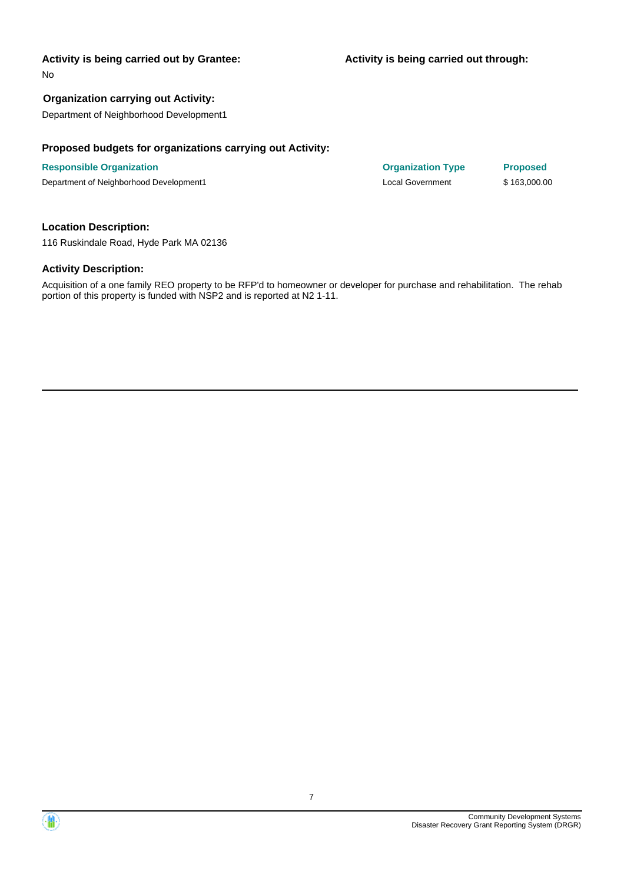### **Activity is being carried out by Grantee:**

### **Activity is being carried out through:**

No

### **Organization carrying out Activity:**

Department of Neighborhood Development1

### **Proposed budgets for organizations carrying out Activity:**

### **Responsible Organization Organization Type Proposed**

Department of Neighborhood Development1 Local Government \$ 163,000.00

### **Location Description:**

116 Ruskindale Road, Hyde Park MA 02136

### **Activity Description:**

Acquisition of a one family REO property to be RFP'd to homeowner or developer for purchase and rehabilitation. The rehab portion of this property is funded with NSP2 and is reported at N2 1-11.



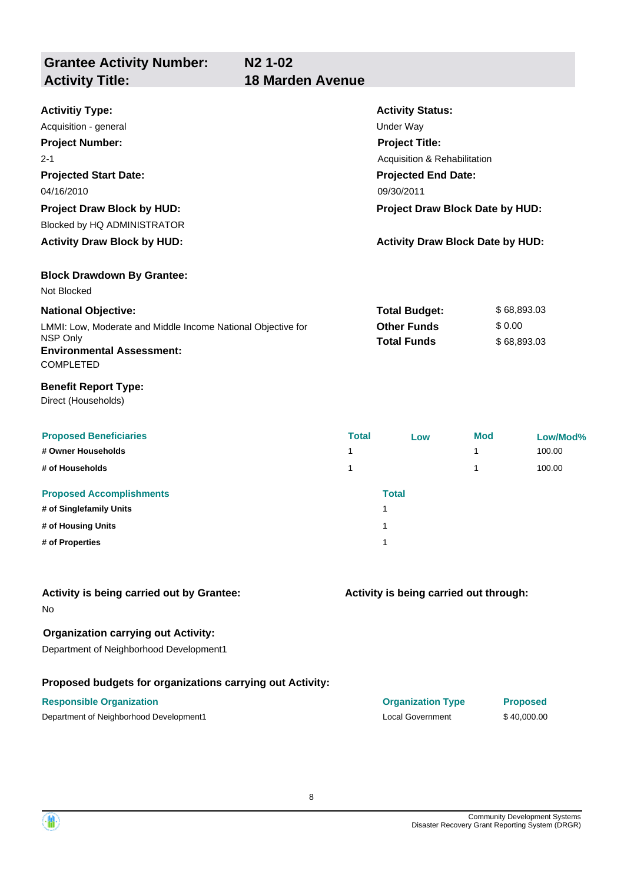**Grantee Activity Number: N2 1-02 Activity Title: 18 Marden Avenue**

| <b>Activity Status:</b>                 |  |  |
|-----------------------------------------|--|--|
| Under Way                               |  |  |
| <b>Project Title:</b>                   |  |  |
| Acquisition & Rehabilitation            |  |  |
| <b>Projected End Date:</b>              |  |  |
| 09/30/2011                              |  |  |
| <b>Project Draw Block Date by HUD:</b>  |  |  |
|                                         |  |  |
| <b>Activity Draw Block Date by HUD:</b> |  |  |
|                                         |  |  |
|                                         |  |  |
| \$68,893.03<br><b>Total Budget:</b>     |  |  |
| \$0.00<br><b>Other Funds</b>            |  |  |
| <b>Total Funds</b><br>\$68,893.03       |  |  |
|                                         |  |  |

#### COMPLETED

Direct (Households) **Benefit Report Type:**

|   | Low          | <b>Mod</b>   | Low/Mod% |
|---|--------------|--------------|----------|
| 1 |              | 1            | 100.00   |
|   |              | и            | 100.00   |
|   |              |              |          |
|   |              |              |          |
|   |              |              |          |
|   |              |              |          |
|   | <b>Total</b> | <b>Total</b> |          |

| <b>Activity is being carried out by Grantee:</b> |
|--------------------------------------------------|
|--------------------------------------------------|

#### No

### **Organization carrying out Activity:**

Department of Neighborhood Development1

### **Proposed budgets for organizations carrying out Activity:**

### **Responsible Organization Organization Type Proposed**

Department of Neighborhood Development1 Local Government \$ 40,000.00

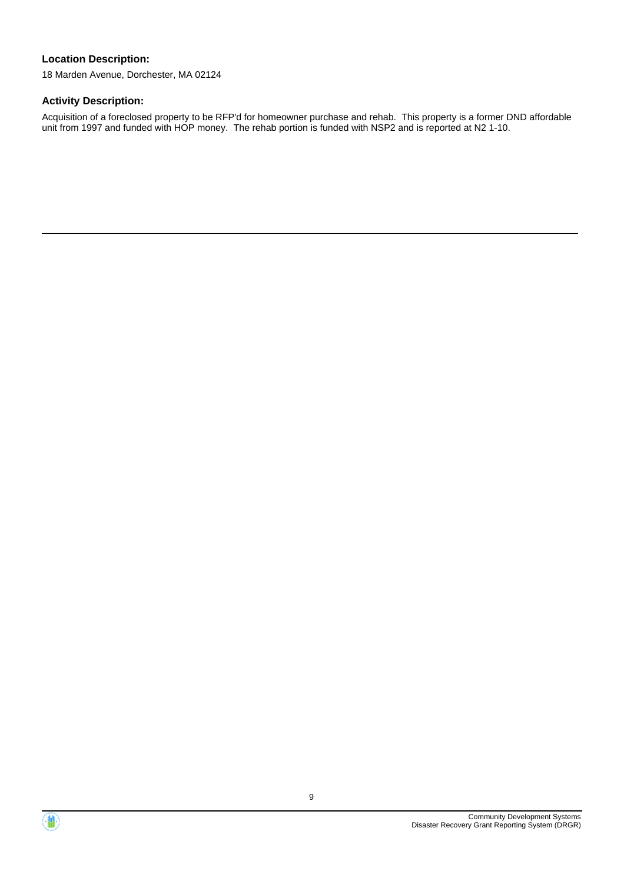18 Marden Avenue, Dorchester, MA 02124

### **Activity Description:**

Acquisition of a foreclosed property to be RFP'd for homeowner purchase and rehab. This property is a former DND affordable unit from 1997 and funded with HOP money. The rehab portion is funded with NSP2 and is reported at N2 1-10.



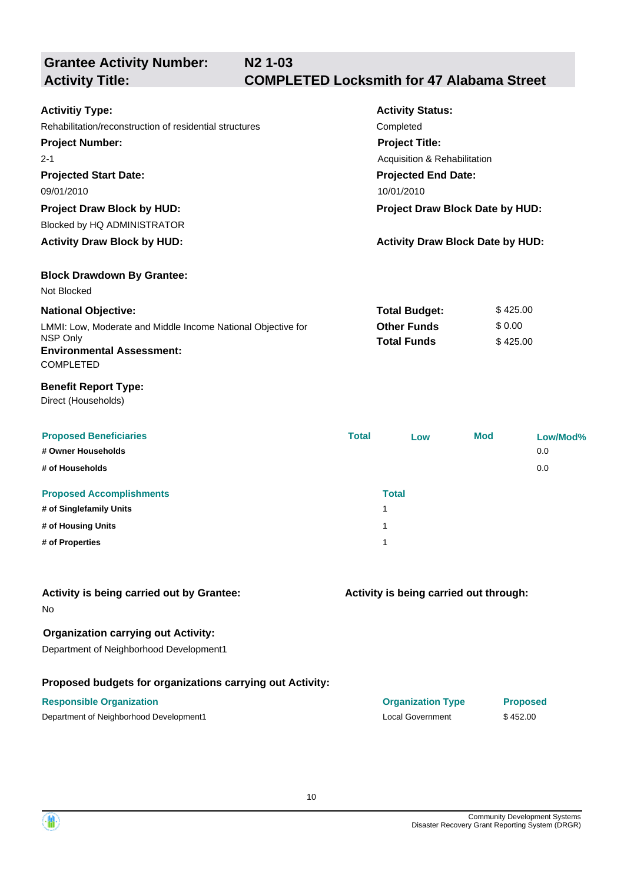**Grantee Activity Number: N2 1-03 Activity Title: COMPLETED Locksmith for 47 Alabama Street**

| <b>Activitiy Type:</b>                                  | <b>Activity Status:</b>                 |
|---------------------------------------------------------|-----------------------------------------|
| Rehabilitation/reconstruction of residential structures | Completed                               |
| <b>Project Number:</b>                                  | <b>Project Title:</b>                   |
| $2 - 1$                                                 | Acquisition & Rehabilitation            |
| <b>Projected Start Date:</b>                            | <b>Projected End Date:</b>              |
| 09/01/2010                                              | 10/01/2010                              |
| <b>Project Draw Block by HUD:</b>                       | Project Draw Block Date by HUD:         |
| Blocked by HQ ADMINISTRATOR                             |                                         |
| <b>Activity Draw Block by HUD:</b>                      | <b>Activity Draw Block Date by HUD:</b> |
|                                                         |                                         |

| <b>Block Drawdown By Grantee:</b> |  |
|-----------------------------------|--|
| Not Blocked                       |  |

| <b>National Objective:</b>                                   | <b>Total Budget:</b> | \$425.00 |
|--------------------------------------------------------------|----------------------|----------|
| LMMI: Low, Moderate and Middle Income National Objective for | <b>Other Funds</b>   | \$0.00   |
| NSP Only                                                     | <b>Total Funds</b>   | \$425.00 |
| <b>Environmental Assessment:</b>                             |                      |          |
| <b>COMPLETED</b>                                             |                      |          |

# **Benefit Report Type:**

Direct (Households)

| <b>Proposed Beneficiaries</b><br># Owner Households<br># of Households | <b>Total</b> | Low          | <b>Mod</b> | Low/Mod%<br>0.0<br>0.0 |
|------------------------------------------------------------------------|--------------|--------------|------------|------------------------|
| <b>Proposed Accomplishments</b>                                        |              | <b>Total</b> |            |                        |
| # of Singlefamily Units                                                | 4            |              |            |                        |
| # of Housing Units                                                     | 1            |              |            |                        |
| # of Properties                                                        | и            |              |            |                        |

| Activity is being carried out by Grantee: | Activity is being carried ou |
|-------------------------------------------|------------------------------|
| - No                                      |                              |
|                                           |                              |

### **Organization carrying out Activity:**

Department of Neighborhood Development1

### **Proposed budgets for organizations carrying out Activity:**

### **Responsible Organization Organization Type Proposed**

Department of Neighborhood Development1 **Local Government** \$ 452.00

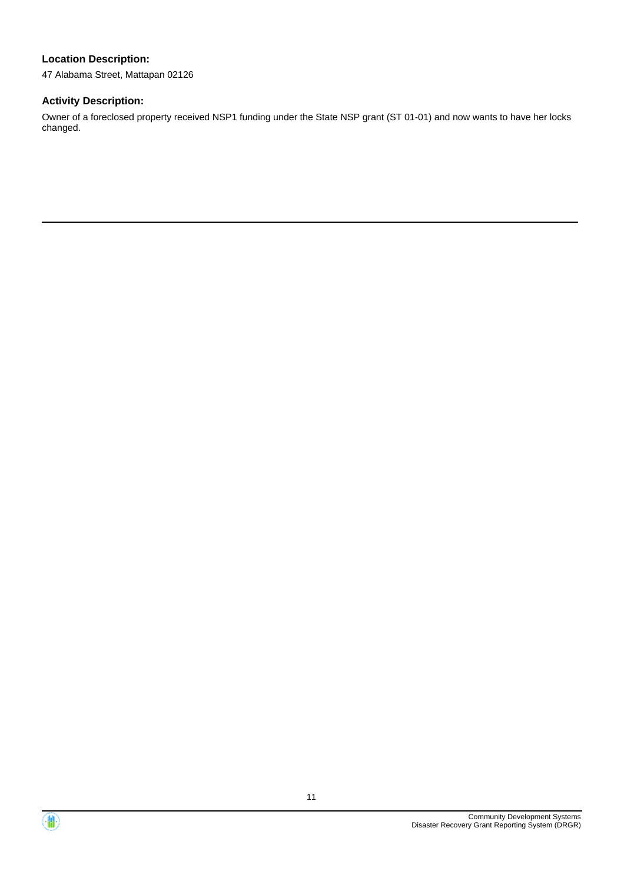47 Alabama Street, Mattapan 02126

### **Activity Description:**

Owner of a foreclosed property received NSP1 funding under the State NSP grant (ST 01-01) and now wants to have her locks changed.



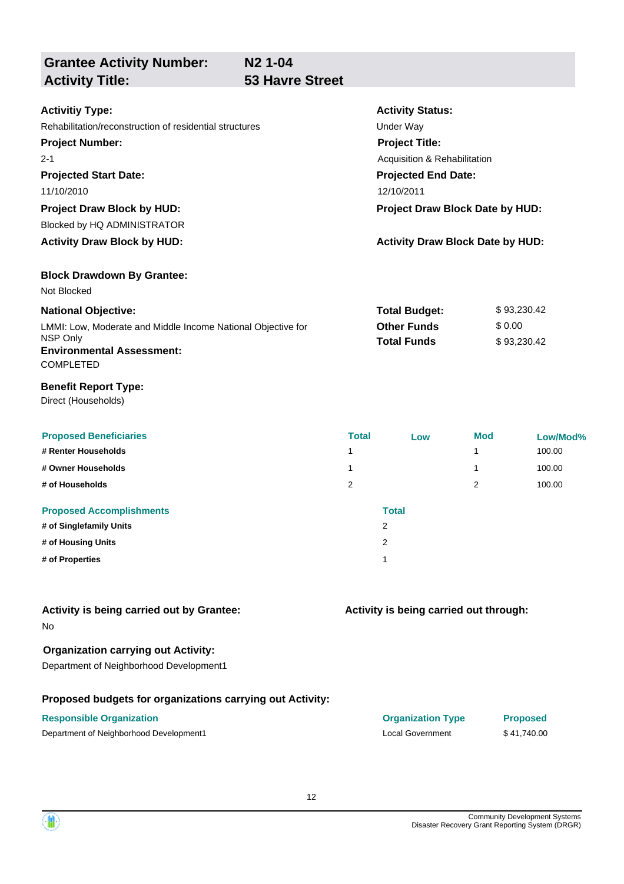| <b>Grantee Activity Number:</b><br><b>Activity Title:</b>                                                                                                                                                                                                                      | N <sub>2</sub> 1-04<br><b>53 Havre Street</b> |                                                                                                                                                                                                                                |                    |                                        |
|--------------------------------------------------------------------------------------------------------------------------------------------------------------------------------------------------------------------------------------------------------------------------------|-----------------------------------------------|--------------------------------------------------------------------------------------------------------------------------------------------------------------------------------------------------------------------------------|--------------------|----------------------------------------|
| <b>Activitiy Type:</b><br>Rehabilitation/reconstruction of residential structures<br><b>Project Number:</b><br>$2 - 1$<br><b>Projected Start Date:</b><br>11/10/2010<br><b>Project Draw Block by HUD:</b><br>Blocked by HQ ADMINISTRATOR<br><b>Activity Draw Block by HUD:</b> |                                               | <b>Activity Status:</b><br><b>Under Way</b><br><b>Project Title:</b><br>Acquisition & Rehabilitation<br><b>Projected End Date:</b><br>12/10/2011<br>Project Draw Block Date by HUD:<br><b>Activity Draw Block Date by HUD:</b> |                    |                                        |
| <b>Block Drawdown By Grantee:</b><br>Not Blocked                                                                                                                                                                                                                               |                                               |                                                                                                                                                                                                                                |                    |                                        |
| <b>National Objective:</b><br>LMMI: Low, Moderate and Middle Income National Objective for<br>NSP Only<br><b>Environmental Assessment:</b><br><b>COMPLETED</b>                                                                                                                 |                                               | <b>Total Budget:</b><br><b>Other Funds</b><br><b>Total Funds</b>                                                                                                                                                               | \$0.00             | \$93,230.42<br>\$93,230.42             |
| <b>Benefit Report Type:</b><br>Direct (Households)                                                                                                                                                                                                                             |                                               |                                                                                                                                                                                                                                |                    |                                        |
| <b>Proposed Beneficiaries</b><br># Renter Households<br># Owner Households<br># of Households                                                                                                                                                                                  | <b>Total</b><br>1<br>1<br>2                   | Low                                                                                                                                                                                                                            | Mod<br>1<br>1<br>2 | Low/Mod%<br>100.00<br>100.00<br>100.00 |
| <b>Proposed Accomplishments</b><br># of Singlefamily Units<br># of Housing Units<br># of Properties                                                                                                                                                                            |                                               | <b>Total</b><br>2<br>2<br>1                                                                                                                                                                                                    |                    |                                        |
| Activity is being carried out by Grantee:<br>No                                                                                                                                                                                                                                |                                               | Activity is being carried out through:                                                                                                                                                                                         |                    |                                        |
| <b>Organization carrying out Activity:</b><br>Department of Neighborhood Development1                                                                                                                                                                                          |                                               |                                                                                                                                                                                                                                |                    |                                        |
| Proposed budgets for organizations carrying out Activity:                                                                                                                                                                                                                      |                                               |                                                                                                                                                                                                                                |                    |                                        |
| <b>Responsible Organization</b><br>Department of Neighborhood Development1                                                                                                                                                                                                     |                                               | <b>Organization Type</b><br><b>Local Government</b>                                                                                                                                                                            |                    | <b>Proposed</b><br>\$41,740.00         |

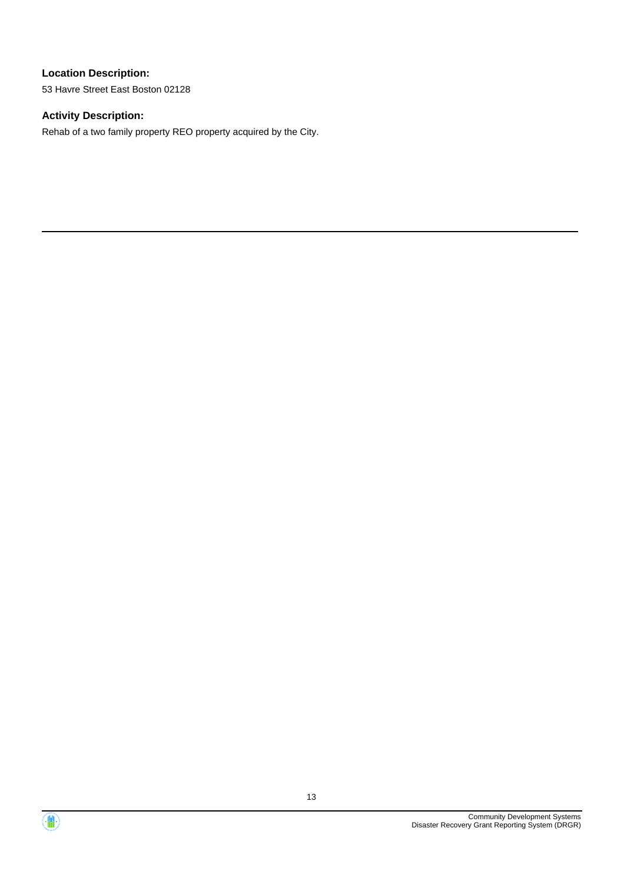53 Havre Street East Boston 02128

### **Activity Description:**

Rehab of a two family property REO property acquired by the City.



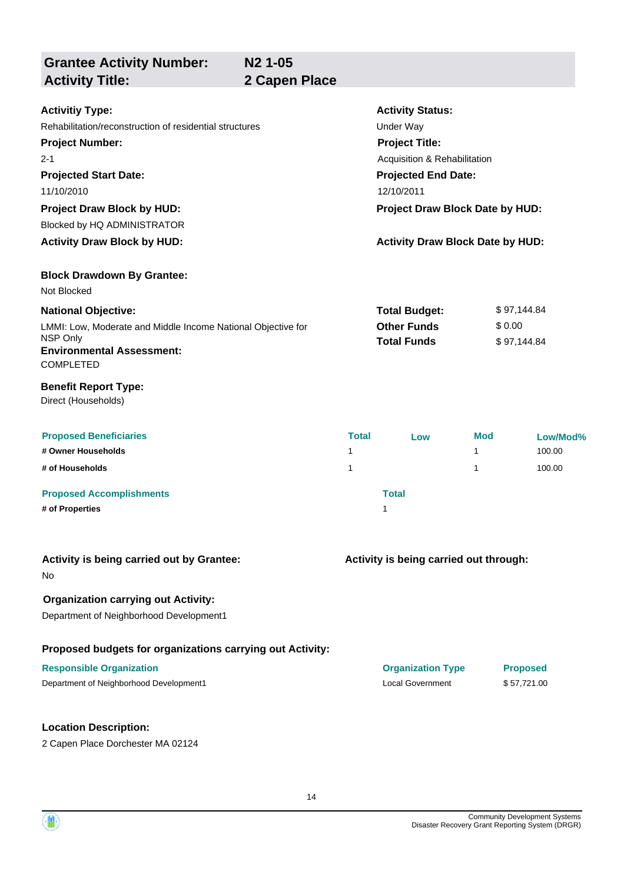| <b>Grantee Activity Number:</b><br><b>Activity Title:</b>                                                                                                                                                                                                                | N <sub>2</sub> 1-05<br>2 Capen Place |                   |                                                                                                                                                                                     |                            |                            |
|--------------------------------------------------------------------------------------------------------------------------------------------------------------------------------------------------------------------------------------------------------------------------|--------------------------------------|-------------------|-------------------------------------------------------------------------------------------------------------------------------------------------------------------------------------|----------------------------|----------------------------|
| <b>Activitiy Type:</b><br>Rehabilitation/reconstruction of residential structures<br><b>Project Number:</b><br>$2 - 1$<br><b>Projected Start Date:</b><br>11/10/2010<br><b>Project Draw Block by HUD:</b>                                                                |                                      |                   | <b>Activity Status:</b><br><b>Under Way</b><br><b>Project Title:</b><br>Acquisition & Rehabilitation<br><b>Projected End Date:</b><br>12/10/2011<br>Project Draw Block Date by HUD: |                            |                            |
| Blocked by HQ ADMINISTRATOR<br><b>Activity Draw Block by HUD:</b>                                                                                                                                                                                                        |                                      |                   | <b>Activity Draw Block Date by HUD:</b>                                                                                                                                             |                            |                            |
| <b>Block Drawdown By Grantee:</b><br>Not Blocked<br><b>National Objective:</b><br>LMMI: Low, Moderate and Middle Income National Objective for<br>NSP Only<br><b>Environmental Assessment:</b><br><b>COMPLETED</b><br><b>Benefit Report Type:</b><br>Direct (Households) |                                      |                   | <b>Total Budget:</b><br><b>Other Funds</b><br><b>Total Funds</b>                                                                                                                    | \$0.00                     | \$97,144.84<br>\$97,144.84 |
| <b>Proposed Beneficiaries</b><br># Owner Households                                                                                                                                                                                                                      |                                      | <b>Total</b><br>1 | Low                                                                                                                                                                                 | <b>Mod</b><br>$\mathbf{1}$ | Low/Mod%                   |
| # of Households                                                                                                                                                                                                                                                          |                                      | 1                 |                                                                                                                                                                                     | 1                          | 100.00<br>100.00           |
| <b>Proposed Accomplishments</b><br># of Properties                                                                                                                                                                                                                       |                                      |                   | <b>Total</b><br>1                                                                                                                                                                   |                            |                            |
| Activity is being carried out by Grantee:<br>No                                                                                                                                                                                                                          |                                      |                   | Activity is being carried out through:                                                                                                                                              |                            |                            |
| <b>Organization carrying out Activity:</b><br>Department of Neighborhood Development1                                                                                                                                                                                    |                                      |                   |                                                                                                                                                                                     |                            |                            |

### **Proposed budgets for organizations carrying out Activity:**

### **Responsible Organization COVID-10 COVID-10 Organization Type Proposed**

Department of Neighborhood Development1 Local Government \$ 57,721.00

### **Location Description:**

2 Capen Place Dorchester MA 02124

14

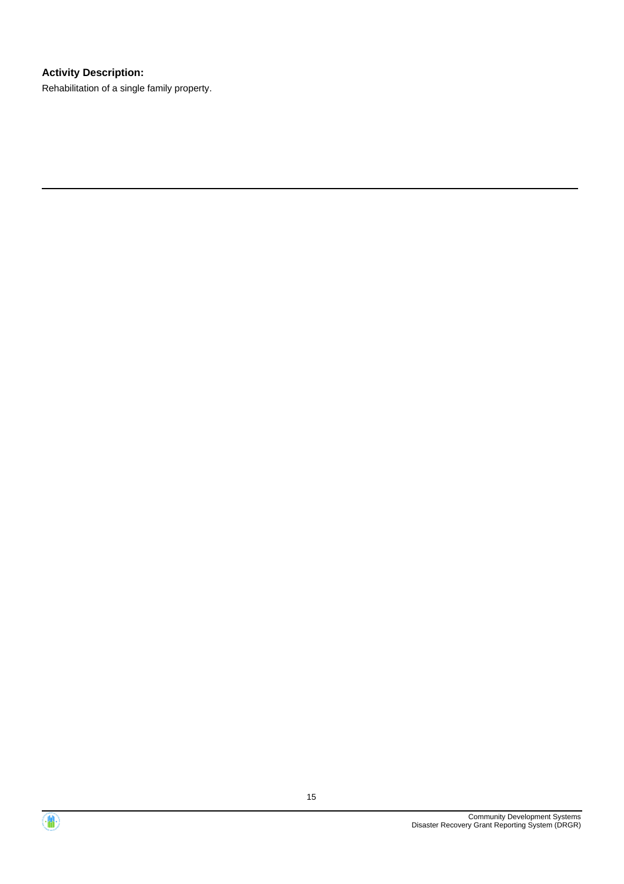### **Activity Description:**

Rehabilitation of a single family property.



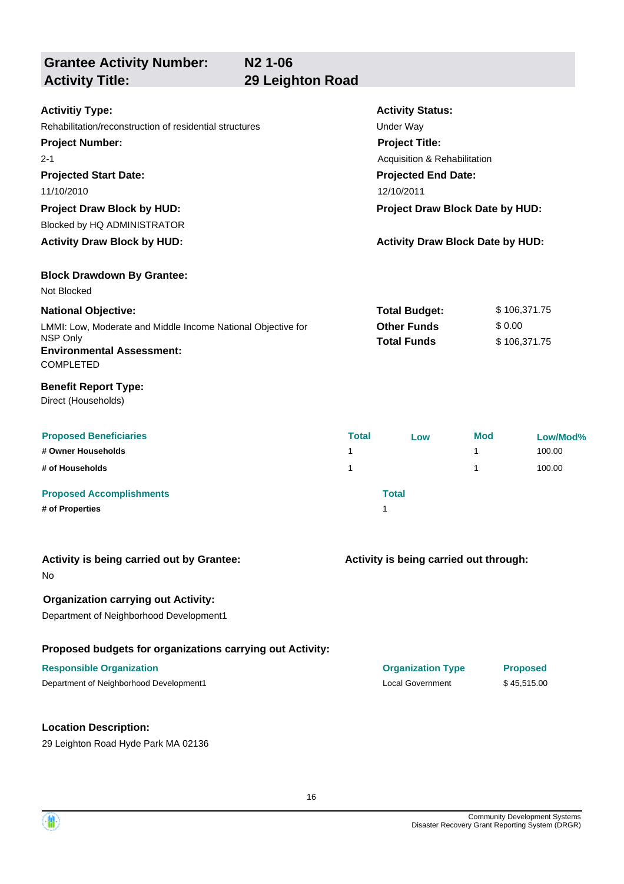**Grantee Activity Number: Projected Start Date:** LMMI: Low, Moderate and Middle Income National Objective for NSP Only **National Objective: Activity Status: Projected End Date: N2 1-06 Activitiy Type:** 11/10/2010 12/10/2011 Rehabilitation/reconstruction of residential structures Theorem Constructure Under Way **Activity Title: 29 Leighton Road Project Number:** 2-1 **Project Title:** Acquisition & Rehabilitation **Total Budget:** \$ 106,371.75 **Other Funds** \$ 0.00 **Total Funds** \$ 106,371.75 **Environmental Assessment:** COMPLETED **Project Draw Block by HUD: Project Draw Block Date by HUD:** Blocked by HQ ADMINISTRATOR **Activity Draw Block by HUD: Activity Draw Block Date by HUD: Block Drawdown By Grantee:** Not Blocked

Direct (Households) **Benefit Report Type:**

| <b>Proposed Beneficiaries</b><br># Owner Households<br># of Households | <b>Total</b><br>1. | Low          | <b>Mod</b> | Low/Mod%<br>100.00<br>100.00 |
|------------------------------------------------------------------------|--------------------|--------------|------------|------------------------------|
| <b>Proposed Accomplishments</b><br># of Properties                     |                    | <b>Total</b> |            |                              |

| Activity is being carried out by Grantee: |  |
|-------------------------------------------|--|
| No                                        |  |

### **Organization carrying out Activity:**

Department of Neighborhood Development1

### **Proposed budgets for organizations carrying out Activity:**

#### **Responsible Organization Organization Type Proposed**

Department of Neighborhood Development1 **Network** Cocal Government \$ 45,515.00

### **Location Description:**

29 Leighton Road Hyde Park MA 02136

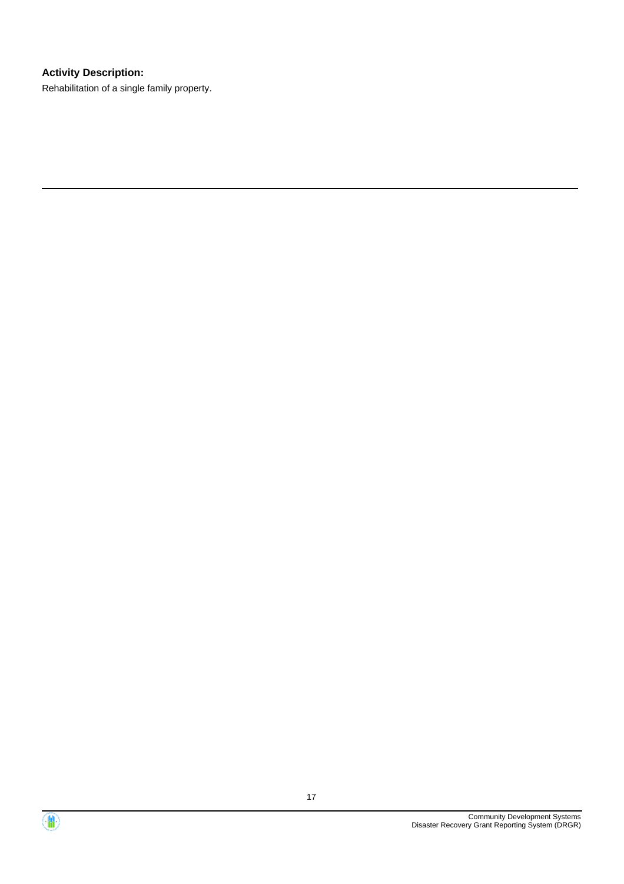### **Activity Description:**

Rehabilitation of a single family property.



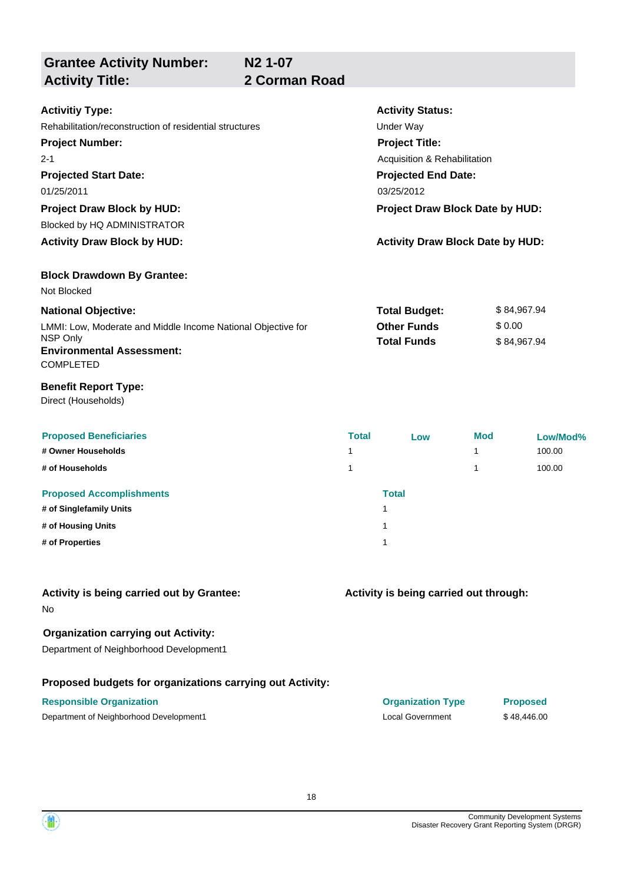| <b>Grantee Activity Number:</b><br><b>Activity Title:</b>                                                                                                                                                                                                                         | N <sub>2</sub> 1-07<br>2 Corman Road |                        |                                                                                                                                                                                                                                |                      |                                      |
|-----------------------------------------------------------------------------------------------------------------------------------------------------------------------------------------------------------------------------------------------------------------------------------|--------------------------------------|------------------------|--------------------------------------------------------------------------------------------------------------------------------------------------------------------------------------------------------------------------------|----------------------|--------------------------------------|
| <b>Activitiy Type:</b><br>Rehabilitation/reconstruction of residential structures<br><b>Project Number:</b><br>2-1<br><b>Projected Start Date:</b><br>01/25/2011<br><b>Project Draw Block by HUD:</b><br><b>Blocked by HQ ADMINISTRATOR</b><br><b>Activity Draw Block by HUD:</b> |                                      |                        | <b>Activity Status:</b><br><b>Under Way</b><br><b>Project Title:</b><br>Acquisition & Rehabilitation<br><b>Projected End Date:</b><br>03/25/2012<br>Project Draw Block Date by HUD:<br><b>Activity Draw Block Date by HUD:</b> |                      |                                      |
| <b>Block Drawdown By Grantee:</b><br>Not Blocked                                                                                                                                                                                                                                  |                                      |                        |                                                                                                                                                                                                                                |                      |                                      |
| <b>National Objective:</b><br>LMMI: Low, Moderate and Middle Income National Objective for<br>NSP Only<br><b>Environmental Assessment:</b><br>COMPLETED                                                                                                                           |                                      |                        | <b>Total Budget:</b><br><b>Other Funds</b><br><b>Total Funds</b>                                                                                                                                                               |                      | \$84,967.94<br>\$0.00<br>\$84,967.94 |
| <b>Benefit Report Type:</b><br>Direct (Households)                                                                                                                                                                                                                                |                                      |                        |                                                                                                                                                                                                                                |                      |                                      |
| <b>Proposed Beneficiaries</b><br># Owner Households<br># of Households                                                                                                                                                                                                            |                                      | <b>Total</b><br>1<br>1 | Low                                                                                                                                                                                                                            | <b>Mod</b><br>1<br>1 | Low/Mod%<br>100.00<br>100.00         |
| <b>Proposed Accomplishments</b><br># of Singlefamily Units<br># of Housing Units<br># of Properties                                                                                                                                                                               |                                      |                        | <b>Total</b><br>1<br>1<br>1                                                                                                                                                                                                    |                      |                                      |
| Activity is being carried out by Grantee:<br>No                                                                                                                                                                                                                                   |                                      |                        | Activity is being carried out through:                                                                                                                                                                                         |                      |                                      |
| <b>Organization carrying out Activity:</b><br>Department of Neighborhood Development1                                                                                                                                                                                             |                                      |                        |                                                                                                                                                                                                                                |                      |                                      |
| Proposed budgets for organizations carrying out Activity:                                                                                                                                                                                                                         |                                      |                        |                                                                                                                                                                                                                                |                      |                                      |
| <b>Responsible Organization</b><br>Department of Neighborhood Development1                                                                                                                                                                                                        |                                      |                        | <b>Organization Type</b><br><b>Local Government</b>                                                                                                                                                                            |                      | <b>Proposed</b><br>\$48,446.00       |

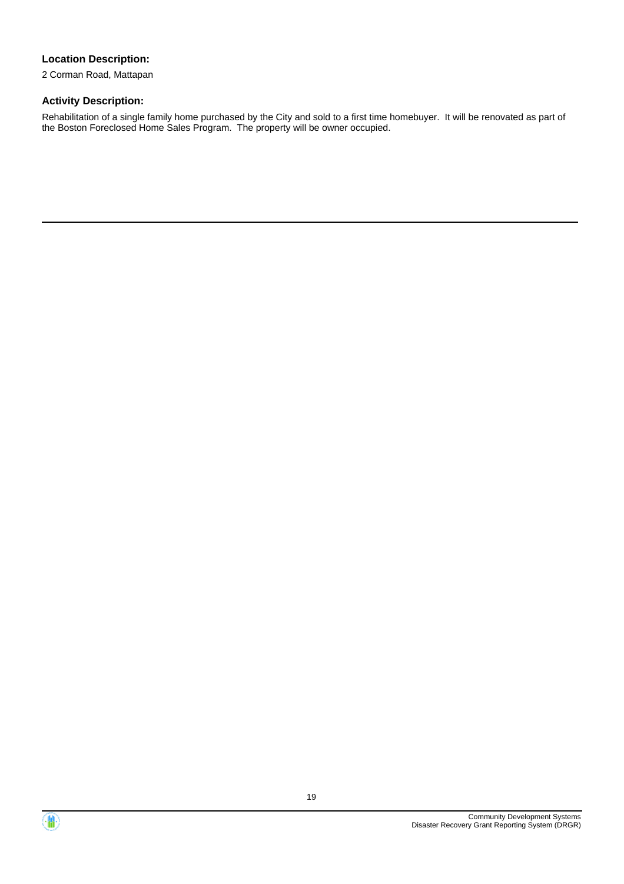2 Corman Road, Mattapan

### **Activity Description:**

Rehabilitation of a single family home purchased by the City and sold to a first time homebuyer. It will be renovated as part of the Boston Foreclosed Home Sales Program. The property will be owner occupied.



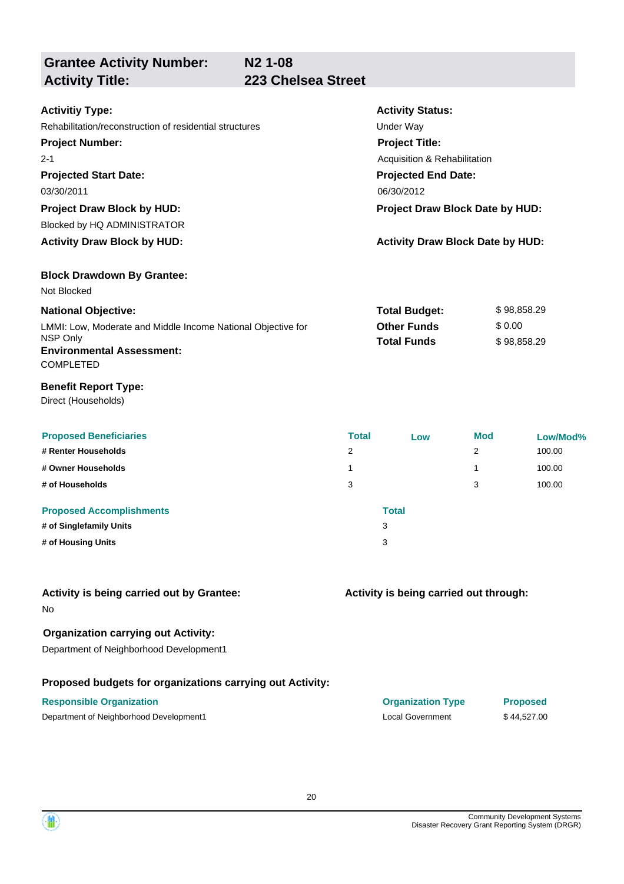**Grantee Activity Number: Projected Start Date:** LMMI: Low, Moderate and Middle Income National Objective for **National Objective: Activity Status: Projected End Date: N2 1-08 Activitiy Type:** 03/30/2011 06/30/2012 Rehabilitation/reconstruction of residential structures Theorem Constructure Under Way **Activity Title: 223 Chelsea Street Project Number:** 2-1 **Project Title:** Acquisition & Rehabilitation **Total Budget:** \$98,858.29 **Other Funds** \$ 0.00 **Project Draw Block by HUD: Project Draw Block Date by HUD:** Blocked by HQ ADMINISTRATOR **Activity Draw Block by HUD: Activity Draw Block Date by HUD: Block Drawdown By Grantee:** Not Blocked

#### NSP Only **Environmental Assessment:**

COMPLETED

### **Benefit Report Type:**

Direct (Households)

| <b>Proposed Beneficiaries</b>   | <b>Total</b> | Low          | <b>Mod</b> | Low/Mod% |
|---------------------------------|--------------|--------------|------------|----------|
| # Renter Households             | 2            |              | 2          | 100.00   |
| # Owner Households              | 1            |              | 1          | 100.00   |
| # of Households                 | 3            |              | 3          | 100.00   |
| <b>Proposed Accomplishments</b> |              | <b>Total</b> |            |          |
| # of Singlefamily Units         |              | 3            |            |          |
| # of Housing Units              |              | 3            |            |          |

### **Activity is being carried out by Grantee:**

No

### **Organization carrying out Activity:**

Department of Neighborhood Development1

### **Proposed budgets for organizations carrying out Activity:**

### **Responsible Organization Organization Type Proposed**

Department of Neighborhood Development1 and the community of the community of the state of 44,527.00

### **Activity is being carried out through:**

**Total Funds** \$98,858.29

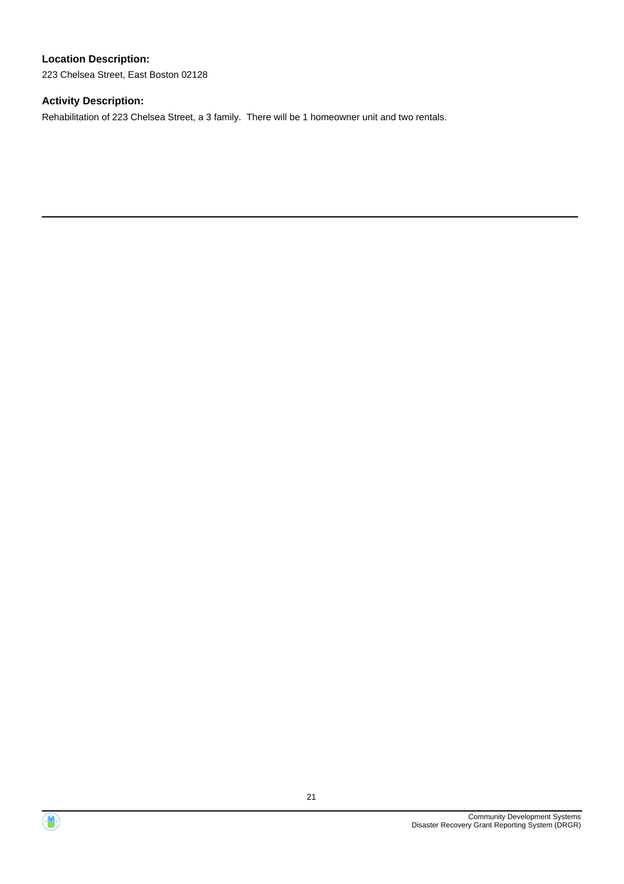223 Chelsea Street, East Boston 02128

### **Activity Description:**

Rehabilitation of 223 Chelsea Street, a 3 family. There will be 1 homeowner unit and two rentals.



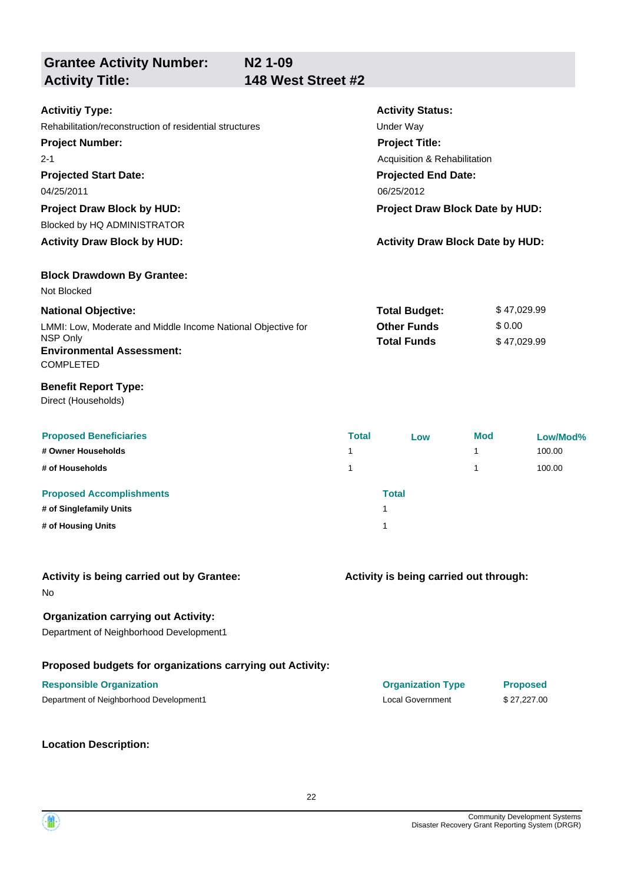**Grantee Activity Number: Projected Start Date:** LMMI: Low, Moderate and Middle Income National Objective for NSP Only **National Objective: Activity Status: Projected End Date: N2 1-09 Activitiy Type:** 04/25/2011 06/25/2012 Rehabilitation/reconstruction of residential structures Theorem Constructure Under Way **Activity Title: 148 West Street #2 Project Number:** 2-1 **Project Title:** Acquisition & Rehabilitation **Total Budget:** \$ 47,029.99 **Other Funds** \$ 0.00 **Total Funds** \$ 47,029.99 **Environmental Assessment:** COMPLETED Direct (Households) **Benefit Report Type: Project Draw Block by HUD: Project Draw Block Date by HUD:** Blocked by HQ ADMINISTRATOR **Activity Draw Block by HUD: Activity Draw Block Date by HUD: Block Drawdown By Grantee:** Not Blocked

| <b>Proposed Beneficiaries</b>   | <b>Total</b> | LOW   | <b>Mod</b> | Low/Mod% |
|---------------------------------|--------------|-------|------------|----------|
| # Owner Households              |              |       |            | 100.00   |
| # of Households                 |              |       |            | 100.00   |
| <b>Proposed Accomplishments</b> |              | Total |            |          |
| # of Singlefamily Units         |              |       |            |          |
| # of Housing Units              |              |       |            |          |

| Activity is being carried out by Grantee: |  |
|-------------------------------------------|--|
| No                                        |  |

### **Organization carrying out Activity:**

Department of Neighborhood Development1

### **Proposed budgets for organizations carrying out Activity:**

| <b>Responsible Organization</b>         | <b>Organization Type</b> | <b>Proposed</b> |
|-----------------------------------------|--------------------------|-----------------|
| Department of Neighborhood Development1 | Local Government         | \$27.227.00     |

### **Location Description:**

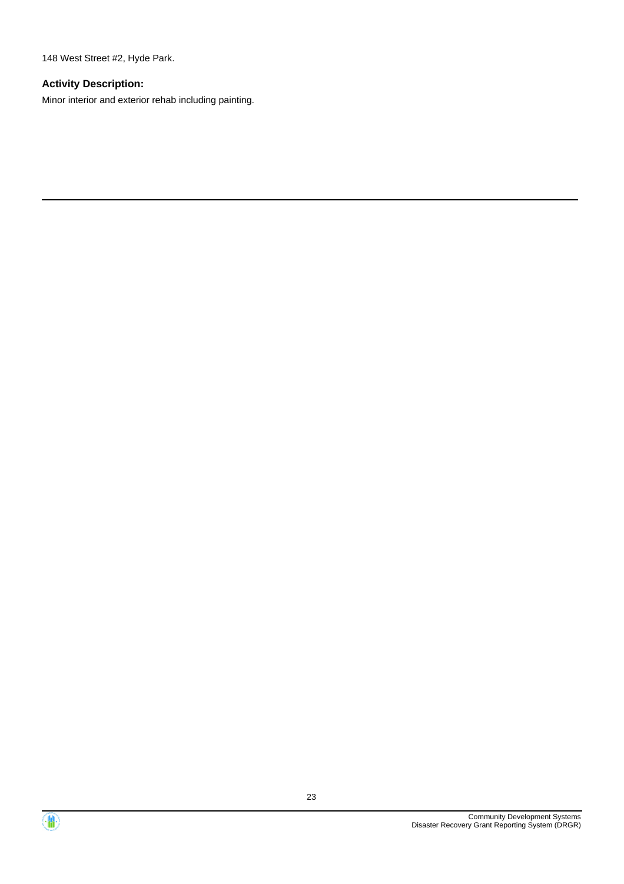148 West Street #2, Hyde Park.

### **Activity Description:**

Minor interior and exterior rehab including painting.



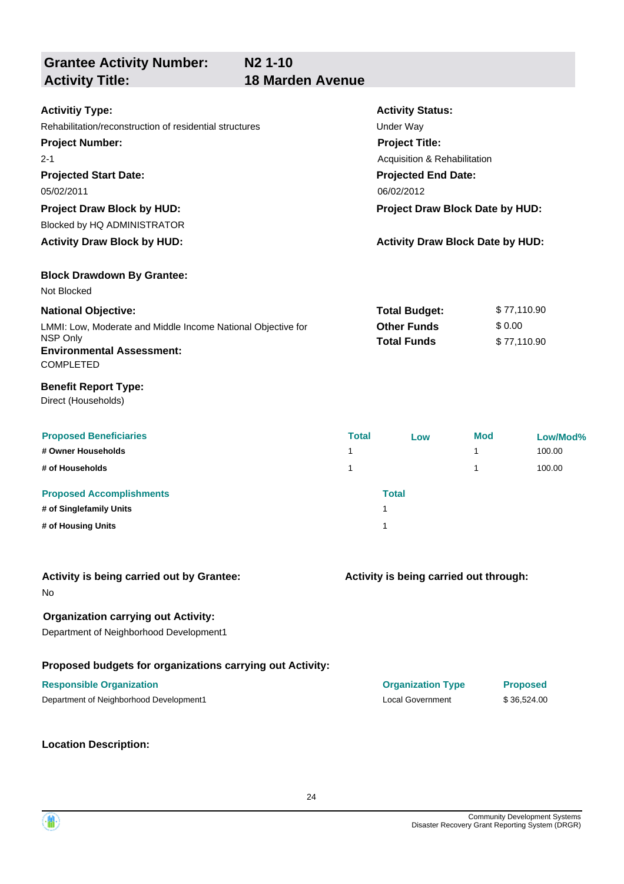**Grantee Activity Number: Projected Start Date:** LMMI: Low, Moderate and Middle Income National Objective for NSP Only **National Objective: Activity Status: Projected End Date: N2 1-10 Activitiy Type:** 05/02/2011 06/02/2012 Rehabilitation/reconstruction of residential structures Theorem Constructure Under Way **Activity Title: 18 Marden Avenue Project Number:** 2-1 **Project Title:** Acquisition & Rehabilitation **Total Budget:** \$ 77,110.90 **Other Funds** \$ 0.00 **Total Funds** \$ 77,110.90 **Environmental Assessment:** COMPLETED **Project Draw Block by HUD: Project Draw Block Date by HUD:** Blocked by HQ ADMINISTRATOR **Activity Draw Block by HUD: Activity Draw Block Date by HUD: Block Drawdown By Grantee:** Not Blocked

Direct (Households) **Benefit Report Type:**

| <b>Proposed Beneficiaries</b>   | <b>Total</b> | Low          | <b>Mod</b> | Low/Mod% |
|---------------------------------|--------------|--------------|------------|----------|
| # Owner Households              |              |              | 1          | 100.00   |
| # of Households                 |              |              | 1.         | 100.00   |
| <b>Proposed Accomplishments</b> |              | <b>Total</b> |            |          |
| # of Singlefamily Units         |              |              |            |          |
| # of Housing Units              |              |              |            |          |
|                                 |              |              |            |          |

| Activity is being carried out by Grantee: |  |  |
|-------------------------------------------|--|--|
| No                                        |  |  |

### **Organization carrying out Activity:**

Department of Neighborhood Development1

#### **Proposed budgets for organizations carrying out Activity:**

| <b>Responsible Organization</b>         | <b>Organization Type</b> | <b>Proposed</b> |
|-----------------------------------------|--------------------------|-----------------|
| Department of Neighborhood Development1 | Local Government         | \$36.524.00     |

### **Location Description:**

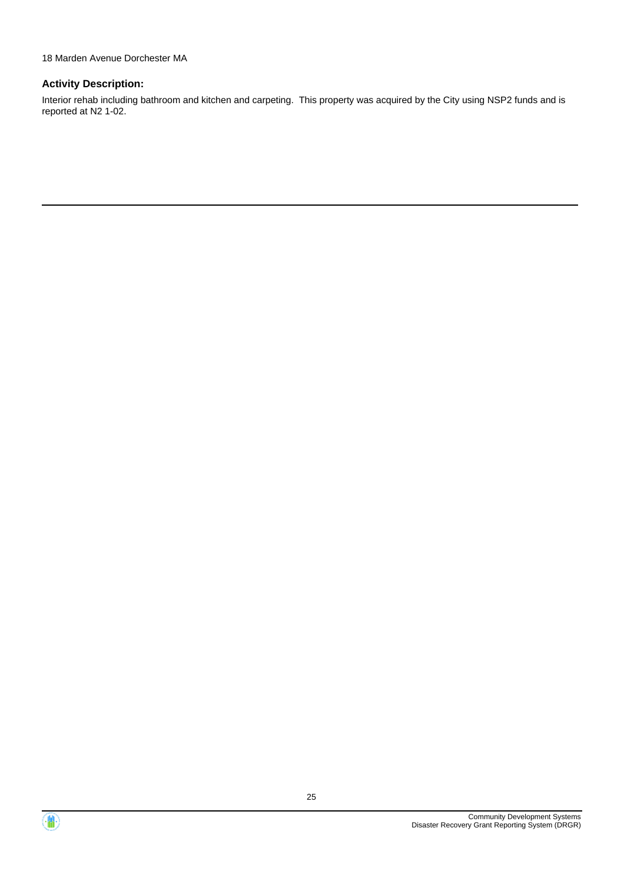18 Marden Avenue Dorchester MA

### **Activity Description:**

Interior rehab including bathroom and kitchen and carpeting. This property was acquired by the City using NSP2 funds and is reported at N2 1-02.



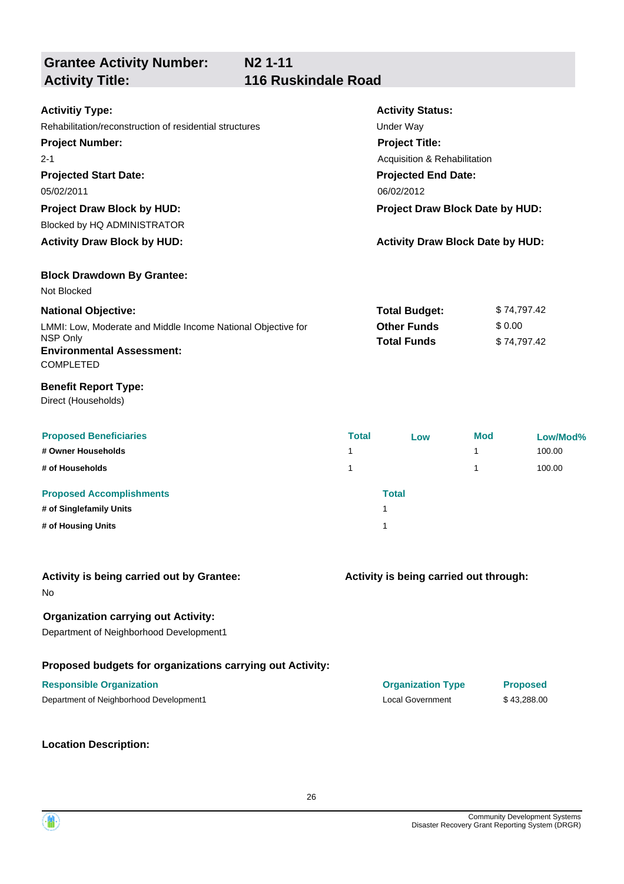**Grantee Activity Number: Projected Start Date:** LMMI: Low, Moderate and Middle Income National Objective for NSP Only **National Objective: Activity Status: Projected End Date: N2 1-11 Activitiy Type:** 05/02/2011 06/02/2012 Rehabilitation/reconstruction of residential structures example and the Under Way **Activity Title: 116 Ruskindale Road Project Number:** 2-1 **Project Title:** Acquisition & Rehabilitation **Total Budget:** \$ 74,797.42 **Other Funds** \$ 0.00 **Total Funds** \$ 74,797.42 **Environmental Assessment:** COMPLETED **Proposed Beneficiaries Total Low Mod Low/Mod% # Owner Households** 1 1 100.00 **# of Households** 1 1 100.00 **Proposed Accomplishments Total # of Singlefamily Units** 1 **# of Housing Units** 1 **Activity is being carried out through:** No **Activity is being carried out by Grantee:** Direct (Households) **Benefit Report Type: Project Draw Block by HUD: Project Draw Block Date by HUD:** Blocked by HQ ADMINISTRATOR **Activity Draw Block by HUD: Activity Draw Block Date by HUD: Block Drawdown By Grantee:** Not Blocked

### **Organization carrying out Activity:**

Department of Neighborhood Development1

#### **Proposed budgets for organizations carrying out Activity:**

| <b>Responsible Organization</b>         | <b>Organization Type</b> | <b>Proposed</b> |
|-----------------------------------------|--------------------------|-----------------|
| Department of Neighborhood Development1 | <b>Local Government</b>  | \$43.288.00     |

### **Location Description:**

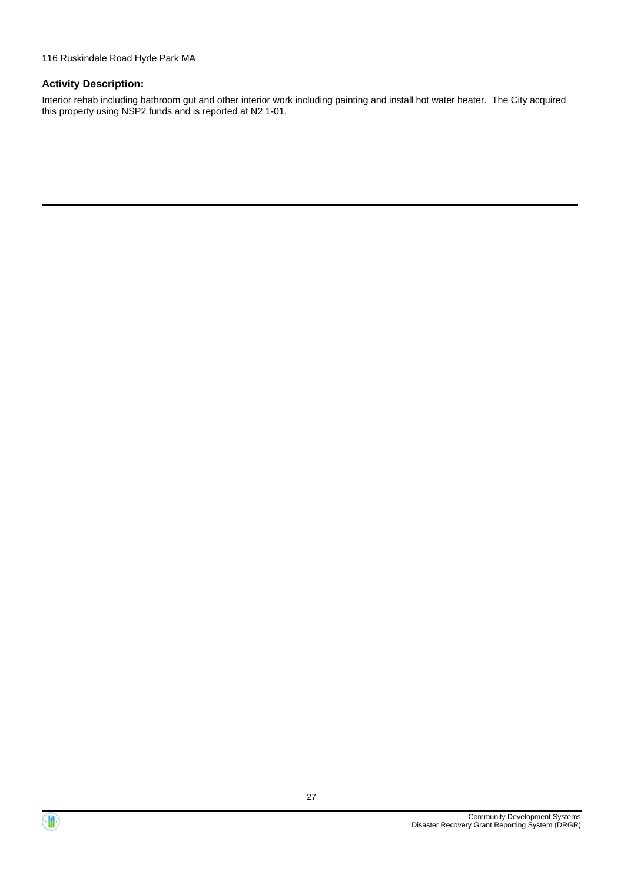116 Ruskindale Road Hyde Park MA

#### **Activity Description:**

Interior rehab including bathroom gut and other interior work including painting and install hot water heater. The City acquired this property using NSP2 funds and is reported at N2 1-01.



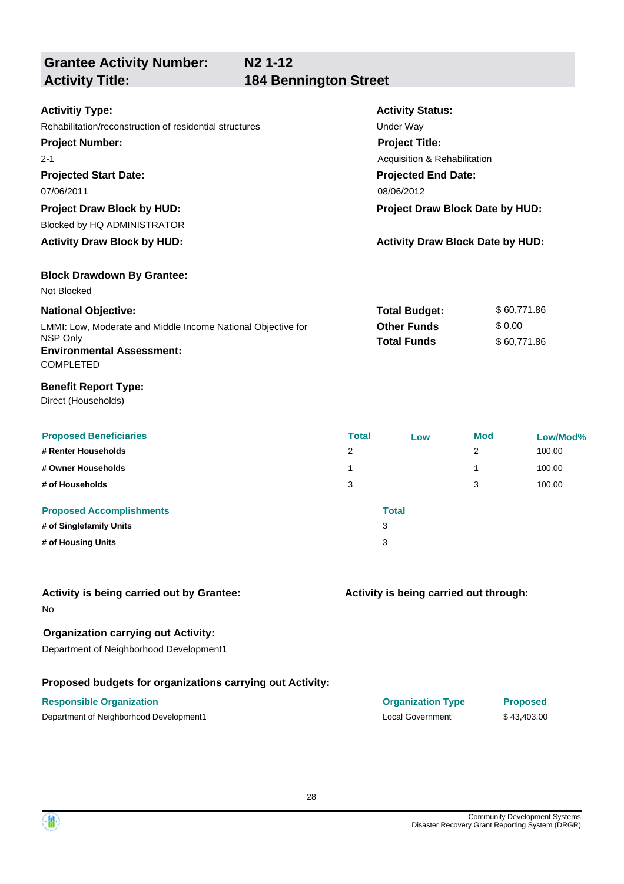| <b>Grantee Activity Number:</b><br><b>Activity Title:</b>                                                                        | N <sub>2</sub> 1-12<br><b>184 Bennington Street</b> |                                          |              |             |
|----------------------------------------------------------------------------------------------------------------------------------|-----------------------------------------------------|------------------------------------------|--------------|-------------|
| <b>Activitiy Type:</b>                                                                                                           |                                                     | <b>Activity Status:</b>                  |              |             |
| Rehabilitation/reconstruction of residential structures<br><b>Project Number:</b>                                                |                                                     | Under Way<br><b>Project Title:</b>       |              |             |
| $2 - 1$                                                                                                                          |                                                     | Acquisition & Rehabilitation             |              |             |
| <b>Projected Start Date:</b><br>07/06/2011                                                                                       | <b>Projected End Date:</b><br>08/06/2012            |                                          |              |             |
| <b>Project Draw Block by HUD:</b><br>Blocked by HQ ADMINISTRATOR                                                                 |                                                     | Project Draw Block Date by HUD:          |              |             |
| <b>Activity Draw Block by HUD:</b>                                                                                               | <b>Activity Draw Block Date by HUD:</b>             |                                          |              |             |
| <b>Block Drawdown By Grantee:</b><br>Not Blocked                                                                                 |                                                     |                                          |              |             |
| <b>National Objective:</b>                                                                                                       |                                                     | <b>Total Budget:</b>                     |              | \$60,771.86 |
| LMMI: Low, Moderate and Middle Income National Objective for<br>NSP Only<br><b>Environmental Assessment:</b><br><b>COMPLETED</b> |                                                     | <b>Other Funds</b><br><b>Total Funds</b> | \$0.00       | \$60,771.86 |
| <b>Benefit Report Type:</b><br>Direct (Households)                                                                               |                                                     |                                          |              |             |
| <b>Proposed Beneficiaries</b>                                                                                                    | <b>Total</b>                                        | Low                                      | <b>Mod</b>   | Low/Mod%    |
| # Renter Households                                                                                                              | 2                                                   |                                          | 2            | 100.00      |
| # Owner Households                                                                                                               | 1                                                   |                                          | $\mathbf{1}$ | 100.00      |
| # of Households                                                                                                                  | 3                                                   |                                          | 3            | 100.00      |
| <b>Proposed Accomplishments</b>                                                                                                  |                                                     | <b>Total</b>                             |              |             |
| # of Singlefamily Units                                                                                                          |                                                     | 3                                        |              |             |
| # of Housing Units                                                                                                               |                                                     | 3                                        |              |             |

|  |  |  |  |  |  | Activity is being carried out by Grantee: |
|--|--|--|--|--|--|-------------------------------------------|
|--|--|--|--|--|--|-------------------------------------------|

#### No

### **Organization carrying out Activity:**

Department of Neighborhood Development1

### **Proposed budgets for organizations carrying out Activity:**

#### **Responsible Organization COVID-10 COVID-10 Organization Type Proposed**

Department of Neighborhood Development1 Local Government \$ 43,403.00

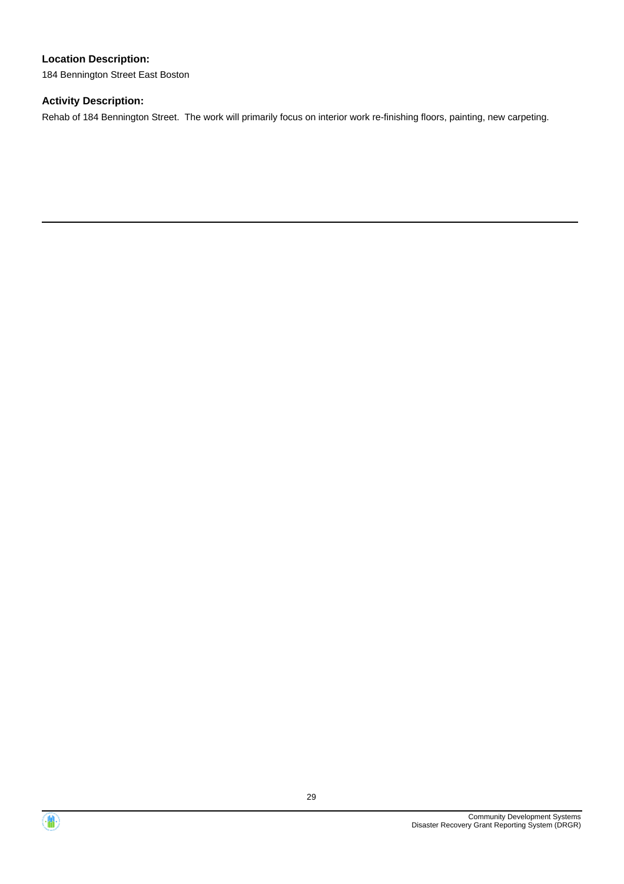184 Bennington Street East Boston

### **Activity Description:**

Rehab of 184 Bennington Street. The work will primarily focus on interior work re-finishing floors, painting, new carpeting.



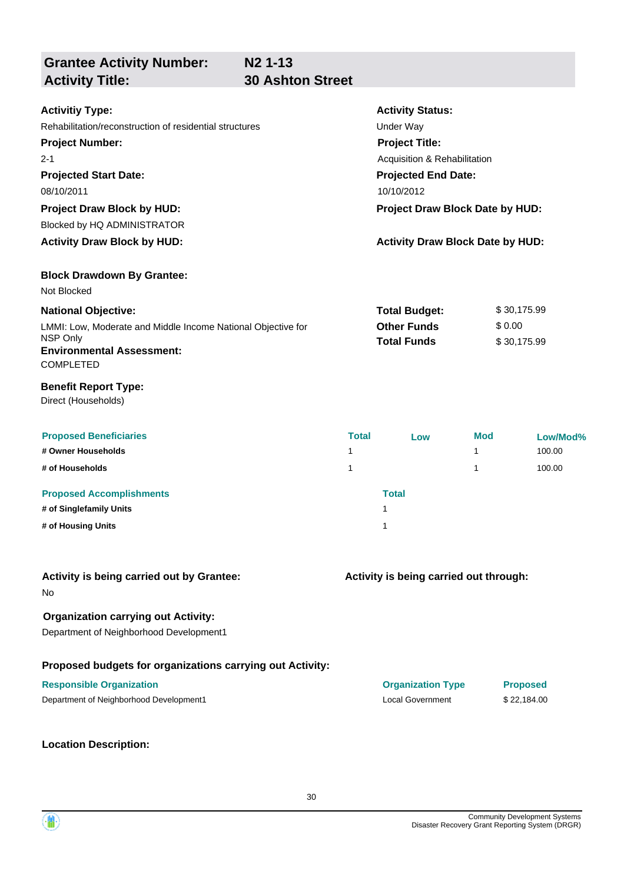**Grantee Activity Number: Activity Status: N2 1-13 Activitiy Type:** Rehabilitation/reconstruction of residential structures Theorem Constructure Under Way **Activity Title: 30 Ashton Street Project Number:** 2-1 **Project Title:** Acquisition & Rehabilitation

**Projected Start Date: Projected End Date:** 08/10/2011 10/10/2012 **Project Draw Block by HUD: Project Draw Block Date by HUD:** Blocked by HQ ADMINISTRATOR **Activity Draw Block by HUD: Activity Draw Block Date by HUD:**

### **Block Drawdown By Grantee:**

Not Blocked

| <b>National Objective:</b>                                   | <b>Total Budget:</b> | \$30,175.99 |
|--------------------------------------------------------------|----------------------|-------------|
| LMMI: Low, Moderate and Middle Income National Objective for | <b>Other Funds</b>   | \$ 0.00     |
| NSP Only                                                     | <b>Total Funds</b>   | \$30,175.99 |
| <b>Environmental Assessment:</b>                             |                      |             |
| <b>COMPLETED</b>                                             |                      |             |

### **Benefit Report Type:**

Direct (Households)

| <b>Proposed Beneficiaries</b>   | <b>Total</b> | Low          | <b>Mod</b> | Low/Mod% |
|---------------------------------|--------------|--------------|------------|----------|
| # Owner Households              | 1.           |              |            | 100.00   |
| # of Households                 | 1.           |              |            | 100.00   |
| <b>Proposed Accomplishments</b> |              | <b>Total</b> |            |          |
| # of Singlefamily Units         |              | 1            |            |          |
| # of Housing Units              |              | 1            |            |          |
|                                 |              |              |            |          |

### No **Activity is being carried out by Grantee:**

### **Organization carrying out Activity:**

Department of Neighborhood Development1

### **Proposed budgets for organizations carrying out Activity:**

### **Responsible Organization Organization Type Proposed** Department of Neighborhood Development1 and the community of Neighborhood Development \$ 22,184.00

### **Location Description:**

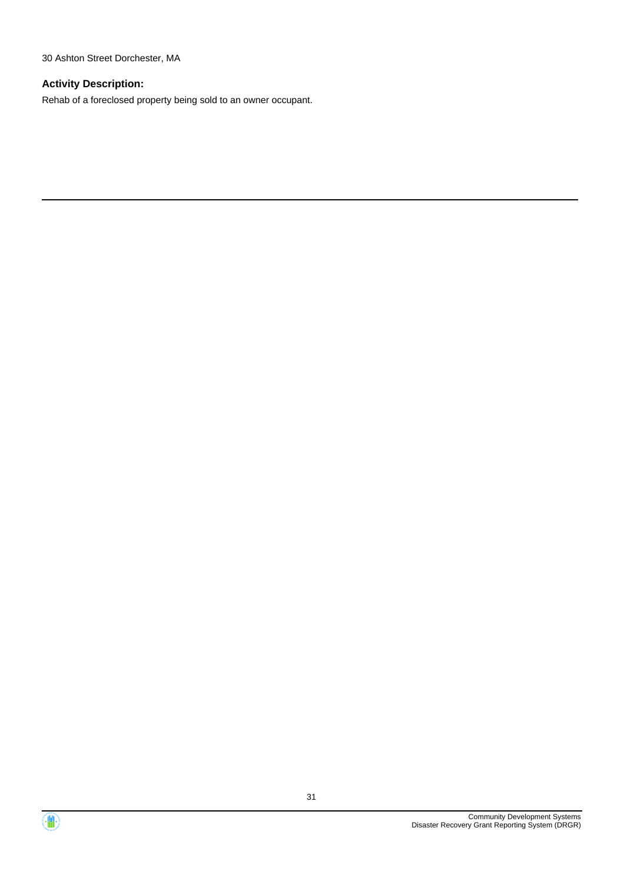30 Ashton Street Dorchester, MA

### **Activity Description:**

Rehab of a foreclosed property being sold to an owner occupant.



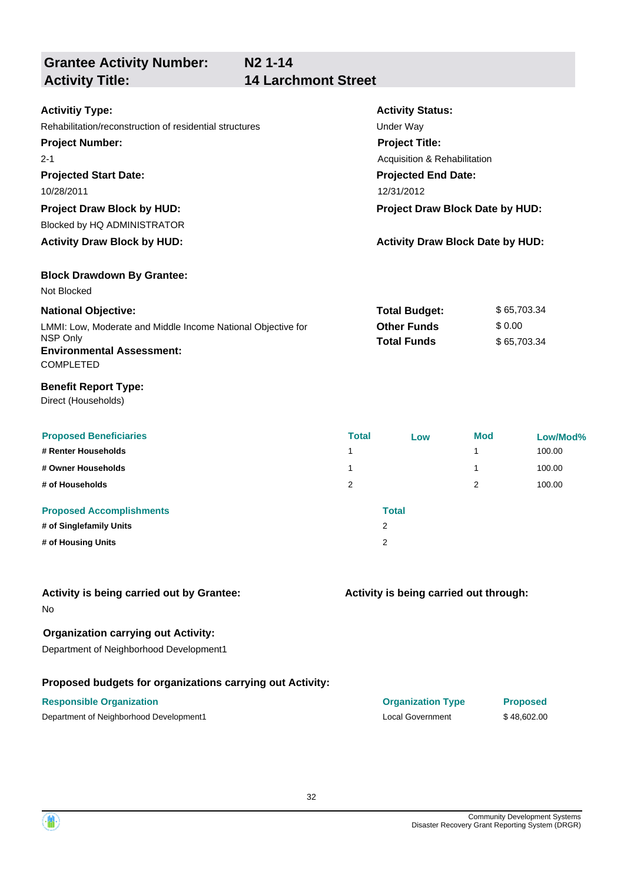**Grantee Activity Number: Activity Status: N2 1-14 Activitiy Type:** Rehabilitation/reconstruction of residential structures Theorem Constructure Under Way **Activity Title: 14 Larchmont Street Project Number:** 2-1 **Project Title:** Acquisition & Rehabilitation

**Projected Start Date: Projected End Date:** 10/28/2011 12/31/2012 **Project Draw Block by HUD: Project Draw Block Date by HUD:** Blocked by HQ ADMINISTRATOR **Activity Draw Block by HUD: Activity Draw Block Date by HUD:**

### **Block Drawdown By Grantee:**

Not Blocked

| <b>National Objective:</b>                                   | <b>Total Budget:</b> | \$65,703.34 |
|--------------------------------------------------------------|----------------------|-------------|
| LMMI: Low, Moderate and Middle Income National Objective for | <b>Other Funds</b>   | \$ 0.00     |
| NSP Only                                                     | <b>Total Funds</b>   | \$65.703.34 |
| <b>Environmental Assessment:</b>                             |                      |             |
| <b>COMPLETED</b>                                             |                      |             |

### **Benefit Report Type:**

Direct (Households)

| <b>Proposed Beneficiaries</b><br># Renter Households<br># Owner Households | <b>Total</b><br>4<br>и | Low          | <b>Mod</b> | Low/Mod%<br>100.00<br>100.00 |
|----------------------------------------------------------------------------|------------------------|--------------|------------|------------------------------|
| # of Households                                                            | 2                      |              | 2          | 100.00                       |
| <b>Proposed Accomplishments</b>                                            |                        | <b>Total</b> |            |                              |
| # of Singlefamily Units                                                    |                        | 2            |            |                              |
| # of Housing Units                                                         |                        | 2            |            |                              |

| Activity is being carried out by Grantee: |  |
|-------------------------------------------|--|
|-------------------------------------------|--|

No

### **Organization carrying out Activity:**

Department of Neighborhood Development1

### **Proposed budgets for organizations carrying out Activity:**

### **Responsible Organization Organization Type Proposed**

Department of Neighborhood Development1 **Community** Local Government \$ 48,602.00

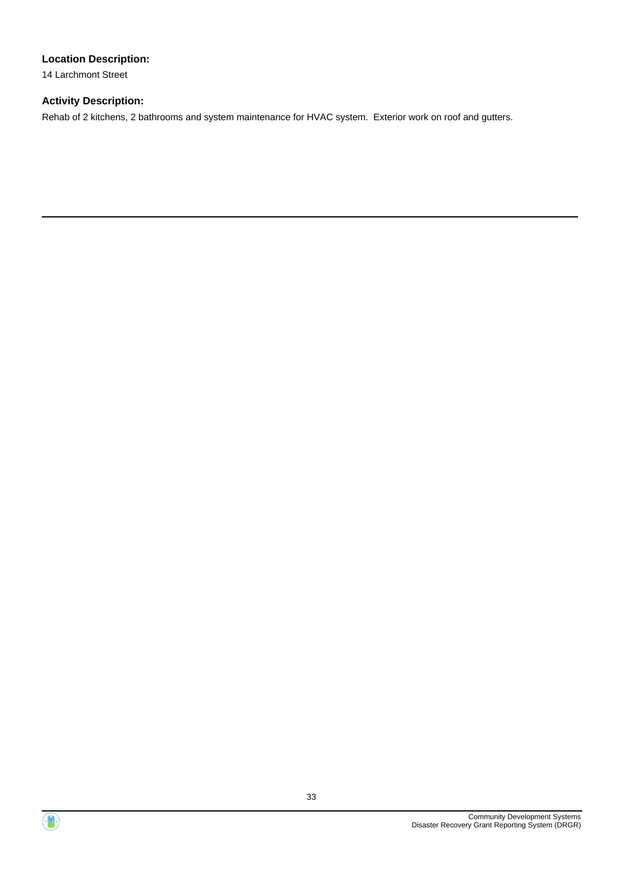14 Larchmont Street

### **Activity Description:**

Rehab of 2 kitchens, 2 bathrooms and system maintenance for HVAC system. Exterior work on roof and gutters.



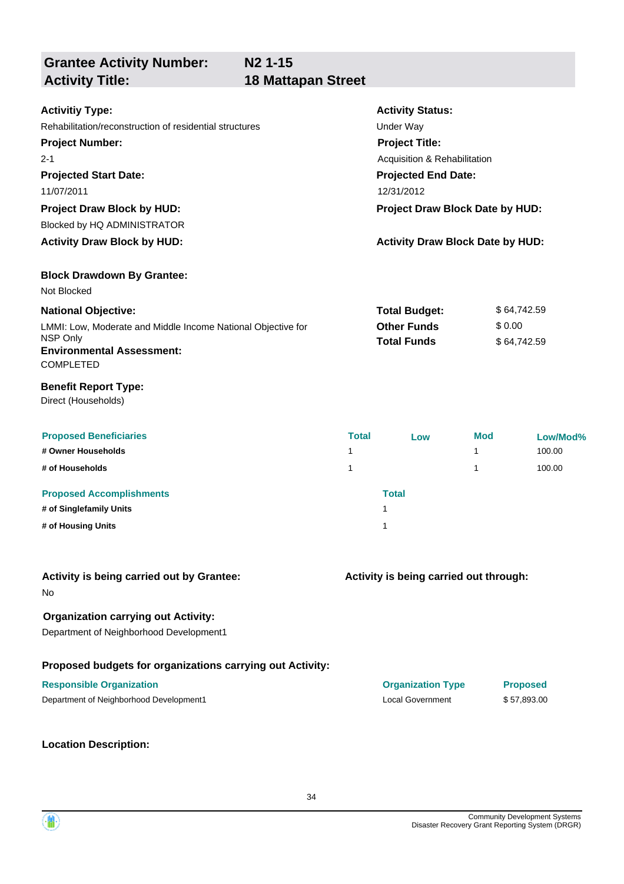**Grantee Activity Number: Projected Start Date:** LMMI: Low, Moderate and Middle Income National Objective for NSP Only **National Objective: Activity Status: Projected End Date: N2 1-15 Activitiy Type:** 11/07/2011 12/31/2012 Rehabilitation/reconstruction of residential structures Theorem Constructure Under Way **Activity Title: 18 Mattapan Street Project Number:** 2-1 **Project Title:** Acquisition & Rehabilitation **Total Budget:** \$ 64,742.59 **Other Funds** \$ 0.00 **Total Funds** \$ 64,742.59 **Environmental Assessment:** COMPLETED **Proposed Beneficiaries Total Low Mod Low/Mod% # Owner Households** 1 1 100.00 **# of Households** 1 1 100.00 **Proposed Accomplishments Total # of Singlefamily Units** 1 **# of Housing Units** 1 Direct (Households) **Benefit Report Type: Project Draw Block by HUD: Project Draw Block Date by HUD:** Blocked by HQ ADMINISTRATOR **Activity Draw Block by HUD: Activity Draw Block Date by HUD: Block Drawdown By Grantee:** Not Blocked

|    |  |  | Activity is being carried out by Grantee: |
|----|--|--|-------------------------------------------|
| No |  |  |                                           |

### **Organization carrying out Activity:**

Department of Neighborhood Development1

#### **Proposed budgets for organizations carrying out Activity:**

| <b>Responsible Organization</b>         | <b>Organization Type</b> | <b>Proposed</b> |
|-----------------------------------------|--------------------------|-----------------|
| Department of Neighborhood Development1 | <b>Local Government</b>  | \$57.893.00     |

### **Location Description:**

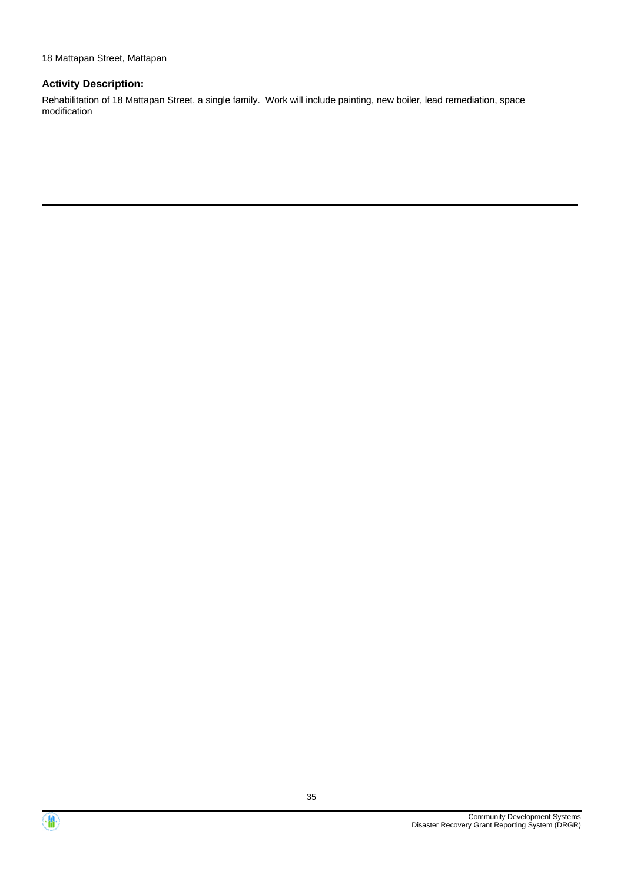18 Mattapan Street, Mattapan

### **Activity Description:**

Rehabilitation of 18 Mattapan Street, a single family. Work will include painting, new boiler, lead remediation, space modification



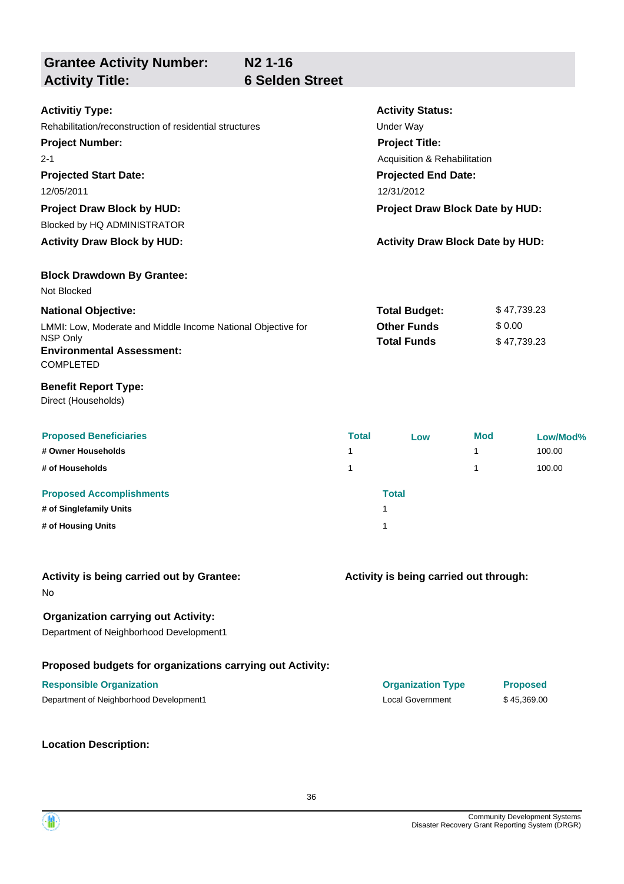| N <sub>2</sub> 1-16<br><b>Grantee Activity Number:</b><br><b>Activity Title:</b><br><b>6 Selden Street</b>                                                                                                                                                                        |                                                                                                                                                                                                                                |                                              |                                      |                                |
|-----------------------------------------------------------------------------------------------------------------------------------------------------------------------------------------------------------------------------------------------------------------------------------|--------------------------------------------------------------------------------------------------------------------------------------------------------------------------------------------------------------------------------|----------------------------------------------|--------------------------------------|--------------------------------|
| <b>Activitiy Type:</b><br>Rehabilitation/reconstruction of residential structures<br><b>Project Number:</b><br>2-1<br><b>Projected Start Date:</b><br>12/05/2011<br><b>Project Draw Block by HUD:</b><br><b>Blocked by HQ ADMINISTRATOR</b><br><b>Activity Draw Block by HUD:</b> | <b>Activity Status:</b><br><b>Under Way</b><br><b>Project Title:</b><br>Acquisition & Rehabilitation<br><b>Projected End Date:</b><br>12/31/2012<br>Project Draw Block Date by HUD:<br><b>Activity Draw Block Date by HUD:</b> |                                              |                                      |                                |
| <b>Block Drawdown By Grantee:</b><br>Not Blocked                                                                                                                                                                                                                                  |                                                                                                                                                                                                                                |                                              |                                      |                                |
| <b>National Objective:</b><br>LMMI: Low, Moderate and Middle Income National Objective for<br>NSP Only<br><b>Environmental Assessment:</b><br>COMPLETED                                                                                                                           | <b>Total Budget:</b><br><b>Other Funds</b><br><b>Total Funds</b>                                                                                                                                                               |                                              | \$47,739.23<br>\$0.00<br>\$47,739.23 |                                |
| <b>Benefit Report Type:</b><br>Direct (Households)                                                                                                                                                                                                                                |                                                                                                                                                                                                                                |                                              |                                      |                                |
| <b>Proposed Beneficiaries</b><br># Owner Households<br># of Households                                                                                                                                                                                                            | <b>Total</b><br>1<br>1                                                                                                                                                                                                         | Low                                          | <b>Mod</b><br>1<br>1                 | Low/Mod%<br>100.00<br>100.00   |
| <b>Proposed Accomplishments</b><br># of Singlefamily Units<br># of Housing Units                                                                                                                                                                                                  |                                                                                                                                                                                                                                | <b>Total</b><br>1<br>1                       |                                      |                                |
| Activity is being carried out by Grantee:<br>No                                                                                                                                                                                                                                   |                                                                                                                                                                                                                                | Activity is being carried out through:       |                                      |                                |
| <b>Organization carrying out Activity:</b><br>Department of Neighborhood Development1                                                                                                                                                                                             |                                                                                                                                                                                                                                |                                              |                                      |                                |
| Proposed budgets for organizations carrying out Activity:<br><b>Responsible Organization</b><br>Department of Neighborhood Development1                                                                                                                                           |                                                                                                                                                                                                                                | <b>Organization Type</b><br>Local Government |                                      | <b>Proposed</b><br>\$45,369.00 |
| <b>Location Description:</b>                                                                                                                                                                                                                                                      |                                                                                                                                                                                                                                |                                              |                                      |                                |

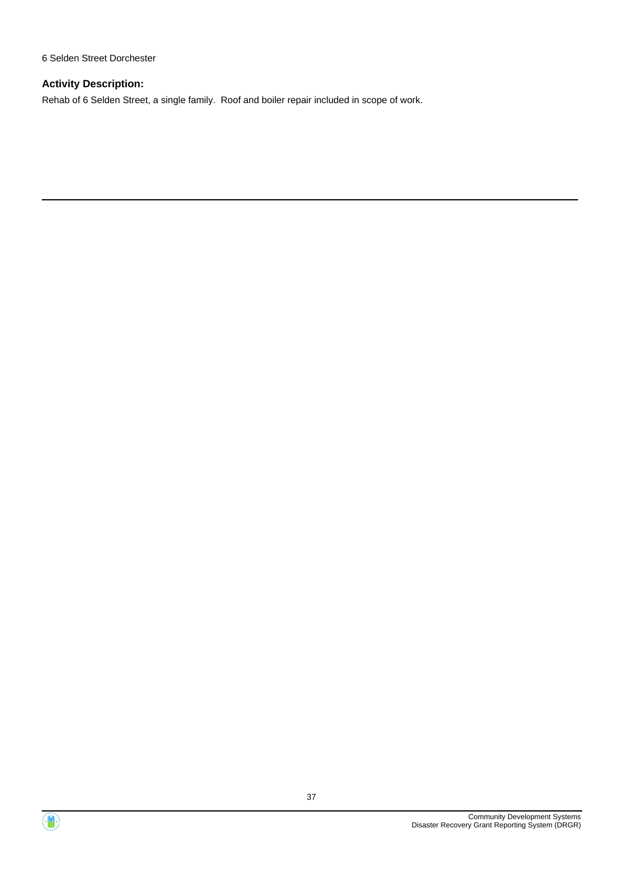6 Selden Street Dorchester

### **Activity Description:**

Rehab of 6 Selden Street, a single family. Roof and boiler repair included in scope of work.



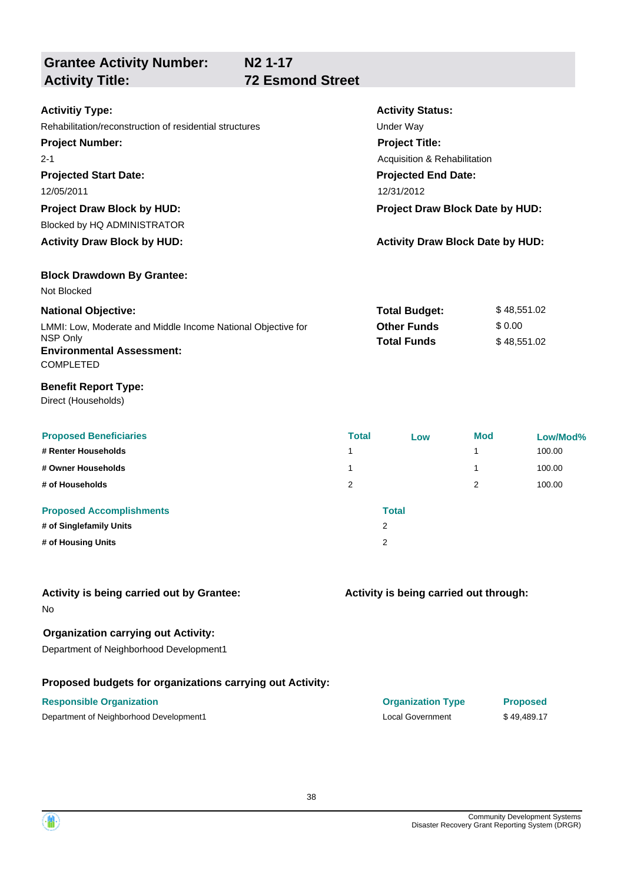**Grantee Activity Number: Projected Start Date: National Objective: Activity Status: Projected End Date: N2 1-17 Activitiy Type:** 12/05/2011 12/31/2012 Rehabilitation/reconstruction of residential structures Theorem Constructure Under Way **Activity Title: 72 Esmond Street Project Number:** 2-1 **Project Title:** Acquisition & Rehabilitation **Total Budget:** \$ 48,551.02 **Project Draw Block by HUD: Project Draw Block Date by HUD:** Blocked by HQ ADMINISTRATOR **Activity Draw Block by HUD: Activity Draw Block Date by HUD: Block Drawdown By Grantee:** Not Blocked

| LMMI: Low, Moderate and Middle Income National Objective for | <b>Other Funds</b> | \$0.00      |
|--------------------------------------------------------------|--------------------|-------------|
| NSP Only                                                     | <b>Total Funds</b> | \$48.551.02 |
| <b>Environmental Assessment:</b>                             |                    |             |
| <b>COMPLETED</b>                                             |                    |             |

### **Benefit Report Type:**

Direct (Households)

| <b>Proposed Beneficiaries</b><br># Renter Households<br># Owner Households<br># of Households | <b>Total</b><br>1<br>1<br>2 | Low                    | <b>Mod</b><br>и<br>2 | Low/Mod%<br>100.00<br>100.00<br>100.00 |
|-----------------------------------------------------------------------------------------------|-----------------------------|------------------------|----------------------|----------------------------------------|
| <b>Proposed Accomplishments</b><br># of Singlefamily Units<br># of Housing Units              |                             | <b>Total</b><br>2<br>2 |                      |                                        |

|  |  |  |  | <b>Activity is being carried out by Grantee:</b> |
|--|--|--|--|--------------------------------------------------|
|--|--|--|--|--------------------------------------------------|

#### No

#### **Organization carrying out Activity:**

Department of Neighborhood Development1

#### **Proposed budgets for organizations carrying out Activity:**

#### **Responsible Organization Organization Type Proposed**

Department of Neighborhood Development1 **Network** Cocal Government \$ 49,489.17

### **Activity is being carried out through:**

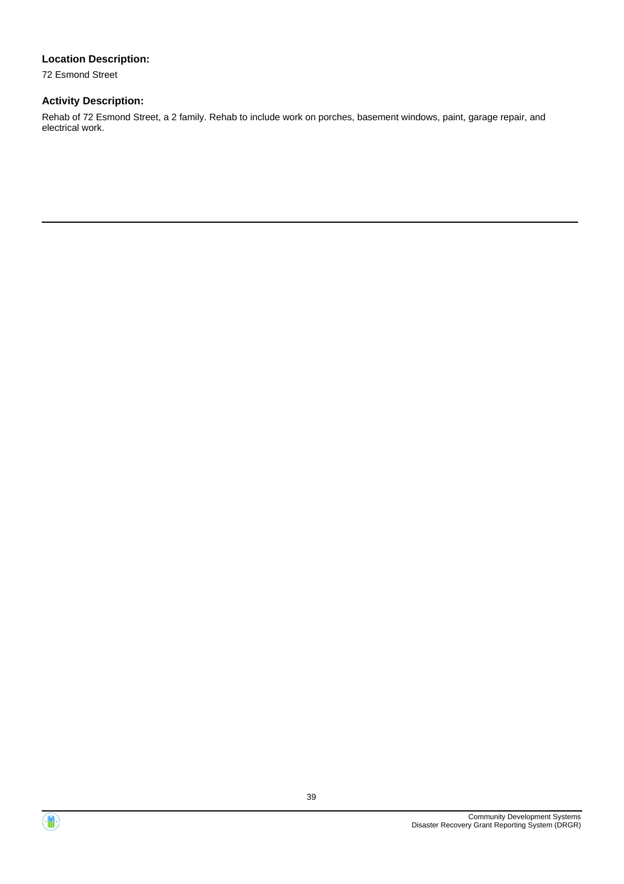72 Esmond Street

## **Activity Description:**

Rehab of 72 Esmond Street, a 2 family. Rehab to include work on porches, basement windows, paint, garage repair, and electrical work.



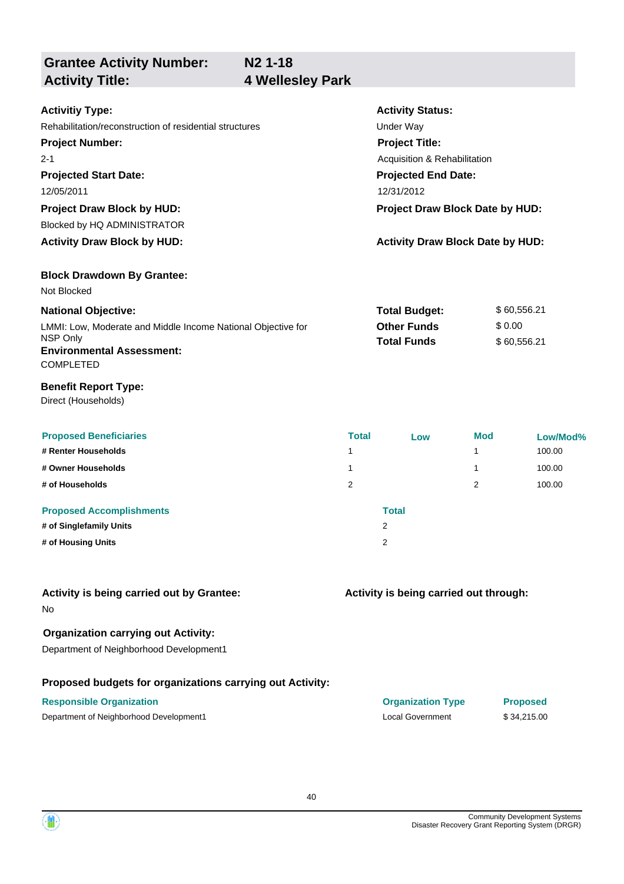**Grantee Activity Number: Projected Start Date:** LMMI: Low, Moderate and Middle Income National Objective for NSP Only **National Objective: Activity Status: Projected End Date: N2 1-18 Activitiy Type:** 12/05/2011 12/31/2012 Rehabilitation/reconstruction of residential structures Theorem Constructure Under Way **Activity Title: 4 Wellesley Park Project Number:** 2-1 **Project Title:** Acquisition & Rehabilitation **Total Budget:** \$ 60,556.21 **Other Funds** \$ 0.00 **Total Funds** \$ 60,556.21 **Environmental Assessment:** COMPLETED **Project Draw Block by HUD: Project Draw Block Date by HUD:** Blocked by HQ ADMINISTRATOR **Activity Draw Block by HUD: Activity Draw Block Date by HUD: Block Drawdown By Grantee:** Not Blocked

Direct (Households) **Benefit Report Type:**

| <b>Proposed Beneficiaries</b>   | <b>Total</b> | Low          | <b>Mod</b> | Low/Mod% |
|---------------------------------|--------------|--------------|------------|----------|
| # Renter Households             | 4            |              |            | 100.00   |
| # Owner Households              | 4            |              |            | 100.00   |
| # of Households                 | 2            |              | 2          | 100.00   |
| <b>Proposed Accomplishments</b> |              | <b>Total</b> |            |          |
| # of Singlefamily Units         | 2            |              |            |          |
| # of Housing Units              | 2            |              |            |          |
|                                 |              |              |            |          |

| Activity is being carried out by Grantee:  | Activity is being carried out through |
|--------------------------------------------|---------------------------------------|
| No.                                        |                                       |
| <b>Organization carrying out Activity:</b> |                                       |
| Department of Neighborhood Development1    |                                       |

#### **Proposed budgets for organizations carrying out Activity:**

#### **Responsible Organization Organization Type Proposed**

Department of Neighborhood Development1 and the community of Neighborhood Development \$ 34,215.00

#### **Activity is being carried out through:**

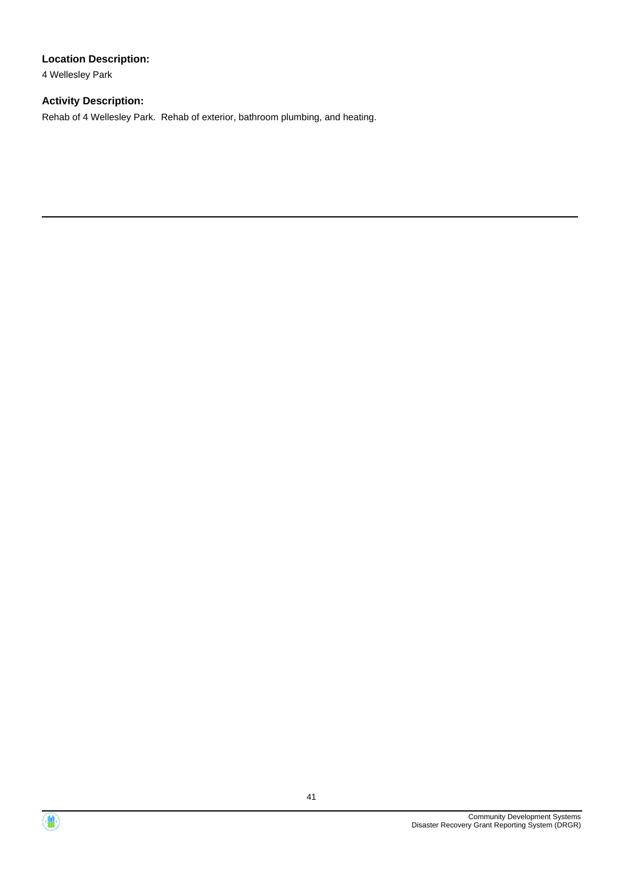4 Wellesley Park

## **Activity Description:**

Rehab of 4 Wellesley Park. Rehab of exterior, bathroom plumbing, and heating.



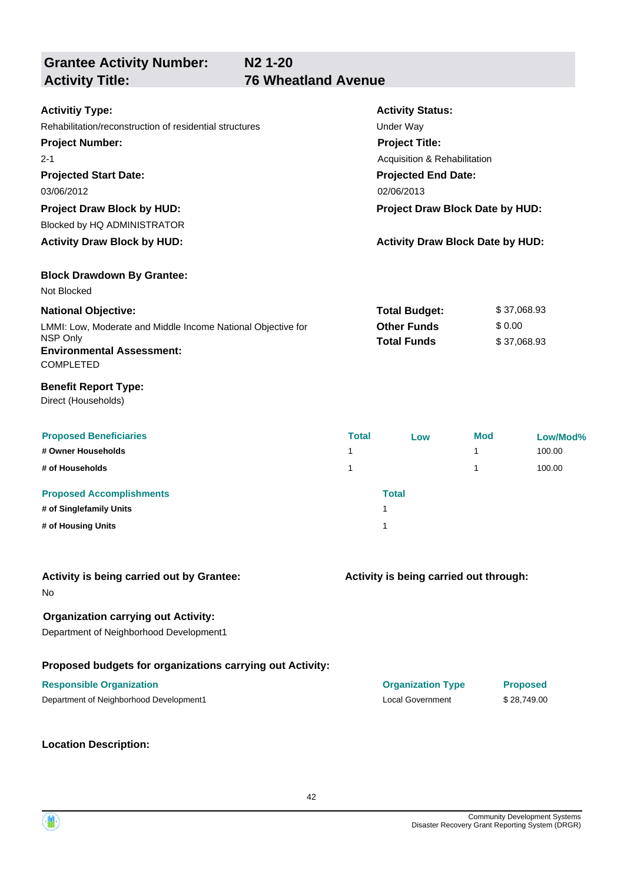**Grantee Activity Number: Projected Start Date: Activity Status: Projected End Date: N2 1-20 Activitiy Type:** 03/06/2012 02/06/2013 Rehabilitation/reconstruction of residential structures Theorem Constructure Under Way **Activity Title: 76 Wheatland Avenue Project Number:** 2-1 **Project Title:** Acquisition & Rehabilitation **Project Draw Block by HUD: Project Draw Block Date by HUD:** Blocked by HQ ADMINISTRATOR **Activity Draw Block by HUD: Activity Draw Block Date by HUD:**

# **Block Drawdown By Grantee:**

LMMI: Low, Moderate and Middle Income National Objective for NSP Only **National Objective: Total Budget:** \$ 37,068.93 **Other Funds** \$ 0.00 **Total Funds** \$ 37,068.93 **Environmental Assessment:** COMPLETED

# **Benefit Report Type:**

Not Blocked

Direct (Households)

| <b>Proposed Beneficiaries</b>   | <b>Total</b> | Low          | <b>Mod</b> | Low/Mod% |
|---------------------------------|--------------|--------------|------------|----------|
| # Owner Households              | 4            |              |            | 100.00   |
| # of Households                 | 1            |              |            | 100.00   |
| <b>Proposed Accomplishments</b> |              | <b>Total</b> |            |          |
| # of Singlefamily Units         |              |              |            |          |
| # of Housing Units              |              |              |            |          |
|                                 |              |              |            |          |

### No **Activity is being carried out by Grantee:**

#### **Organization carrying out Activity:**

Department of Neighborhood Development1

#### **Proposed budgets for organizations carrying out Activity:**

| <b>Responsible Organization</b>         | <b>Organization Type</b> | Proposed    |
|-----------------------------------------|--------------------------|-------------|
| Department of Neighborhood Development1 | <b>Local Government</b>  | \$28.749.00 |

### **Location Description:**

**Activity is being carried out through:**

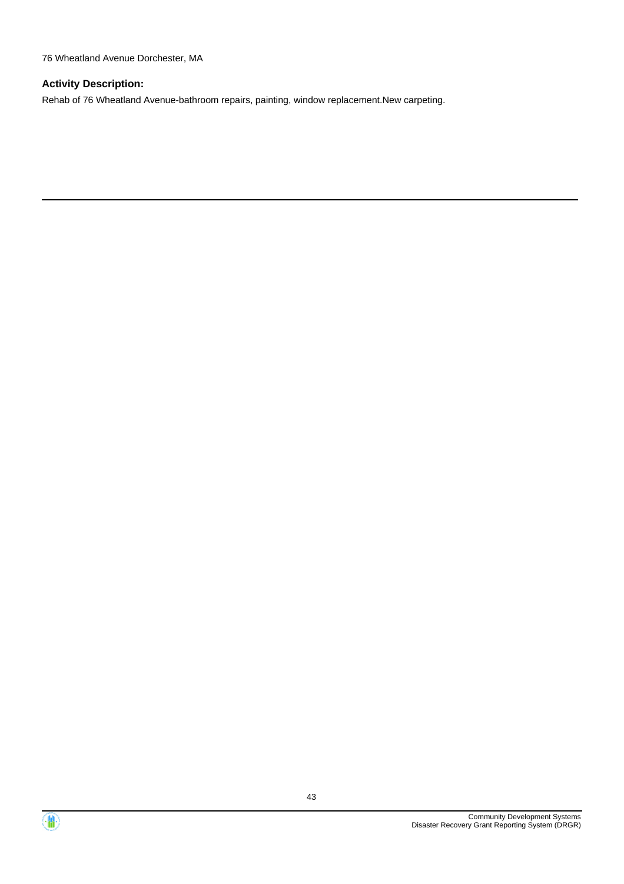76 Wheatland Avenue Dorchester, MA

# **Activity Description:**

Rehab of 76 Wheatland Avenue-bathroom repairs, painting, window replacement.New carpeting.



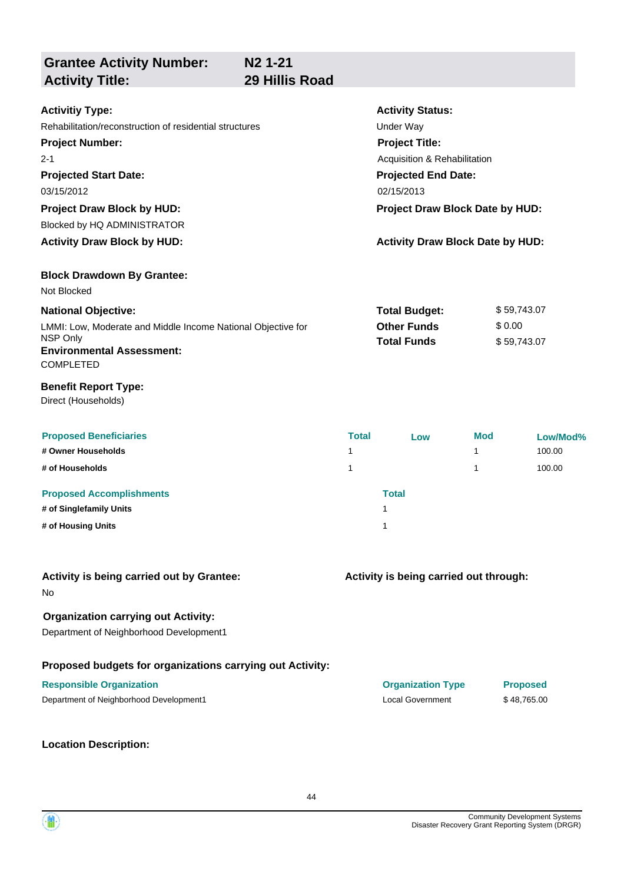| <b>Grantee Activity Number:</b><br><b>Activity Title:</b>                                                                                                                                                                            | N <sub>2</sub> 1-21<br><b>29 Hillis Road</b> |                                                                                                                                                                                     |                                                     |                            |                                |
|--------------------------------------------------------------------------------------------------------------------------------------------------------------------------------------------------------------------------------------|----------------------------------------------|-------------------------------------------------------------------------------------------------------------------------------------------------------------------------------------|-----------------------------------------------------|----------------------------|--------------------------------|
| <b>Activitiy Type:</b><br>Rehabilitation/reconstruction of residential structures<br><b>Project Number:</b><br>2-1<br><b>Projected Start Date:</b><br>03/15/2012<br>Project Draw Block by HUD:<br><b>Blocked by HQ ADMINISTRATOR</b> |                                              | <b>Activity Status:</b><br><b>Under Way</b><br><b>Project Title:</b><br>Acquisition & Rehabilitation<br><b>Projected End Date:</b><br>02/15/2013<br>Project Draw Block Date by HUD: |                                                     |                            |                                |
| <b>Activity Draw Block by HUD:</b>                                                                                                                                                                                                   |                                              |                                                                                                                                                                                     | <b>Activity Draw Block Date by HUD:</b>             |                            |                                |
| <b>Block Drawdown By Grantee:</b><br>Not Blocked                                                                                                                                                                                     |                                              |                                                                                                                                                                                     |                                                     |                            |                                |
| <b>National Objective:</b><br>LMMI: Low, Moderate and Middle Income National Objective for<br>NSP Only<br><b>Environmental Assessment:</b><br>COMPLETED                                                                              |                                              | <b>Total Budget:</b><br><b>Other Funds</b><br>\$0.00<br><b>Total Funds</b>                                                                                                          |                                                     | \$59,743.07<br>\$59,743.07 |                                |
| <b>Benefit Report Type:</b><br>Direct (Households)                                                                                                                                                                                   |                                              |                                                                                                                                                                                     |                                                     |                            |                                |
| <b>Proposed Beneficiaries</b><br># Owner Households<br># of Households                                                                                                                                                               |                                              | <b>Total</b><br>1<br>1                                                                                                                                                              | Low                                                 | Mod<br>1<br>1              | Low/Mod%<br>100.00<br>100.00   |
| <b>Proposed Accomplishments</b><br># of Singlefamily Units<br># of Housing Units                                                                                                                                                     |                                              |                                                                                                                                                                                     | <b>Total</b><br>1<br>1                              |                            |                                |
| Activity is being carried out by Grantee:<br>No                                                                                                                                                                                      |                                              | Activity is being carried out through:                                                                                                                                              |                                                     |                            |                                |
| <b>Organization carrying out Activity:</b><br>Department of Neighborhood Development1                                                                                                                                                |                                              |                                                                                                                                                                                     |                                                     |                            |                                |
| Proposed budgets for organizations carrying out Activity:                                                                                                                                                                            |                                              |                                                                                                                                                                                     |                                                     |                            |                                |
| <b>Responsible Organization</b><br>Department of Neighborhood Development1                                                                                                                                                           |                                              |                                                                                                                                                                                     | <b>Organization Type</b><br><b>Local Government</b> |                            | <b>Proposed</b><br>\$48,765.00 |
| <b>Location Description:</b>                                                                                                                                                                                                         |                                              |                                                                                                                                                                                     |                                                     |                            |                                |

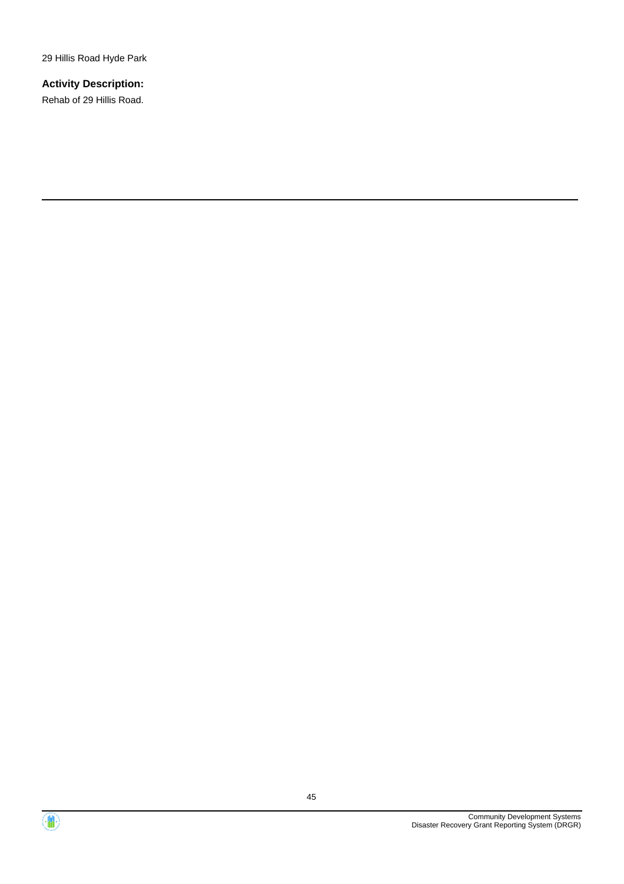29 Hillis Road Hyde Park

**Activity Description:**

Rehab of 29 Hillis Road.



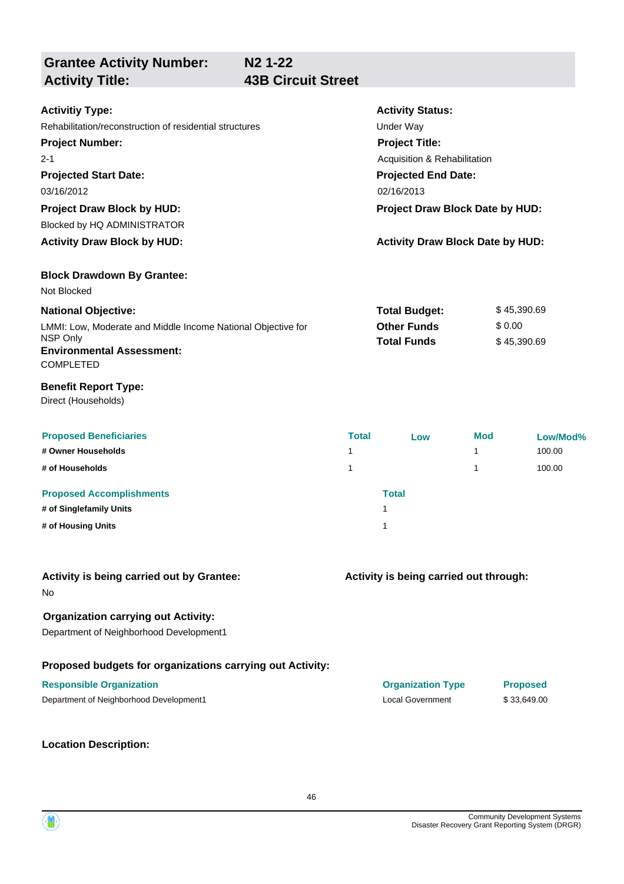**Grantee Activity Number: Projected Start Date:** LMMI: Low, Moderate and Middle Income National Objective for NSP Only **National Objective: Activity Status: Projected End Date: N2 1-22 Activitiy Type:** 03/16/2012 02/16/2013 Rehabilitation/reconstruction of residential structures example of the Under Way **Activity Title: 43B Circuit Street Project Number:** 2-1 **Project Title:** Acquisition & Rehabilitation **Total Budget:** \$ 45,390.69 **Other Funds** \$ 0.00 **Total Funds** \$45,390.69 **Environmental Assessment:** COMPLETED **Proposed Beneficiaries Total Low Mod Low/Mod% # Owner Households** 1 1 100.00 **# of Households** 1 1 100.00 **Proposed Accomplishments Total # of Singlefamily Units** 1 **# of Housing Units** 1 **Activity is being carried out through:** No **Activity is being carried out by Grantee: Organization carrying out Activity:** Department of Neighborhood Development1 Direct (Households) **Benefit Report Type: Project Draw Block by HUD: Project Draw Block Date by HUD:** Blocked by HQ ADMINISTRATOR **Activity Draw Block by HUD: Activity Draw Block Date by HUD: Block Drawdown By Grantee:** Not Blocked

#### **Proposed budgets for organizations carrying out Activity:**

# **Responsible Organization Organization Type Proposed** Department of Neighborhood Development1 and the community of Neighborhood Development \$ 33,649.00

### **Location Description:**

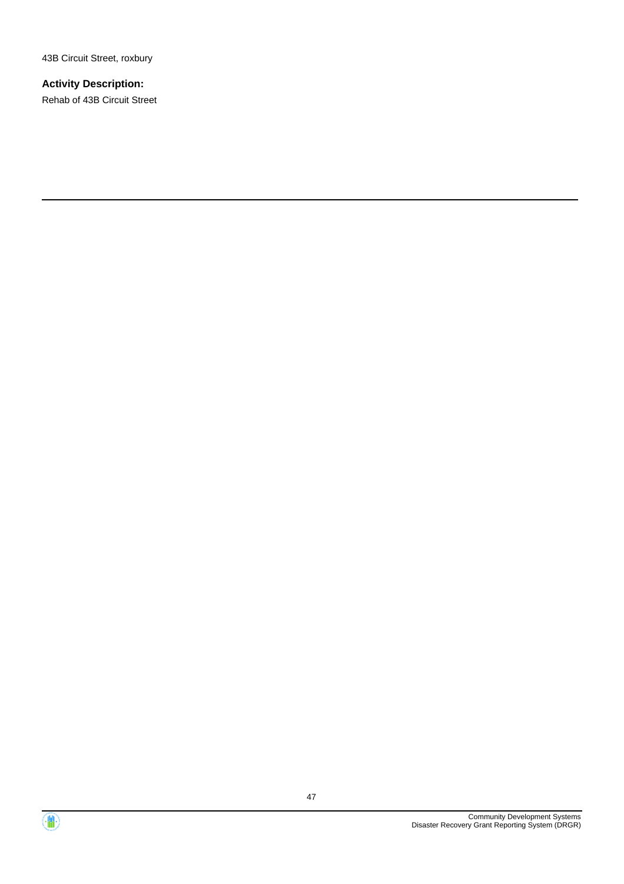43B Circuit Street, roxbury

# **Activity Description:**

Rehab of 43B Circuit Street



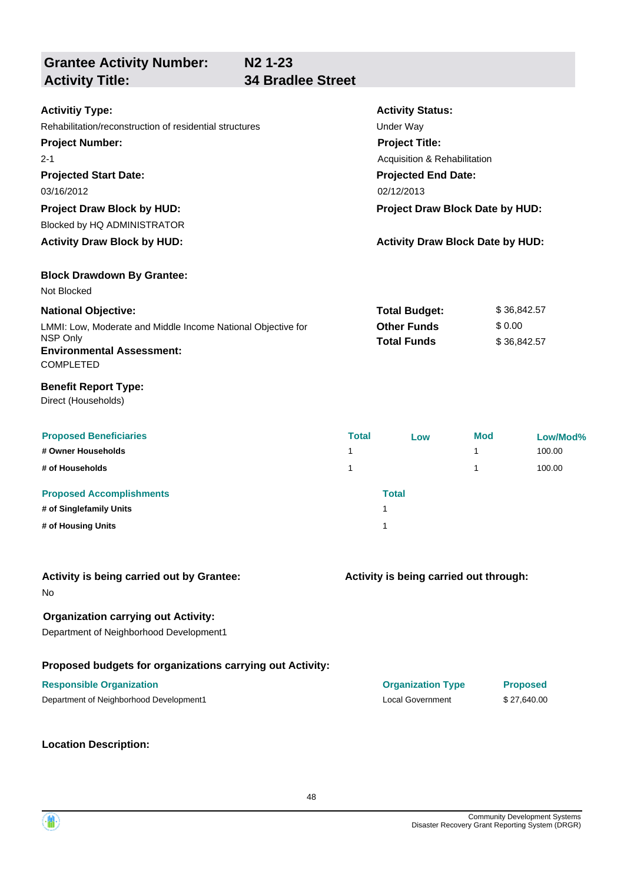**Grantee Activity Number: Projected Start Date:** LMMI: Low, Moderate and Middle Income National Objective for NSP Only **National Objective: Activity Status: Projected End Date: N2 1-23 Activitiy Type:** 03/16/2012 02/12/2013 Rehabilitation/reconstruction of residential structures Theorem Constructure Under Way **Activity Title: 34 Bradlee Street Project Number:** 2-1 **Project Title:** Acquisition & Rehabilitation **Total Budget:** \$ 36,842.57 **Other Funds** \$ 0.00 **Total Funds** \$ 36,842.57 **Environmental Assessment:** COMPLETED **Project Draw Block by HUD: Project Draw Block Date by HUD:** Blocked by HQ ADMINISTRATOR **Activity Draw Block by HUD: Activity Draw Block Date by HUD: Block Drawdown By Grantee:** Not Blocked

Direct (Households) **Benefit Report Type:**

| <b>Proposed Beneficiaries</b><br># Owner Households<br># of Households           | <b>Total</b><br>4<br>1 | Low          | <b>Mod</b> | Low/Mod%<br>100.00<br>100.00 |
|----------------------------------------------------------------------------------|------------------------|--------------|------------|------------------------------|
| <b>Proposed Accomplishments</b><br># of Singlefamily Units<br># of Housing Units |                        | <b>Total</b> |            |                              |

| Activity is being carried out by Grantee: |  |  |
|-------------------------------------------|--|--|
| No                                        |  |  |

# **Organization carrying out Activity:**

Department of Neighborhood Development1

#### **Proposed budgets for organizations carrying out Activity:**

| <b>Responsible Organization</b>         | <b>Organization Type</b> | <b>Proposed</b> |
|-----------------------------------------|--------------------------|-----------------|
| Department of Neighborhood Development1 | Local Government         | \$27.640.00     |

#### **Location Description:**

**Activity is being carried out through:**

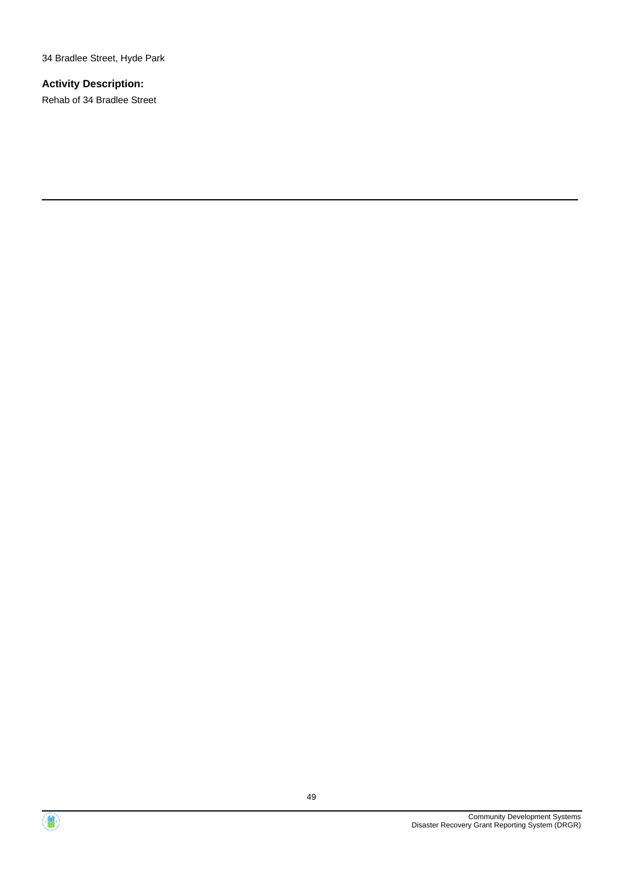34 Bradlee Street, Hyde Park

# **Activity Description:**

Rehab of 34 Bradlee Street



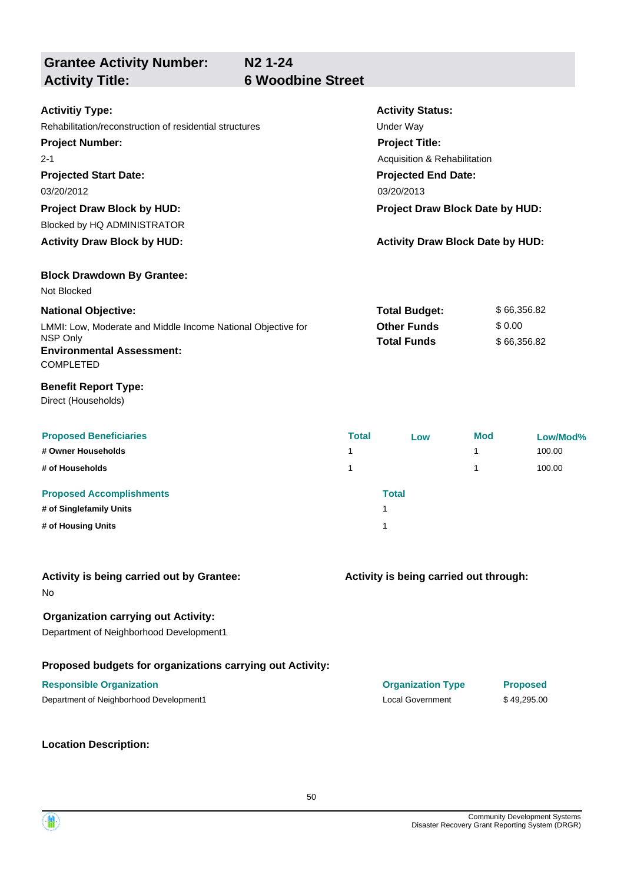**Grantee Activity Number: Projected Start Date: Activity Status: Projected End Date: N2 1-24 Activitiy Type:** 03/20/2012 03/20/2013 Rehabilitation/reconstruction of residential structures **Exercise 2018** Under Way **Activity Title: 6 Woodbine Street Project Number:** 2-1 **Project Title:** Acquisition & Rehabilitation **Project Draw Block by HUD: Project Draw Block Date by HUD:** Blocked by HQ ADMINISTRATOR **Activity Draw Block by HUD: Activity Draw Block Date by HUD: Block Drawdown By Grantee:**

# Not Blocked

| <b>National Objective:</b>                                   | <b>Total Budget:</b> | \$66,356.82 |
|--------------------------------------------------------------|----------------------|-------------|
| LMMI: Low, Moderate and Middle Income National Objective for | <b>Other Funds</b>   | \$ 0.00     |
| NSP Only                                                     | <b>Total Funds</b>   | \$66,356,82 |
| <b>Environmental Assessment:</b>                             |                      |             |
| <b>COMPLETED</b>                                             |                      |             |

# **Benefit Report Type:**

Direct (Households)

| <b>Proposed Beneficiaries</b>   | <b>Total</b> | Low          | <b>Mod</b> | Low/Mod% |
|---------------------------------|--------------|--------------|------------|----------|
| # Owner Households              | 4            |              |            | 100.00   |
| # of Households                 | 4            |              |            | 100.00   |
| <b>Proposed Accomplishments</b> |              | <b>Total</b> |            |          |
| # of Singlefamily Units         |              |              |            |          |
| # of Housing Units              |              |              |            |          |
|                                 |              |              |            |          |

#### No **Activity is being carried out by Grantee:**

## **Organization carrying out Activity:**

Department of Neighborhood Development1

### **Proposed budgets for organizations carrying out Activity:**

| <b>Responsible Organization</b>         | <b>Organization Type</b> | <b>Proposed</b> |
|-----------------------------------------|--------------------------|-----------------|
| Department of Neighborhood Development1 | Local Government         | \$49.295.00     |

### **Location Description:**

**Activity is being carried out through:**

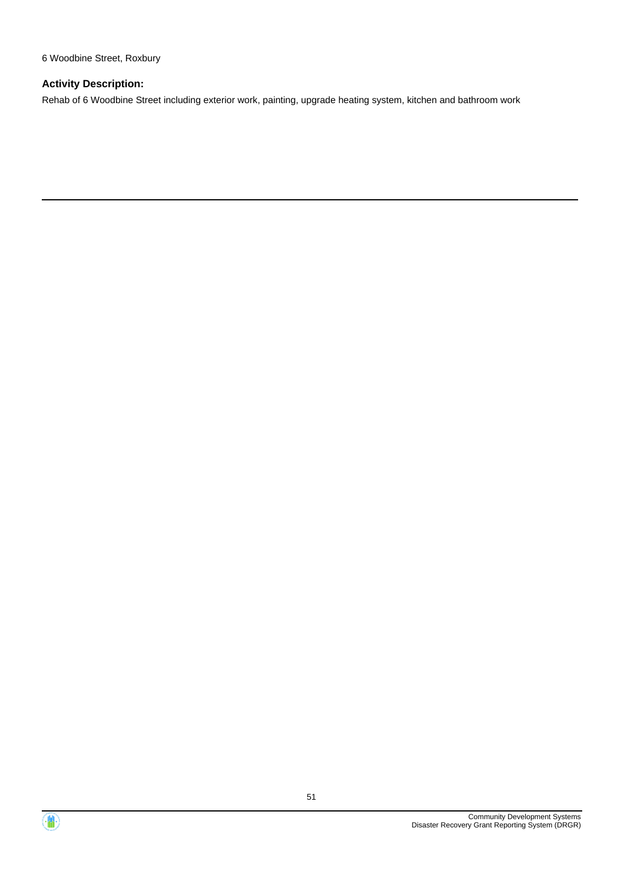6 Woodbine Street, Roxbury

#### **Activity Description:**

Rehab of 6 Woodbine Street including exterior work, painting, upgrade heating system, kitchen and bathroom work



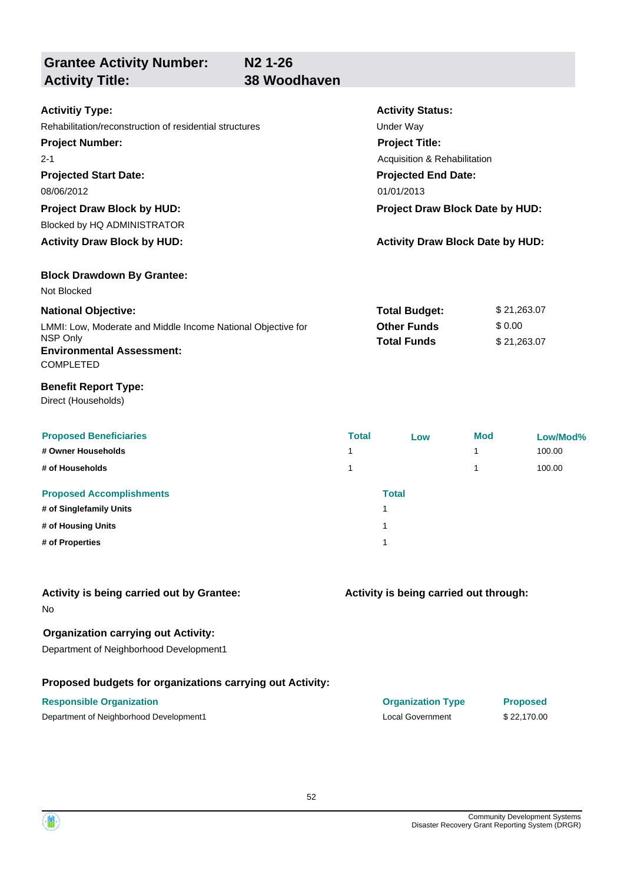| <b>Grantee Activity Number:</b><br><b>Activity Title:</b>                                                                                                                                                                                                                         | N <sub>2</sub> 1-26<br><b>38 Woodhaven</b> |                        |                                                                                                                                                                                                                                |                      |                                      |  |
|-----------------------------------------------------------------------------------------------------------------------------------------------------------------------------------------------------------------------------------------------------------------------------------|--------------------------------------------|------------------------|--------------------------------------------------------------------------------------------------------------------------------------------------------------------------------------------------------------------------------|----------------------|--------------------------------------|--|
| <b>Activitiy Type:</b><br>Rehabilitation/reconstruction of residential structures<br><b>Project Number:</b><br>2-1<br><b>Projected Start Date:</b><br>08/06/2012<br><b>Project Draw Block by HUD:</b><br><b>Blocked by HQ ADMINISTRATOR</b><br><b>Activity Draw Block by HUD:</b> |                                            |                        | <b>Activity Status:</b><br><b>Under Way</b><br><b>Project Title:</b><br>Acquisition & Rehabilitation<br><b>Projected End Date:</b><br>01/01/2013<br>Project Draw Block Date by HUD:<br><b>Activity Draw Block Date by HUD:</b> |                      |                                      |  |
| <b>Block Drawdown By Grantee:</b>                                                                                                                                                                                                                                                 |                                            |                        |                                                                                                                                                                                                                                |                      |                                      |  |
| Not Blocked<br><b>National Objective:</b><br>LMMI: Low, Moderate and Middle Income National Objective for<br>NSP Only<br><b>Environmental Assessment:</b><br>COMPLETED                                                                                                            |                                            |                        | <b>Total Budget:</b><br><b>Other Funds</b><br><b>Total Funds</b>                                                                                                                                                               |                      | \$21,263.07<br>\$0.00<br>\$21,263.07 |  |
| <b>Benefit Report Type:</b><br>Direct (Households)                                                                                                                                                                                                                                |                                            |                        |                                                                                                                                                                                                                                |                      |                                      |  |
| <b>Proposed Beneficiaries</b><br># Owner Households<br># of Households                                                                                                                                                                                                            |                                            | <b>Total</b><br>1<br>1 | Low                                                                                                                                                                                                                            | <b>Mod</b><br>1<br>1 | Low/Mod%<br>100.00<br>100.00         |  |
| <b>Proposed Accomplishments</b><br># of Singlefamily Units<br># of Housing Units<br># of Properties                                                                                                                                                                               |                                            |                        | <b>Total</b><br>1<br>1<br>1                                                                                                                                                                                                    |                      |                                      |  |
| Activity is being carried out by Grantee:<br>No                                                                                                                                                                                                                                   |                                            |                        | Activity is being carried out through:                                                                                                                                                                                         |                      |                                      |  |
| <b>Organization carrying out Activity:</b><br>Department of Neighborhood Development1                                                                                                                                                                                             |                                            |                        |                                                                                                                                                                                                                                |                      |                                      |  |
| Proposed budgets for organizations carrying out Activity:<br><b>Responsible Organization</b><br>Department of Neighborhood Development1                                                                                                                                           |                                            |                        | <b>Organization Type</b><br><b>Local Government</b>                                                                                                                                                                            |                      | <b>Proposed</b><br>\$22,170.00       |  |

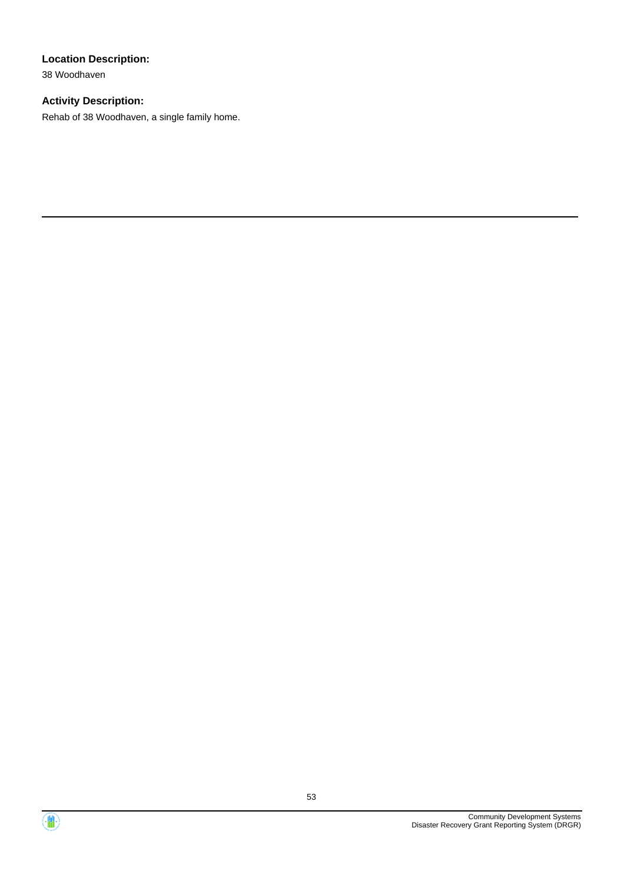38 Woodhaven

## **Activity Description:**

Rehab of 38 Woodhaven, a single family home.



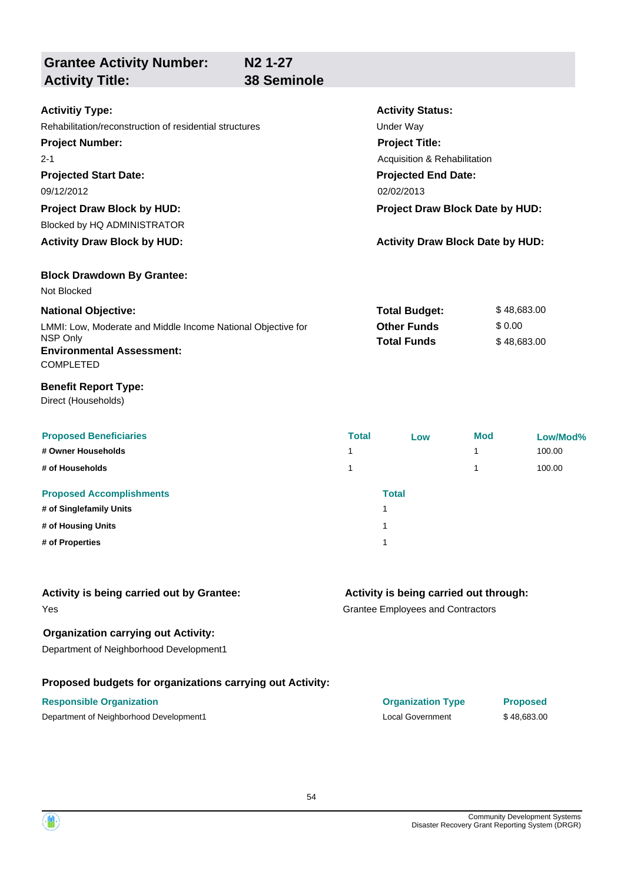| <b>Grantee Activity Number:</b><br><b>Activity Title:</b>                                  | N <sub>2</sub> 1-27<br><b>38 Seminole</b> |                    |                                                                                                             |              |                 |  |                                    |  |                                         |  |  |  |
|--------------------------------------------------------------------------------------------|-------------------------------------------|--------------------|-------------------------------------------------------------------------------------------------------------|--------------|-----------------|--|------------------------------------|--|-----------------------------------------|--|--|--|
| <b>Activitiy Type:</b>                                                                     |                                           |                    | <b>Activity Status:</b>                                                                                     |              |                 |  |                                    |  |                                         |  |  |  |
| Rehabilitation/reconstruction of residential structures                                    |                                           |                    | <b>Under Way</b>                                                                                            |              |                 |  |                                    |  |                                         |  |  |  |
| <b>Project Number:</b>                                                                     | <b>Project Title:</b>                     |                    |                                                                                                             |              |                 |  |                                    |  |                                         |  |  |  |
| $2 - 1$<br><b>Projected Start Date:</b><br>09/12/2012<br><b>Project Draw Block by HUD:</b> |                                           |                    | Acquisition & Rehabilitation<br><b>Projected End Date:</b><br>02/02/2013<br>Project Draw Block Date by HUD: |              |                 |  |                                    |  |                                         |  |  |  |
|                                                                                            |                                           |                    |                                                                                                             |              |                 |  | Blocked by HQ ADMINISTRATOR        |  |                                         |  |  |  |
|                                                                                            |                                           |                    |                                                                                                             |              |                 |  | <b>Activity Draw Block by HUD:</b> |  | <b>Activity Draw Block Date by HUD:</b> |  |  |  |
|                                                                                            |                                           |                    |                                                                                                             |              |                 |  | <b>Block Drawdown By Grantee:</b>  |  |                                         |  |  |  |
| Not Blocked                                                                                |                                           |                    |                                                                                                             |              |                 |  |                                    |  |                                         |  |  |  |
| <b>National Objective:</b>                                                                 | <b>Total Budget:</b>                      |                    | \$48,683.00                                                                                                 |              |                 |  |                                    |  |                                         |  |  |  |
| LMMI: Low, Moderate and Middle Income National Objective for<br>NSP Only                   |                                           | <b>Other Funds</b> |                                                                                                             |              | \$0.00          |  |                                    |  |                                         |  |  |  |
| <b>Environmental Assessment:</b><br><b>COMPLETED</b>                                       |                                           |                    | <b>Total Funds</b>                                                                                          |              | \$48,683.00     |  |                                    |  |                                         |  |  |  |
| <b>Benefit Report Type:</b><br>Direct (Households)                                         |                                           |                    |                                                                                                             |              |                 |  |                                    |  |                                         |  |  |  |
| <b>Proposed Beneficiaries</b>                                                              |                                           | <b>Total</b>       | Low                                                                                                         | <b>Mod</b>   | Low/Mod%        |  |                                    |  |                                         |  |  |  |
| # Owner Households                                                                         |                                           | 1                  |                                                                                                             | $\mathbf{1}$ | 100.00          |  |                                    |  |                                         |  |  |  |
| # of Households                                                                            |                                           | 1                  |                                                                                                             | 1            | 100.00          |  |                                    |  |                                         |  |  |  |
| <b>Proposed Accomplishments</b>                                                            |                                           |                    | <b>Total</b>                                                                                                |              |                 |  |                                    |  |                                         |  |  |  |
| # of Singlefamily Units                                                                    |                                           |                    | 1                                                                                                           |              |                 |  |                                    |  |                                         |  |  |  |
| # of Housing Units                                                                         |                                           | 1                  |                                                                                                             |              |                 |  |                                    |  |                                         |  |  |  |
| # of Properties                                                                            |                                           |                    | 1                                                                                                           |              |                 |  |                                    |  |                                         |  |  |  |
| Activity is being carried out by Grantee:                                                  |                                           |                    | Activity is being carried out through:                                                                      |              |                 |  |                                    |  |                                         |  |  |  |
| Yes                                                                                        |                                           |                    | <b>Grantee Employees and Contractors</b>                                                                    |              |                 |  |                                    |  |                                         |  |  |  |
| <b>Organization carrying out Activity:</b>                                                 |                                           |                    |                                                                                                             |              |                 |  |                                    |  |                                         |  |  |  |
| Department of Neighborhood Development1                                                    |                                           |                    |                                                                                                             |              |                 |  |                                    |  |                                         |  |  |  |
| Proposed budgets for organizations carrying out Activity:                                  |                                           |                    |                                                                                                             |              |                 |  |                                    |  |                                         |  |  |  |
| <b>Responsible Organization</b>                                                            |                                           |                    | <b>Organization Type</b>                                                                                    |              | <b>Proposed</b> |  |                                    |  |                                         |  |  |  |
| Department of Neighborhood Development1                                                    |                                           |                    | Local Government                                                                                            |              | \$48,683.00     |  |                                    |  |                                         |  |  |  |

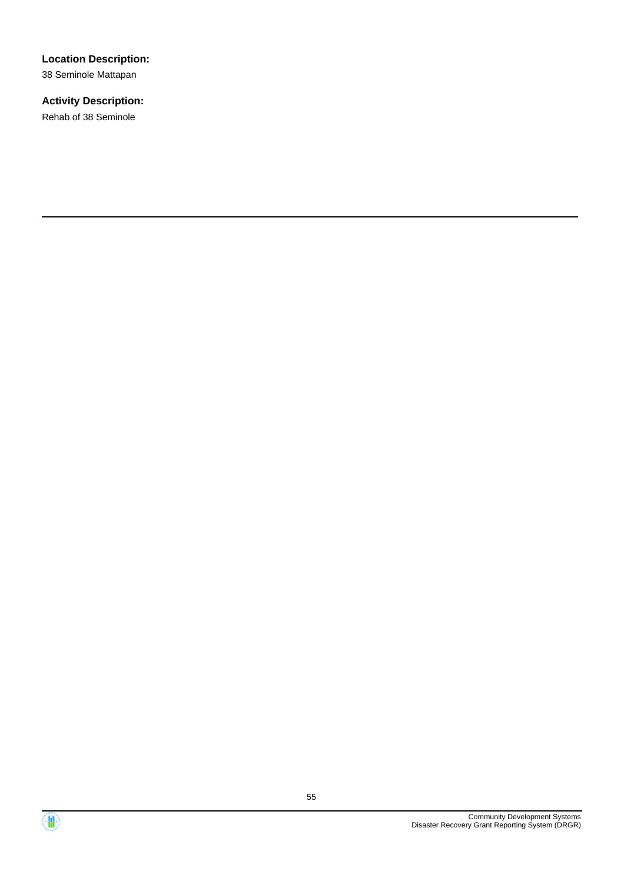38 Seminole Mattapan

#### **Activity Description:**

Rehab of 38 Seminole



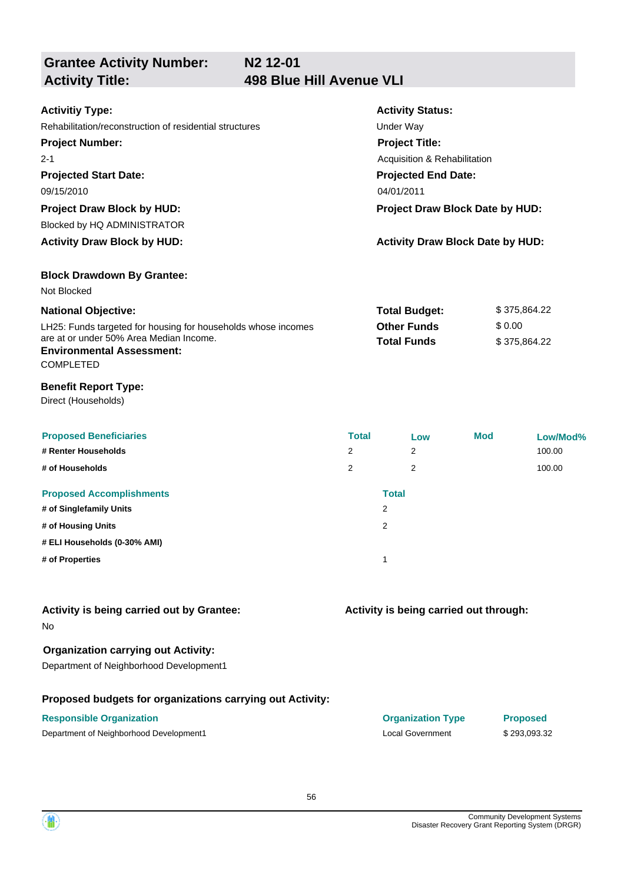**Grantee Activity Number: Projected Start Date:** LH25: Funds targeted for housing for households whose incomes are at or under 50% Area Median Income. **National Objective: Activity Status: Projected End Date: N2 12-01 Activitiy Type:** 09/15/2010 04/01/2011 Rehabilitation/reconstruction of residential structures example of the Under Way **Activity Title: 498 Blue Hill Avenue VLI Project Number:** 2-1 **Project Title:** Acquisition & Rehabilitation **Total Budget:** \$ 375,864.22 **Other Funds** \$ 0.00 **Total Funds** \$ 375,864.22 **Environmental Assessment:** COMPLETED **Proposed Beneficiaries Total Low Mod Low/Mod% # Renter Households** 2 2 100.00 **# of Households** 2 2 100.00 **Proposed Accomplishments Total # of Singlefamily Units** 2 **# of Housing Units** 2 **# ELI Households (0-30% AMI) # of Properties** 1 **Proposed budgets for organizations carrying out Activity: Activity is being carried out through: Responsible Organization Organization Type Proposed** No **Activity is being carried out by Grantee: Organization carrying out Activity:** Department of Neighborhood Development1 Direct (Households) **Benefit Report Type: Project Draw Block by HUD: Project Draw Block Date by HUD:** Blocked by HQ ADMINISTRATOR **Activity Draw Block by HUD: Activity Draw Block Date by HUD: Block Drawdown By Grantee:** Not Blocked

Department of Neighborhood Development1 Local Government \$ 293,093.32

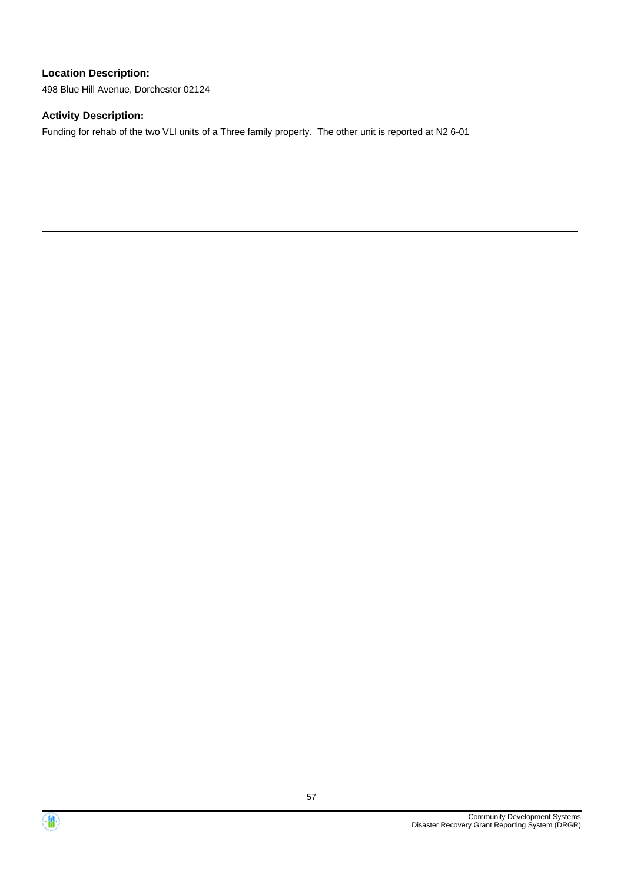498 Blue Hill Avenue, Dorchester 02124

#### **Activity Description:**

Funding for rehab of the two VLI units of a Three family property. The other unit is reported at N2 6-01



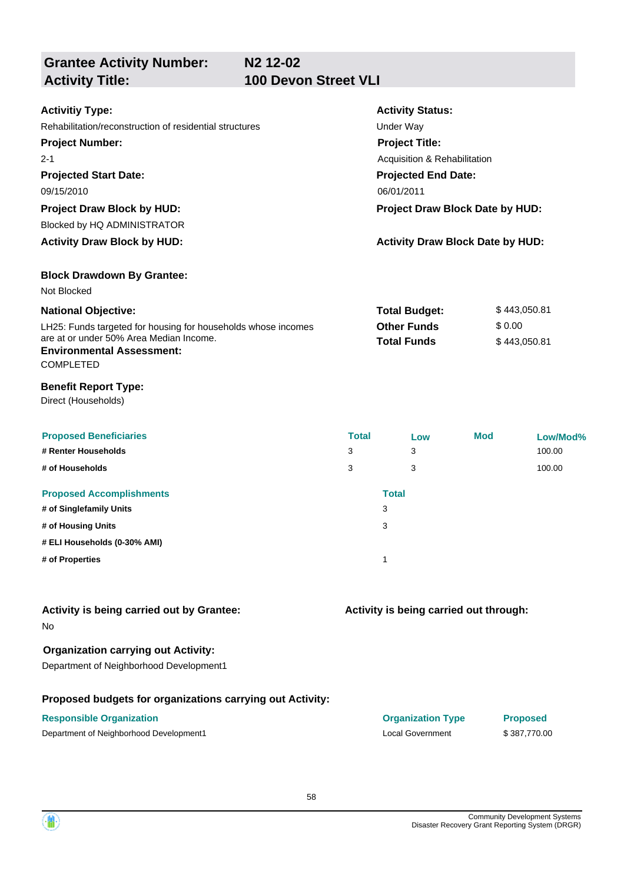**Grantee Activity Number: Projected Start Date:** LH25: Funds targeted for housing for households whose incomes are at or under 50% Area Median Income. **National Objective: Activity Status: Projected End Date: N2 12-02 Activitiy Type:** 09/15/2010 06/01/2011 Rehabilitation/reconstruction of residential structures example of the Under Way **Activity Title: 100 Devon Street VLI Project Number:** 2-1 **Project Title:** Acquisition & Rehabilitation **Total Budget:** \$ 443,050.81 **Other Funds** \$ 0.00 **Total Funds** \$443,050.81 **Environmental Assessment:** COMPLETED **Proposed Beneficiaries Total Low Mod Low/Mod% # Renter Households** 3 3 100.00 **# of Households** 3 3 100.00 **Proposed Accomplishments Total # of Singlefamily Units** 3 **# of Housing Units** 3 **# ELI Households (0-30% AMI) # of Properties** 1 **Proposed budgets for organizations carrying out Activity: Activity is being carried out through:** No **Activity is being carried out by Grantee: Organization carrying out Activity:** Department of Neighborhood Development1 Direct (Households) **Benefit Report Type: Project Draw Block by HUD: Project Draw Block Date by HUD:** Blocked by HQ ADMINISTRATOR **Activity Draw Block by HUD: Activity Draw Block Date by HUD: Block Drawdown By Grantee:** Not Blocked

#### **Responsible Organization Organization Type Proposed**

Department of Neighborhood Development1 Local Government \$ 387,770.00

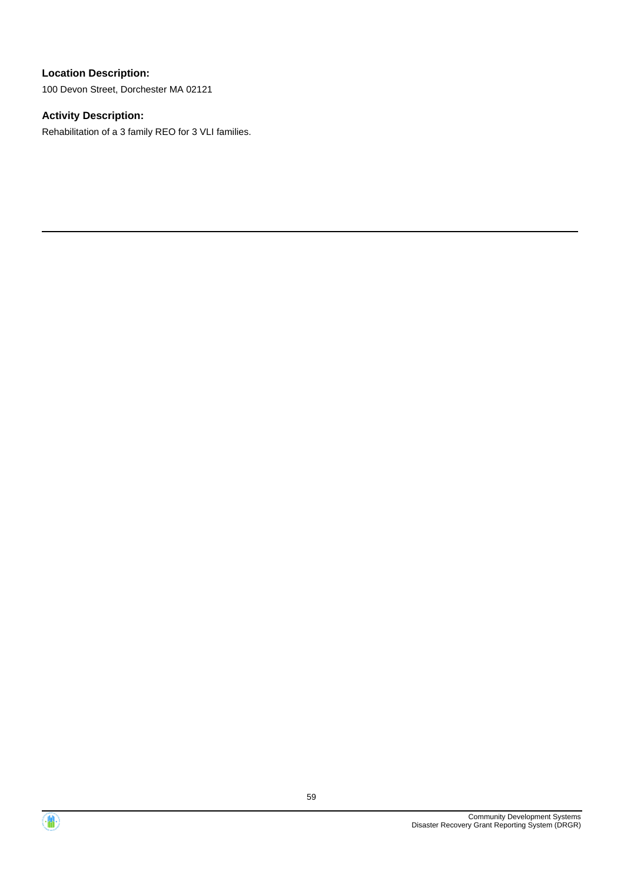100 Devon Street, Dorchester MA 02121

#### **Activity Description:**

Rehabilitation of a 3 family REO for 3 VLI families.



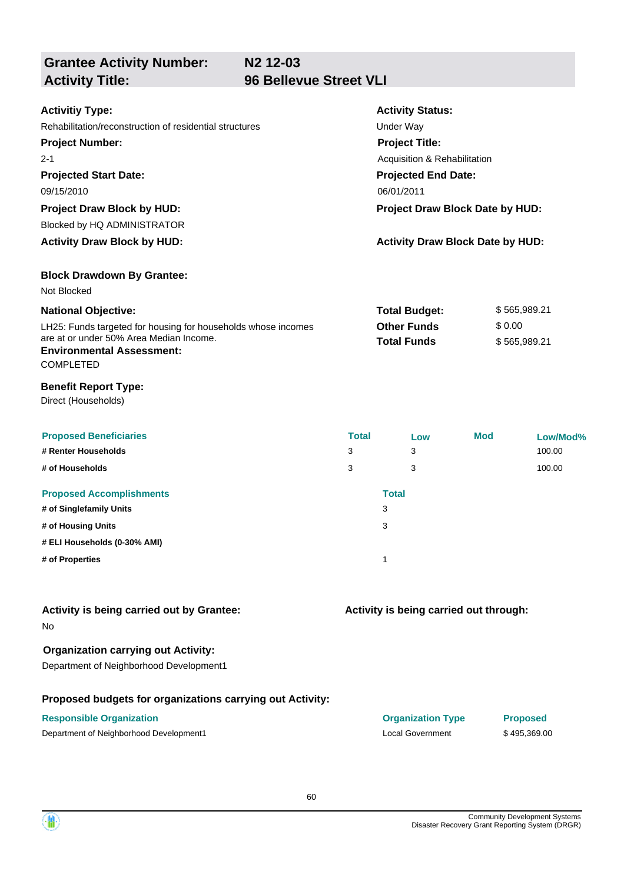**Grantee Activity Number: Projected Start Date:** LH25: Funds targeted for housing for households whose incomes are at or under 50% Area Median Income. **National Objective: Activity Status: Projected End Date: N2 12-03 Activitiy Type:** 09/15/2010 06/01/2011 Rehabilitation/reconstruction of residential structures example of the Under Way **Activity Title: 96 Bellevue Street VLI Project Number:** 2-1 **Project Title:** Acquisition & Rehabilitation **Total Budget:** \$ 565,989.21 **Other Funds** \$ 0.00 **Total Funds** \$ 565,989.21 **Environmental Assessment:** COMPLETED **Proposed Beneficiaries Total Low Mod Low/Mod% # Renter Households** 3 3 100.00 **# of Households** 3 3 100.00 **Proposed Accomplishments Total # of Singlefamily Units** 3 **# of Housing Units** 3 **# ELI Households (0-30% AMI) # of Properties** 1 **Proposed budgets for organizations carrying out Activity: Activity is being carried out through: Responsible Organization Organization Type Proposed** No **Activity is being carried out by Grantee: Organization carrying out Activity:** Department of Neighborhood Development1 Department of Neighborhood Development1 Local Government \$ 495,369.00 Direct (Households) **Benefit Report Type: Project Draw Block by HUD: Project Draw Block Date by HUD:** Blocked by HQ ADMINISTRATOR **Activity Draw Block by HUD: Activity Draw Block Date by HUD: Block Drawdown By Grantee:** Not Blocked

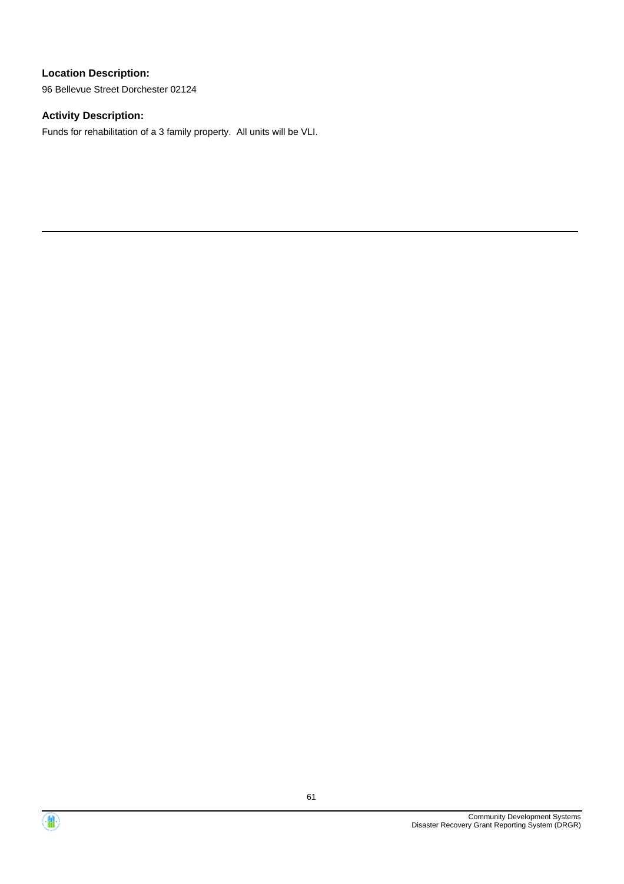96 Bellevue Street Dorchester 02124

#### **Activity Description:**

Funds for rehabilitation of a 3 family property. All units will be VLI.



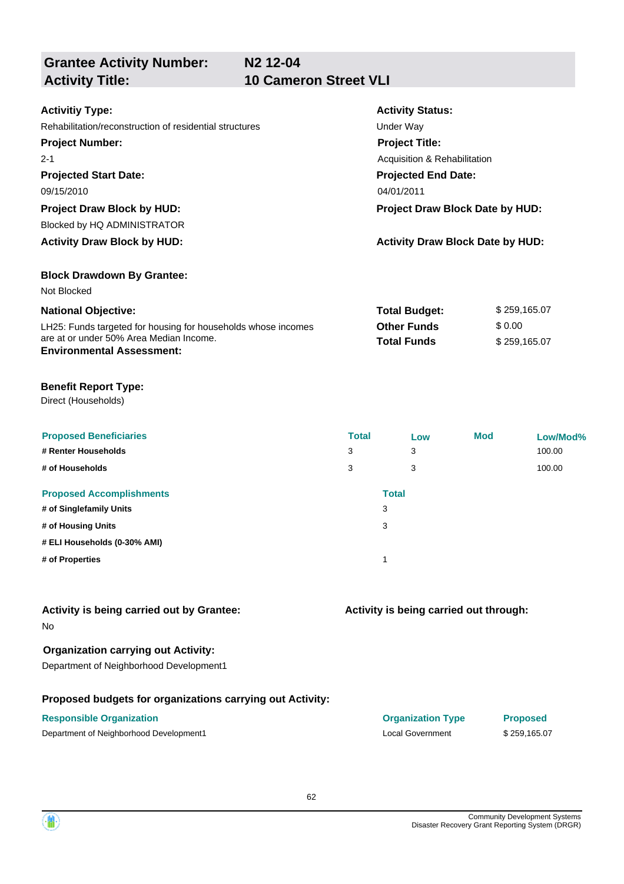**Grantee Activity Number: Projected Start Date:** LH25: Funds targeted for housing for households whose incomes are at or under 50% Area Median Income. **National Objective: Activity Status: Projected End Date: N2 12-04 Activitiy Type:** 09/15/2010 04/01/2011 Rehabilitation/reconstruction of residential structures example of the Under Way **Activity Title: 10 Cameron Street VLI Project Number:** 2-1 **Project Title:** Acquisition & Rehabilitation **Total Budget:** \$ 259,165.07 **Other Funds** \$ 0.00 **Total Funds** \$259,165.07 **Environmental Assessment: Proposed Beneficiaries Total Low Mod Low/Mod% # Renter Households** 3 3 100.00 **# of Households** 3 3 100.00 **Proposed Accomplishments Total # of Singlefamily Units** 3 **# of Housing Units** 3 **# ELI Households (0-30% AMI) # of Properties** 1 **Proposed budgets for organizations carrying out Activity: Activity is being carried out through: Responsible Organization Organization Type Proposed** No **Activity is being carried out by Grantee: Organization carrying out Activity:** Department of Neighborhood Development1 Department of Neighborhood Development1 Local Government \$ 259,165.07 Direct (Households) **Benefit Report Type: Project Draw Block by HUD: Project Draw Block Date by HUD:** Blocked by HQ ADMINISTRATOR **Activity Draw Block by HUD: Activity Draw Block Date by HUD: Block Drawdown By Grantee:** Not Blocked

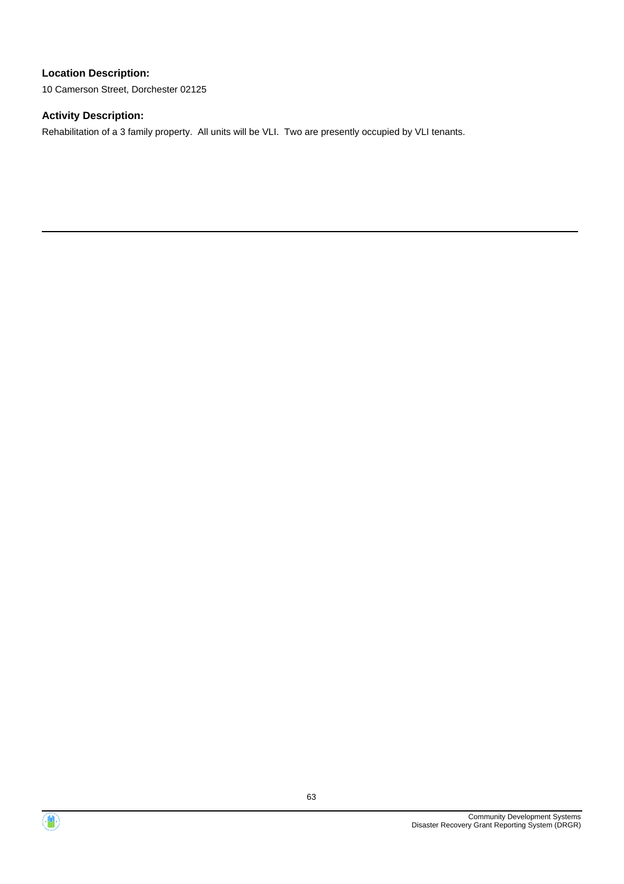10 Camerson Street, Dorchester 02125

#### **Activity Description:**

Rehabilitation of a 3 family property. All units will be VLI. Two are presently occupied by VLI tenants.



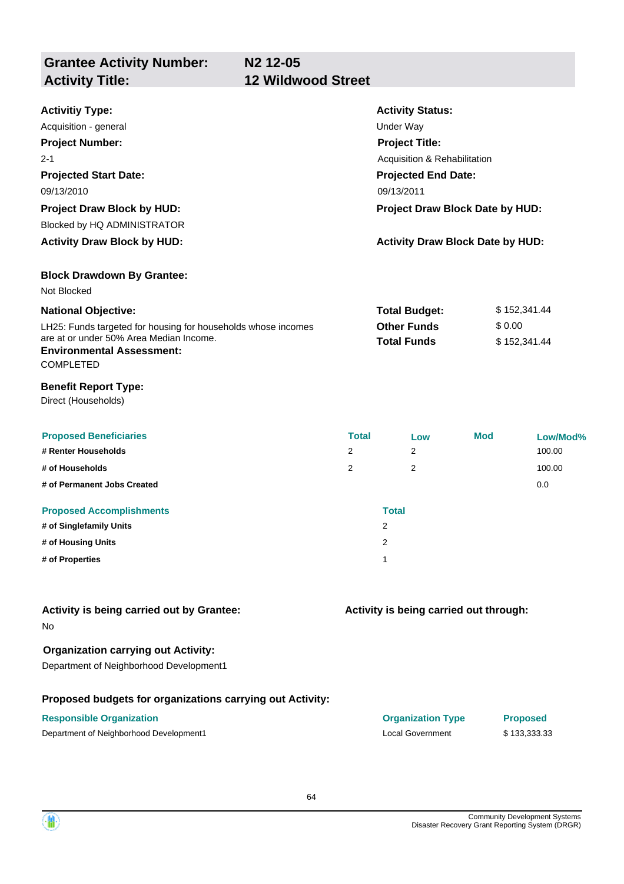**Grantee Activity Number: N2 12-05 Activity Title: 12 Wildwood Street**

| <b>Activitiy Type:</b><br>Acquisition - general<br><b>Project Number:</b><br>$2 - 1$<br><b>Projected Start Date:</b><br>09/13/2010                               |                                                    | <b>Activity Status:</b><br>Under Way<br><b>Project Title:</b><br>Acquisition & Rehabilitation<br><b>Projected End Date:</b><br>09/13/2011 |              |                 |
|------------------------------------------------------------------------------------------------------------------------------------------------------------------|----------------------------------------------------|-------------------------------------------------------------------------------------------------------------------------------------------|--------------|-----------------|
| <b>Project Draw Block by HUD:</b>                                                                                                                                |                                                    | Project Draw Block Date by HUD:                                                                                                           |              |                 |
| Blocked by HQ ADMINISTRATOR                                                                                                                                      |                                                    |                                                                                                                                           |              |                 |
| <b>Activity Draw Block by HUD:</b>                                                                                                                               |                                                    | <b>Activity Draw Block Date by HUD:</b>                                                                                                   |              |                 |
| <b>Block Drawdown By Grantee:</b><br>Not Blocked                                                                                                                 |                                                    |                                                                                                                                           |              |                 |
| <b>National Objective:</b>                                                                                                                                       |                                                    | <b>Total Budget:</b>                                                                                                                      | \$152,341.44 |                 |
| LH25: Funds targeted for housing for households whose incomes<br>are at or under 50% Area Median Income.<br><b>Environmental Assessment:</b><br><b>COMPLETED</b> | <b>Other Funds</b><br>\$0.00<br><b>Total Funds</b> |                                                                                                                                           | \$152,341.44 |                 |
| <b>Benefit Report Type:</b><br>Direct (Households)                                                                                                               |                                                    |                                                                                                                                           |              |                 |
| <b>Proposed Beneficiaries</b>                                                                                                                                    | <b>Total</b>                                       | Low                                                                                                                                       | <b>Mod</b>   | Low/Mod%        |
| # Renter Households                                                                                                                                              | $\overline{2}$                                     | 2                                                                                                                                         |              | 100.00          |
| # of Households                                                                                                                                                  | 2                                                  | 2                                                                                                                                         |              | 100.00          |
| # of Permanent Jobs Created                                                                                                                                      |                                                    |                                                                                                                                           |              | 0.0             |
| <b>Proposed Accomplishments</b>                                                                                                                                  |                                                    | <b>Total</b>                                                                                                                              |              |                 |
| # of Singlefamily Units                                                                                                                                          |                                                    | 2                                                                                                                                         |              |                 |
| # of Housing Units                                                                                                                                               |                                                    | 2                                                                                                                                         |              |                 |
| # of Properties                                                                                                                                                  |                                                    | 1                                                                                                                                         |              |                 |
| Activity is being carried out by Grantee:<br>No.                                                                                                                 |                                                    | Activity is being carried out through:                                                                                                    |              |                 |
|                                                                                                                                                                  |                                                    |                                                                                                                                           |              |                 |
| <b>Organization carrying out Activity:</b>                                                                                                                       |                                                    |                                                                                                                                           |              |                 |
| Department of Neighborhood Development1                                                                                                                          |                                                    |                                                                                                                                           |              |                 |
| Proposed budgets for organizations carrying out Activity:                                                                                                        |                                                    |                                                                                                                                           |              |                 |
| <b>Responsible Organization</b>                                                                                                                                  |                                                    | <b>Organization Type</b>                                                                                                                  |              | <b>Proposed</b> |
| Department of Neighborhood Development1                                                                                                                          |                                                    | Local Government                                                                                                                          |              | \$133,333.33    |

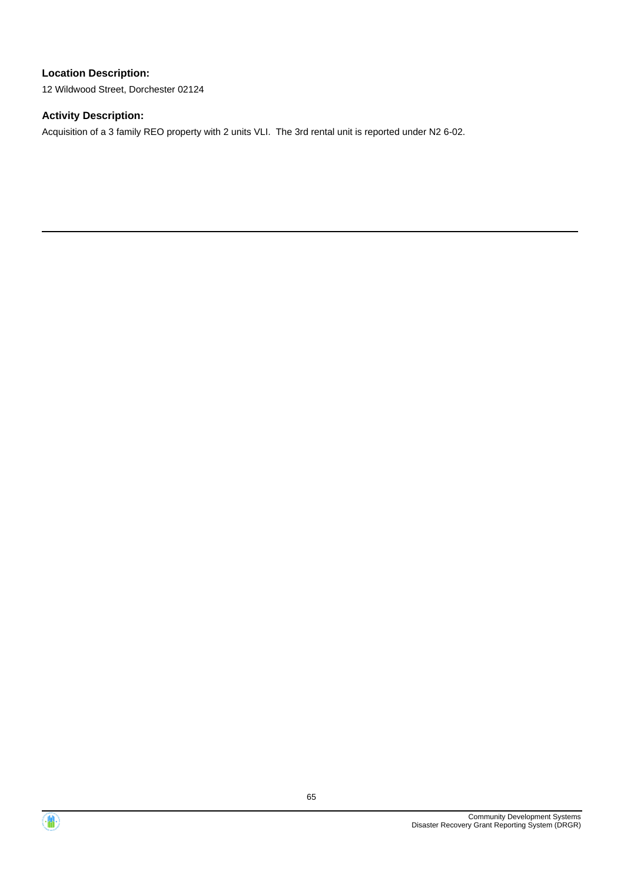12 Wildwood Street, Dorchester 02124

#### **Activity Description:**

Acquisition of a 3 family REO property with 2 units VLI. The 3rd rental unit is reported under N2 6-02.



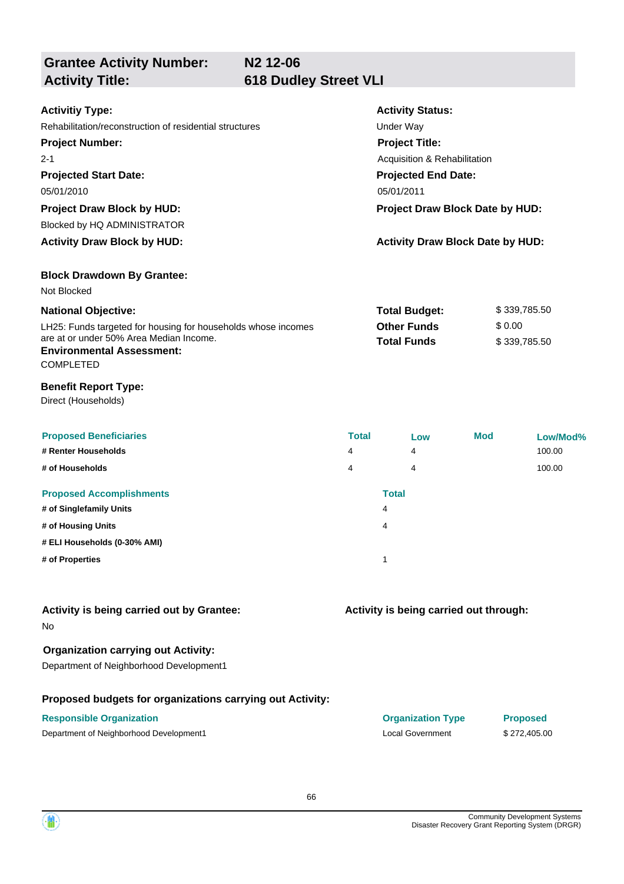**Grantee Activity Number: Projected Start Date:** LH25: Funds targeted for housing for households whose incomes are at or under 50% Area Median Income. **National Objective: Activity Status: Projected End Date: N2 12-06 Activitiy Type:** 05/01/2010 05/01/2011 Rehabilitation/reconstruction of residential structures example of the Under Way **Activity Title: 618 Dudley Street VLI Project Number:** 2-1 **Project Title:** Acquisition & Rehabilitation **Total Budget:** \$ 339,785.50 **Other Funds** \$ 0.00 **Total Funds** \$ 339,785.50 **Environmental Assessment:** COMPLETED **Proposed Beneficiaries Total Low Mod Low/Mod% # Renter Households** 4 4 100.00 **# of Households** 4 4 100.00 Direct (Households) **Benefit Report Type: Project Draw Block by HUD: Project Draw Block Date by HUD:** Blocked by HQ ADMINISTRATOR **Activity Draw Block by HUD: Activity Draw Block Date by HUD: Block Drawdown By Grantee:** Not Blocked

# **Proposed Accomplishments Total # of Singlefamily Units** 4 **# of Housing Units** 4 **# ELI Households (0-30% AMI) # of Properties** 1

# **Proposed budgets for organizations carrying out Activity: Activity is being carried out through: Responsible Organization Organization Type Proposed** No **Activity is being carried out by Grantee: Organization carrying out Activity:** Department of Neighborhood Development1 Department of Neighborhood Development1 Local Government \$ 272,405.00



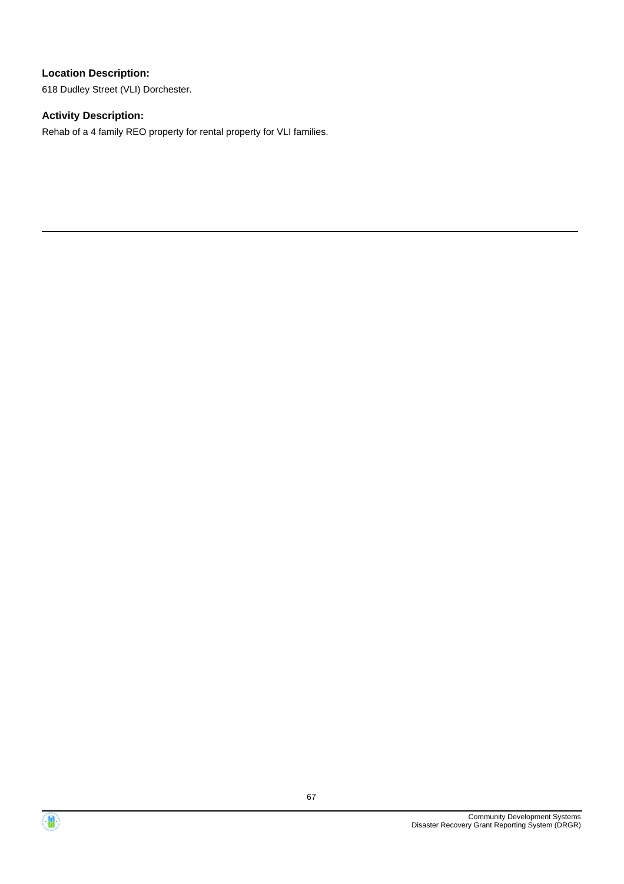618 Dudley Street (VLI) Dorchester.

# **Activity Description:**

Rehab of a 4 family REO property for rental property for VLI families.



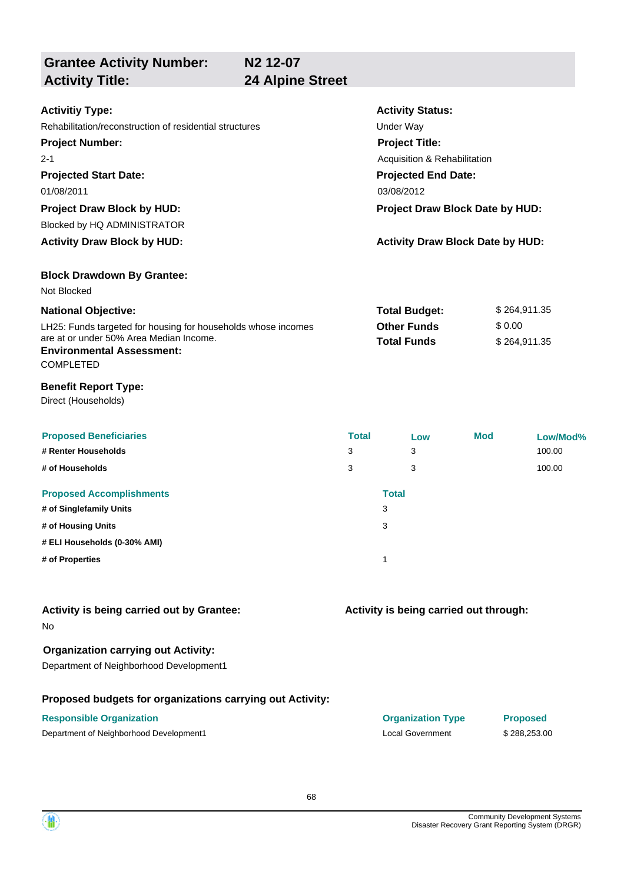**Grantee Activity Number: Projected Start Date:** LH25: Funds targeted for housing for households whose incomes are at or under 50% Area Median Income. **National Objective: Activity Status: Projected End Date: N2 12-07 Activitiy Type:** 01/08/2011 03/08/2012 Rehabilitation/reconstruction of residential structures example of the Under Way **Activity Title: 24 Alpine Street Project Number:** 2-1 **Project Title:** Acquisition & Rehabilitation **Total Budget:** \$ 264,911.35 **Other Funds** \$ 0.00 **Total Funds** \$264,911.35 **Environmental Assessment:** COMPLETED **Proposed Beneficiaries Total Low Mod Low/Mod% # Renter Households** 3 3 100.00 **# of Households** 3 3 100.00 **Proposed Accomplishments Total # of Singlefamily Units** 3 **# of Housing Units** 3 **# ELI Households (0-30% AMI) # of Properties** 1 **Proposed budgets for organizations carrying out Activity: Activity is being carried out through: Responsible Organization Organization Type Proposed** No **Activity is being carried out by Grantee: Organization carrying out Activity:** Department of Neighborhood Development1 Department of Neighborhood Development1 Local Government \$ 288,253.00 Direct (Households) **Benefit Report Type: Project Draw Block by HUD: Project Draw Block Date by HUD:** Blocked by HQ ADMINISTRATOR **Activity Draw Block by HUD: Activity Draw Block Date by HUD: Block Drawdown By Grantee:** Not Blocked

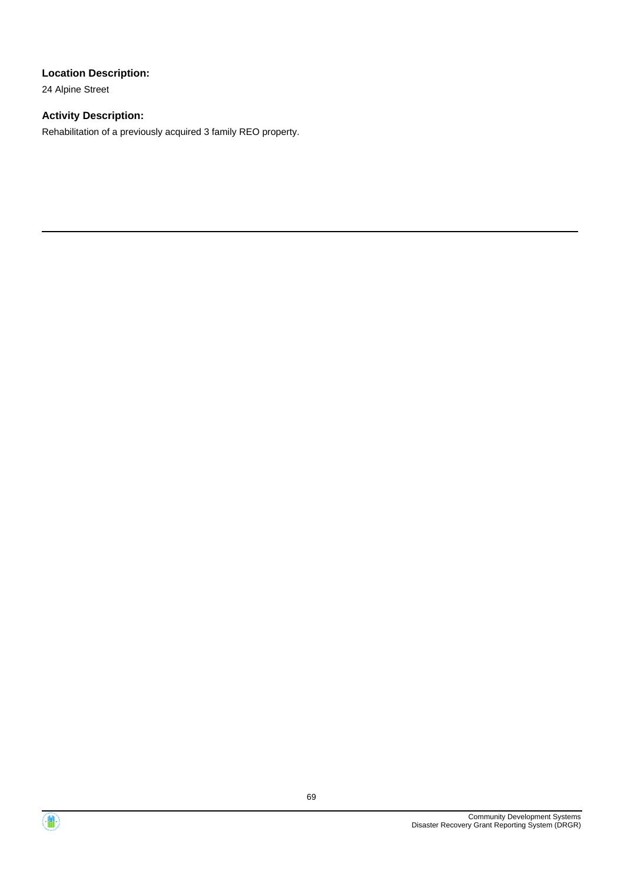24 Alpine Street

# **Activity Description:**

Rehabilitation of a previously acquired 3 family REO property.



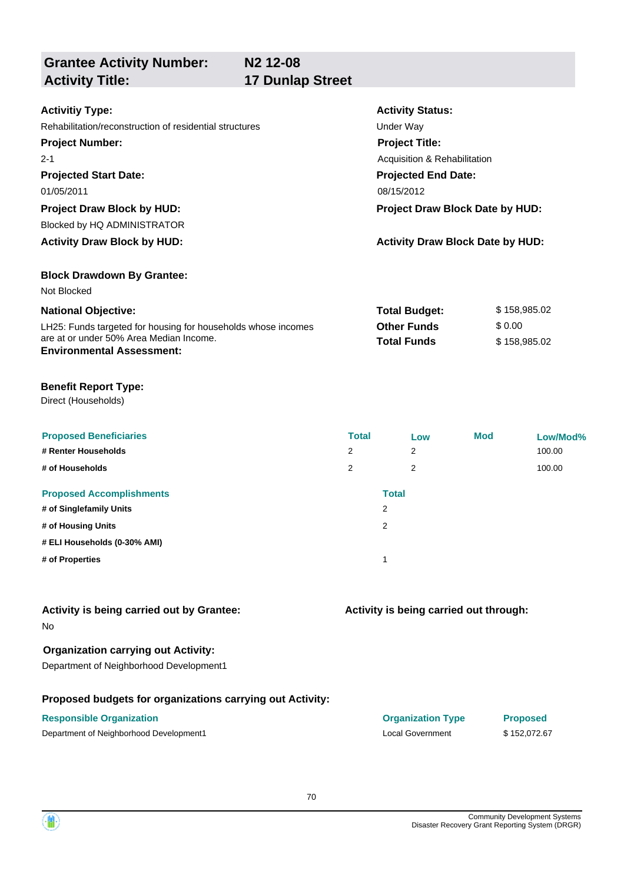**Grantee Activity Number: Projected Start Date:** LH25: Funds targeted for housing for households whose incomes are at or under 50% Area Median Income. **National Objective: Activity Status: Projected End Date: N2 12-08 Activitiy Type:** 01/05/2011 08/15/2012 Rehabilitation/reconstruction of residential structures example of the Under Way **Activity Title: 17 Dunlap Street Project Number:** 2-1 **Project Title:** Acquisition & Rehabilitation **Total Budget:** \$ 158,985.02 **Other Funds** \$ 0.00 **Total Funds** \$ 158,985.02 **Environmental Assessment: Proposed Beneficiaries Total Low Mod Low/Mod% # Renter Households** 2 2 100.00 **# of Households** 2 2 100.00 **Proposed Accomplishments Total # of Singlefamily Units** 2 **# of Housing Units** 2 **# ELI Households (0-30% AMI) # of Properties** 1 **Proposed budgets for organizations carrying out Activity: Activity is being carried out through: Responsible Organization Organization Type Proposed** No **Activity is being carried out by Grantee: Organization carrying out Activity:** Department of Neighborhood Development1 Department of Neighborhood Development1 Local Government \$ 152,072.67 Direct (Households) **Benefit Report Type: Project Draw Block by HUD: Project Draw Block Date by HUD:** Blocked by HQ ADMINISTRATOR **Activity Draw Block by HUD: Activity Draw Block Date by HUD: Block Drawdown By Grantee:** Not Blocked

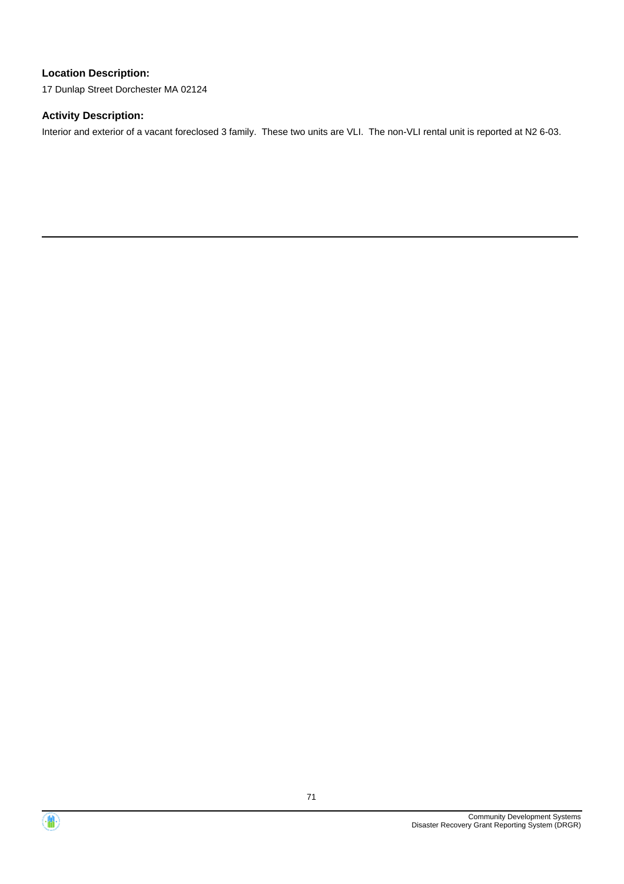17 Dunlap Street Dorchester MA 02124

#### **Activity Description:**

Interior and exterior of a vacant foreclosed 3 family. These two units are VLI. The non-VLI rental unit is reported at N2 6-03.



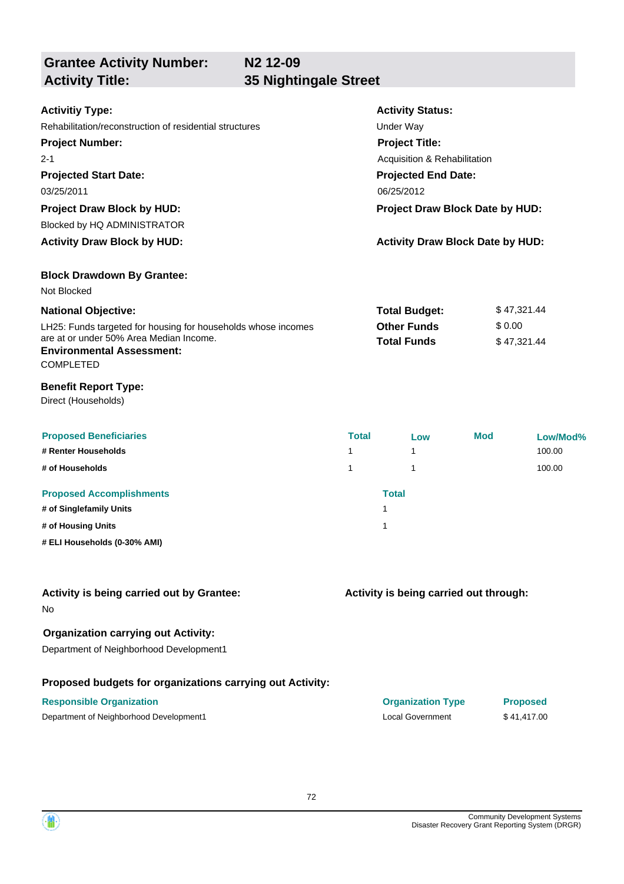**Grantee Activity Number: Projected Start Date:** LH25: Funds targeted for housing for households whose incomes are at or under 50% Area Median Income. **National Objective: Activity Status: Projected End Date: N2 12-09 Activitiy Type:** 03/25/2011 06/25/2012 Rehabilitation/reconstruction of residential structures example of the Under Way **Activity Title: 35 Nightingale Street Project Number:** 2-1 **Project Title:** Acquisition & Rehabilitation **Total Budget:** \$ 47,321.44 **Other Funds** \$ 0.00 **Total Funds** \$ 47,321.44 **Environmental Assessment:** COMPLETED **Proposed Beneficiaries Total Low Mod Low/Mod% # Renter Households** 1 1 100.00 **# of Households** 1 1 100.00 Direct (Households) **Benefit Report Type: Project Draw Block by HUD: Project Draw Block Date by HUD:** Blocked by HQ ADMINISTRATOR **Activity Draw Block by HUD: Activity Draw Block Date by HUD: Block Drawdown By Grantee:** Not Blocked

#### **Proposed Accomplishments Total**

- **# of Singlefamily Units** 1
- **# of Housing Units** 1
- **# ELI Households (0-30% AMI)**

| Activity is being carried out by Grantee: | <b>Activity is being carr</b> |
|-------------------------------------------|-------------------------------|
| No                                        |                               |

# **Organization carrying out Activity:**

Department of Neighborhood Development1

# **Proposed budgets for organizations carrying out Activity:**

### **Responsible Organization Organization Type Proposed**

Department of Neighborhood Development1 and the community of the community of the state of 41,417.00

# *A* ied out through:

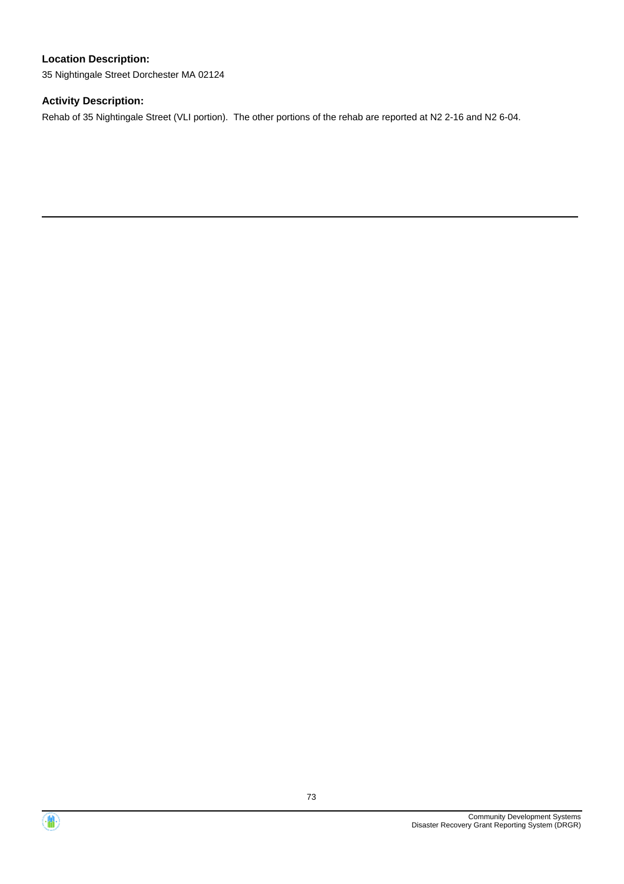35 Nightingale Street Dorchester MA 02124

## **Activity Description:**

Rehab of 35 Nightingale Street (VLI portion). The other portions of the rehab are reported at N2 2-16 and N2 6-04.



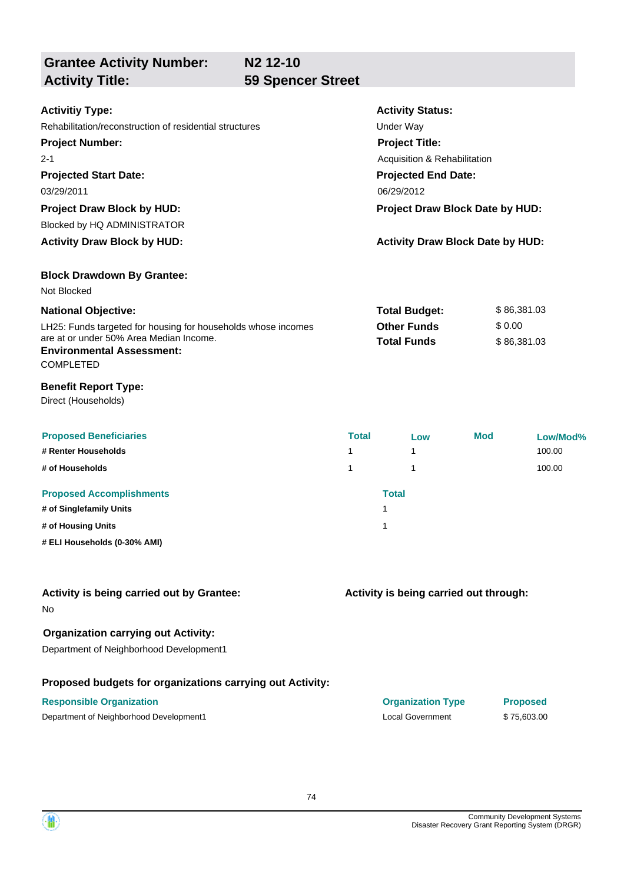**Grantee Activity Number: Projected Start Date:** LH25: Funds targeted for housing for households whose incomes are at or under 50% Area Median Income. **National Objective: Activity Status: Projected End Date: N2 12-10 Activitiy Type:** 03/29/2011 06/29/2012 Rehabilitation/reconstruction of residential structures example of the Under Way **Activity Title: 59 Spencer Street Project Number:** 2-1 **Project Title:** Acquisition & Rehabilitation **Total Budget:** \$ 86,381.03 **Other Funds** \$ 0.00 **Total Funds** \$ 86,381.03 **Environmental Assessment:** COMPLETED **Proposed Beneficiaries Total Low Mod Low/Mod% # Renter Households** 1 1 100.00 **# of Households** 1 1 100.00 **Proposed Accomplishments Total # of Singlefamily Units** 1 **# of Housing Units** 1 **# ELI Households (0-30% AMI) Activity is being carried out through:** No **Activity is being carried out by Grantee: Organization carrying out Activity:** Department of Neighborhood Development1 Direct (Households) **Benefit Report Type: Project Draw Block by HUD: Project Draw Block Date by HUD:** Blocked by HQ ADMINISTRATOR **Activity Draw Block by HUD: Activity Draw Block Date by HUD: Block Drawdown By Grantee:** Not Blocked

### **Proposed budgets for organizations carrying out Activity:**

#### **Responsible Organization Organization Type Proposed**

Department of Neighborhood Development1 and the community of Neighborhood Development \$ 75,603.00

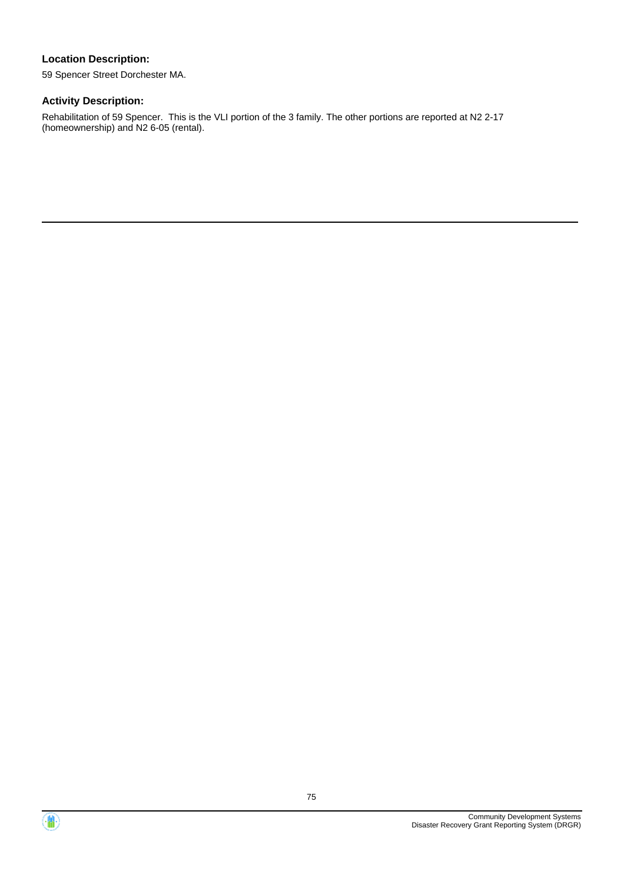59 Spencer Street Dorchester MA.

## **Activity Description:**

Rehabilitation of 59 Spencer. This is the VLI portion of the 3 family. The other portions are reported at N2 2-17 (homeownership) and N2 6-05 (rental).



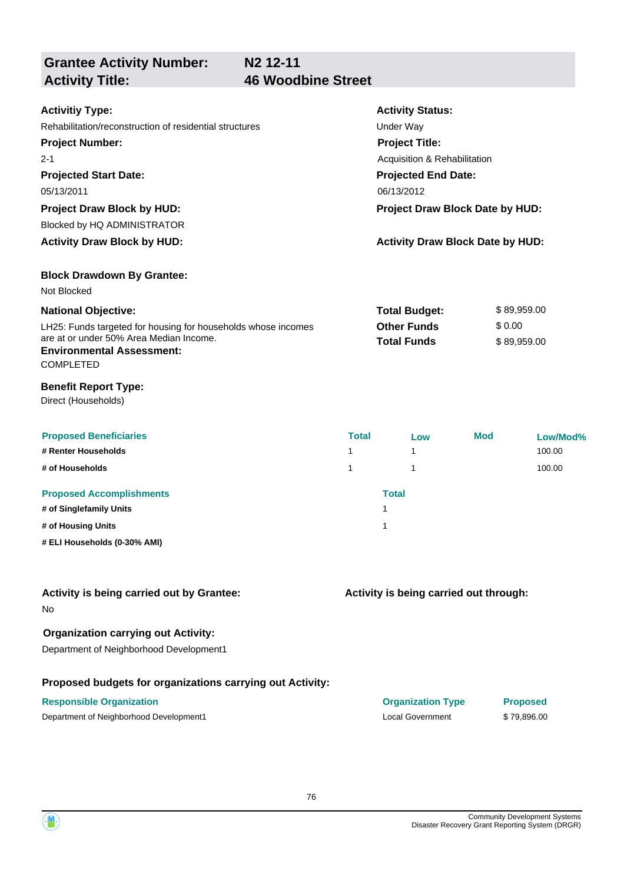**Grantee Activity Number: Projected Start Date:** LH25: Funds targeted for housing for households whose incomes are at or under 50% Area Median Income. **National Objective: Activity Status: Projected End Date: N2 12-11 Activitiy Type:** 05/13/2011 06/13/2012 Rehabilitation/reconstruction of residential structures Theorem Constructure Under Way **Activity Title: 46 Woodbine Street Project Number:** 2-1 **Project Title:** Acquisition & Rehabilitation **Total Budget:** \$ 89,959.00 **Other Funds** \$ 0.00 **Total Funds** \$ 89,959.00 **Environmental Assessment:** COMPLETED Direct (Households) **Benefit Report Type: Project Draw Block by HUD: Project Draw Block Date by HUD:** Blocked by HQ ADMINISTRATOR **Activity Draw Block by HUD: Activity Draw Block Date by HUD: Block Drawdown By Grantee:** Not Blocked

| <b>Proposed Beneficiaries</b><br># Renter Households<br># of Households | <b>Total</b> | Low          | <b>Mod</b> | Low/Mod%<br>100.00<br>100.00 |
|-------------------------------------------------------------------------|--------------|--------------|------------|------------------------------|
| <b>Proposed Accomplishments</b>                                         |              | <b>Total</b> |            |                              |
| # of Singlefamily Units                                                 |              | 4            |            |                              |
| # of Housing Units                                                      |              | 4            |            |                              |
| # ELI Households (0-30% AMI)                                            |              |              |            |                              |

| Activity is being carried out by Grantee:<br><b>No</b>    | Activity is being carried out through: |                 |  |
|-----------------------------------------------------------|----------------------------------------|-----------------|--|
| <b>Organization carrying out Activity:</b>                |                                        |                 |  |
| Department of Neighborhood Development1                   |                                        |                 |  |
| Proposed budgets for organizations carrying out Activity: |                                        |                 |  |
| <b>Responsible Organization</b>                           | <b>Organization Type</b>               | <b>Proposed</b> |  |
| Department of Neighborhood Development1                   | Local Government                       | \$79.896.00     |  |

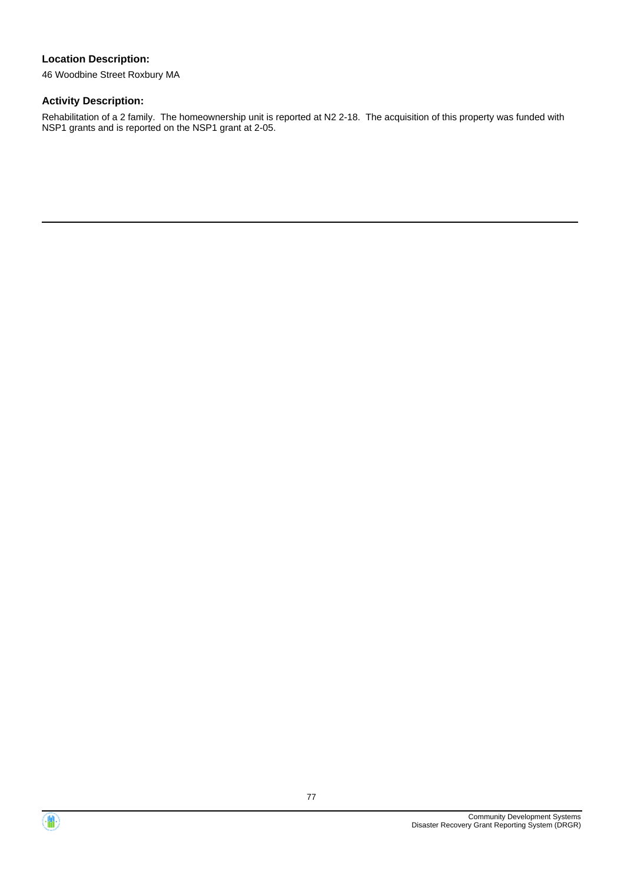46 Woodbine Street Roxbury MA

## **Activity Description:**

Rehabilitation of a 2 family. The homeownership unit is reported at N2 2-18. The acquisition of this property was funded with NSP1 grants and is reported on the NSP1 grant at 2-05.



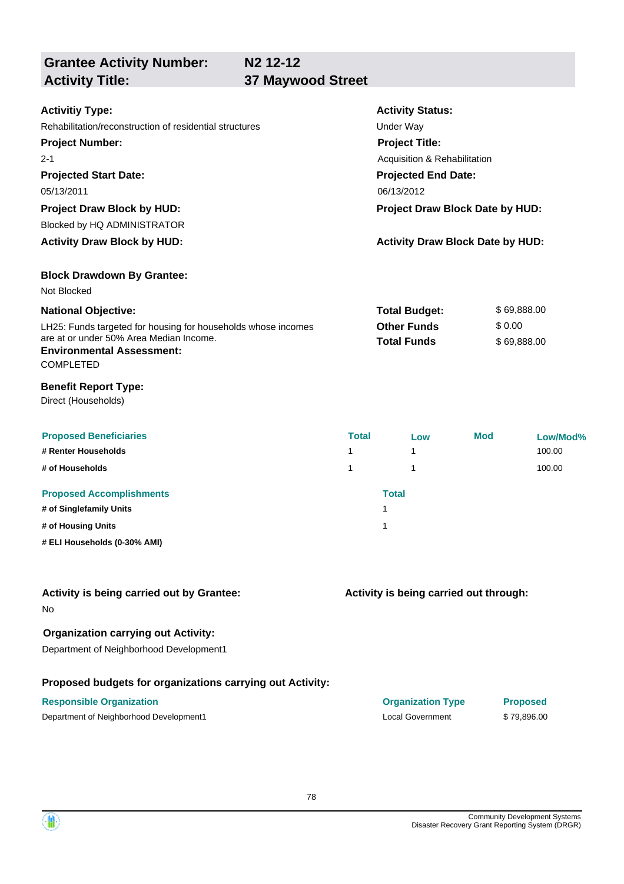**Grantee Activity Number: Projected Start Date:** LH25: Funds targeted for housing for households whose incomes are at or under 50% Area Median Income. **National Objective: Activity Status: Projected End Date: N2 12-12 Activitiy Type:** 05/13/2011 06/13/2012 Rehabilitation/reconstruction of residential structures Theorem Constructure Under Way **Activity Title: 37 Maywood Street Project Number:** 2-1 **Project Title:** Acquisition & Rehabilitation **Total Budget:** \$ 69,888.00 **Other Funds** \$ 0.00 **Total Funds** \$ 69,888.00 **Environmental Assessment:** COMPLETED **Proposed Beneficiaries Total Low Mod Low/Mod% # Renter Households** 1 1 100.00 **# of Households** 1 1 100.00 **Proposed Accomplishments Total # of Singlefamily Units** 1 Direct (Households) **Benefit Report Type: Project Draw Block by HUD: Project Draw Block Date by HUD:** Blocked by HQ ADMINISTRATOR **Activity Draw Block by HUD: Activity Draw Block Date by HUD: Block Drawdown By Grantee:** Not Blocked

- **# of Housing Units** 1
- **# ELI Households (0-30% AMI)**

| Activity is being carried out by Grantee:<br>N <sub>o</sub> | Activity is being carried out through: |                 |
|-------------------------------------------------------------|----------------------------------------|-----------------|
| <b>Organization carrying out Activity:</b>                  |                                        |                 |
| Department of Neighborhood Development1                     |                                        |                 |
| Proposed budgets for organizations carrying out Activity:   |                                        |                 |
| <b>Responsible Organization</b>                             | <b>Organization Type</b>               | <b>Proposed</b> |
| Department of Neighborhood Development1                     | Local Government                       | \$79.896.00     |



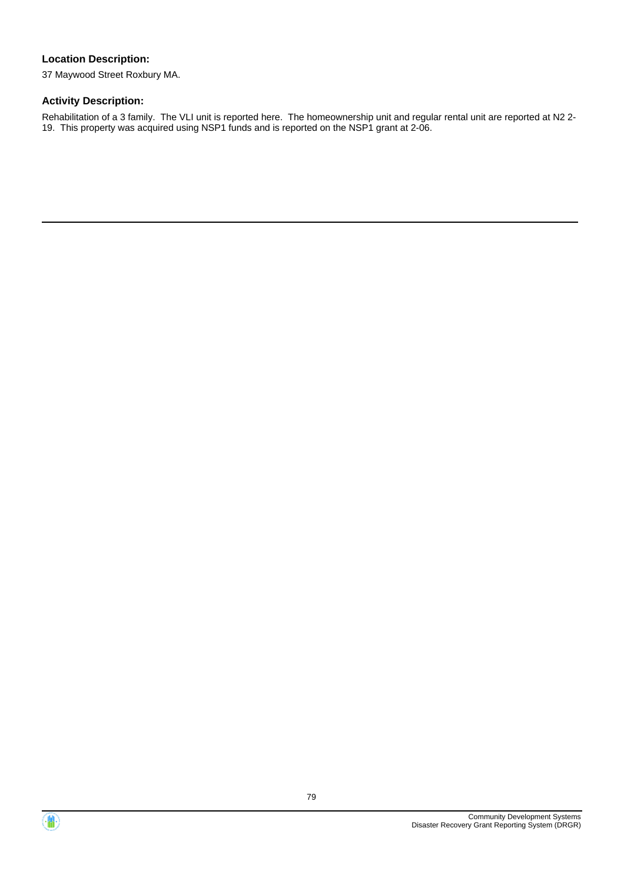37 Maywood Street Roxbury MA.

## **Activity Description:**

Rehabilitation of a 3 family. The VLI unit is reported here. The homeownership unit and regular rental unit are reported at N2 2- 19. This property was acquired using NSP1 funds and is reported on the NSP1 grant at 2-06.



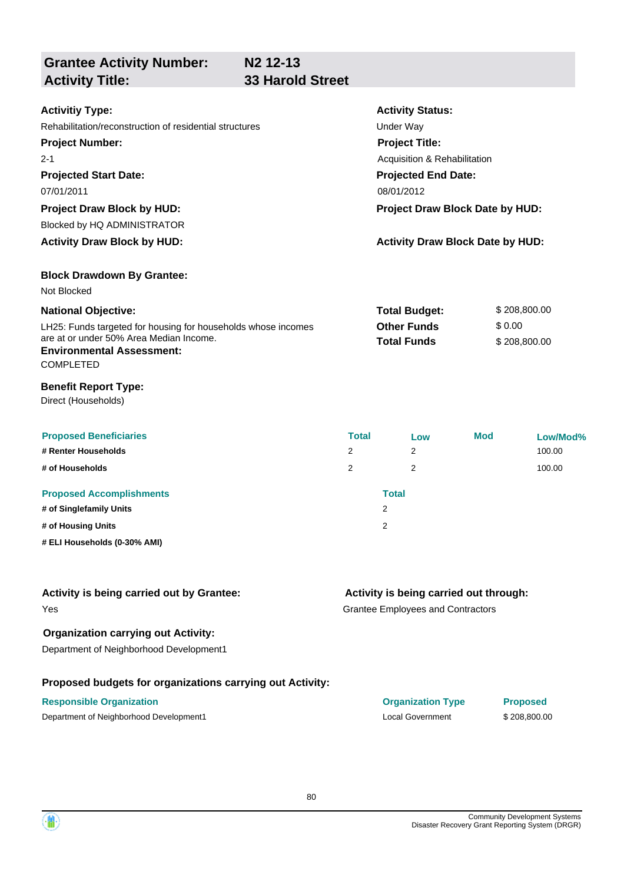**Grantee Activity Number: Projected Start Date:** LH25: Funds targeted for housing for households whose incomes are at or under 50% Area Median Income. **National Objective: Activity Status: Projected End Date: N2 12-13 Activitiy Type:** 07/01/2011 08/01/2012 Rehabilitation/reconstruction of residential structures example of the Under Way **Activity Title: 33 Harold Street Project Number:** 2-1 **Project Title:** Acquisition & Rehabilitation **Total Budget:** \$ 208,800.00 **Other Funds** \$ 0.00 **Total Funds** \$ 208,800.00 **Environmental Assessment:** COMPLETED **Proposed Beneficiaries Total Low Mod Low/Mod% # Renter Households** 2 2 100.00 **# of Households** 2 2 100.00 **Proposed Accomplishments Total # of Singlefamily Units** 2 **# of Housing Units** 2 **# ELI Households (0-30% AMI)** Direct (Households) **Benefit Report Type: Project Draw Block by HUD: Project Draw Block Date by HUD:** Blocked by HQ ADMINISTRATOR **Activity Draw Block by HUD: Activity Draw Block Date by HUD: Block Drawdown By Grantee:** Not Blocked

|     |  | Activity is being carried out by Grantee: |
|-----|--|-------------------------------------------|
| Yes |  |                                           |

## **Organization carrying out Activity:**

Department of Neighborhood Development1

### **Proposed budgets for organizations carrying out Activity:**

### **Responsible Organization Organization Type Proposed**

Department of Neighborhood Development1 Local Government \$ 208,800.00

## **Activity is being carried out through:**

Grantee Employees and Contractors

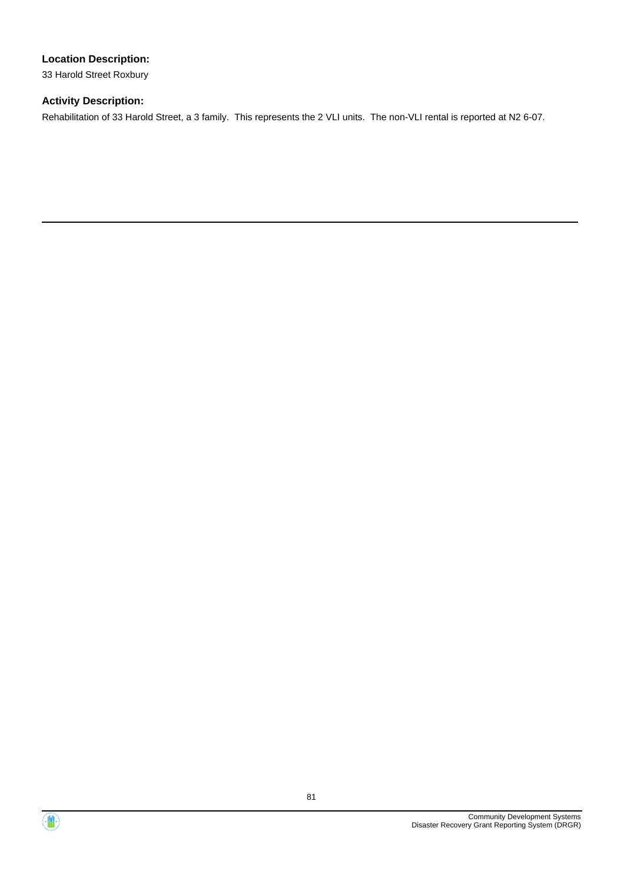33 Harold Street Roxbury

## **Activity Description:**

Rehabilitation of 33 Harold Street, a 3 family. This represents the 2 VLI units. The non-VLI rental is reported at N2 6-07.



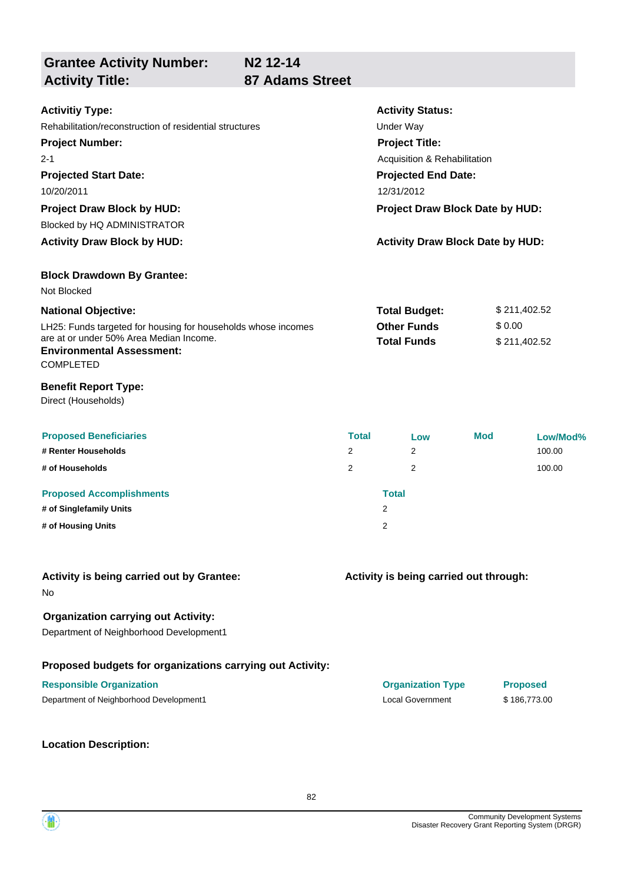**Grantee Activity Number: Projected Start Date:** LH25: Funds targeted for housing for households whose incomes are at or under 50% Area Median Income. **National Objective: Activity Status: Projected End Date: N2 12-14 Activitiy Type:** 10/20/2011 12/31/2012 Rehabilitation/reconstruction of residential structures Theorem Constructure Under Way **Activity Title: 87 Adams Street Project Number:** 2-1 **Project Title:** Acquisition & Rehabilitation **Total Budget:** \$ 211,402.52 **Other Funds** \$ 0.00 **Total Funds** \$ 211,402.52 **Environmental Assessment:** COMPLETED **Benefit Report Type: Project Draw Block by HUD: Project Draw Block Date by HUD:** Blocked by HQ ADMINISTRATOR **Activity Draw Block by HUD: Activity Draw Block Date by HUD: Block Drawdown By Grantee:** Not Blocked

**Proposed Beneficiaries Total Low Mod Low/Mod% # Renter Households** 2 2 100.00 **# of Households** 2 2 100.00 **Proposed Accomplishments Total # of Singlefamily Units** 2 **# of Housing Units** 2

| Activity is being carried out by Grantee:<br>No           | Activity is being carried out through: |                 |
|-----------------------------------------------------------|----------------------------------------|-----------------|
| <b>Organization carrying out Activity:</b>                |                                        |                 |
| Department of Neighborhood Development1                   |                                        |                 |
| Proposed budgets for organizations carrying out Activity: |                                        |                 |
| <b>Responsible Organization</b>                           | <b>Organization Type</b>               | <b>Proposed</b> |
| Department of Neighborhood Development1                   | Local Government                       | \$186,773,00    |

### **Location Description:**

Direct (Households)

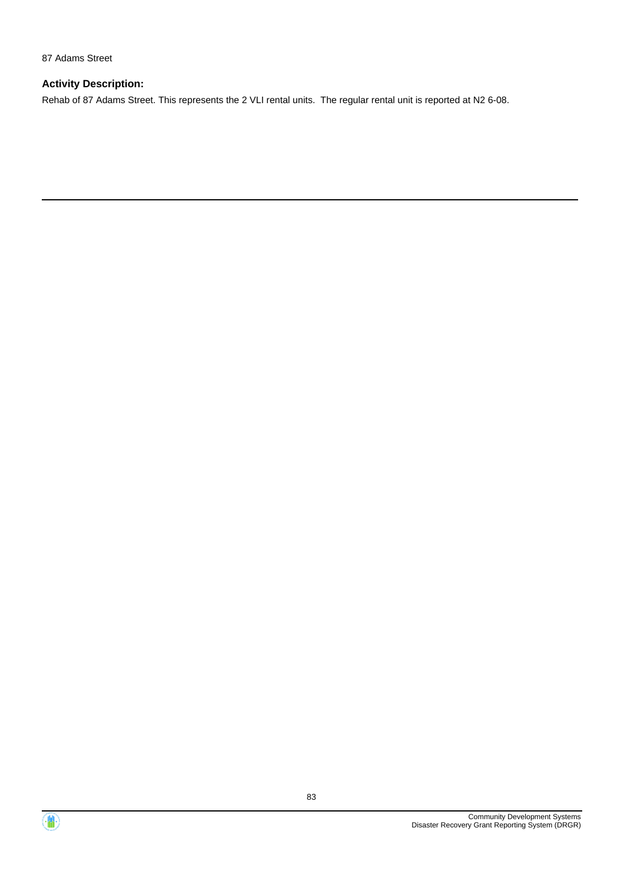87 Adams Street

## **Activity Description:**

Rehab of 87 Adams Street. This represents the 2 VLI rental units. The regular rental unit is reported at N2 6-08.



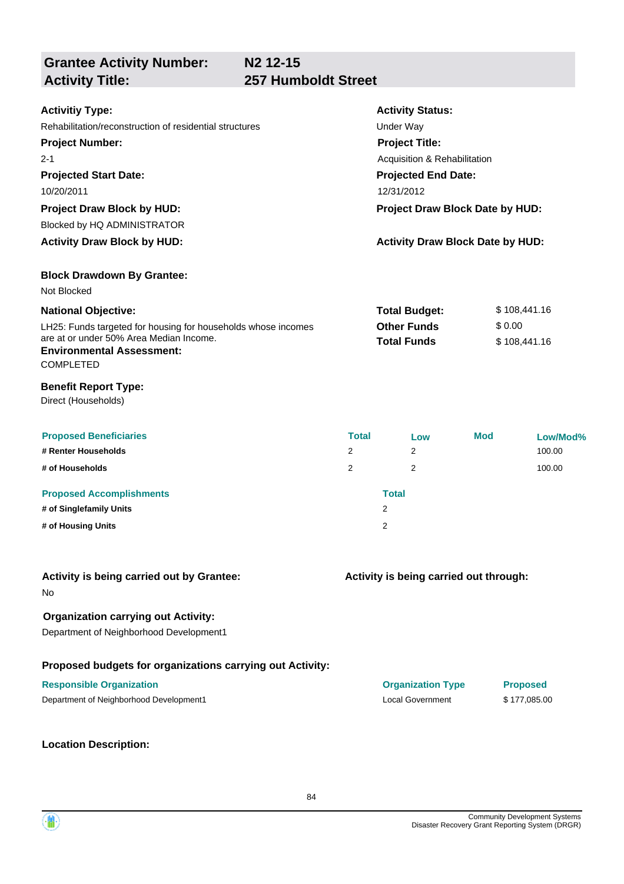**Grantee Activity Number: Projected Start Date:** LH25: Funds targeted for housing for households whose incomes are at or under 50% Area Median Income. **National Objective: Activity Status: Projected End Date: N2 12-15 Activitiy Type:** 10/20/2011 12/31/2012 Rehabilitation/reconstruction of residential structures example of the Under Way **Activity Title: 257 Humboldt Street Project Number:** 2-1 **Project Title:** Acquisition & Rehabilitation **Total Budget:** \$ 108,441.16 **Other Funds** \$ 0.00 **Total Funds** \$ 108,441.16 **Environmental Assessment:** COMPLETED **Proposed Beneficiaries Total Low Mod Low/Mod% # Renter Households** 2 2 100.00 **# of Households** 2 2 100.00 **Proposed Accomplishments Total # of Singlefamily Units** 2 **# of Housing Units** 2 **Activity is being carried out through:** No **Activity is being carried out by Grantee:** Direct (Households) **Benefit Report Type: Project Draw Block by HUD: Project Draw Block Date by HUD:** Blocked by HQ ADMINISTRATOR **Activity Draw Block by HUD: Activity Draw Block Date by HUD: Block Drawdown By Grantee:** Not Blocked

## **Organization carrying out Activity:**

Department of Neighborhood Development1

#### **Proposed budgets for organizations carrying out Activity:**

| <b>Responsible Organization</b>         | <b>Organization Type</b> | <b>Proposed</b> |
|-----------------------------------------|--------------------------|-----------------|
| Department of Neighborhood Development1 | Local Government         | \$177.085.00    |

### **Location Description:**

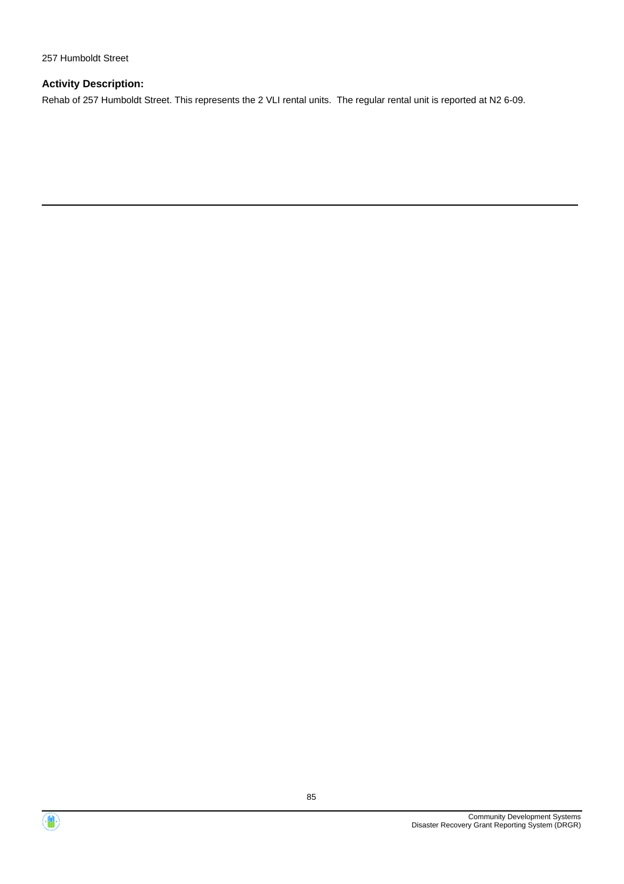257 Humboldt Street

## **Activity Description:**

Rehab of 257 Humboldt Street. This represents the 2 VLI rental units. The regular rental unit is reported at N2 6-09.



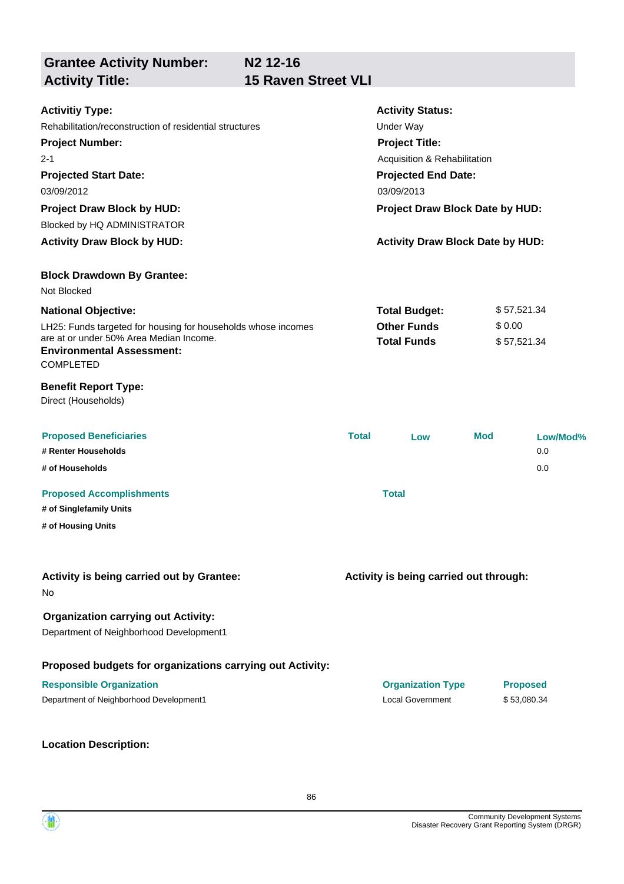**Grantee Activity Number: Projected Start Date:** LH25: Funds targeted for housing for households whose incomes are at or under 50% Area Median Income. **National Objective: Activity Status: Projected End Date: N2 12-16 Activitiy Type:** 03/09/2012 03/09/2013 Rehabilitation/reconstruction of residential structures example of the Under Way **Activity Title: 15 Raven Street VLI Project Number:** 2-1 **Project Title:** Acquisition & Rehabilitation **Total Budget:** \$ 57,521.34 **Other Funds** \$ 0.00 **Total Funds** \$ 57,521.34 **Environmental Assessment:** COMPLETED **Proposed Beneficiaries Total Low Mod Low/Mod% # Renter Households** 0.0 **# of Households** 0.0 **Proposed Accomplishments Total # of Singlefamily Units # of Housing Units Proposed budgets for organizations carrying out Activity: Activity is being carried out through: Responsible Organization Organization Type Proposed** No **Activity is being carried out by Grantee: Organization carrying out Activity:** Department of Neighborhood Development1 Department of Neighborhood Development1 and the community of the community of the state of \$53,080.34 Direct (Households) **Benefit Report Type: Project Draw Block by HUD: Project Draw Block Date by HUD:** Blocked by HQ ADMINISTRATOR **Activity Draw Block by HUD: Activity Draw Block Date by HUD: Block Drawdown By Grantee:** Not Blocked

**Location Description:**

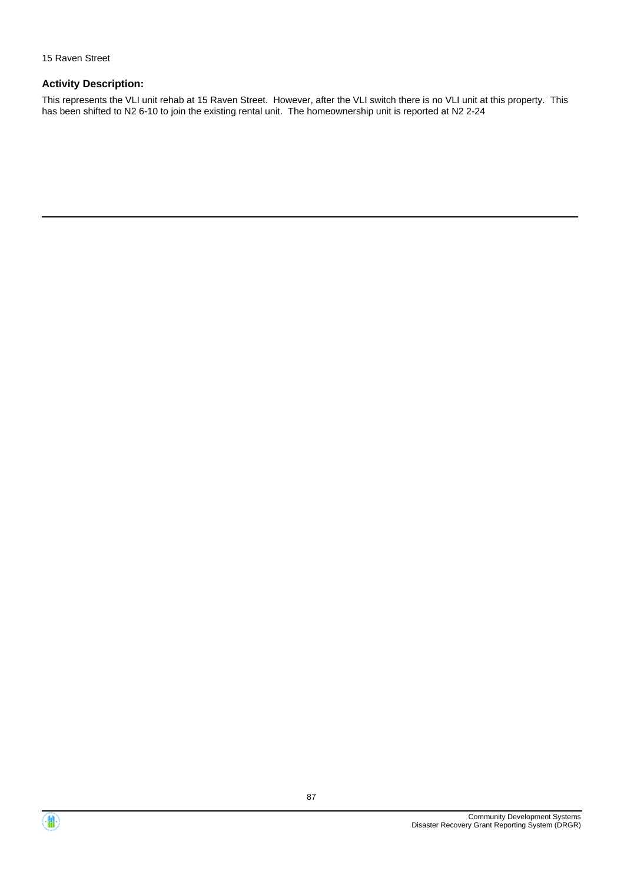15 Raven Street

#### **Activity Description:**

This represents the VLI unit rehab at 15 Raven Street. However, after the VLI switch there is no VLI unit at this property. This has been shifted to N2 6-10 to join the existing rental unit. The homeownership unit is reported at N2 2-24



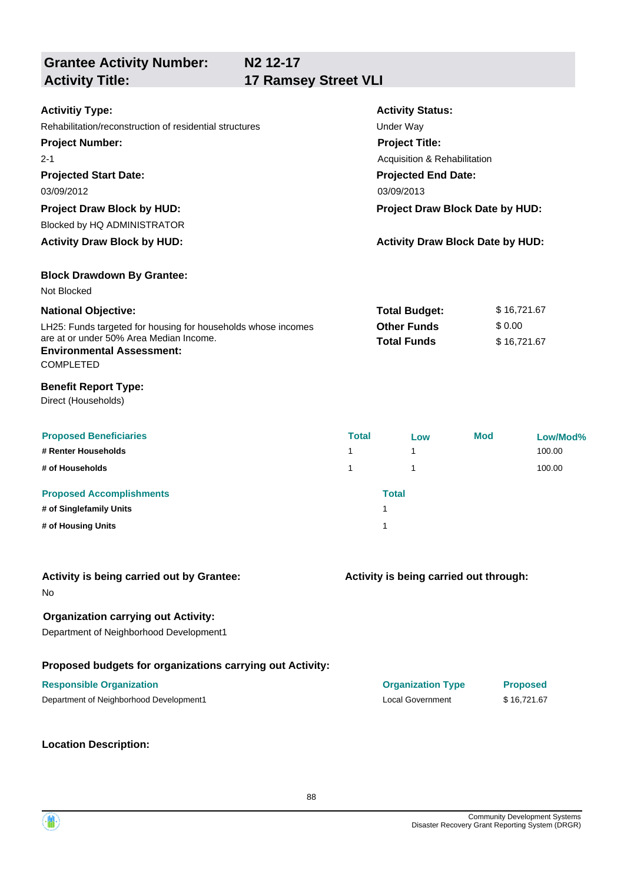**Grantee Activity Number: Projected Start Date:** LH25: Funds targeted for housing for households whose incomes are at or under 50% Area Median Income. **National Objective: Activity Status: Projected End Date: N2 12-17 Activitiy Type:** 03/09/2012 03/09/2013 Rehabilitation/reconstruction of residential structures example of the Under Way **Activity Title: 17 Ramsey Street VLI Project Number:** 2-1 **Project Title:** Acquisition & Rehabilitation **Total Budget:** \$ 16,721.67 **Other Funds** \$ 0.00 **Total Funds** \$ 16,721.67 **Environmental Assessment:** COMPLETED **Proposed Beneficiaries Total Low Mod Low/Mod% # Renter Households** 1 1 100.00 **# of Households** 1 1 100.00 **Proposed Accomplishments Total # of Singlefamily Units** 1 **# of Housing Units** 1 **Proposed budgets for organizations carrying out Activity: Activity is being carried out through:** No **Activity is being carried out by Grantee: Organization carrying out Activity:** Department of Neighborhood Development1 Direct (Households) **Benefit Report Type: Project Draw Block by HUD: Project Draw Block Date by HUD:** Blocked by HQ ADMINISTRATOR **Activity Draw Block by HUD: Activity Draw Block Date by HUD: Block Drawdown By Grantee:** Not Blocked

| <b>Responsible Organization</b>         | <b>Organization Type</b> | <b>Proposed</b> |
|-----------------------------------------|--------------------------|-----------------|
| Department of Neighborhood Development1 | <b>Local Government</b>  | \$16,721,67     |

### **Location Description:**

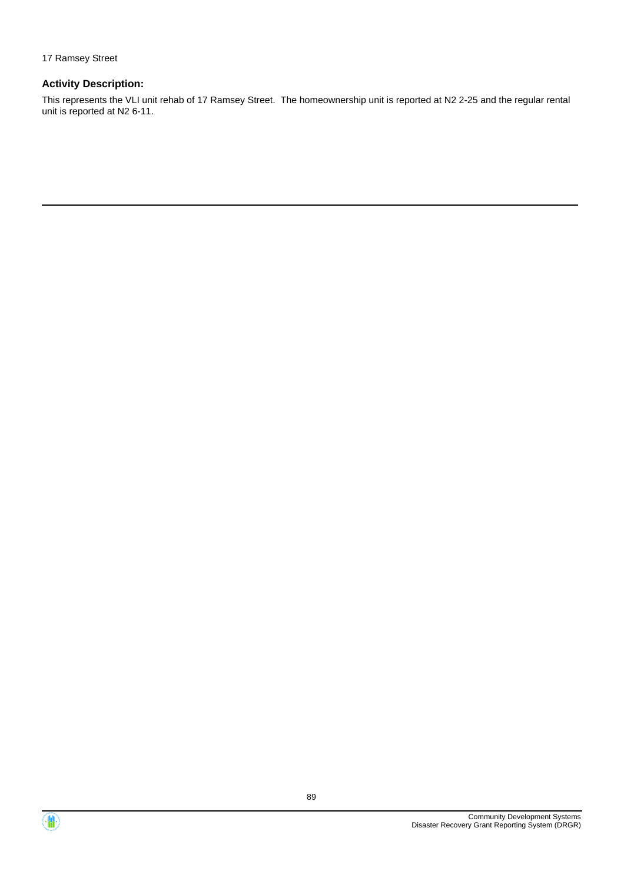17 Ramsey Street

### **Activity Description:**

This represents the VLI unit rehab of 17 Ramsey Street. The homeownership unit is reported at N2 2-25 and the regular rental unit is reported at N2 6-11.



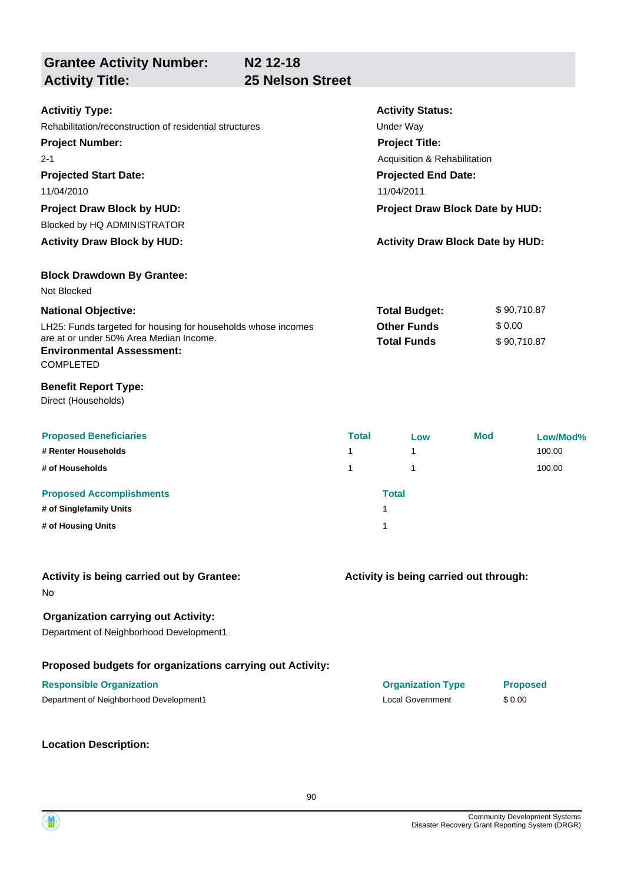**Grantee Activity Number: Projected Start Date:** LH25: Funds targeted for housing for households whose incomes are at or under 50% Area Median Income. **National Objective: Activity Status: Projected End Date: N2 12-18 Activitiy Type:** 11/04/2010 11/04/2011 Rehabilitation/reconstruction of residential structures example of the Under Way **Activity Title: 25 Nelson Street Project Number:** 2-1 **Project Title:** Acquisition & Rehabilitation **Total Budget:** \$ 90,710.87 **Other Funds** \$ 0.00 **Total Funds** \$ 90,710.87 **Environmental Assessment:** COMPLETED **Proposed Beneficiaries Total Low Mod Low/Mod% # Renter Households** 1 1 100.00 **# of Households** 1 1 100.00 **Proposed Accomplishments Total # of Singlefamily Units** 1 **# of Housing Units** 1 **Proposed budgets for organizations carrying out Activity: Activity is being carried out through: Responsible Organization Organization Type Proposed** No **Activity is being carried out by Grantee: Organization carrying out Activity:** Department of Neighborhood Development1 Department of Neighborhood Development1 development and the state of the Local Government \$ 0.00 Direct (Households) **Benefit Report Type: Project Draw Block by HUD: Project Draw Block Date by HUD:** Blocked by HQ ADMINISTRATOR **Activity Draw Block by HUD: Activity Draw Block Date by HUD: Block Drawdown By Grantee:** Not Blocked

### **Location Description:**

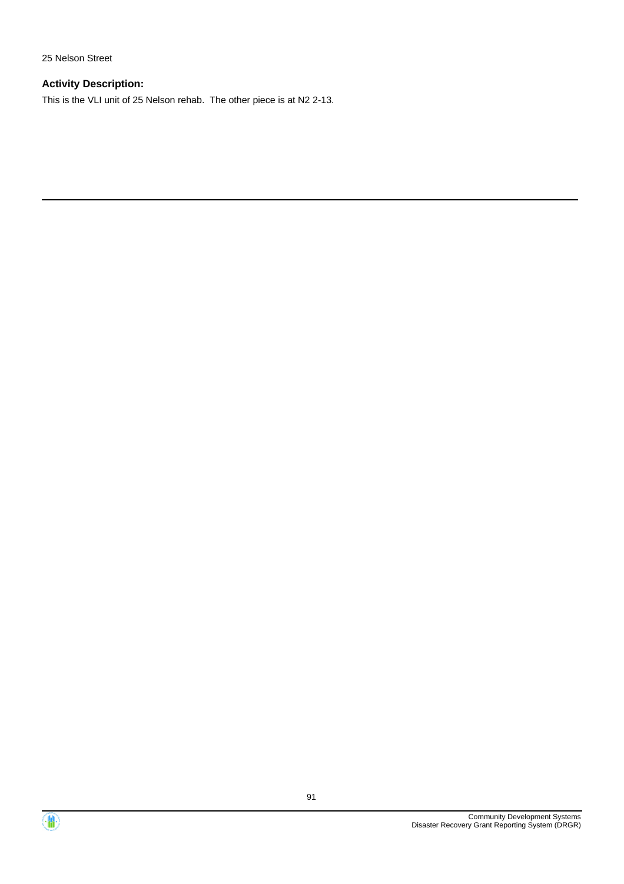25 Nelson Street

## **Activity Description:**

This is the VLI unit of 25 Nelson rehab. The other piece is at N2 2-13.



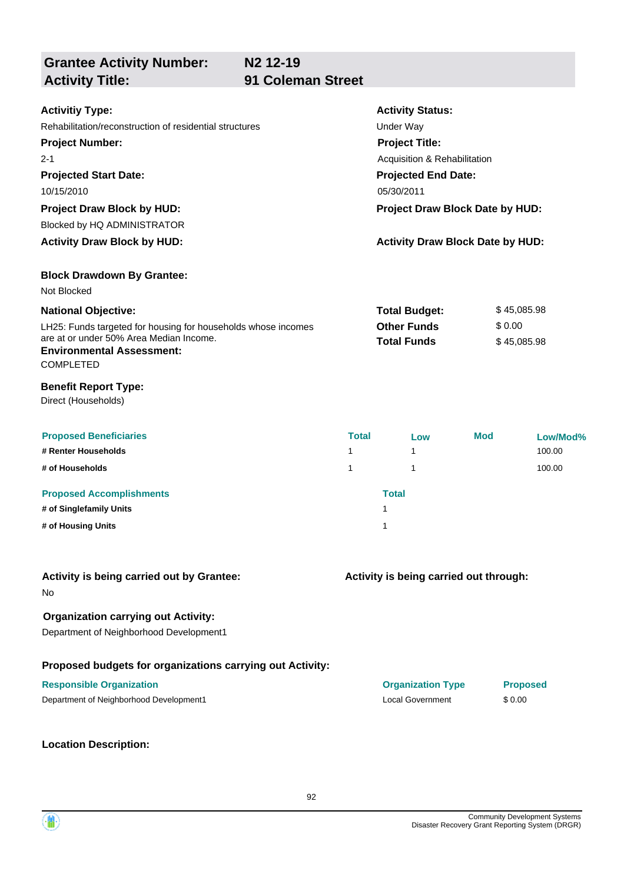**Grantee Activity Number: Projected Start Date:** LH25: Funds targeted for housing for households whose incomes are at or under 50% Area Median Income. **National Objective: Activity Status: Projected End Date: N2 12-19 Activitiy Type:** 10/15/2010 05/30/2011 Rehabilitation/reconstruction of residential structures example of the Under Way **Activity Title: 91 Coleman Street Project Number:** 2-1 **Project Title:** Acquisition & Rehabilitation **Total Budget:** \$ 45,085.98 **Other Funds** \$ 0.00 **Total Funds** \$ 45,085.98 **Environmental Assessment:** COMPLETED **Proposed Beneficiaries Total Low Mod Low/Mod% # Renter Households** 1 1 100.00 **# of Households** 1 1 100.00 **Proposed Accomplishments Total # of Singlefamily Units** 1 **# of Housing Units** 1 **Proposed budgets for organizations carrying out Activity: Activity is being carried out through: Responsible Organization Organization Type Proposed** No **Activity is being carried out by Grantee: Organization carrying out Activity:** Department of Neighborhood Development1 Department of Neighborhood Development1 development and the state of the Local Government \$ 0.00 Direct (Households) **Benefit Report Type: Project Draw Block by HUD: Project Draw Block Date by HUD:** Blocked by HQ ADMINISTRATOR **Activity Draw Block by HUD: Activity Draw Block Date by HUD: Block Drawdown By Grantee:** Not Blocked

**Location Description:**

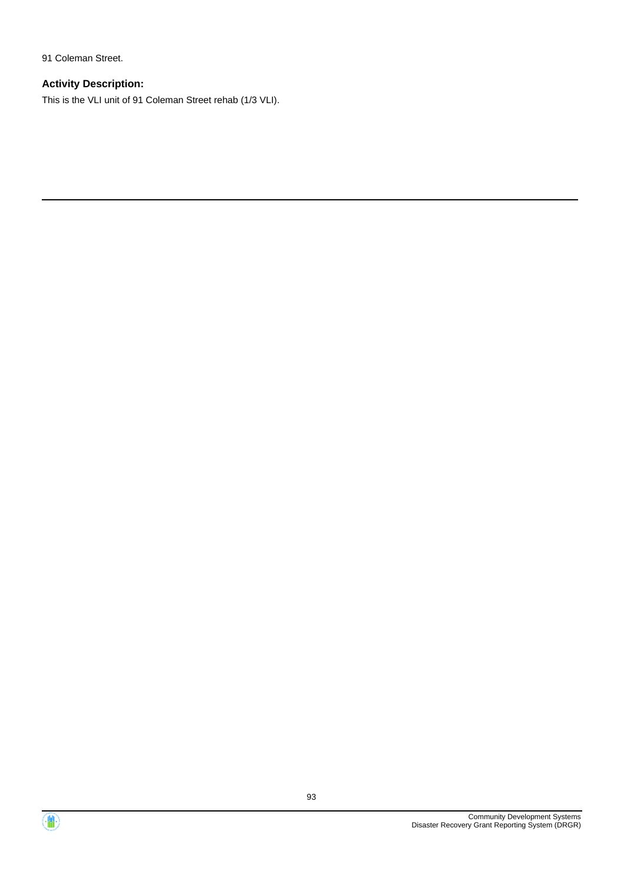91 Coleman Street.

## **Activity Description:**

This is the VLI unit of 91 Coleman Street rehab (1/3 VLI).



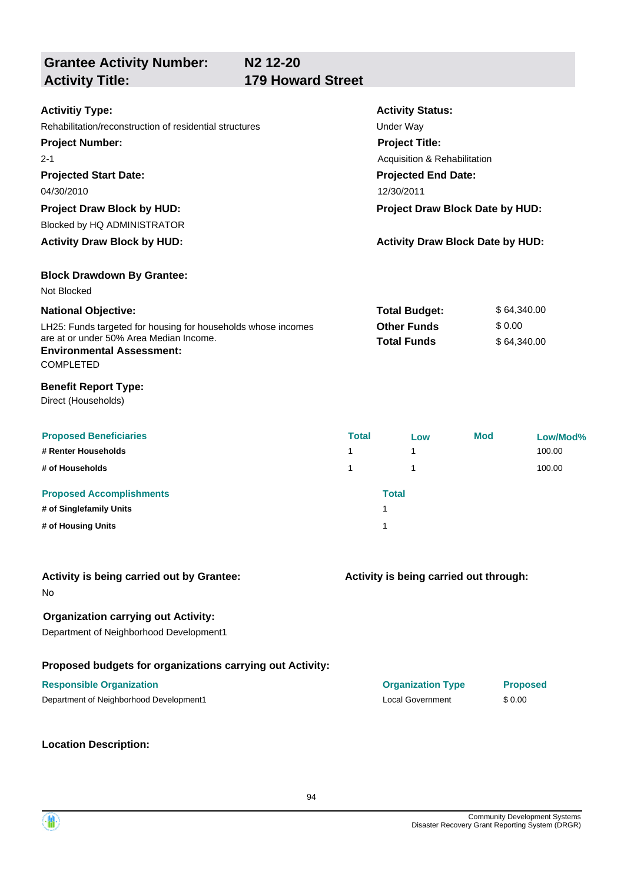**Grantee Activity Number: Projected Start Date:** LH25: Funds targeted for housing for households whose incomes are at or under 50% Area Median Income. **National Objective: Activity Status: Projected End Date: N2 12-20 Activitiy Type:** 04/30/2010 12/30/2011 Rehabilitation/reconstruction of residential structures example of the Under Way **Activity Title: 179 Howard Street Project Number:** 2-1 **Project Title:** Acquisition & Rehabilitation **Total Budget:** \$ 64,340.00 **Other Funds** \$ 0.00 **Total Funds** \$ 64,340.00 **Environmental Assessment:** COMPLETED **Proposed Beneficiaries Total Low Mod Low/Mod% # Renter Households** 1 1 100.00 **# of Households** 1 1 100.00 **Proposed Accomplishments Total # of Singlefamily Units** 1 **# of Housing Units** 1 **Proposed budgets for organizations carrying out Activity: Activity is being carried out through: Responsible Organization Organization Type Proposed** No **Activity is being carried out by Grantee: Organization carrying out Activity:** Department of Neighborhood Development1 Department of Neighborhood Development1 development and the state of the Local Government \$ 0.00 Direct (Households) **Benefit Report Type: Project Draw Block by HUD: Project Draw Block Date by HUD:** Blocked by HQ ADMINISTRATOR **Activity Draw Block by HUD: Activity Draw Block Date by HUD: Block Drawdown By Grantee:** Not Blocked

**Location Description:**

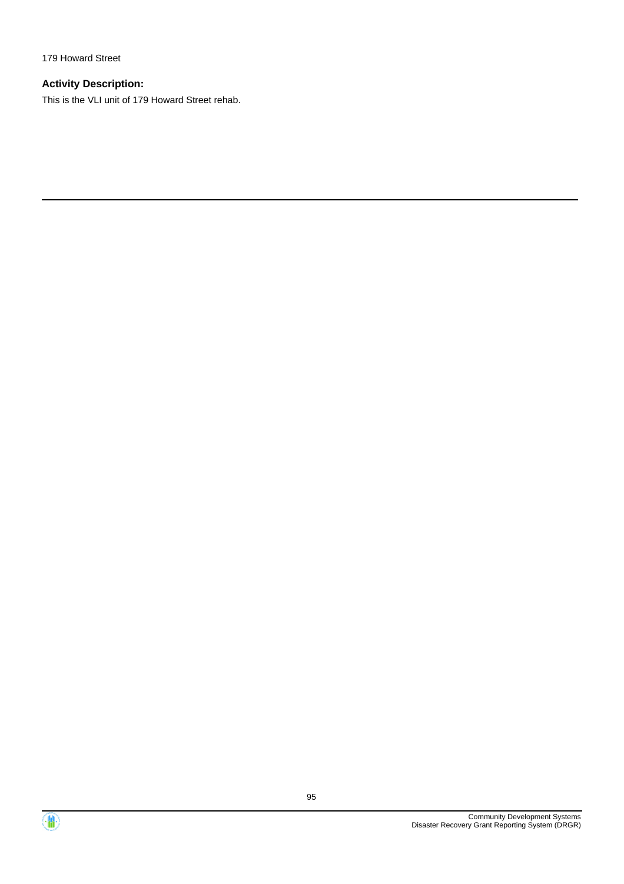179 Howard Street

## **Activity Description:**

This is the VLI unit of 179 Howard Street rehab.



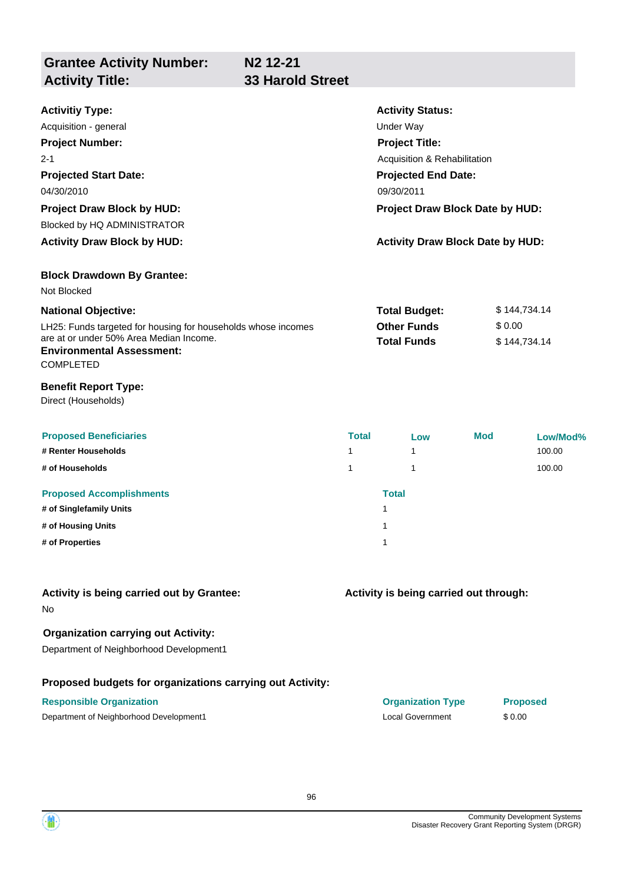**Grantee Activity Number: N2 12-21 Activity Title: 33 Harold Street**

| <b>Activitiy Type:</b>                                                                          |                       | <b>Activity Status:</b>                 |            |              |
|-------------------------------------------------------------------------------------------------|-----------------------|-----------------------------------------|------------|--------------|
| Acquisition - general                                                                           | Under Way             |                                         |            |              |
| <b>Project Number:</b>                                                                          | <b>Project Title:</b> |                                         |            |              |
| $2 - 1$                                                                                         |                       | Acquisition & Rehabilitation            |            |              |
| <b>Projected Start Date:</b>                                                                    |                       | <b>Projected End Date:</b>              |            |              |
| 04/30/2010                                                                                      | 09/30/2011            |                                         |            |              |
| <b>Project Draw Block by HUD:</b>                                                               |                       | Project Draw Block Date by HUD:         |            |              |
| Blocked by HQ ADMINISTRATOR                                                                     |                       |                                         |            |              |
| <b>Activity Draw Block by HUD:</b>                                                              |                       | <b>Activity Draw Block Date by HUD:</b> |            |              |
| <b>Block Drawdown By Grantee:</b>                                                               |                       |                                         |            |              |
| Not Blocked                                                                                     |                       |                                         |            |              |
| <b>National Objective:</b>                                                                      |                       | <b>Total Budget:</b>                    |            | \$144,734.14 |
| LH25: Funds targeted for housing for households whose incomes                                   |                       | <b>Other Funds</b>                      | \$0.00     |              |
| are at or under 50% Area Median Income.<br><b>Environmental Assessment:</b><br><b>COMPLETED</b> |                       | <b>Total Funds</b>                      |            | \$144,734.14 |
| <b>Benefit Report Type:</b><br>Direct (Households)                                              |                       |                                         |            |              |
| <b>Proposed Beneficiaries</b>                                                                   | <b>Total</b>          | Low                                     | <b>Mod</b> | Low/Mod%     |
| # Renter Households                                                                             | 1                     | 1                                       |            | 100.00       |
| # of Households                                                                                 | 1                     | 1                                       |            | 100.00       |
| <b>Proposed Accomplishments</b>                                                                 |                       | <b>Total</b>                            |            |              |
| # of Singlefamily Units                                                                         |                       | $\mathbf{1}$                            |            |              |
| # of Housing Units                                                                              |                       | 1                                       |            |              |
| # of Properties                                                                                 |                       | 1                                       |            |              |
| Activity is being carried out by Grantee:                                                       |                       | Activity is being carried out through:  |            |              |
| No                                                                                              |                       |                                         |            |              |

## **Organization carrying out Activity:**

Department of Neighborhood Development1

### **Proposed budgets for organizations carrying out Activity:**

#### **Responsible Organization Organization Type Proposed**

Department of Neighborhood Development1 **Network** 1 Local Government \$ 0.00

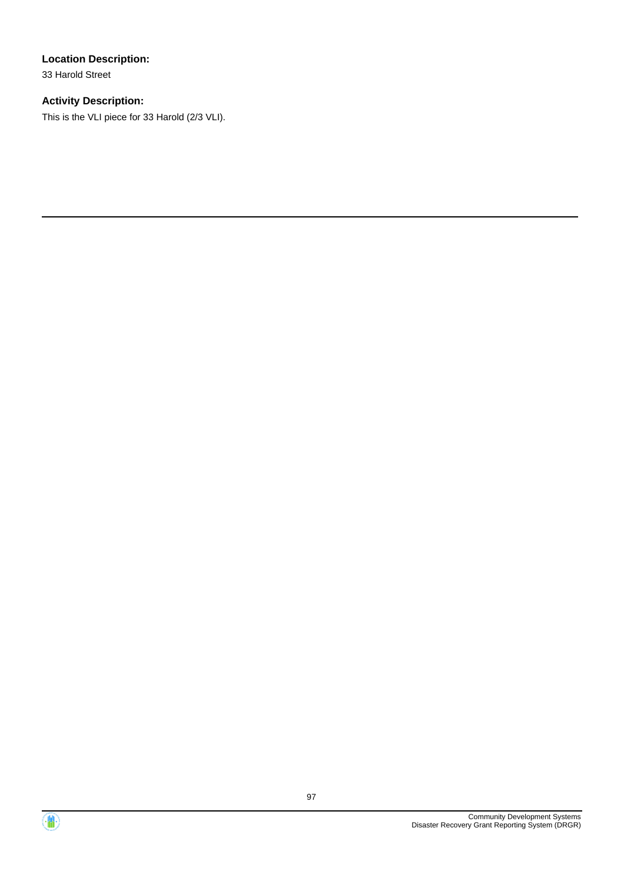33 Harold Street

## **Activity Description:**

This is the VLI piece for 33 Harold (2/3 VLI).



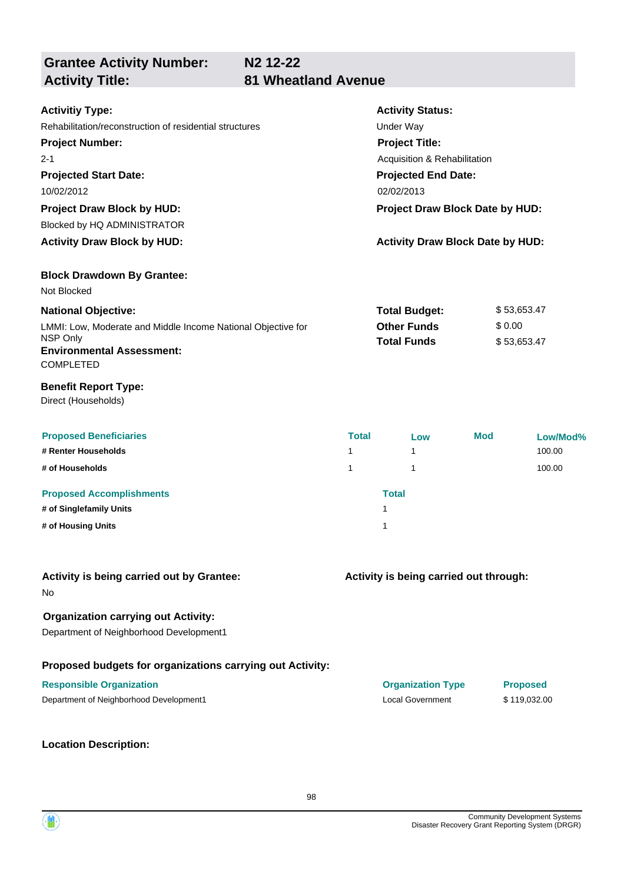**Grantee Activity Number: Activity Status: N2 12-22 Activitiy Type: Activity Title: 81 Wheatland Avenue**

| Under Way                               |
|-----------------------------------------|
|                                         |
| <b>Project Title:</b>                   |
| Acquisition & Rehabilitation            |
| <b>Projected End Date:</b>              |
| 02/02/2013                              |
| Project Draw Block Date by HUD:         |
|                                         |
| <b>Activity Draw Block Date by HUD:</b> |
|                                         |

## **Block Drawdown By Grantee:**

LMMI: Low, Moderate and Middle Income National Objective for NSP Only **National Objective: Total Budget:** \$ 53,653.47 **Other Funds** \$ 0.00 **Total Funds** \$ 53,653.47 **Environmental Assessment:** COMPLETED

# **Benefit Report Type:**

Not Blocked

Direct (Households)

| <b>Proposed Beneficiaries</b><br># Renter Households | <b>Total</b><br>1 | Low<br>1     | <b>Mod</b> | Low/Mod%<br>100.00 |
|------------------------------------------------------|-------------------|--------------|------------|--------------------|
| # of Households                                      | $\overline{1}$    |              |            | 100.00             |
| <b>Proposed Accomplishments</b>                      |                   | <b>Total</b> |            |                    |
| # of Singlefamily Units                              |                   |              |            |                    |
| # of Housing Units                                   |                   | 1            |            |                    |

98

## No **Activity is being carried out by Grantee:**

## **Organization carrying out Activity:**

Department of Neighborhood Development1

### **Proposed budgets for organizations carrying out Activity:**

## **Responsible Organization Organization Type Proposed** Department of Neighborhood Development1 **Local Government** \$ 119,032.00

## **Location Description:**

**Activity is being carried out through:**

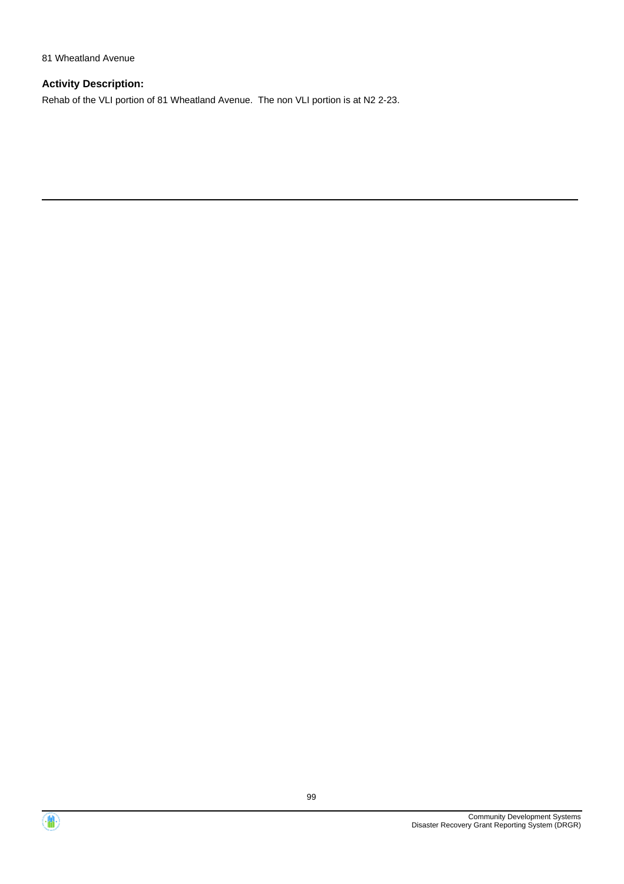81 Wheatland Avenue

## **Activity Description:**

Rehab of the VLI portion of 81 Wheatland Avenue. The non VLI portion is at N2 2-23.



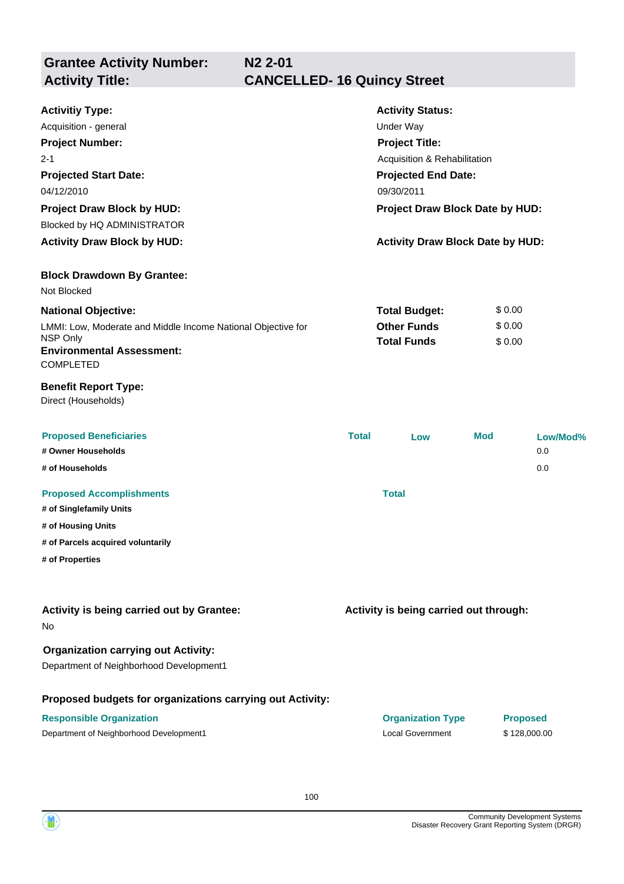**Grantee Activity Number: Projected Start Date:** LMMI: Low, Moderate and Middle Income National Objective for NSP Only **National Objective: Activity Status: Projected End Date: N2 2-01 Activitiy Type:** 04/12/2010 09/30/2011 Acquisition - general and the set of the set of the set of the Under Way **Activity Title: CANCELLED- 16 Quincy Street Project Number:** 2-1 **Project Title:** Acquisition & Rehabilitation **Total Budget:** \$ 0.00 **Other Funds** \$ 0.00 **Total Funds** \$ 0.00 **Environmental Assessment:** COMPLETED **Proposed Beneficiaries Total Low Mod Low/Mod% # Owner Households** 0.0 Direct (Households) **Benefit Report Type: Project Draw Block by HUD: Project Draw Block Date by HUD:** Blocked by HQ ADMINISTRATOR **Activity Draw Block by HUD: Activity Draw Block Date by HUD: Block Drawdown By Grantee:** Not Blocked

**# of Households** 0.0 **Proposed Accomplishments Total # of Singlefamily Units # of Housing Units # of Parcels acquired voluntarily # of Properties Activity is being carried out through:** No **Activity is being carried out by Grantee:**

#### **Organization carrying out Activity:**

Department of Neighborhood Development1

## **Proposed budgets for organizations carrying out Activity:**

#### **Responsible Organization Organization Type Proposed**

Department of Neighborhood Development1 Local Government \$ 128,000.00

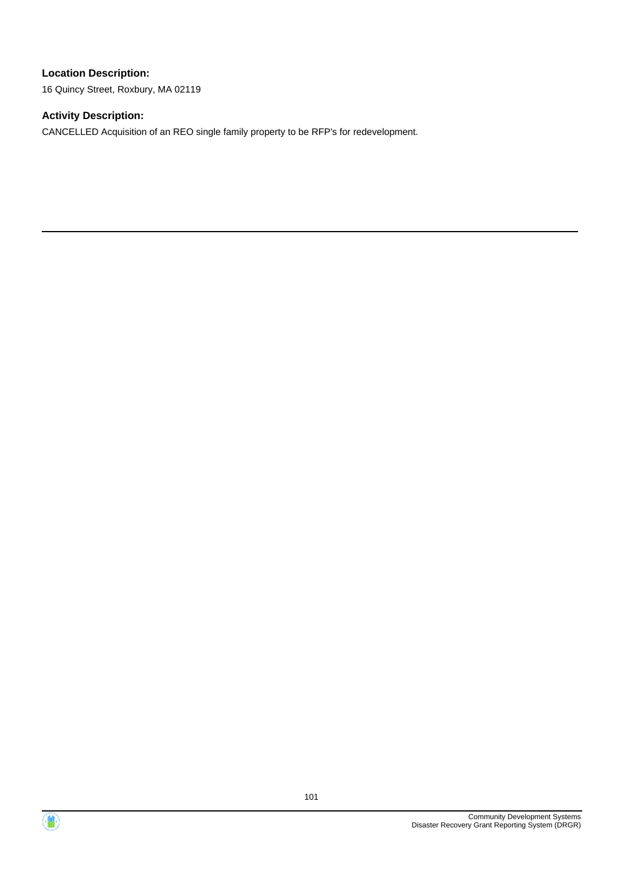16 Quincy Street, Roxbury, MA 02119

## **Activity Description:**

CANCELLED Acquisition of an REO single family property to be RFP's for redevelopment.



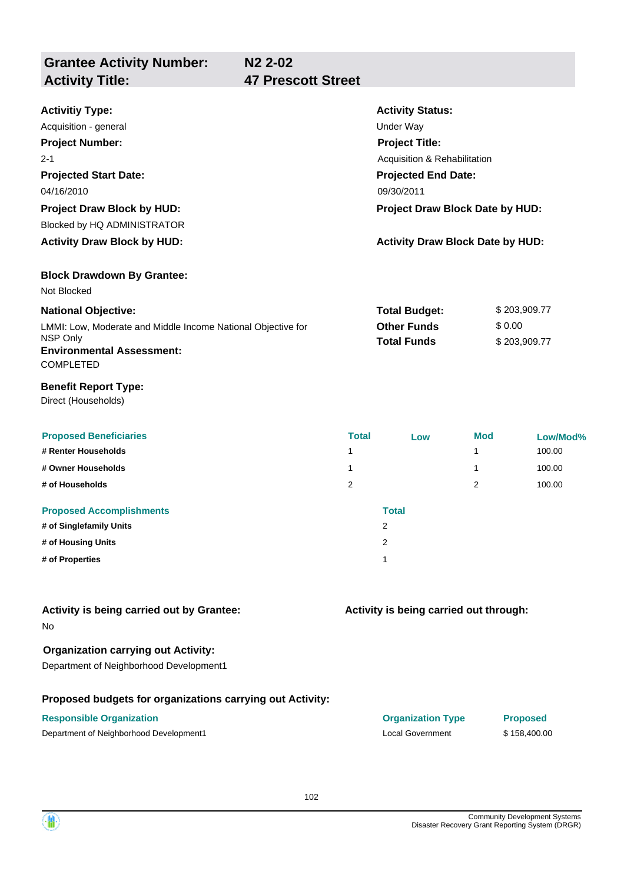**Grantee Activity Number: Activity Title: 47 Prescott Street**

| <b>Activitiy Type:</b>                                           |              | <b>Activity Status:</b>                 |              |              |
|------------------------------------------------------------------|--------------|-----------------------------------------|--------------|--------------|
| Acquisition - general                                            |              | Under Way                               |              |              |
| <b>Project Number:</b>                                           |              | <b>Project Title:</b>                   |              |              |
| $2 - 1$                                                          |              | Acquisition & Rehabilitation            |              |              |
| <b>Projected Start Date:</b>                                     |              | <b>Projected End Date:</b>              |              |              |
| 04/16/2010                                                       |              | 09/30/2011                              |              |              |
| <b>Project Draw Block by HUD:</b>                                |              | Project Draw Block Date by HUD:         |              |              |
| Blocked by HQ ADMINISTRATOR                                      |              |                                         |              |              |
| <b>Activity Draw Block by HUD:</b>                               |              | <b>Activity Draw Block Date by HUD:</b> |              |              |
| <b>Block Drawdown By Grantee:</b>                                |              |                                         |              |              |
| Not Blocked                                                      |              |                                         |              |              |
| <b>National Objective:</b>                                       |              | <b>Total Budget:</b>                    |              | \$203,909.77 |
| LMMI: Low, Moderate and Middle Income National Objective for     |              | <b>Other Funds</b>                      | \$0.00       |              |
| NSP Only<br><b>Environmental Assessment:</b><br><b>COMPLETED</b> |              | <b>Total Funds</b>                      |              | \$203,909.77 |
| <b>Benefit Report Type:</b><br>Direct (Households)               |              |                                         |              |              |
| <b>Proposed Beneficiaries</b>                                    | <b>Total</b> | Low                                     | <b>Mod</b>   | Low/Mod%     |
| # Renter Households                                              | 1            |                                         | 1            | 100.00       |
| # Owner Households                                               | $\mathbf 1$  |                                         | $\mathbf{1}$ | 100.00       |
| # of Households                                                  | 2            |                                         | 2            | 100.00       |
| <b>Proposed Accomplishments</b>                                  |              | <b>Total</b>                            |              |              |
| # of Singlefamily Units                                          |              | 2                                       |              |              |
| # of Housing Units                                               |              | 2                                       |              |              |
| # of Properties                                                  |              | $\mathbf{1}$                            |              |              |
|                                                                  |              |                                         |              |              |

## No **Activity is being carried out by Grantee:**

# **Organization carrying out Activity:**

Department of Neighborhood Development1

## **Proposed budgets for organizations carrying out Activity:**

## **Responsible Organization Organization Type Proposed** Department of Neighborhood Development1 Local Government \$ 158,400.00

**Activity is being carried out through:**

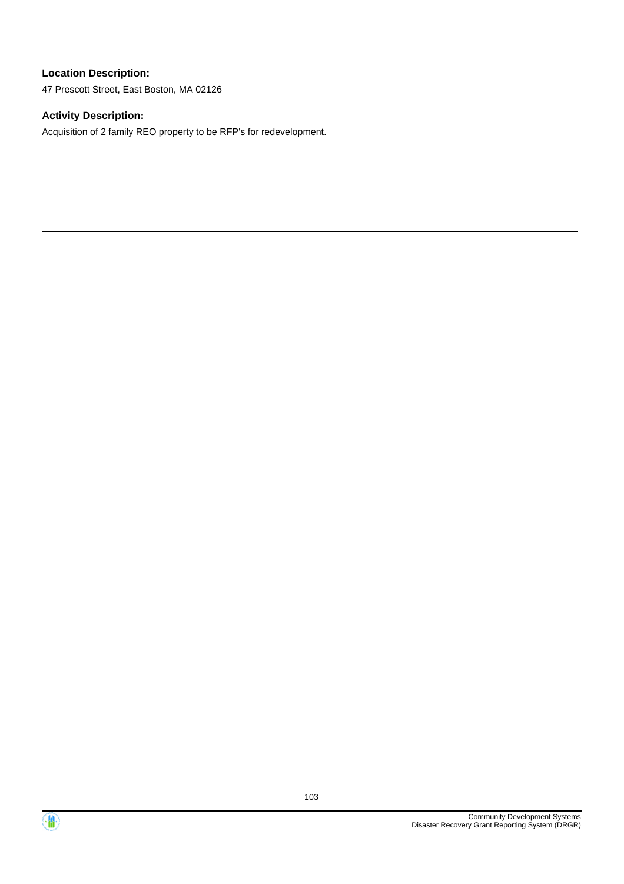47 Prescott Street, East Boston, MA 02126

## **Activity Description:**

Acquisition of 2 family REO property to be RFP's for redevelopment.



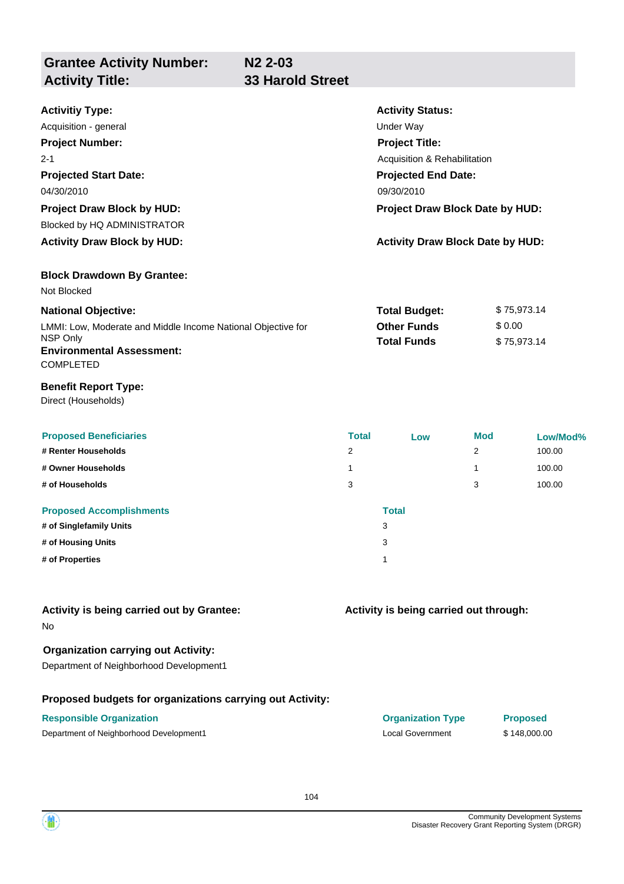**Grantee Activity Number: N2 2-03 Activity Title: 33 Harold Street**

| <b>Activitiy Type:</b>                                       | <b>Activity Status:</b>                 |             |
|--------------------------------------------------------------|-----------------------------------------|-------------|
| Acquisition - general                                        | Under Way                               |             |
| <b>Project Number:</b>                                       | <b>Project Title:</b>                   |             |
| $2 - 1$                                                      | Acquisition & Rehabilitation            |             |
| <b>Projected Start Date:</b>                                 | <b>Projected End Date:</b>              |             |
| 04/30/2010                                                   | 09/30/2010                              |             |
| <b>Project Draw Block by HUD:</b>                            | <b>Project Draw Block Date by HUD:</b>  |             |
| Blocked by HQ ADMINISTRATOR                                  |                                         |             |
| <b>Activity Draw Block by HUD:</b>                           | <b>Activity Draw Block Date by HUD:</b> |             |
| <b>Block Drawdown By Grantee:</b>                            |                                         |             |
| Not Blocked                                                  |                                         |             |
| <b>National Objective:</b>                                   | <b>Total Budget:</b>                    | \$75,973.14 |
| LMMI: Low, Moderate and Middle Income National Objective for | <b>Other Funds</b>                      | \$0.00      |
| NSP Only                                                     | <b>Total Funds</b>                      | \$75,973.14 |
| <b>Environmental Assessment:</b>                             |                                         |             |
| <b>COMPLETED</b>                                             |                                         |             |
| <b>Benefit Report Type:</b>                                  |                                         |             |

Direct (Households)

| <b>Proposed Beneficiaries</b>   | <b>Total</b> | Low          | Mod | Low/Mod% |
|---------------------------------|--------------|--------------|-----|----------|
| # Renter Households             | 2            |              | 2   | 100.00   |
| # Owner Households              | и            |              | 1   | 100.00   |
| # of Households                 | 3            |              | 3   | 100.00   |
| <b>Proposed Accomplishments</b> |              | <b>Total</b> |     |          |
| # of Singlefamily Units         |              | 3            |     |          |
| # of Housing Units              |              | 3            |     |          |
| # of Properties                 |              | 1            |     |          |

## No **Activity is being carried out by Grantee:**

# **Organization carrying out Activity:**

Department of Neighborhood Development1

## **Proposed budgets for organizations carrying out Activity:**

# **Responsible Organization Organization Type Proposed** Department of Neighborhood Development1 Local Government \$ 148,000.00

**Activity is being carried out through:**

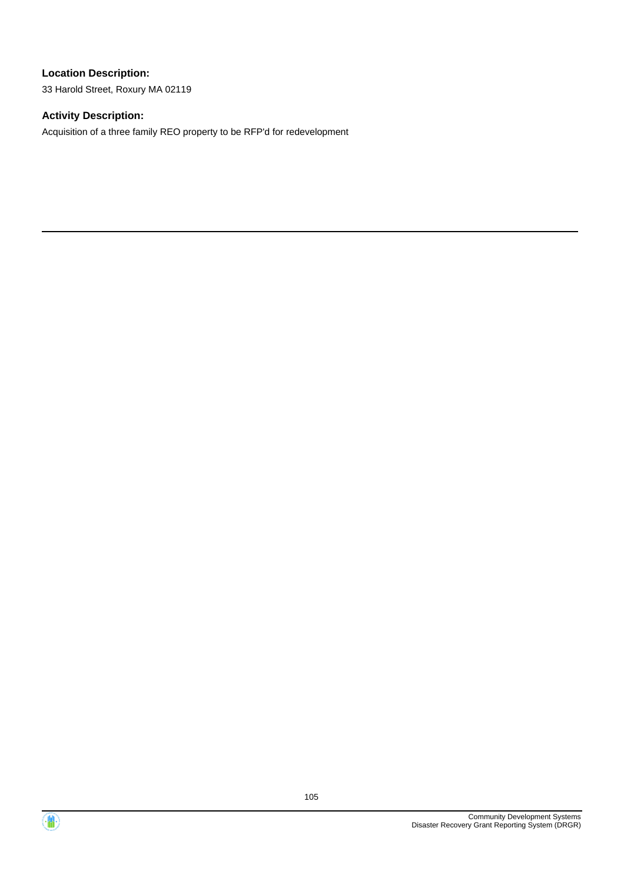33 Harold Street, Roxury MA 02119

## **Activity Description:**

Acquisition of a three family REO property to be RFP'd for redevelopment



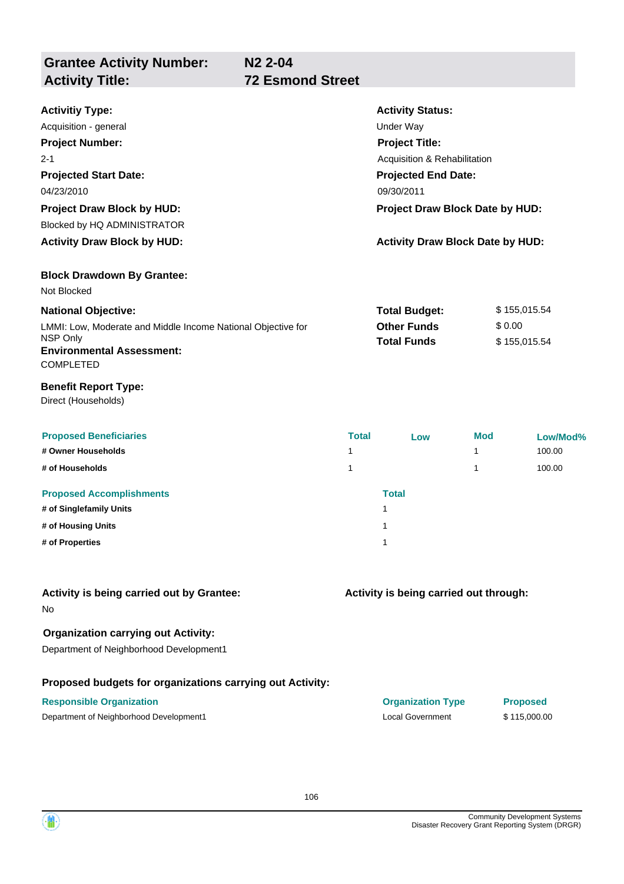**Grantee Activity Number: Activity Title: 72 Esmond Street**

| <b>Activitiy Type:</b>                                           |              | <b>Activity Status:</b>                 |              |          |
|------------------------------------------------------------------|--------------|-----------------------------------------|--------------|----------|
| Acquisition - general                                            |              | Under Way                               |              |          |
| <b>Project Number:</b>                                           |              | <b>Project Title:</b>                   |              |          |
| $2 - 1$                                                          |              | Acquisition & Rehabilitation            |              |          |
| <b>Projected Start Date:</b>                                     |              | <b>Projected End Date:</b>              |              |          |
| 04/23/2010                                                       |              | 09/30/2011                              |              |          |
| <b>Project Draw Block by HUD:</b>                                |              | Project Draw Block Date by HUD:         |              |          |
| Blocked by HQ ADMINISTRATOR                                      |              |                                         |              |          |
| <b>Activity Draw Block by HUD:</b>                               |              | <b>Activity Draw Block Date by HUD:</b> |              |          |
| <b>Block Drawdown By Grantee:</b>                                |              |                                         |              |          |
| Not Blocked                                                      |              |                                         |              |          |
| <b>National Objective:</b>                                       |              | <b>Total Budget:</b>                    | \$155,015.54 |          |
| LMMI: Low, Moderate and Middle Income National Objective for     |              | <b>Other Funds</b><br>\$0.00            |              |          |
| NSP Only<br><b>Environmental Assessment:</b><br><b>COMPLETED</b> |              | <b>Total Funds</b><br>\$155,015.54      |              |          |
| <b>Benefit Report Type:</b><br>Direct (Households)               |              |                                         |              |          |
| <b>Proposed Beneficiaries</b>                                    | <b>Total</b> | Low                                     | <b>Mod</b>   | Low/Mod% |
| # Owner Households                                               | $\mathbf{1}$ |                                         | 1            | 100.00   |
| # of Households                                                  | 1            |                                         | 1            | 100.00   |
| <b>Proposed Accomplishments</b>                                  |              | <b>Total</b>                            |              |          |
| # of Singlefamily Units                                          |              | 1                                       |              |          |
| # of Housing Units                                               |              | 1                                       |              |          |
| # of Properties                                                  |              | 1                                       |              |          |
|                                                                  |              |                                         |              |          |

## **Activity is being carried out by Grantee:**

No

## **Organization carrying out Activity:**

Department of Neighborhood Development1

## **Proposed budgets for organizations carrying out Activity:**

### **Responsible Organization Organization Type Proposed**

Department of Neighborhood Development1 Local Government \$ 115,000.00

## **Activity is being carried out through:**

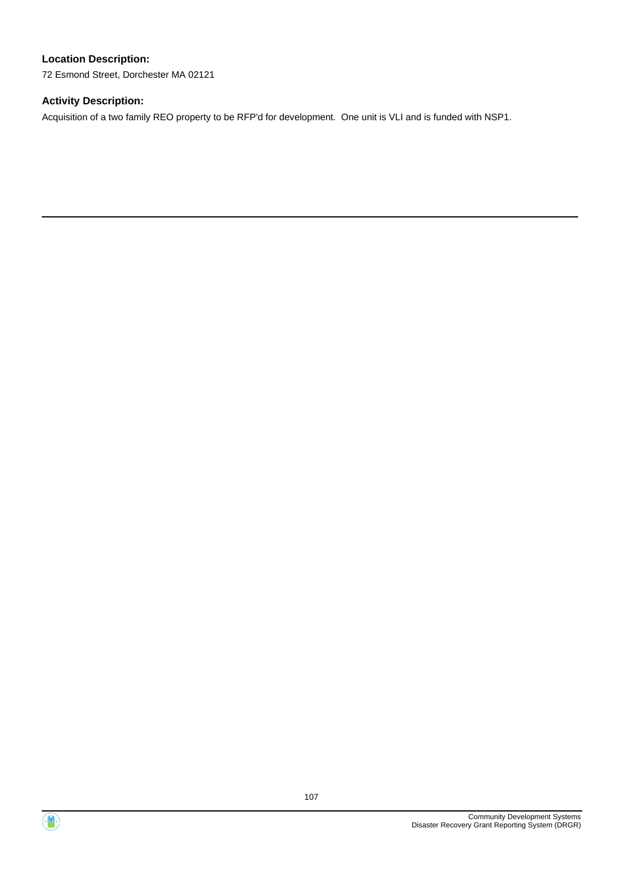72 Esmond Street, Dorchester MA 02121

## **Activity Description:**

Acquisition of a two family REO property to be RFP'd for development. One unit is VLI and is funded with NSP1.



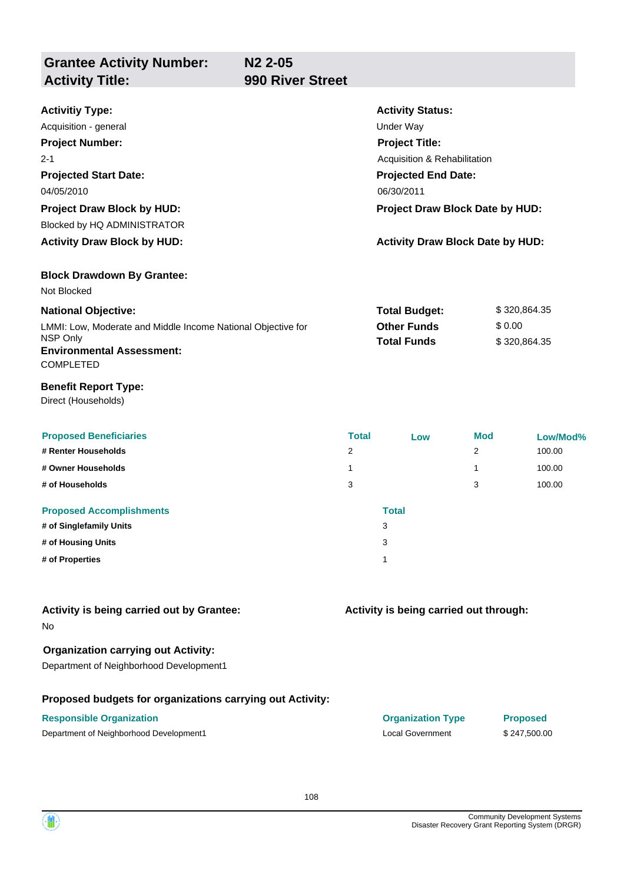**Grantee Activity Number: N2 2-05 Activity Title: 990 River Street**

| <b>Activitiy Type:</b>             | <b>Activity Status:</b>                 |
|------------------------------------|-----------------------------------------|
| Acquisition - general              | Under Way                               |
| <b>Project Number:</b>             | <b>Project Title:</b>                   |
| $2 - 1$                            | Acquisition & Rehabilitation            |
| <b>Projected Start Date:</b>       | <b>Projected End Date:</b>              |
| 04/05/2010                         | 06/30/2011                              |
| <b>Project Draw Block by HUD:</b>  | Project Draw Block Date by HUD:         |
| Blocked by HQ ADMINISTRATOR        |                                         |
| <b>Activity Draw Block by HUD:</b> | <b>Activity Draw Block Date by HUD:</b> |
| <b>Block Drawdown By Grantee:</b>  |                                         |

Not Blocked

| <b>National Objective:</b>                                   | <b>Total Budget:</b> | \$320.864.35 |
|--------------------------------------------------------------|----------------------|--------------|
| LMMI: Low, Moderate and Middle Income National Objective for | <b>Other Funds</b>   | \$0.00       |
| NSP Only                                                     | <b>Total Funds</b>   | \$320.864.35 |
| <b>Environmental Assessment:</b>                             |                      |              |

## COMPLETED

**Benefit Report Type:**

Direct (Households)

| <b>Proposed Beneficiaries</b><br># Renter Households | <b>Total</b><br>2 | Low          | <b>Mod</b><br>$\overline{2}$ | Low/Mod%<br>100.00 |
|------------------------------------------------------|-------------------|--------------|------------------------------|--------------------|
| # Owner Households                                   |                   |              |                              | 100.00             |
| # of Households                                      | 3                 |              | 3                            | 100.00             |
| <b>Proposed Accomplishments</b>                      |                   | <b>Total</b> |                              |                    |
| # of Singlefamily Units                              |                   | 3            |                              |                    |
| # of Housing Units                                   |                   | 3            |                              |                    |
| # of Properties                                      |                   | ٠            |                              |                    |

## No **Activity is being carried out by Grantee:**

# **Organization carrying out Activity:**

Department of Neighborhood Development1

## **Proposed budgets for organizations carrying out Activity:**

### **Responsible Organization Organization Type Proposed**

Department of Neighborhood Development1 Local Government \$ 247,500.00

**Activity is being carried out through:**

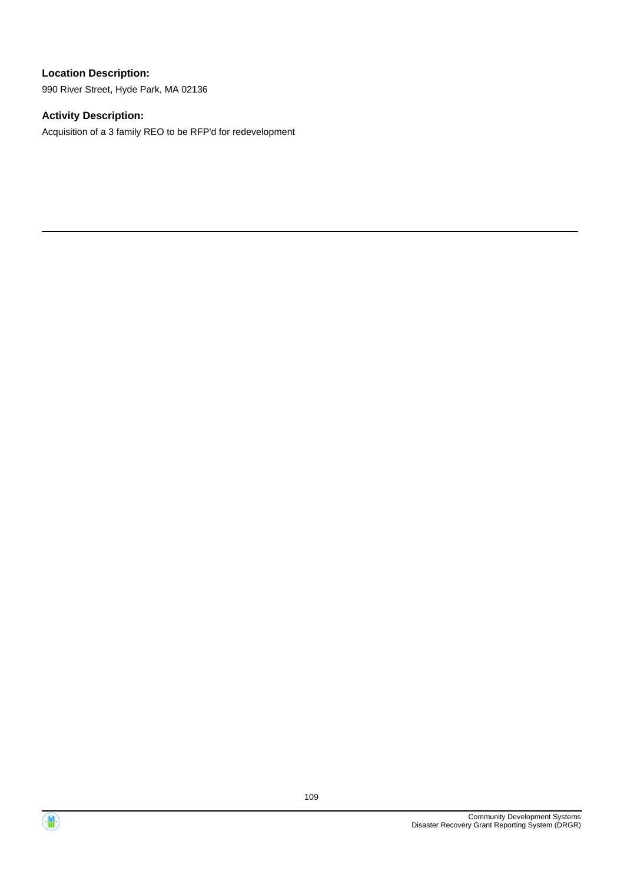990 River Street, Hyde Park, MA 02136

# **Activity Description:**

Acquisition of a 3 family REO to be RFP'd for redevelopment



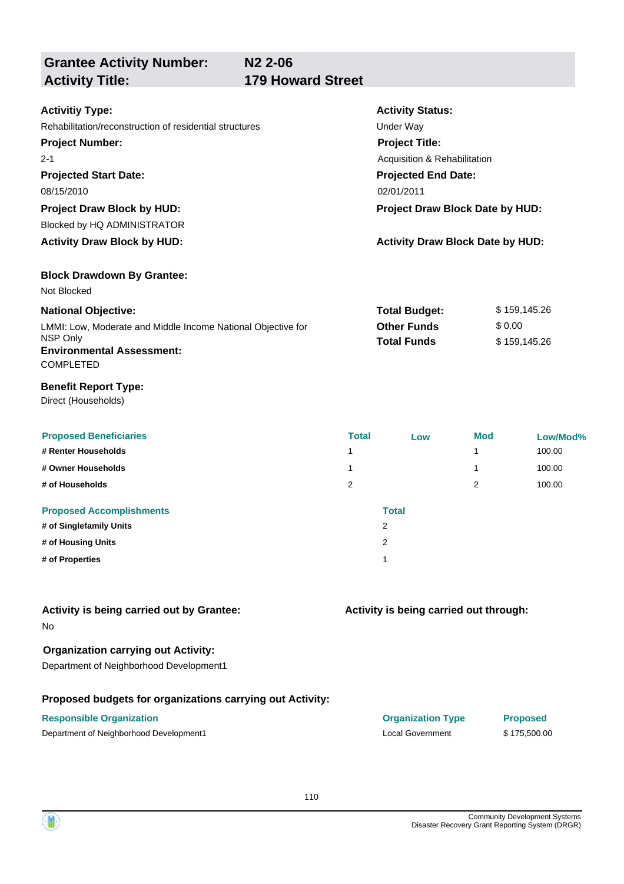**Grantee Activity Number: Projected Start Date:** LMMI: Low, Moderate and Middle Income National Objective for NSP Only **National Objective: Activity Status: Projected End Date: N2 2-06 Activitiy Type:** 08/15/2010 02/01/2011 Rehabilitation/reconstruction of residential structures example of the Under Way **Activity Title: 179 Howard Street Project Number:** 2-1 **Project Title:** Acquisition & Rehabilitation **Total Budget:** \$ 159,145.26 **Other Funds** \$ 0.00 **Total Funds** \$ 159,145.26 **Environmental Assessment:** COMPLETED Direct (Households) **Benefit Report Type: Project Draw Block by HUD: Project Draw Block Date by HUD:** Blocked by HQ ADMINISTRATOR **Activity Draw Block by HUD: Activity Draw Block Date by HUD: Block Drawdown By Grantee:** Not Blocked

| <b>Proposed Beneficiaries</b>   | <b>Total</b> | Low          | Mod            | Low/Mod% |
|---------------------------------|--------------|--------------|----------------|----------|
| # Renter Households             | 1            |              | 1              | 100.00   |
| # Owner Households              | 1            |              | $\overline{ }$ | 100.00   |
| # of Households                 | 2            |              | 2              | 100.00   |
| <b>Proposed Accomplishments</b> |              | <b>Total</b> |                |          |
| # of Singlefamily Units         |              | 2            |                |          |
| # of Housing Units              |              | 2            |                |          |
| # of Properties                 |              | ۸            |                |          |

# No **Activity is being carried out by Grantee:**

# **Organization carrying out Activity:**

Department of Neighborhood Development1

# **Proposed budgets for organizations carrying out Activity:**

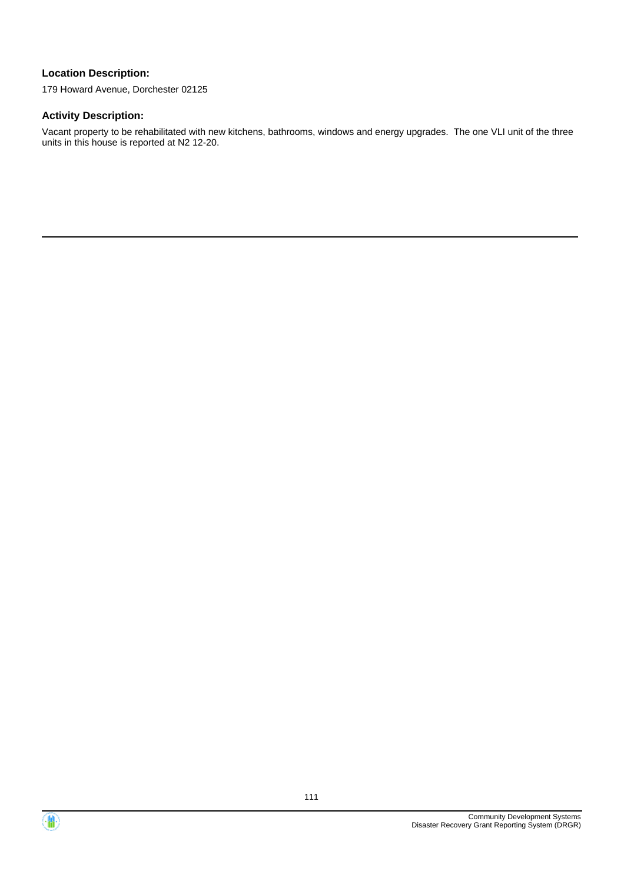179 Howard Avenue, Dorchester 02125

#### **Activity Description:**

Vacant property to be rehabilitated with new kitchens, bathrooms, windows and energy upgrades. The one VLI unit of the three units in this house is reported at N2 12-20.



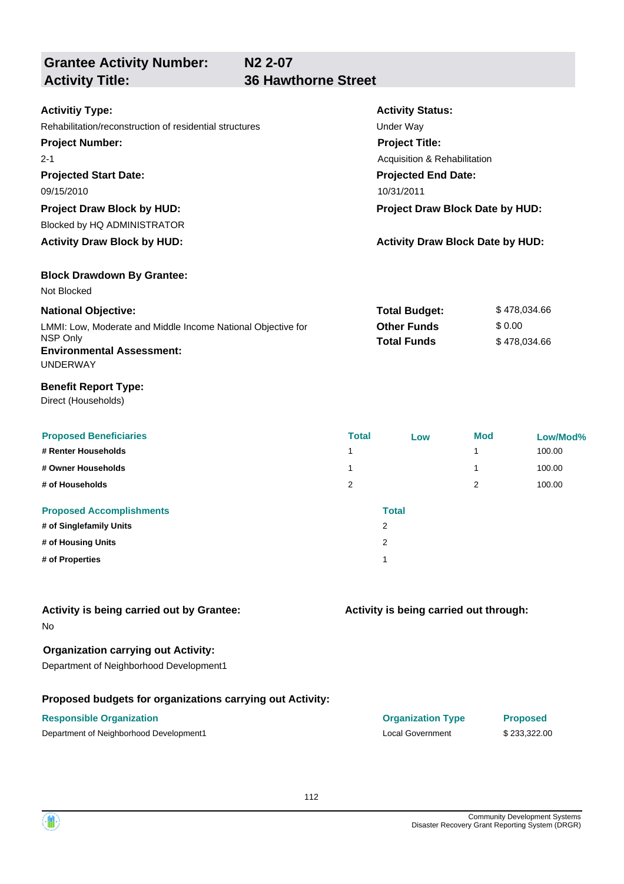**Grantee Activity Number: Projected Start Date:** LMMI: Low, Moderate and Middle Income National Objective for NSP Only **National Objective: Activity Status: Projected End Date: N2 2-07 Activitiy Type:** 09/15/2010 10/31/2011 Rehabilitation/reconstruction of residential structures Theorem Constructure Under Way **Activity Title: 36 Hawthorne Street Project Number:** 2-1 **Project Title:** Acquisition & Rehabilitation **Total Budget:** \$ 478,034.66 **Other Funds** \$ 0.00 **Total Funds** \$ 478,034.66 **Environmental Assessment:** UNDERWAY **Benefit Report Type: Project Draw Block by HUD: Project Draw Block Date by HUD:** Blocked by HQ ADMINISTRATOR **Activity Draw Block by HUD: Activity Draw Block Date by HUD: Block Drawdown By Grantee:** Not Blocked

Direct (Households)

| <b>Proposed Beneficiaries</b><br># Renter Households<br># Owner Households<br># of Households | <b>Total</b><br>4<br>1<br>2 | Low               | <b>Mod</b><br>2 | Low/Mod%<br>100.00<br>100.00<br>100.00 |
|-----------------------------------------------------------------------------------------------|-----------------------------|-------------------|-----------------|----------------------------------------|
| <b>Proposed Accomplishments</b><br># of Singlefamily Units                                    |                             | <b>Total</b><br>2 |                 |                                        |
| # of Housing Units                                                                            |                             | 2                 |                 |                                        |
| # of Properties                                                                               |                             |                   |                 |                                        |

# No **Activity is being carried out by Grantee:**

# **Organization carrying out Activity:**

Department of Neighborhood Development1

# **Proposed budgets for organizations carrying out Activity:**

# **Responsible Organization**

Department of Neighborhood Development1

| <b>Organization Type</b> | <b>Proposed</b> |
|--------------------------|-----------------|
| <b>Local Government</b>  | \$233,322,00    |

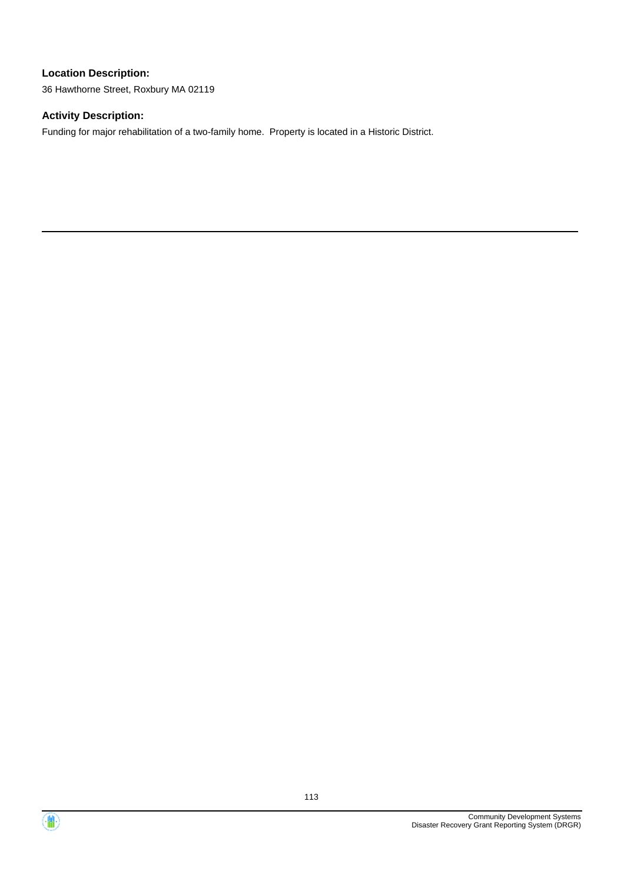36 Hawthorne Street, Roxbury MA 02119

# **Activity Description:**

Funding for major rehabilitation of a two-family home. Property is located in a Historic District.



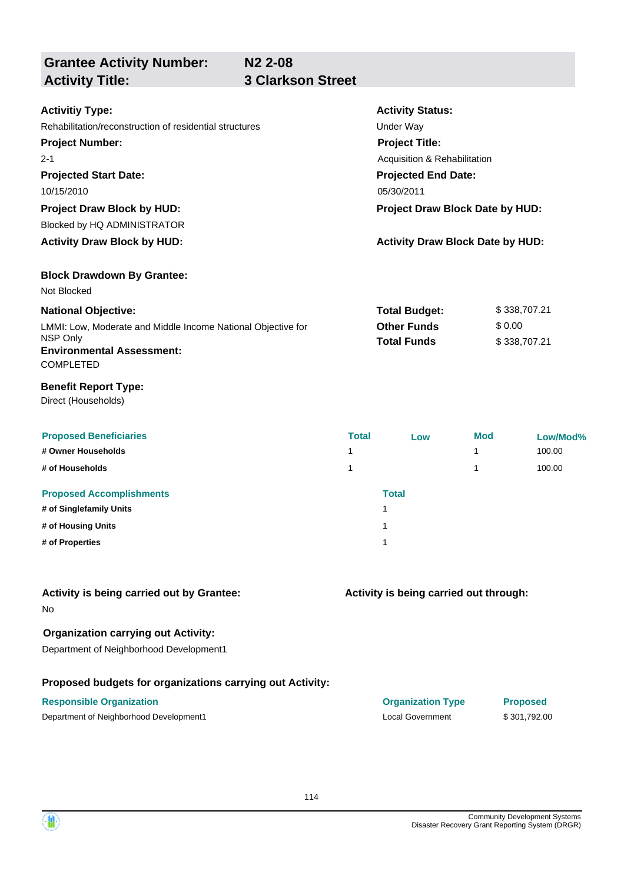**Grantee Activity Number: Projected Start Date:** LMMI: Low, Moderate and Middle Income National Objective for NSP Only **National Objective: Activity Status: Projected End Date: N2 2-08 Activitiy Type:** 10/15/2010 05/30/2011 Rehabilitation/reconstruction of residential structures Theorem Constructure Under Way **Activity Title: 3 Clarkson Street Project Number:** 2-1 **Project Title:** Acquisition & Rehabilitation **Total Budget:** \$ 338,707.21 **Other Funds** \$ 0.00 **Total Funds** \$ 338,707.21 **Environmental Assessment:** COMPLETED **Proposed Beneficiaries Total Low Mod Low/Mod%** Direct (Households) **Benefit Report Type: Project Draw Block by HUD: Project Draw Block Date by HUD:** Blocked by HQ ADMINISTRATOR **Activity Draw Block by HUD: Activity Draw Block Date by HUD: Block Drawdown By Grantee:** Not Blocked

| # Owner Households              |              | 100.00 |
|---------------------------------|--------------|--------|
| # of Households                 |              | 100.00 |
| <b>Proposed Accomplishments</b> | <b>Total</b> |        |
| # of Singlefamily Units         |              |        |
| # of Housing Units              |              |        |
| # of Properties                 |              |        |
|                                 |              |        |

| Activity is being carried out by Grantee:<br>No | Activity is being carried out the |
|-------------------------------------------------|-----------------------------------|
| <b>Organization carrying out Activity:</b>      |                                   |
| Department of Neighborhood Development1         |                                   |

**Proposed budgets for organizations carrying out Activity:**

#### **Responsible Organization Organization Type Proposed**

Department of Neighborhood Development1 Local Government \$ 301,792.00

# hrough:

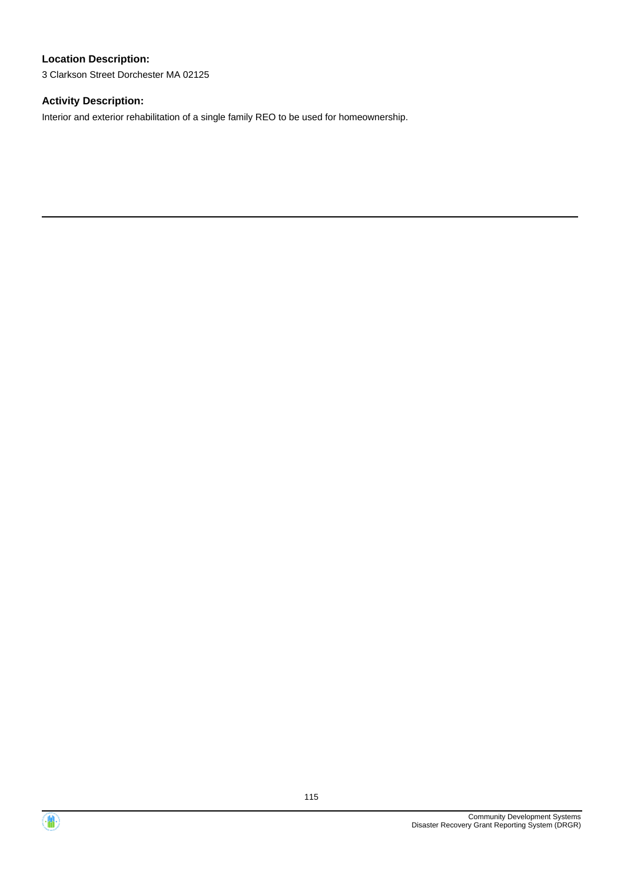3 Clarkson Street Dorchester MA 02125

# **Activity Description:**

Interior and exterior rehabilitation of a single family REO to be used for homeownership.



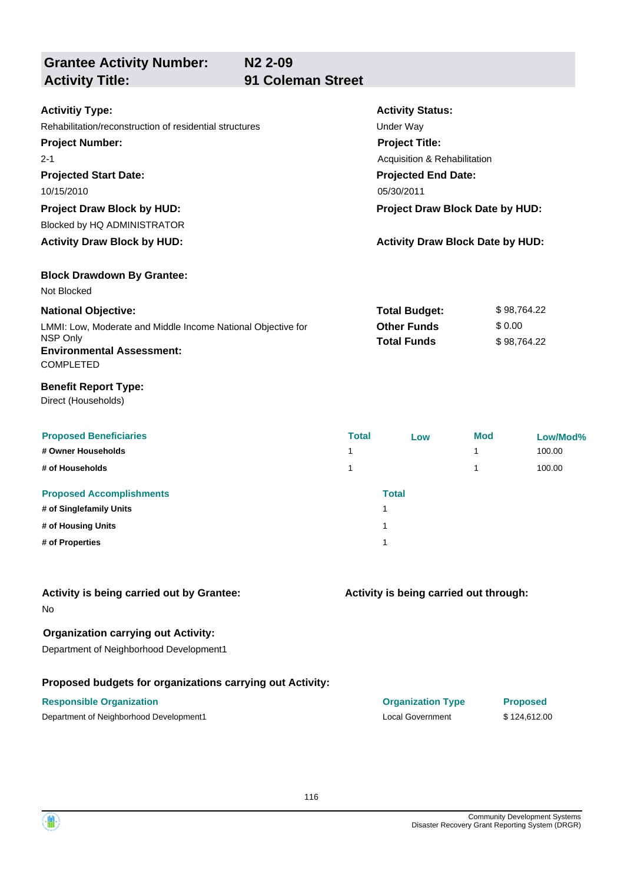**Grantee Activity Number: Projected Start Date:** LMMI: Low, Moderate and Middle Income National Objective for NSP Only **National Objective: Activity Status: Projected End Date: N2 2-09 Activitiy Type:** 10/15/2010 05/30/2011 Rehabilitation/reconstruction of residential structures Theorem Constructure Under Way **Activity Title: 91 Coleman Street Project Number:** 2-1 **Project Title:** Acquisition & Rehabilitation **Total Budget:** \$ 98,764.22 **Other Funds** \$ 0.00 **Total Funds** \$ 98,764.22 **Environmental Assessment:** COMPLETED **Proposed Beneficiaries Total Low Mod Low/Mod% # Owner Households** 1 1 100.00 **# of Households** 1 1 100.00 **Proposed Accomplishments Total # of Singlefamily Units** 1 **# of Housing Units** 1 Direct (Households) **Benefit Report Type: Project Draw Block by HUD: Project Draw Block Date by HUD:** Blocked by HQ ADMINISTRATOR **Activity Draw Block by HUD: Activity Draw Block Date by HUD: Block Drawdown By Grantee:** Not Blocked

| Activity is being carried out by Grantee:  | Activity is being carried out throug |
|--------------------------------------------|--------------------------------------|
| No                                         |                                      |
| <b>Organization carrying out Activity:</b> |                                      |

Department of Neighborhood Development1

#### **Proposed budgets for organizations carrying out Activity:**

**# of Properties** 1

#### **Responsible Organization Organization Type Proposed**

Department of Neighborhood Development1 Local Government \$ 124,612.00

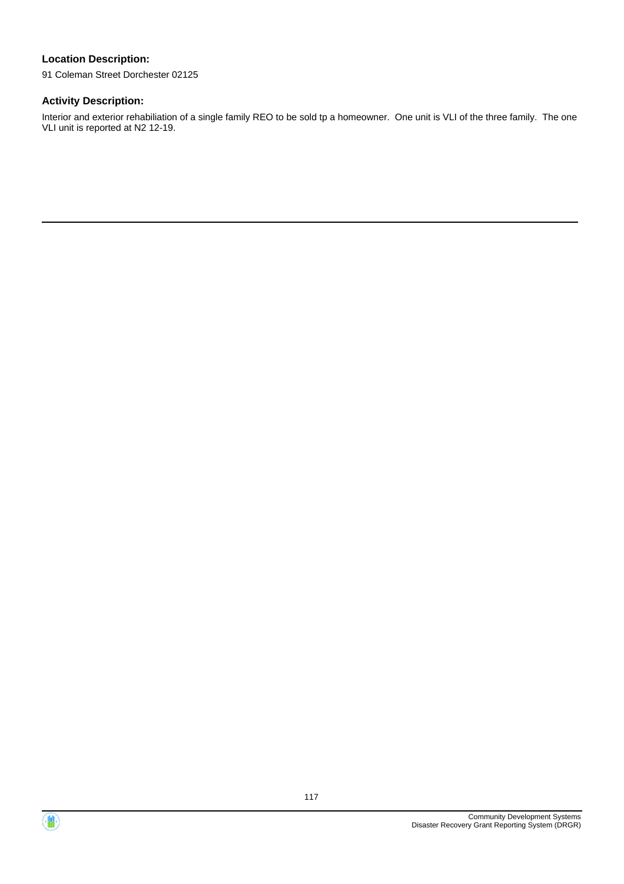91 Coleman Street Dorchester 02125

# **Activity Description:**

Interior and exterior rehabiliation of a single family REO to be sold tp a homeowner. One unit is VLI of the three family. The one VLI unit is reported at N2 12-19.



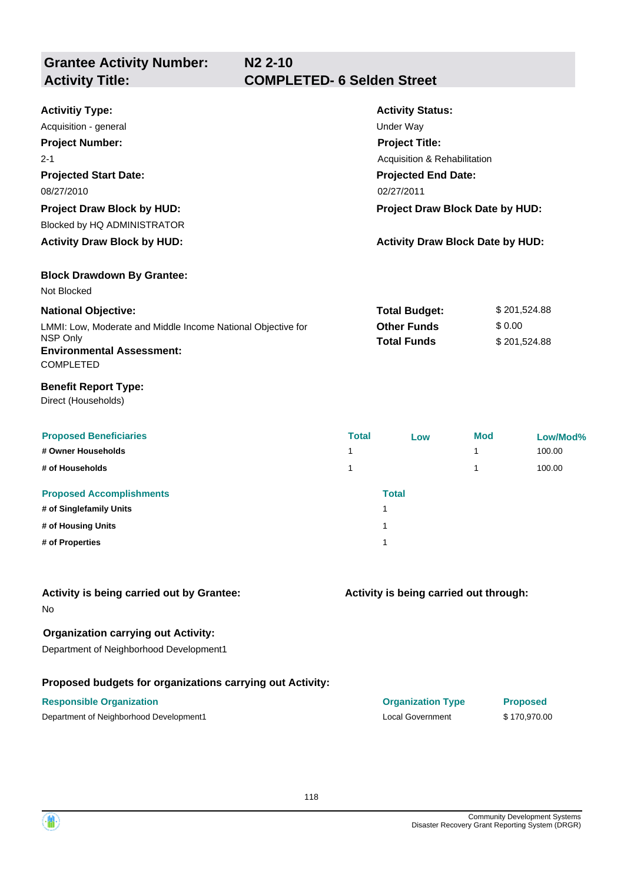**Grantee Activity Number: N2 2-10 Activity Title: COMPLETED- 6 Selden Street**

| <b>Activitiy Type:</b>                                       | <b>Activity Status:</b>                 |              |  |
|--------------------------------------------------------------|-----------------------------------------|--------------|--|
| Acquisition - general                                        | Under Way                               |              |  |
| <b>Project Number:</b>                                       | <b>Project Title:</b>                   |              |  |
| $2 - 1$                                                      | Acquisition & Rehabilitation            |              |  |
| <b>Projected Start Date:</b>                                 | <b>Projected End Date:</b>              |              |  |
| 08/27/2010                                                   | 02/27/2011                              |              |  |
| <b>Project Draw Block by HUD:</b>                            | Project Draw Block Date by HUD:         |              |  |
| Blocked by HQ ADMINISTRATOR                                  |                                         |              |  |
| <b>Activity Draw Block by HUD:</b>                           | <b>Activity Draw Block Date by HUD:</b> |              |  |
| <b>Block Drawdown By Grantee:</b>                            |                                         |              |  |
| Not Blocked                                                  |                                         |              |  |
| <b>National Objective:</b>                                   | <b>Total Budget:</b>                    | \$201,524.88 |  |
| LMMI: Low, Moderate and Middle Income National Objective for | <b>Other Funds</b>                      | \$0.00       |  |
| NSP Only                                                     | <b>Total Funds</b><br>\$201,524.88      |              |  |
| <b>Environmental Assessment:</b>                             |                                         |              |  |

# COMPLETED

Direct (Households) **Benefit Report Type:**

| <b>Total</b> | Low | Mod          | Low/Mod% |
|--------------|-----|--------------|----------|
| 1            |     | 1            | 100.00   |
| 1            |     |              | 100.00   |
|              |     |              |          |
|              |     |              |          |
|              |     |              |          |
|              |     |              |          |
|              |     | <b>Total</b> |          |

|  |  |  |  |  |  | <b>Activity is being carried out by Grantee:</b> |
|--|--|--|--|--|--|--------------------------------------------------|
|--|--|--|--|--|--|--------------------------------------------------|

#### No

#### **Organization carrying out Activity:**

Department of Neighborhood Development1

#### **Proposed budgets for organizations carrying out Activity:**

#### **Responsible Organization Organization Type Proposed**

Department of Neighborhood Development1 Local Government \$ 170,970.00

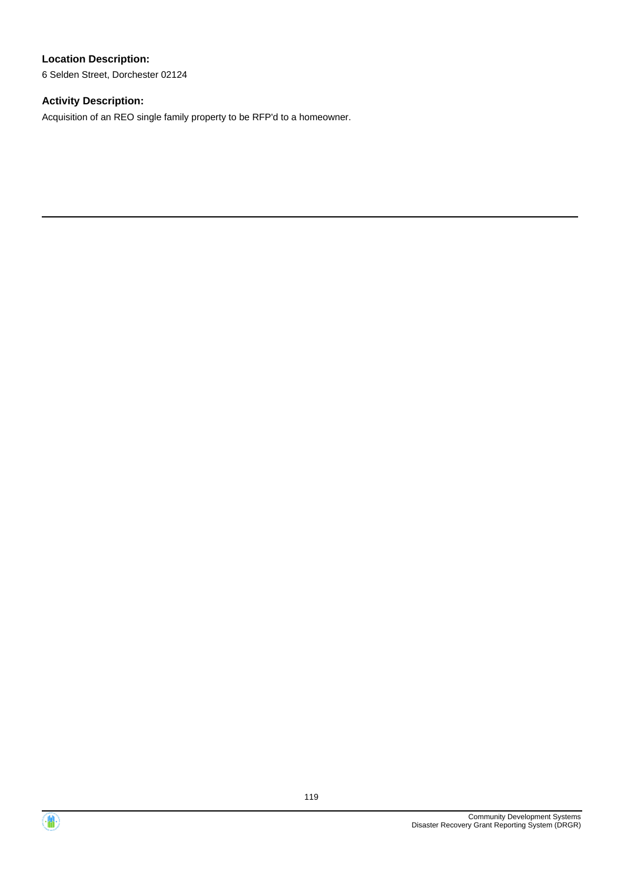6 Selden Street, Dorchester 02124

# **Activity Description:**

Acquisition of an REO single family property to be RFP'd to a homeowner.



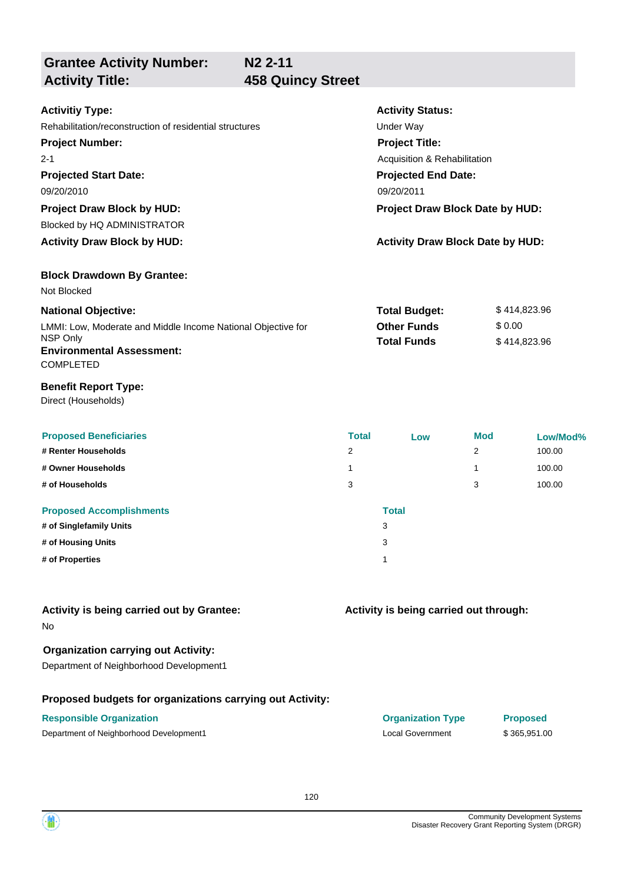**Grantee Activity Number: Activity Status: N2 2-11 Activitiy Type:** Rehabilitation/reconstruction of residential structures Theorem Constructure Under Way **Activity Title: 458 Quincy Street Project Number:** 2-1 **Project Title:** Acquisition & Rehabilitation

**Projected Start Date: Projected End Date:** 09/20/2010 09/20/2011 **Project Draw Block by HUD: Project Draw Block Date by HUD:** Blocked by HQ ADMINISTRATOR **Activity Draw Block by HUD: Activity Draw Block Date by HUD:**

# **Block Drawdown By Grantee:**

Not Blocked

| <b>National Objective:</b>                                   | <b>Total Budget:</b> | \$414.823.96 |
|--------------------------------------------------------------|----------------------|--------------|
| LMMI: Low, Moderate and Middle Income National Objective for | <b>Other Funds</b>   | \$ 0.00      |
| NSP Only                                                     | <b>Total Funds</b>   | \$414.823.96 |
| <b>Environmental Assessment:</b>                             |                      |              |
| <b>COMPLETED</b>                                             |                      |              |

**Benefit Report Type:**

| Direct (Households) |  |
|---------------------|--|
|---------------------|--|

| <b>Proposed Beneficiaries</b><br># Renter Households | <b>Total</b><br>2 | Low          | <b>Mod</b><br>2 | Low/Mod%<br>100.00 |
|------------------------------------------------------|-------------------|--------------|-----------------|--------------------|
| # Owner Households                                   |                   |              |                 | 100.00             |
| # of Households                                      | 3                 |              | 3               | 100.00             |
| <b>Proposed Accomplishments</b>                      |                   | <b>Total</b> |                 |                    |
| # of Singlefamily Units                              |                   | 3            |                 |                    |
| # of Housing Units                                   |                   | 3            |                 |                    |
| # of Properties                                      |                   |              |                 |                    |

# No **Activity is being carried out by Grantee:**

# **Organization carrying out Activity:**

Department of Neighborhood Development1

# **Proposed budgets for organizations carrying out Activity:**

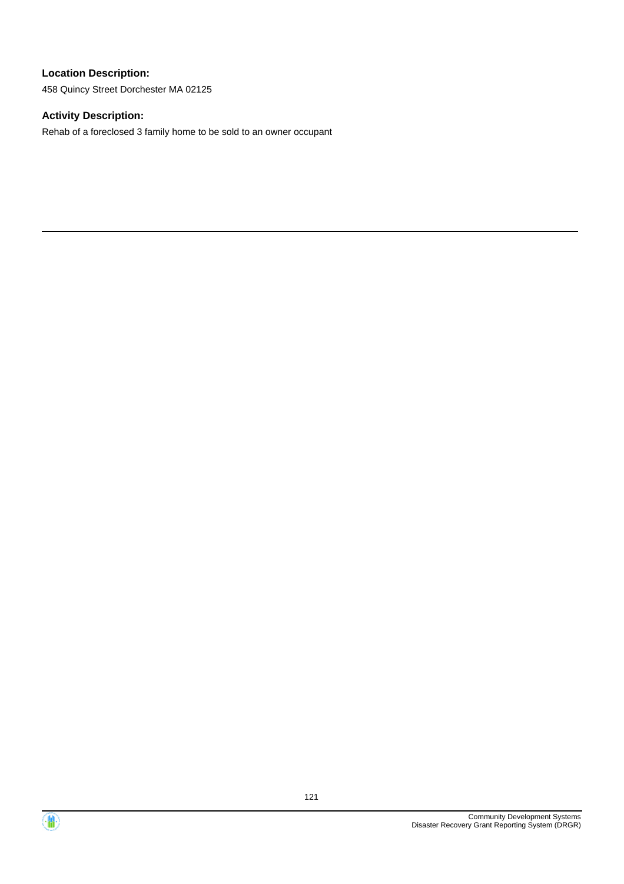458 Quincy Street Dorchester MA 02125

# **Activity Description:**

Rehab of a foreclosed 3 family home to be sold to an owner occupant



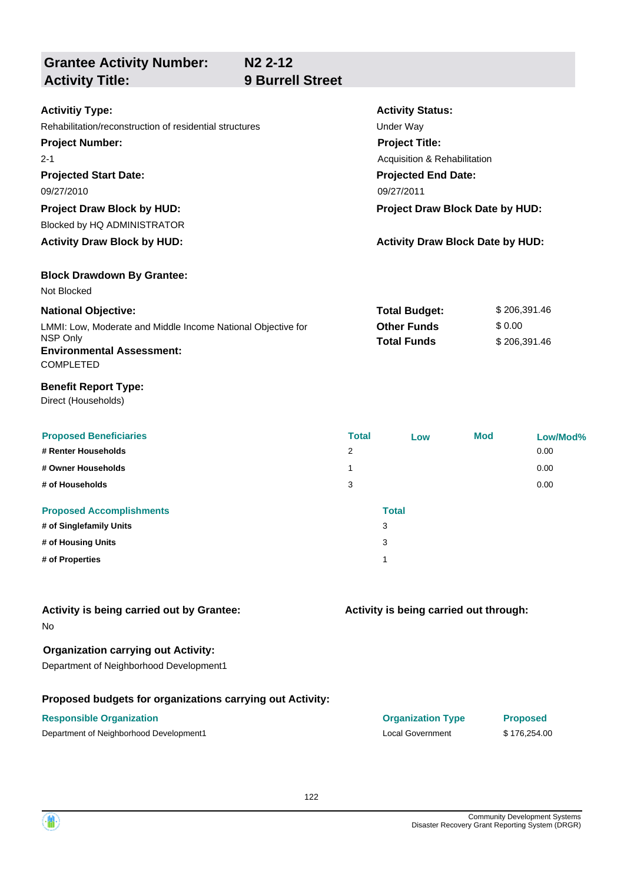**Grantee Activity Number: Projected Start Date:** LMMI: Low, Moderate and Middle Income National Objective for NSP Only **National Objective: Activity Status: Projected End Date: N2 2-12 Activitiy Type:** 09/27/2010 09/27/2011 Rehabilitation/reconstruction of residential structures example of the Under Way **Activity Title: 9 Burrell Street Project Number:** 2-1 **Project Title:** Acquisition & Rehabilitation **Total Budget:** \$ 206,391.46 **Other Funds** \$ 0.00 **Total Funds** \$ 206,391.46 **Environmental Assessment:** COMPLETED **Project Draw Block by HUD: Project Draw Block Date by HUD:** Blocked by HQ ADMINISTRATOR **Activity Draw Block by HUD: Activity Draw Block Date by HUD: Block Drawdown By Grantee:** Not Blocked

# **Benefit Report Type:**

Direct (Households)

| <b>Proposed Beneficiaries</b><br># Renter Households<br># Owner Households<br># of Households | <b>Total</b><br>2<br>1<br>3 | Low               | <b>Mod</b> | Low/Mod%<br>0.00<br>0.00<br>0.00 |
|-----------------------------------------------------------------------------------------------|-----------------------------|-------------------|------------|----------------------------------|
| <b>Proposed Accomplishments</b><br># of Singlefamily Units                                    |                             | <b>Total</b><br>3 |            |                                  |
| # of Housing Units                                                                            |                             | 3                 |            |                                  |
| # of Properties                                                                               |                             | 1                 |            |                                  |

# No **Activity is being carried out by Grantee:**

# **Organization carrying out Activity:**

Department of Neighborhood Development1

# **Proposed budgets for organizations carrying out Activity:**

### **Responsible Organization Organization Type Proposed**

Department of Neighborhood Development1 Local Government \$ 176,254.00

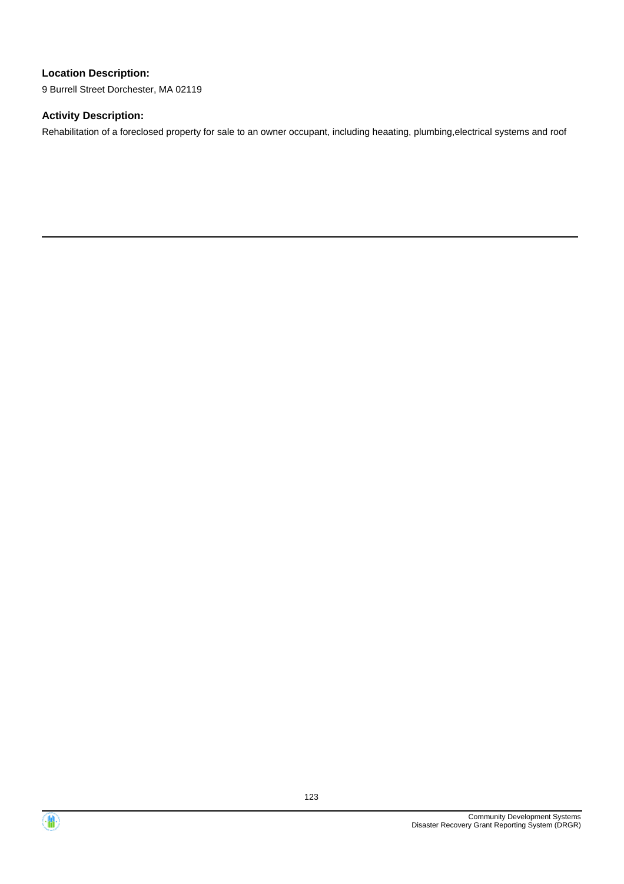9 Burrell Street Dorchester, MA 02119

# **Activity Description:**

Rehabilitation of a foreclosed property for sale to an owner occupant, including heaating, plumbing,electrical systems and roof



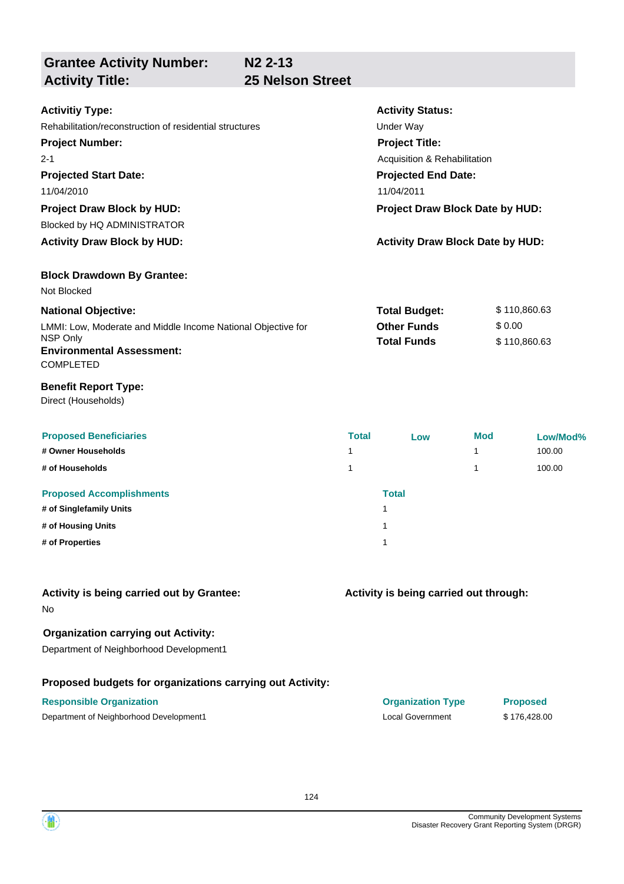**Grantee Activity Number: Projected Start Date:** LMMI: Low, Moderate and Middle Income National Objective for NSP Only **National Objective: Activity Status: Projected End Date: N2 2-13 Activitiy Type:** 11/04/2010 11/04/2011 Rehabilitation/reconstruction of residential structures Theorem Constructure Under Way **Activity Title: 25 Nelson Street Project Number:** 2-1 **Project Title:** Acquisition & Rehabilitation **Total Budget:** \$ 110,860.63 **Other Funds** \$ 0.00 **Total Funds** \$ 110,860.63 **Environmental Assessment:** COMPLETED **Project Draw Block by HUD: Project Draw Block Date by HUD:** Blocked by HQ ADMINISTRATOR **Activity Draw Block by HUD: Activity Draw Block Date by HUD: Block Drawdown By Grantee:** Not Blocked

**Proposed Beneficiaries Total Low Mod Low/Mod% # Owner Households** 1 1 100.00 **# of Households** 1 1 100.00 **Proposed Accomplishments Total # of Singlefamily Units** 1 **# of Housing Units** 1 **# of Properties** 1

| Activity is being carried out by Grantee:<br><b>No</b>                                | Activity is being carried out through: |
|---------------------------------------------------------------------------------------|----------------------------------------|
| <b>Organization carrying out Activity:</b><br>Department of Neighborhood Development1 |                                        |
| Proposed budgets for organizations carrying out Activity:                             |                                        |

|  | <b>Responsible Organization</b> |
|--|---------------------------------|
|--|---------------------------------|

Direct (Households) **Benefit Report Type:**

Department of Neighborhood Development1 Local Government \$ 176,428.00

**Responsible Organization Organization Type Proposed**

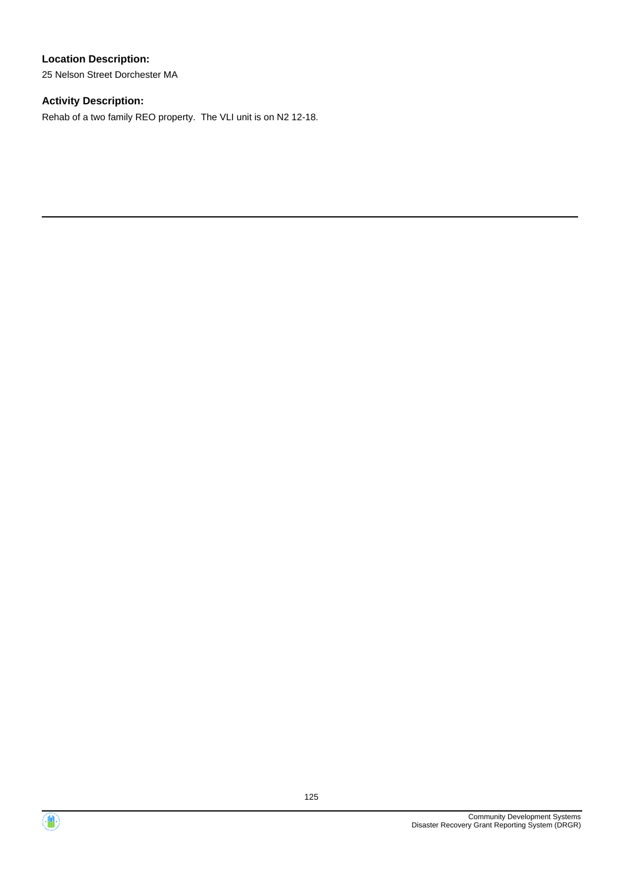25 Nelson Street Dorchester MA

# **Activity Description:**

Rehab of a two family REO property. The VLI unit is on N2 12-18.



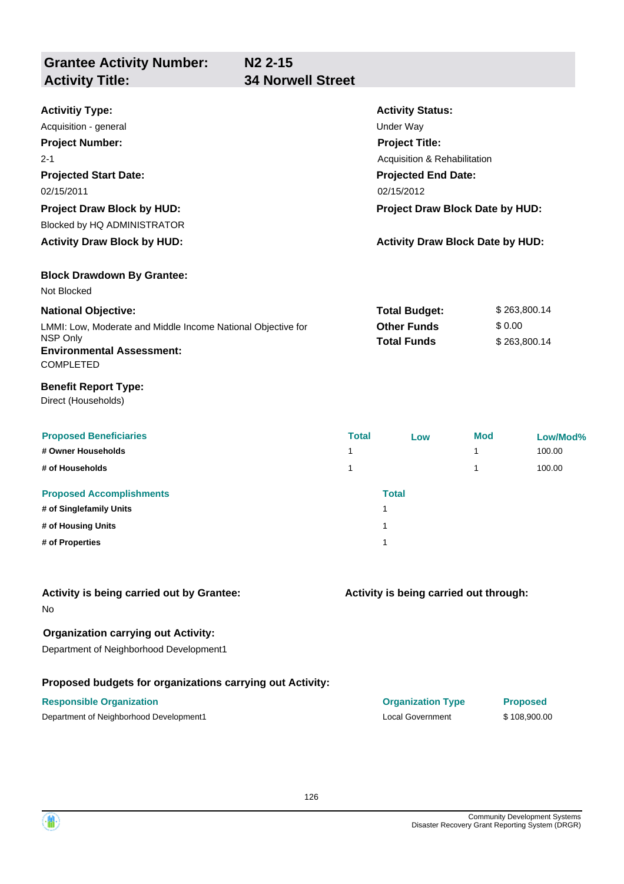**Grantee Activity Number: N2 2-15**

**34 Norwell Street** 

| <b>Activitiy Type:</b>                                       |              | <b>Activity Status:</b><br><b>Under Way</b><br><b>Project Title:</b> |            |                 |  |  |
|--------------------------------------------------------------|--------------|----------------------------------------------------------------------|------------|-----------------|--|--|
| Acquisition - general                                        |              |                                                                      |            |                 |  |  |
| <b>Project Number:</b>                                       |              |                                                                      |            |                 |  |  |
| 2-1                                                          |              | Acquisition & Rehabilitation                                         |            |                 |  |  |
| <b>Projected Start Date:</b>                                 |              | <b>Projected End Date:</b>                                           |            |                 |  |  |
| 02/15/2011                                                   |              | 02/15/2012                                                           |            |                 |  |  |
| <b>Project Draw Block by HUD:</b>                            |              | Project Draw Block Date by HUD:                                      |            |                 |  |  |
| Blocked by HQ ADMINISTRATOR                                  |              |                                                                      |            |                 |  |  |
| <b>Activity Draw Block by HUD:</b>                           |              | <b>Activity Draw Block Date by HUD:</b>                              |            |                 |  |  |
| <b>Block Drawdown By Grantee:</b>                            |              |                                                                      |            |                 |  |  |
| Not Blocked                                                  |              |                                                                      |            |                 |  |  |
| <b>National Objective:</b>                                   |              | <b>Total Budget:</b>                                                 |            | \$263,800.14    |  |  |
| LMMI: Low, Moderate and Middle Income National Objective for |              | <b>Other Funds</b>                                                   |            | \$0.00          |  |  |
| NSP Only                                                     |              | <b>Total Funds</b>                                                   |            | \$263,800.14    |  |  |
| <b>Environmental Assessment:</b><br><b>COMPLETED</b>         |              |                                                                      |            |                 |  |  |
| <b>Benefit Report Type:</b><br>Direct (Households)           |              |                                                                      |            |                 |  |  |
| <b>Proposed Beneficiaries</b>                                | <b>Total</b> | Low                                                                  | <b>Mod</b> | Low/Mod%        |  |  |
| # Owner Households                                           | 1            |                                                                      | 1          | 100.00          |  |  |
| # of Households                                              | 1            |                                                                      | 1          | 100.00          |  |  |
| <b>Proposed Accomplishments</b>                              |              | <b>Total</b>                                                         |            |                 |  |  |
| # of Singlefamily Units                                      |              | 1                                                                    |            |                 |  |  |
| # of Housing Units                                           |              | 1                                                                    |            |                 |  |  |
| # of Properties                                              |              | 1                                                                    |            |                 |  |  |
| Activity is being carried out by Grantee:<br>No              |              | Activity is being carried out through:                               |            |                 |  |  |
| <b>Organization carrying out Activity:</b>                   |              |                                                                      |            |                 |  |  |
| Department of Neighborhood Development1                      |              |                                                                      |            |                 |  |  |
| Proposed budgets for organizations carrying out Activity:    |              |                                                                      |            |                 |  |  |
| <b>Responsible Organization</b>                              |              | <b>Organization Type</b>                                             |            | <b>Proposed</b> |  |  |
| Department of Neighborhood Development1                      |              | <b>Local Government</b>                                              |            | \$108,900.00    |  |  |
|                                                              |              |                                                                      |            |                 |  |  |

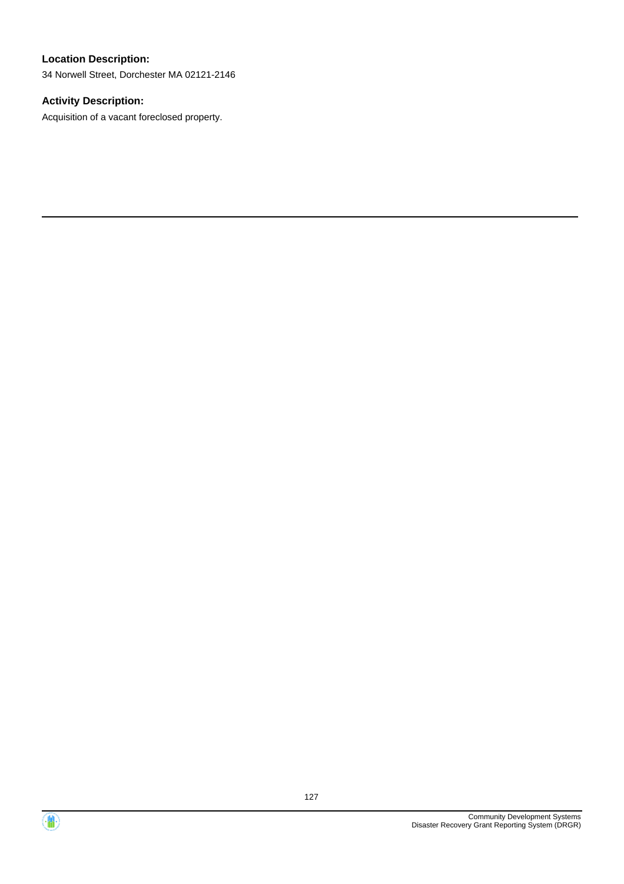34 Norwell Street, Dorchester MA 02121-2146

# **Activity Description:**

Acquisition of a vacant foreclosed property.



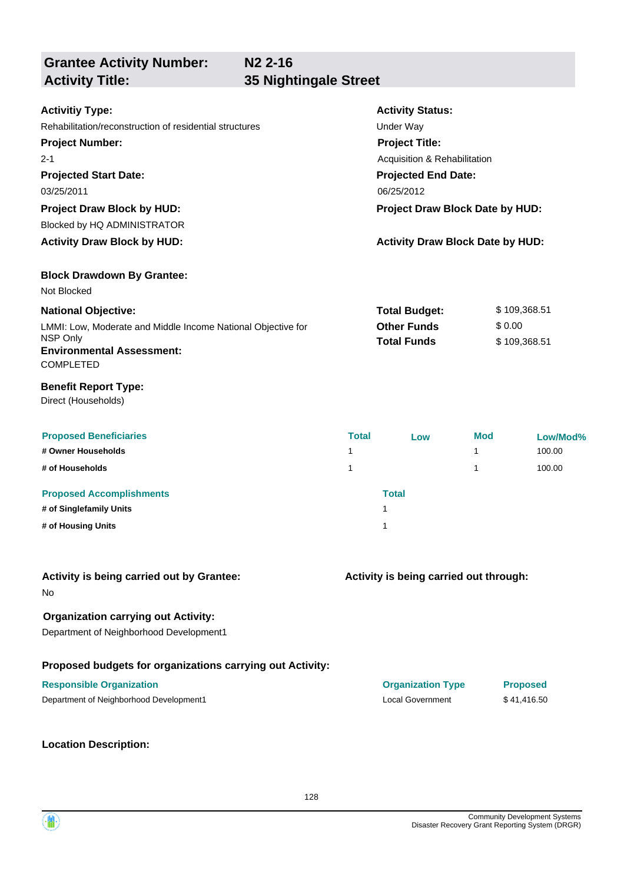**Grantee Activity Number: Projected Start Date:** LMMI: Low, Moderate and Middle Income National Objective for NSP Only **National Objective: Activity Status: Projected End Date: N2 2-16 Activitiy Type:** 03/25/2011 06/25/2012 Rehabilitation/reconstruction of residential structures Theorem Constructure Under Way **Activity Title: 35 Nightingale Street Project Number:** 2-1 **Project Title:** Acquisition & Rehabilitation **Total Budget:** \$ 109,368.51 **Other Funds** \$ 0.00 **Total Funds** \$ 109,368.51 **Environmental Assessment:** COMPLETED Direct (Households) **Benefit Report Type: Project Draw Block by HUD: Project Draw Block Date by HUD:** Blocked by HQ ADMINISTRATOR **Activity Draw Block by HUD: Activity Draw Block Date by HUD: Block Drawdown By Grantee:** Not Blocked

| <b>Proposed Beneficiaries</b>   | <b>Total</b> | Low          | <b>Mod</b> | Low/Mod% |
|---------------------------------|--------------|--------------|------------|----------|
| # Owner Households              |              |              |            | 100.00   |
| # of Households                 |              |              |            | 100.00   |
| <b>Proposed Accomplishments</b> |              | <b>Total</b> |            |          |
| # of Singlefamily Units         |              |              |            |          |
| # of Housing Units              |              |              |            |          |

| Activity is being carried out by Grantee:<br><b>No</b>    | Activity is being carried out through: |                 |  |  |
|-----------------------------------------------------------|----------------------------------------|-----------------|--|--|
| <b>Organization carrying out Activity:</b>                |                                        |                 |  |  |
| Department of Neighborhood Development1                   |                                        |                 |  |  |
| Proposed budgets for organizations carrying out Activity: |                                        |                 |  |  |
| <b>Responsible Organization</b>                           | <b>Organization Type</b>               | <b>Proposed</b> |  |  |
| Department of Neighborhood Development1                   | Local Government                       | \$41.416.50     |  |  |
|                                                           |                                        |                 |  |  |

#### **Location Description:**

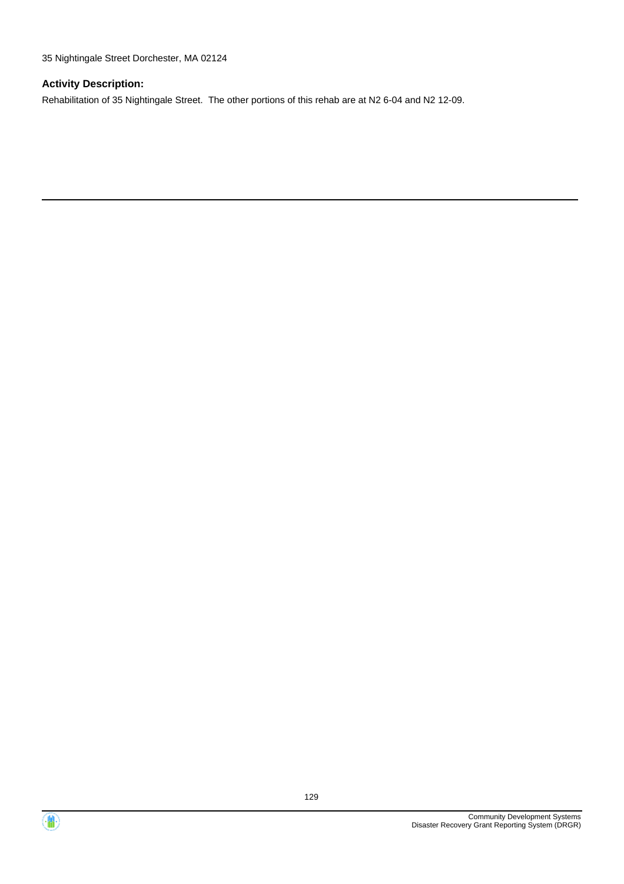35 Nightingale Street Dorchester, MA 02124

# **Activity Description:**

Rehabilitation of 35 Nightingale Street. The other portions of this rehab are at N2 6-04 and N2 12-09.



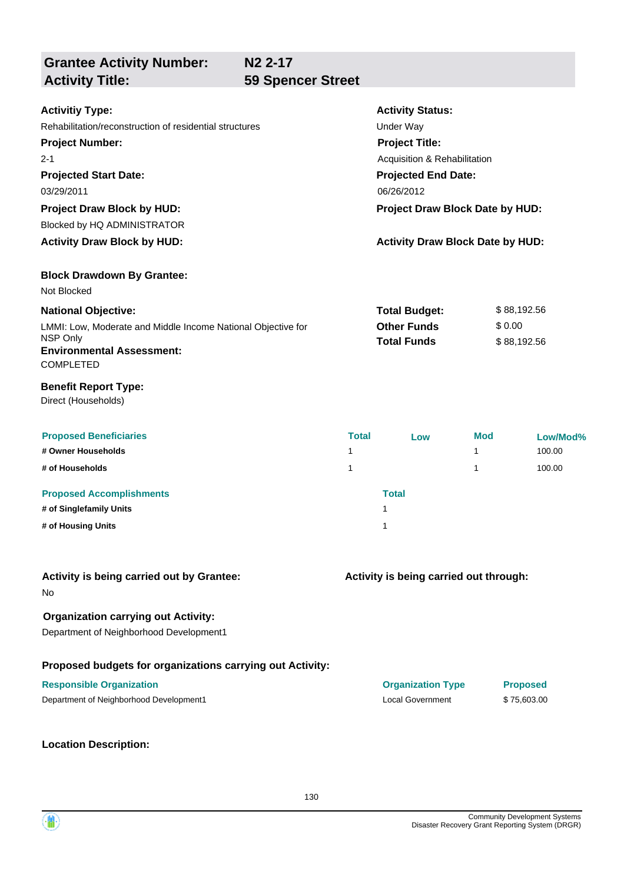**Grantee Activity Number: Projected Start Date:** LMMI: Low, Moderate and Middle Income National Objective for NSP Only **National Objective: Activity Status: Projected End Date: N2 2-17 Activitiy Type:** 03/29/2011 06/26/2012 Rehabilitation/reconstruction of residential structures example of the Under Way **Activity Title: 59 Spencer Street Project Number:** 2-1 **Project Title:** Acquisition & Rehabilitation **Total Budget:** \$ 88,192.56 **Other Funds** \$ 0.00 **Total Funds** \$ 88,192.56 **Environmental Assessment:** COMPLETED **Proposed Beneficiaries Total Low Mod Low/Mod% # Owner Households** 1 1 100.00 **# of Households** 1 1 100.00 **Proposed Accomplishments Total # of Singlefamily Units** 1 Direct (Households) **Benefit Report Type: Project Draw Block by HUD: Project Draw Block Date by HUD:** Blocked by HQ ADMINISTRATOR **Activity Draw Block by HUD: Activity Draw Block Date by HUD: Block Drawdown By Grantee:** Not Blocked

**# of Housing Units** 1

No **Activity is being carried out by Grantee:**

# **Organization carrying out Activity:**

Department of Neighborhood Development1

# **Proposed budgets for organizations carrying out Activity:**

#### **Responsible Organization Organization Type Proposed** Department of Neighborhood Development1 and the community of Neighborhood Development \$ 75,603.00

# **Location Description:**

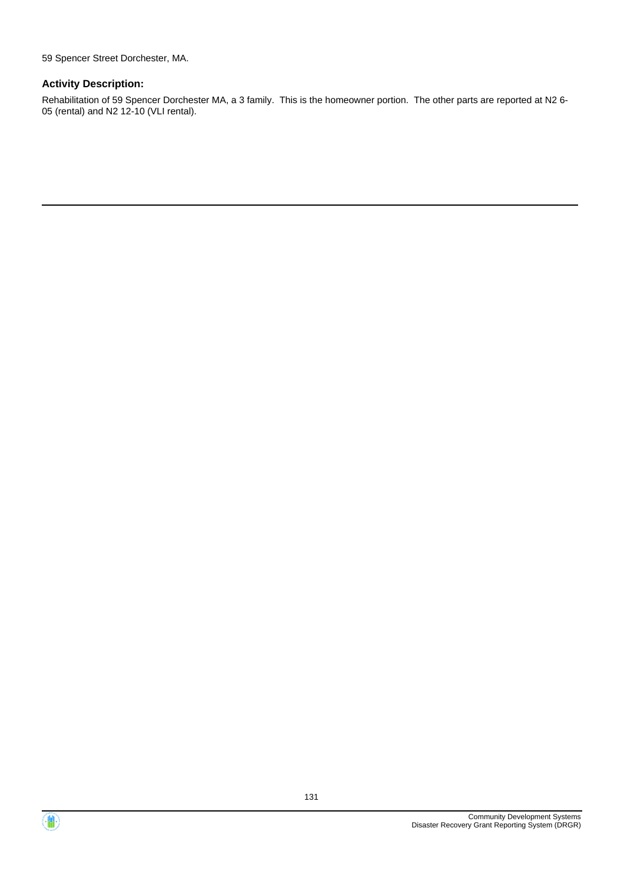59 Spencer Street Dorchester, MA.

#### **Activity Description:**

Rehabilitation of 59 Spencer Dorchester MA, a 3 family. This is the homeowner portion. The other parts are reported at N2 6- 05 (rental) and N2 12-10 (VLI rental).



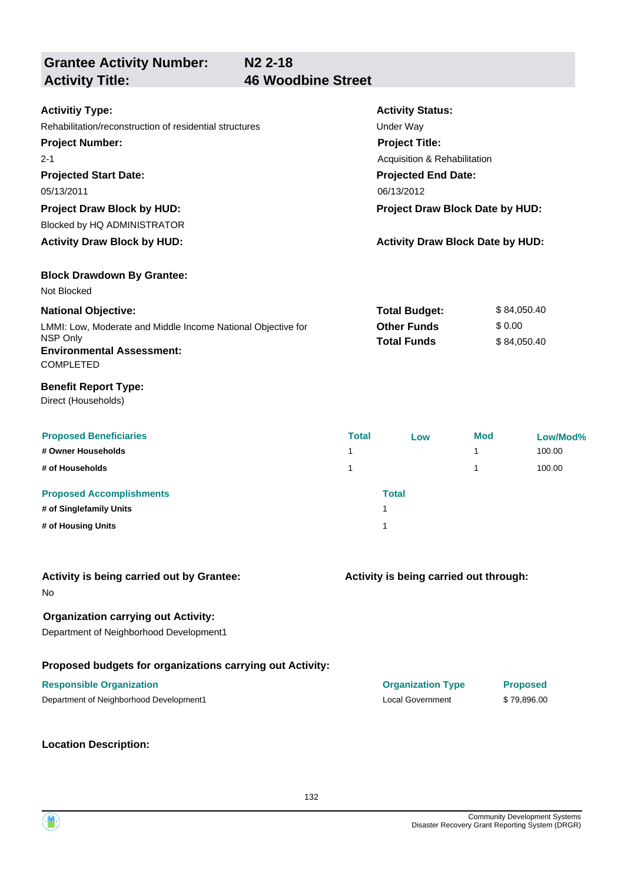**Grantee Activity Number: Projected Start Date:** LMMI: Low, Moderate and Middle Income National Objective for NSP Only **National Objective: Activity Status: Projected End Date: N2 2-18 Activitiy Type:** 05/13/2011 06/13/2012 Rehabilitation/reconstruction of residential structures Theorem Constructure Under Way **Activity Title: 46 Woodbine Street Project Number:** 2-1 **Project Title:** Acquisition & Rehabilitation **Total Budget:** \$ 84,050.40 **Other Funds** \$ 0.00 **Total Funds** \$ 84,050.40 **Environmental Assessment:** COMPLETED **Project Draw Block by HUD: Project Draw Block Date by HUD:** Blocked by HQ ADMINISTRATOR **Activity Draw Block by HUD: Activity Draw Block Date by HUD: Block Drawdown By Grantee:** Not Blocked

Direct (Households) **Benefit Report Type:**

| <b>Proposed Beneficiaries</b>   | <b>Total</b> | Low          | <b>Mod</b> | Low/Mod% |
|---------------------------------|--------------|--------------|------------|----------|
| # Owner Households              | 4            |              |            | 100.00   |
| # of Households                 |              |              |            | 100.00   |
| <b>Proposed Accomplishments</b> |              | <b>Total</b> |            |          |
| # of Singlefamily Units         |              |              |            |          |
| # of Housing Units              |              |              |            |          |
|                                 |              |              |            |          |

| Activity is being carried out by Grantee: |  |  |
|-------------------------------------------|--|--|
| No                                        |  |  |

# **Organization carrying out Activity:**

Department of Neighborhood Development1

# **Proposed budgets for organizations carrying out Activity:**

# **Responsible Organization Organization Type Proposed** Department of Neighborhood Development1 and the community of Neighborhood Development \$ 79,896.00

# **Location Description:**

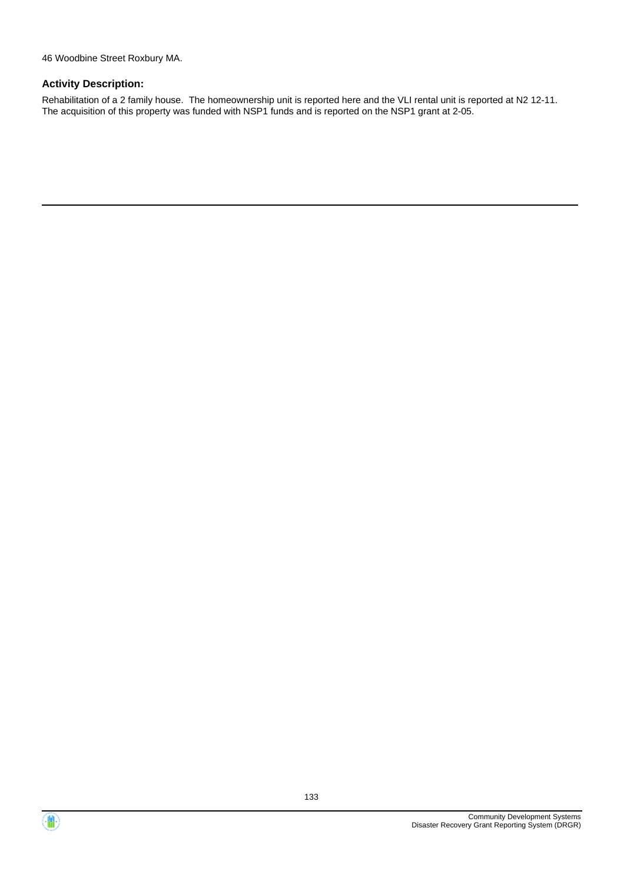46 Woodbine Street Roxbury MA.

#### **Activity Description:**

Rehabilitation of a 2 family house. The homeownership unit is reported here and the VLI rental unit is reported at N2 12-11. The acquisition of this property was funded with NSP1 funds and is reported on the NSP1 grant at 2-05.



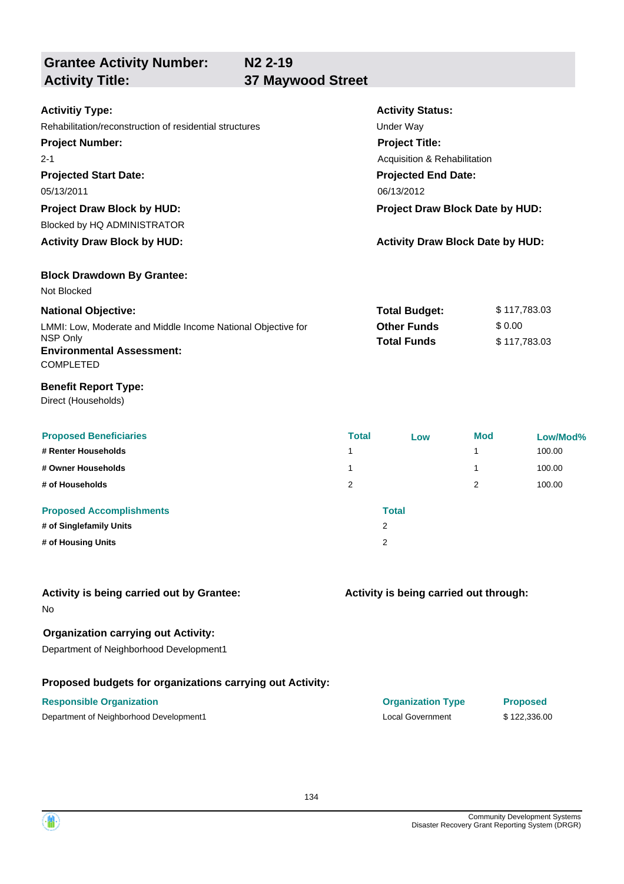**Grantee Activity Number: Projected Start Date:** LMMI: Low, Moderate and Middle Income National Objective for NSP Only **National Objective: Activity Status: Projected End Date: N2 2-19 Activitiy Type:** 05/13/2011 06/13/2012 Rehabilitation/reconstruction of residential structures Theorem Constructure Under Way **Activity Title: 37 Maywood Street Project Number:** 2-1 **Project Title:** Acquisition & Rehabilitation **Total Budget:** \$ 117,783.03 **Other Funds** \$ 0.00 **Total Funds** \$ 117,783.03 **Environmental Assessment: Project Draw Block by HUD: Project Draw Block Date by HUD:** Blocked by HQ ADMINISTRATOR **Activity Draw Block by HUD: Activity Draw Block Date by HUD: Block Drawdown By Grantee:** Not Blocked

# COMPLETED

**Benefit Report Type:**

Direct (Households)

| <b>Proposed Beneficiaries</b>   | <b>Total</b> | Low          | <b>Mod</b> | Low/Mod% |
|---------------------------------|--------------|--------------|------------|----------|
| # Renter Households             | 4            |              |            | 100.00   |
| # Owner Households              | 4            |              |            | 100.00   |
| # of Households                 | 2            |              | 2          | 100.00   |
| <b>Proposed Accomplishments</b> |              | <b>Total</b> |            |          |
| # of Singlefamily Units         |              | 2            |            |          |
| # of Housing Units              |              | 2            |            |          |
|                                 |              |              |            |          |

| <b>Activity is being carried out by Grantee:</b> |  |  |
|--------------------------------------------------|--|--|
|                                                  |  |  |

#### No

#### **Organization carrying out Activity:**

Department of Neighborhood Development1

#### **Proposed budgets for organizations carrying out Activity:**

#### **Responsible Organization Organization Type Proposed**

Department of Neighborhood Development1 Local Government \$ 122,336.00

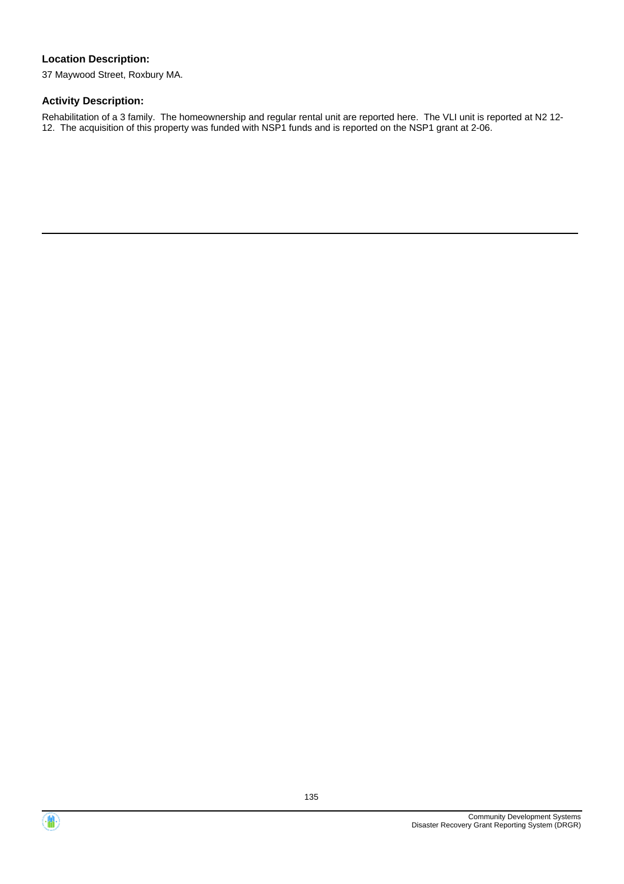37 Maywood Street, Roxbury MA.

# **Activity Description:**

Rehabilitation of a 3 family. The homeownership and regular rental unit are reported here. The VLI unit is reported at N2 12- 12. The acquisition of this property was funded with NSP1 funds and is reported on the NSP1 grant at 2-06.



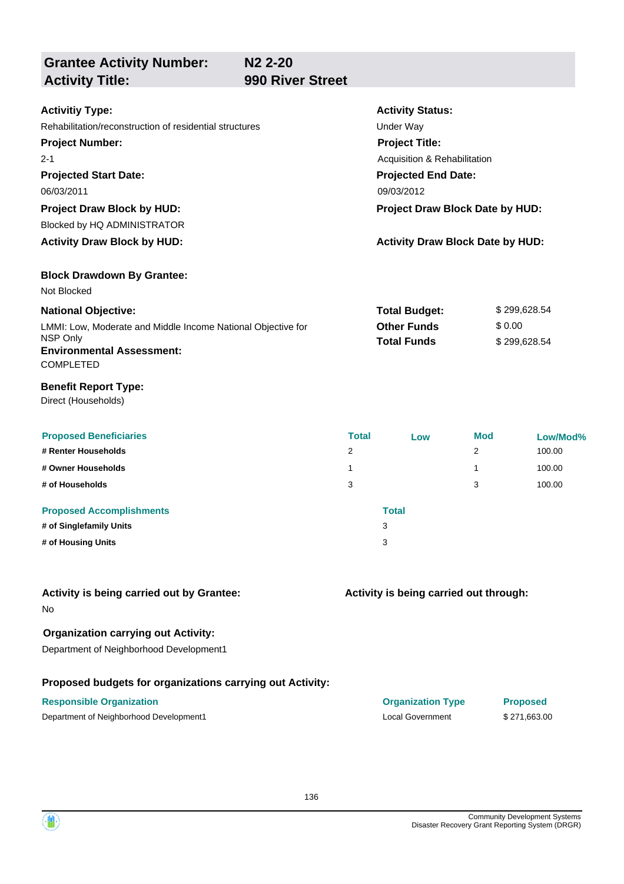**Grantee Activity Number: Projected Start Date:** LMMI: Low, Moderate and Middle Income National Objective for NSP Only **National Objective: Activity Status: Projected End Date: N2 2-20 Activitiy Type:** 06/03/2011 09/03/2012 Rehabilitation/reconstruction of residential structures Theorem Constructure Under Way **Activity Title: 990 River Street Project Number:** 2-1 **Project Title:** Acquisition & Rehabilitation **Total Budget:** \$ 299,628.54 **Other Funds** \$ 0.00 **Total Funds** \$ 299,628.54 **Environmental Assessment: Project Draw Block by HUD: Project Draw Block Date by HUD:** Blocked by HQ ADMINISTRATOR **Activity Draw Block by HUD: Activity Draw Block Date by HUD: Block Drawdown By Grantee:** Not Blocked

# COMPLETED

**Benefit Report Type:**

Direct (Households)

| <b>Proposed Beneficiaries</b><br># Renter Households<br># Owner Households<br># of Households | <b>Total</b><br>2<br>$\overline{ }$<br>3 | Low                    | <b>Mod</b><br>2<br>3 | Low/Mod%<br>100.00<br>100.00<br>100.00 |
|-----------------------------------------------------------------------------------------------|------------------------------------------|------------------------|----------------------|----------------------------------------|
| <b>Proposed Accomplishments</b><br># of Singlefamily Units<br># of Housing Units              |                                          | <b>Total</b><br>3<br>3 |                      |                                        |

|  |  |  | <b>Activity is being carried out by Grantee:</b> |
|--|--|--|--------------------------------------------------|
|  |  |  |                                                  |

No

# **Organization carrying out Activity:**

Department of Neighborhood Development1

### **Proposed budgets for organizations carrying out Activity:**

#### **Responsible Organization Organization Type Proposed**

Department of Neighborhood Development1 Local Government \$ 271,663.00

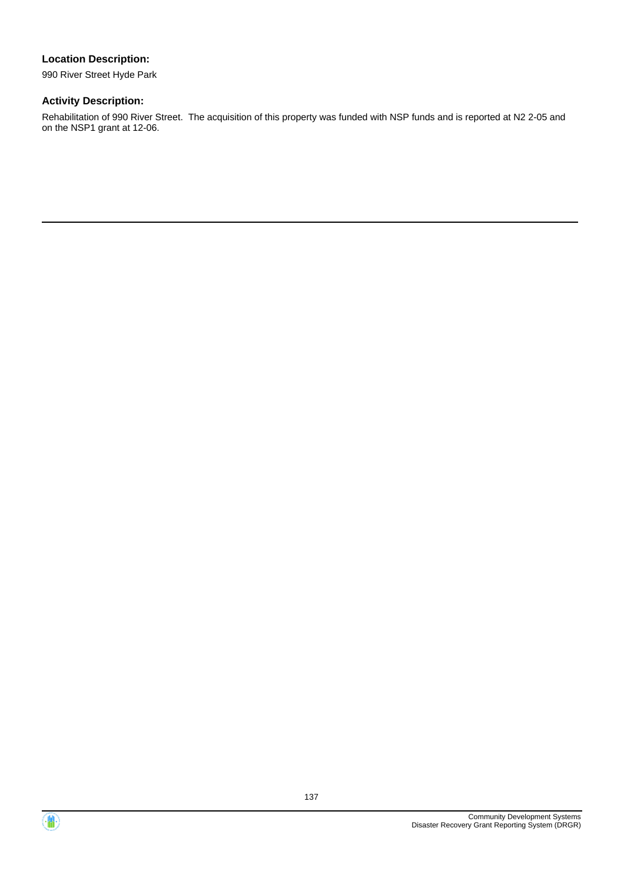990 River Street Hyde Park

### **Activity Description:**

Rehabilitation of 990 River Street. The acquisition of this property was funded with NSP funds and is reported at N2 2-05 and on the NSP1 grant at 12-06.



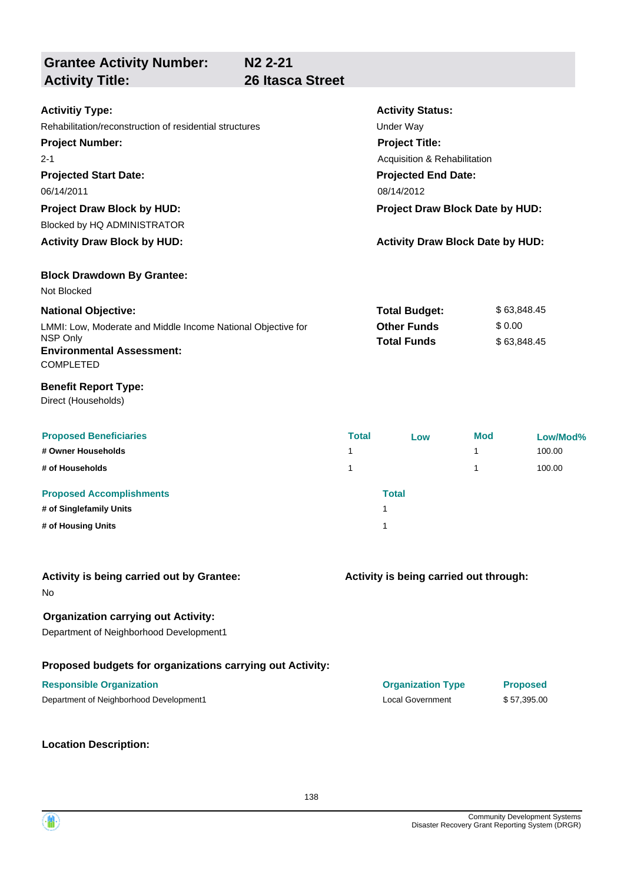**Grantee Activity Number: Projected Start Date:** LMMI: Low, Moderate and Middle Income National Objective for NSP Only **National Objective: Activity Status: Projected End Date: N2 2-21 Activitiy Type:** 06/14/2011 08/14/2012 Rehabilitation/reconstruction of residential structures example of the Under Way **Activity Title: 26 Itasca Street Project Number:** 2-1 **Project Title:** Acquisition & Rehabilitation **Total Budget:** \$ 63,848.45 **Other Funds** \$ 0.00 **Total Funds** \$ 63,848.45 **Environmental Assessment:** COMPLETED **Proposed Beneficiaries Total Low Mod Low/Mod% # Owner Households** 1 1 100.00 **# of Households** 1 1 100.00 **Proposed Accomplishments Total # of Singlefamily Units** 1 **# of Housing Units** 1 Direct (Households) **Benefit Report Type: Project Draw Block by HUD: Project Draw Block Date by HUD:** Blocked by HQ ADMINISTRATOR **Activity Draw Block by HUD: Activity Draw Block Date by HUD: Block Drawdown By Grantee:** Not Blocked

|    |  |  | Activity is being carried out by Grantee: |
|----|--|--|-------------------------------------------|
| No |  |  |                                           |

# **Organization carrying out Activity:**

Department of Neighborhood Development1

#### **Proposed budgets for organizations carrying out Activity:**

| <b>Responsible Organization</b>         | <b>Organization Type</b> | <b>Proposed</b> |
|-----------------------------------------|--------------------------|-----------------|
| Department of Neighborhood Development1 | Local Government         | \$57,395.00     |

#### **Location Description:**

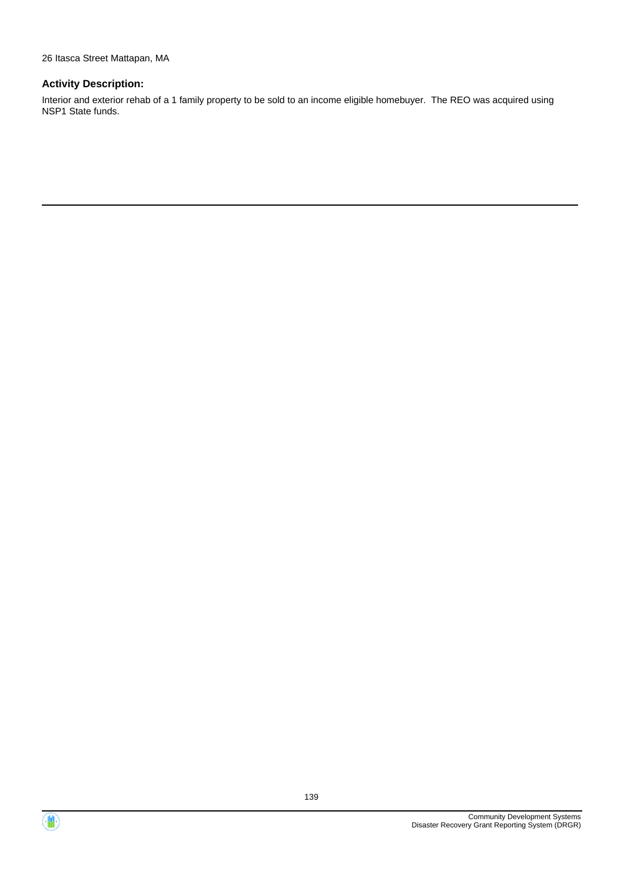26 Itasca Street Mattapan, MA

#### **Activity Description:**

Interior and exterior rehab of a 1 family property to be sold to an income eligible homebuyer. The REO was acquired using NSP1 State funds.



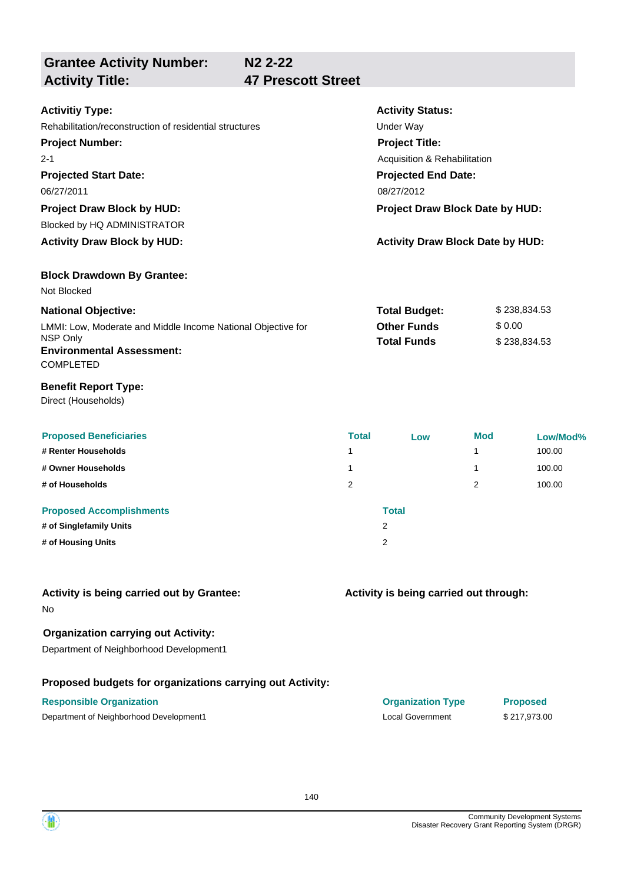**Grantee Activity Number: Activity Status: N2 2-22 Activitiy Type:** Rehabilitation/reconstruction of residential structures **Exercise 2018** Under Way **Activity Title: 47 Prescott Street**

| <b>Project Number:</b>             | <b>Project Title:</b>                   |  |  |
|------------------------------------|-----------------------------------------|--|--|
| $2 - 1$                            | Acquisition & Rehabilitation            |  |  |
| <b>Projected Start Date:</b>       | <b>Projected End Date:</b>              |  |  |
| 06/27/2011                         | 08/27/2012                              |  |  |
| <b>Project Draw Block by HUD:</b>  | Project Draw Block Date by HUD:         |  |  |
| Blocked by HQ ADMINISTRATOR        |                                         |  |  |
| <b>Activity Draw Block by HUD:</b> | <b>Activity Draw Block Date by HUD:</b> |  |  |

# **Block Drawdown By Grantee:**

Not Blocked

| <b>National Objective:</b>                                   | <b>Total Budget:</b> | \$238.834.53 |
|--------------------------------------------------------------|----------------------|--------------|
| LMMI: Low, Moderate and Middle Income National Objective for | <b>Other Funds</b>   | \$ 0.00      |
| NSP Only                                                     | <b>Total Funds</b>   | \$238.834.53 |
| <b>Environmental Assessment:</b>                             |                      |              |

# COMPLETED

**Benefit Report Type:**

Direct (Households)

| <b>Proposed Beneficiaries</b>   | <b>Total</b> | Low          | <b>Mod</b> | Low/Mod% |
|---------------------------------|--------------|--------------|------------|----------|
| # Renter Households             | 1            |              |            | 100.00   |
| # Owner Households              | 1            |              | 1          | 100.00   |
| # of Households                 | 2            |              | 2          | 100.00   |
| <b>Proposed Accomplishments</b> |              | <b>Total</b> |            |          |
| # of Singlefamily Units         |              | 2            |            |          |
| # of Housing Units              |              | 2            |            |          |
|                                 |              |              |            |          |

|  | <b>Activity is being carried out by Grantee:</b> |
|--|--------------------------------------------------|
|--|--------------------------------------------------|

#### No

# **Organization carrying out Activity:**

Department of Neighborhood Development1

# **Proposed budgets for organizations carrying out Activity:**

#### **Responsible Organization Organization Type Proposed**

Department of Neighborhood Development1 Local Government \$ 217,973.00

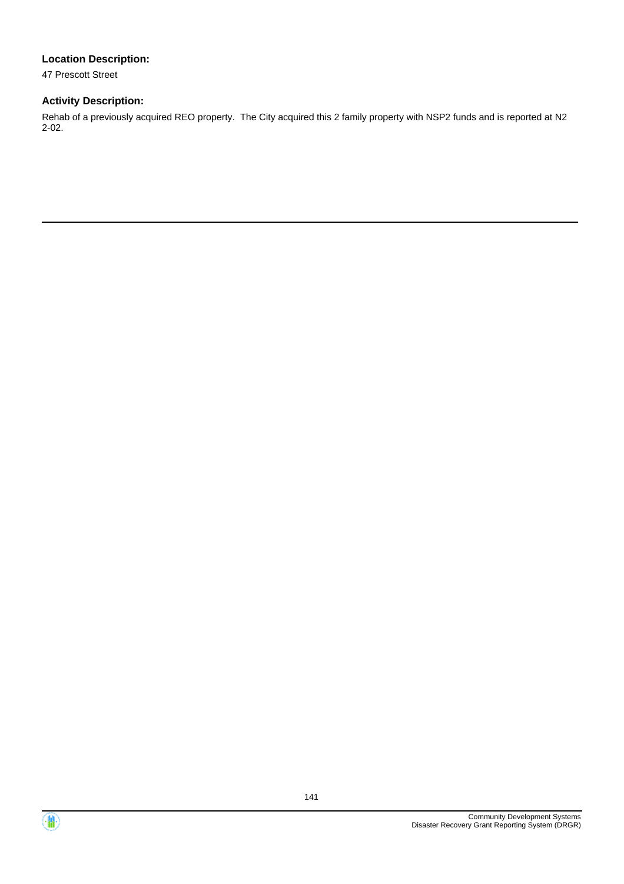47 Prescott Street

# **Activity Description:**

Rehab of a previously acquired REO property. The City acquired this 2 family property with NSP2 funds and is reported at N2 2-02.



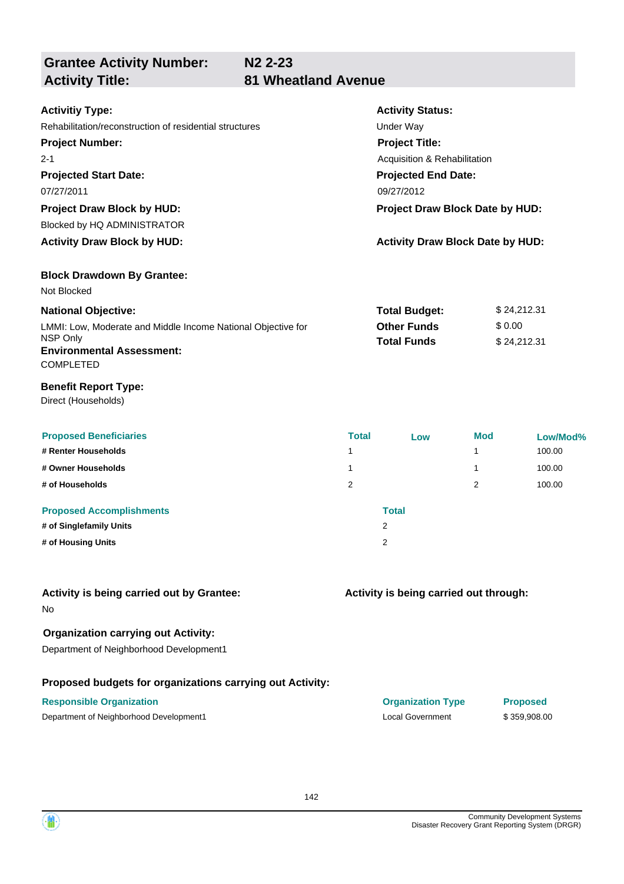**Grantee Activity Number: Activity Status: N2 2-23 Activitiy Type:** Rehabilitation/reconstruction of residential structures Theorem Constructure Under Way **Activity Title: 81 Wheatland Avenue**

#### **Projected Start Date: Projected End Date:** 07/27/2011 09/27/2012 **Project Number:** 2-1 **Project Title:** Acquisition & Rehabilitation **Project Draw Block by HUD: Project Draw Block Date by HUD:** Blocked by HQ ADMINISTRATOR **Activity Draw Block by HUD: Activity Draw Block Date by HUD:**

# **Block Drawdown By Grantee:**

Not Blocked

| <b>National Objective:</b>                                   | <b>Total Budget:</b> | \$24.212.31 |
|--------------------------------------------------------------|----------------------|-------------|
| LMMI: Low, Moderate and Middle Income National Objective for | <b>Other Funds</b>   | \$0.00      |
| NSP Only                                                     | <b>Total Funds</b>   | \$24.212.31 |
| <b>Environmental Assessment:</b>                             |                      |             |
| <b>COMPLETED</b>                                             |                      |             |

# **Benefit Report Type:**

Direct (Households)

| <b>Proposed Beneficiaries</b>   | <b>Total</b> | Low          | <b>Mod</b> | Low/Mod% |
|---------------------------------|--------------|--------------|------------|----------|
| # Renter Households             | 1            |              |            | 100.00   |
| # Owner Households              | 1            |              | -1         | 100.00   |
| # of Households                 | 2            |              | 2          | 100.00   |
| <b>Proposed Accomplishments</b> |              | <b>Total</b> |            |          |
| # of Singlefamily Units         | 2            |              |            |          |
| # of Housing Units              | 2            |              |            |          |
|                                 |              |              |            |          |

# **Activity is being carried out by Grantee:**

No

# **Organization carrying out Activity:**

Department of Neighborhood Development1

# **Proposed budgets for organizations carrying out Activity:**

### **Responsible Organization Organization Type Proposed**

Department of Neighborhood Development1 Local Government \$ 359,908.00

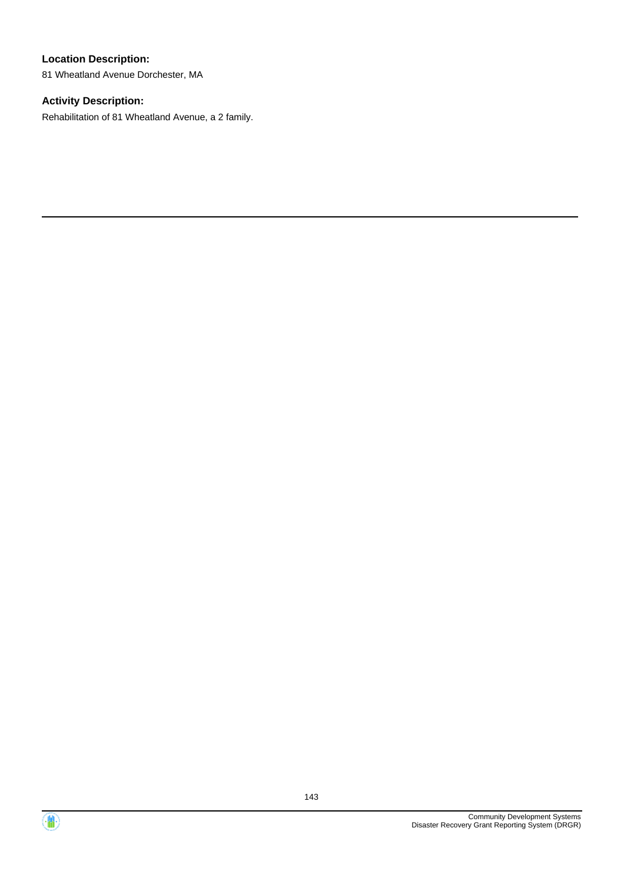81 Wheatland Avenue Dorchester, MA

# **Activity Description:**

Rehabilitation of 81 Wheatland Avenue, a 2 family.



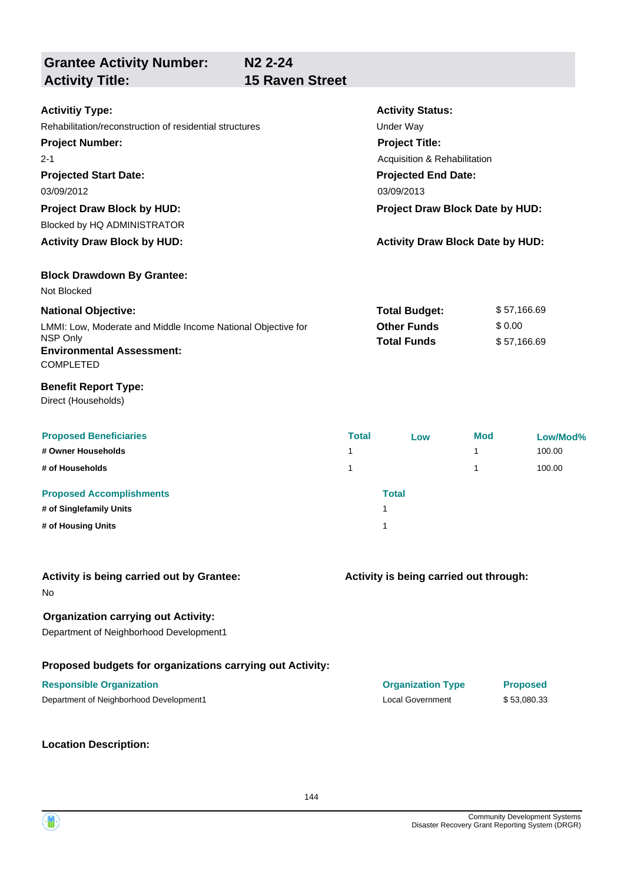**Grantee Activity Number: Projected Start Date:** LMMI: Low, Moderate and Middle Income National Objective for NSP Only **National Objective: Activity Status: Projected End Date: N2 2-24 Activitiy Type:** 03/09/2012 03/09/2013 Rehabilitation/reconstruction of residential structures example of the Under Way **Activity Title: 15 Raven Street Project Number:** 2-1 **Project Title:** Acquisition & Rehabilitation **Total Budget:** \$ 57,166.69 **Other Funds** \$ 0.00 **Total Funds** \$ 57,166.69 **Environmental Assessment:** COMPLETED **Proposed Beneficiaries Total Low Mod Low/Mod% # Owner Households** 1 1 100.00 **# of Households** 1 1 100.00 **Proposed Accomplishments Total # of Singlefamily Units** 1 **# of Housing Units** 1 Direct (Households) **Benefit Report Type: Project Draw Block by HUD: Project Draw Block Date by HUD:** Blocked by HQ ADMINISTRATOR **Activity Draw Block by HUD: Activity Draw Block Date by HUD: Block Drawdown By Grantee:** Not Blocked

|    |  |  | Activity is being carried out by Grantee: |
|----|--|--|-------------------------------------------|
| No |  |  |                                           |

# **Organization carrying out Activity:**

Department of Neighborhood Development1

#### **Proposed budgets for organizations carrying out Activity:**

# **Responsible Organization Organization Type Proposed** Department of Neighborhood Development1 and the community of the community of the S 53,080.33

# **Location Description:**

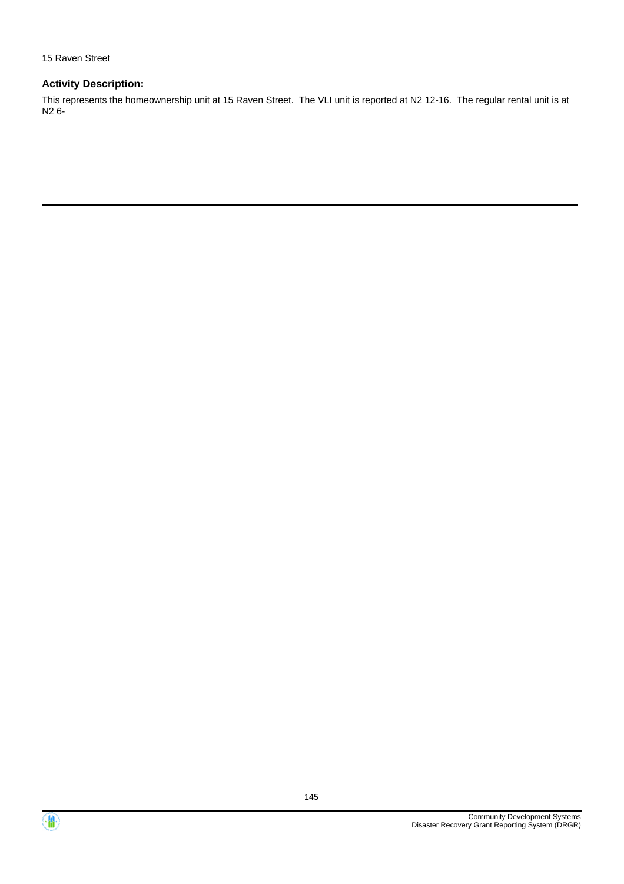15 Raven Street

#### **Activity Description:**

This represents the homeownership unit at 15 Raven Street. The VLI unit is reported at N2 12-16. The regular rental unit is at  $N26$ 



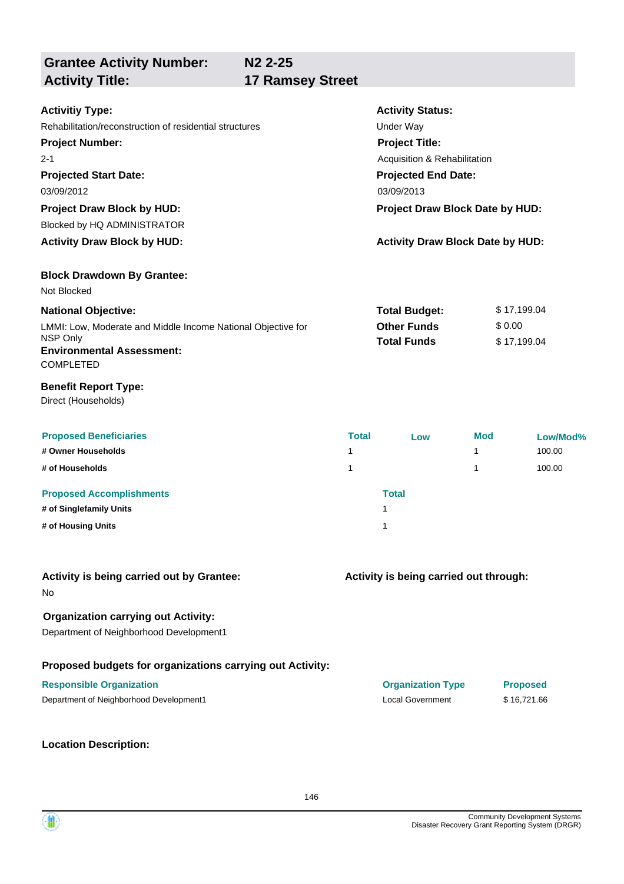**Grantee Activity Number: Projected Start Date:** LMMI: Low, Moderate and Middle Income National Objective for NSP Only **National Objective: Activity Status: Projected End Date: N2 2-25 Activitiy Type:** 03/09/2012 03/09/2013 Rehabilitation/reconstruction of residential structures Theorem Constructure Under Way **Activity Title: 17 Ramsey Street Project Number:** 2-1 **Project Title:** Acquisition & Rehabilitation **Total Budget:** \$ 17,199.04 **Other Funds** \$ 0.00 **Total Funds** \$ 17,199.04 **Environmental Assessment:** COMPLETED **Project Draw Block by HUD: Project Draw Block Date by HUD:** Blocked by HQ ADMINISTRATOR **Activity Draw Block by HUD: Activity Draw Block Date by HUD: Block Drawdown By Grantee:** Not Blocked

Direct (Households) **Benefit Report Type:**

| <b>Proposed Beneficiaries</b><br># Owner Households<br># of Households           | <b>Total</b><br>4 | Low          | <b>Mod</b> | Low/Mod%<br>100.00<br>100.00 |
|----------------------------------------------------------------------------------|-------------------|--------------|------------|------------------------------|
| <b>Proposed Accomplishments</b><br># of Singlefamily Units<br># of Housing Units |                   | <b>Total</b> |            |                              |

| Activity is being carried out by Grantee: |  |
|-------------------------------------------|--|
| No                                        |  |

## **Organization carrying out Activity:**

Department of Neighborhood Development1

#### **Proposed budgets for organizations carrying out Activity:**

| <b>Responsible Organization</b>         | <b>Organization Type</b> | <b>Proposed</b> |
|-----------------------------------------|--------------------------|-----------------|
| Department of Neighborhood Development1 | Local Government         | \$16,721.66     |

#### **Location Description:**

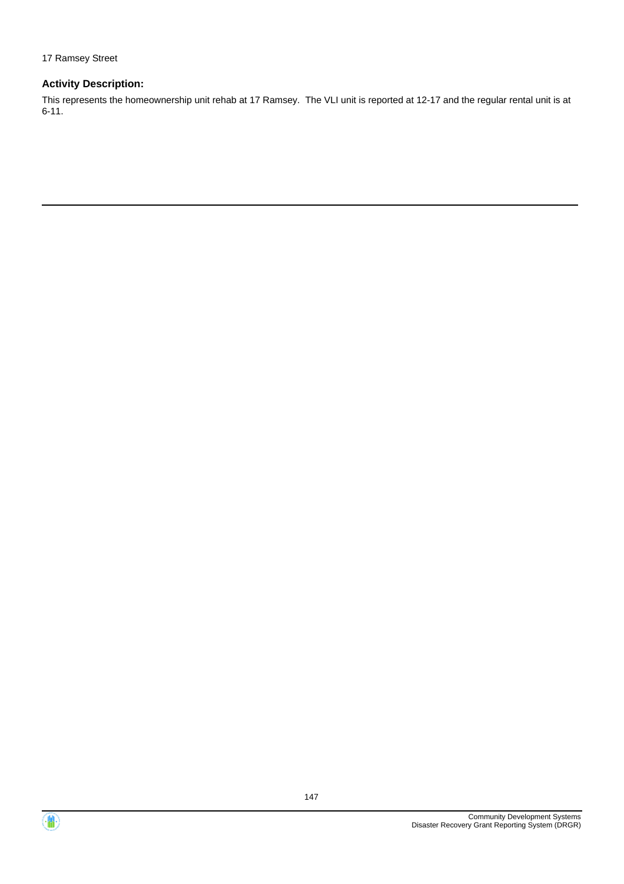17 Ramsey Street

#### **Activity Description:**

This represents the homeownership unit rehab at 17 Ramsey. The VLI unit is reported at 12-17 and the regular rental unit is at  $6 - 11$ .



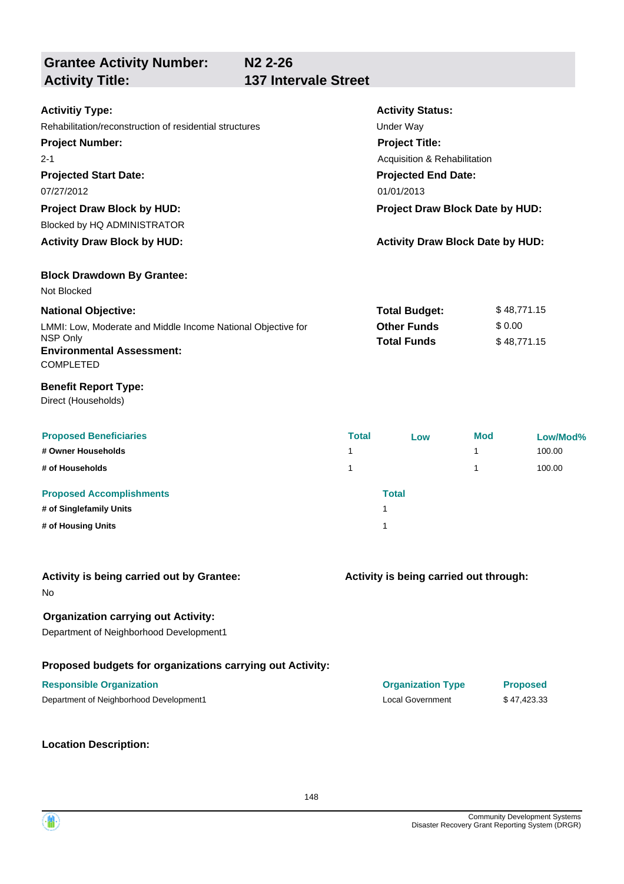**Grantee Activity Number: Projected Start Date:** LMMI: Low, Moderate and Middle Income National Objective for NSP Only **National Objective: Activity Status: Projected End Date: N2 2-26 Activitiy Type:** 07/27/2012 01/01/2013 Rehabilitation/reconstruction of residential structures Theorem Constructure Under Way **Activity Title: 137 Intervale Street Project Number:** 2-1 **Project Title:** Acquisition & Rehabilitation **Total Budget:** \$ 48,771.15 **Other Funds** \$ 0.00 **Total Funds** \$ 48,771.15 **Environmental Assessment:** COMPLETED **Proposed Beneficiaries Total Low Mod Low/Mod% # Owner Households** 1 1 100.00 **# of Households** 1 1 100.00 **Proposed Accomplishments Total # of Singlefamily Units** 1 **# of Housing Units** 1 Direct (Households) **Benefit Report Type: Project Draw Block by HUD: Project Draw Block Date by HUD:** Blocked by HQ ADMINISTRATOR **Activity Draw Block by HUD: Activity Draw Block Date by HUD: Block Drawdown By Grantee:** Not Blocked

| Activity is being carried out by Grantee: |  |
|-------------------------------------------|--|
| No                                        |  |

## **Organization carrying out Activity:**

Department of Neighborhood Development1

### **Proposed budgets for organizations carrying out Activity:**

| <b>Responsible Organization</b>         | <b>Organization Type</b> | <b>Proposed</b> |
|-----------------------------------------|--------------------------|-----------------|
| Department of Neighborhood Development1 | Local Government         | \$47.423.33     |

## **Location Description:**

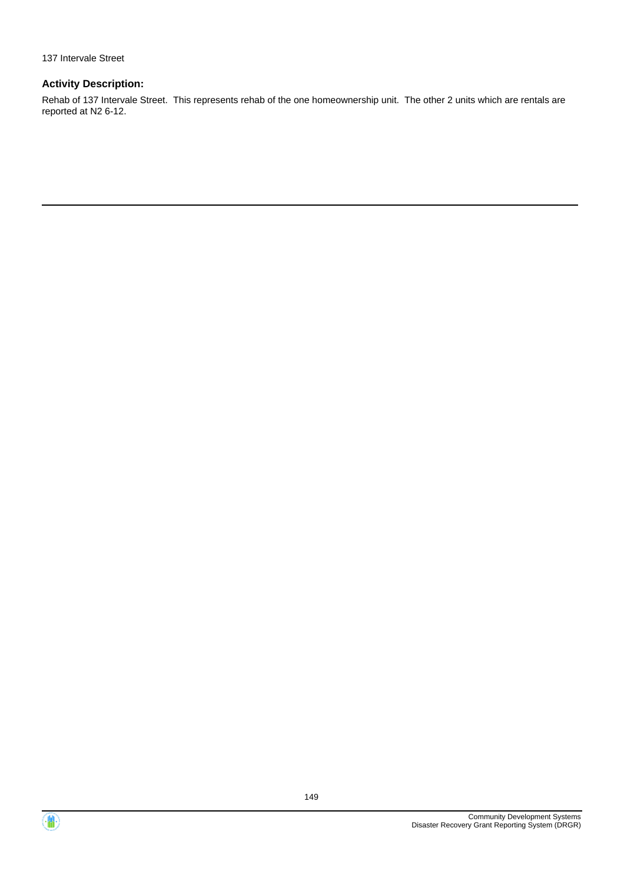137 Intervale Street

#### **Activity Description:**

Rehab of 137 Intervale Street. This represents rehab of the one homeownership unit. The other 2 units which are rentals are reported at N2 6-12.

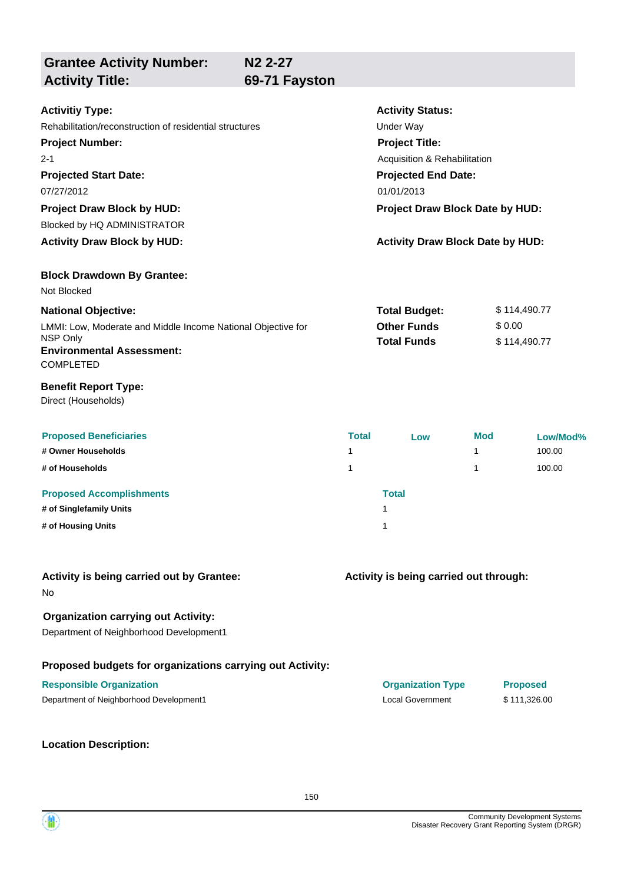| <b>Grantee Activity Number:</b><br><b>Activity Title:</b>                                                                                                                                                                                                                  | N <sub>2</sub> 2-27<br>69-71 Fayston |                        |                                                                                                                                                                                                                                |                      |                                        |
|----------------------------------------------------------------------------------------------------------------------------------------------------------------------------------------------------------------------------------------------------------------------------|--------------------------------------|------------------------|--------------------------------------------------------------------------------------------------------------------------------------------------------------------------------------------------------------------------------|----------------------|----------------------------------------|
| <b>Activitiy Type:</b><br>Rehabilitation/reconstruction of residential structures<br><b>Project Number:</b><br>2-1<br><b>Projected Start Date:</b><br>07/27/2012<br><b>Project Draw Block by HUD:</b><br>Blocked by HQ ADMINISTRATOR<br><b>Activity Draw Block by HUD:</b> |                                      |                        | <b>Activity Status:</b><br><b>Under Way</b><br><b>Project Title:</b><br>Acquisition & Rehabilitation<br><b>Projected End Date:</b><br>01/01/2013<br>Project Draw Block Date by HUD:<br><b>Activity Draw Block Date by HUD:</b> |                      |                                        |
| <b>Block Drawdown By Grantee:</b><br>Not Blocked                                                                                                                                                                                                                           |                                      |                        |                                                                                                                                                                                                                                |                      |                                        |
| <b>National Objective:</b><br>LMMI: Low, Moderate and Middle Income National Objective for<br>NSP Only<br><b>Environmental Assessment:</b><br>COMPLETED                                                                                                                    |                                      |                        | <b>Total Budget:</b><br><b>Other Funds</b><br><b>Total Funds</b>                                                                                                                                                               |                      | \$114,490.77<br>\$0.00<br>\$114,490.77 |
| <b>Benefit Report Type:</b><br>Direct (Households)                                                                                                                                                                                                                         |                                      |                        |                                                                                                                                                                                                                                |                      |                                        |
| <b>Proposed Beneficiaries</b><br># Owner Households<br># of Households<br><b>Proposed Accomplishments</b>                                                                                                                                                                  |                                      | <b>Total</b><br>1<br>1 | Low<br><b>Total</b>                                                                                                                                                                                                            | <b>Mod</b><br>1<br>1 | Low/Mod%<br>100.00<br>100.00           |
| # of Singlefamily Units<br># of Housing Units                                                                                                                                                                                                                              |                                      |                        | 1<br>1                                                                                                                                                                                                                         |                      |                                        |
| Activity is being carried out by Grantee:<br>No                                                                                                                                                                                                                            |                                      |                        | Activity is being carried out through:                                                                                                                                                                                         |                      |                                        |
| <b>Organization carrying out Activity:</b><br>Department of Neighborhood Development1                                                                                                                                                                                      |                                      |                        |                                                                                                                                                                                                                                |                      |                                        |
| Proposed budgets for organizations carrying out Activity:<br><b>Responsible Organization</b><br>Department of Neighborhood Development1                                                                                                                                    |                                      |                        | <b>Organization Type</b><br><b>Local Government</b>                                                                                                                                                                            |                      | <b>Proposed</b><br>\$111,326.00        |
| <b>Location Description:</b>                                                                                                                                                                                                                                               |                                      |                        |                                                                                                                                                                                                                                |                      |                                        |

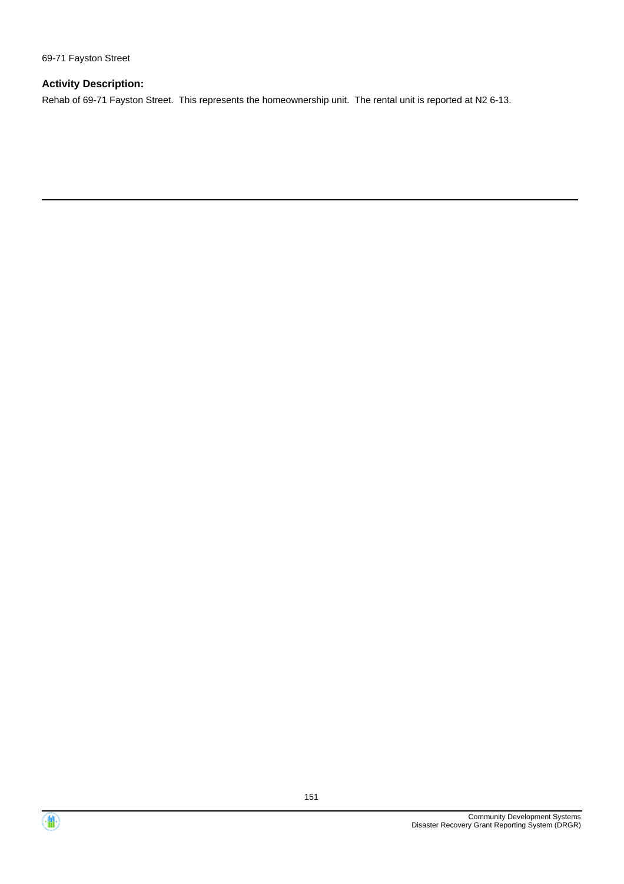69-71 Fayston Street

#### **Activity Description:**

Rehab of 69-71 Fayston Street. This represents the homeownership unit. The rental unit is reported at N2 6-13.



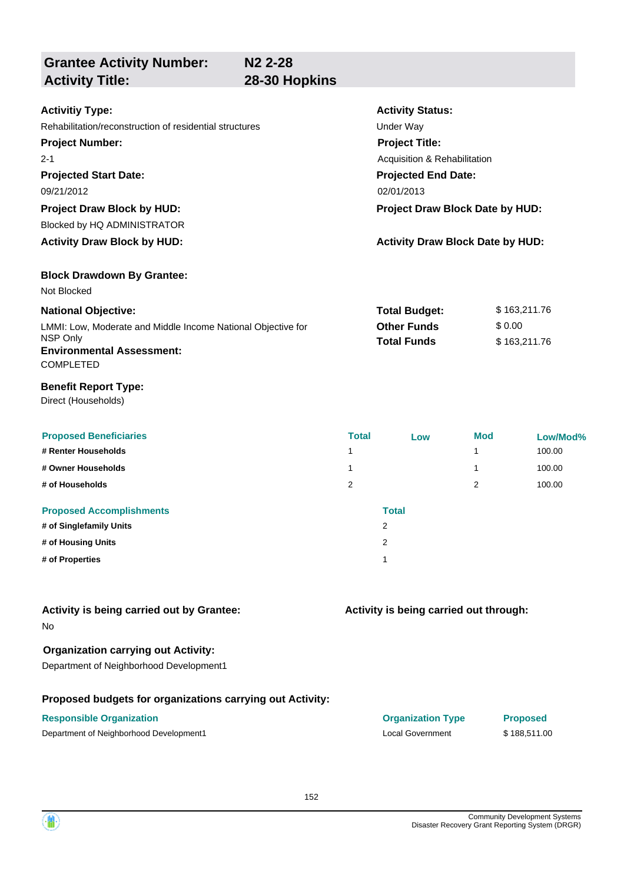| <b>Grantee Activity Number:</b><br><b>Activity Title:</b>                                                                                                                                                                                   | N <sub>2</sub> 2-28<br>28-30 Hopkins |              |                                                                                                                                                                                     |          |                                        |
|---------------------------------------------------------------------------------------------------------------------------------------------------------------------------------------------------------------------------------------------|--------------------------------------|--------------|-------------------------------------------------------------------------------------------------------------------------------------------------------------------------------------|----------|----------------------------------------|
| <b>Activitiy Type:</b><br>Rehabilitation/reconstruction of residential structures<br><b>Project Number:</b><br>2-1<br><b>Projected Start Date:</b><br>09/21/2012<br><b>Project Draw Block by HUD:</b><br><b>Blocked by HQ ADMINISTRATOR</b> |                                      |              | <b>Activity Status:</b><br><b>Under Way</b><br><b>Project Title:</b><br>Acquisition & Rehabilitation<br><b>Projected End Date:</b><br>02/01/2013<br>Project Draw Block Date by HUD: |          |                                        |
| <b>Activity Draw Block by HUD:</b>                                                                                                                                                                                                          |                                      |              | <b>Activity Draw Block Date by HUD:</b>                                                                                                                                             |          |                                        |
| <b>Block Drawdown By Grantee:</b><br>Not Blocked                                                                                                                                                                                            |                                      |              |                                                                                                                                                                                     |          |                                        |
| <b>National Objective:</b><br>LMMI: Low, Moderate and Middle Income National Objective for<br>NSP Only<br><b>Environmental Assessment:</b><br>COMPLETED                                                                                     |                                      |              | <b>Total Budget:</b><br><b>Other Funds</b><br><b>Total Funds</b>                                                                                                                    |          | \$163,211.76<br>\$0.00<br>\$163,211.76 |
| <b>Benefit Report Type:</b><br>Direct (Households)                                                                                                                                                                                          |                                      |              |                                                                                                                                                                                     |          |                                        |
| <b>Proposed Beneficiaries</b><br># Renter Households                                                                                                                                                                                        | 1                                    | <b>Total</b> | Low                                                                                                                                                                                 | Mod<br>1 | Low/Mod%<br>100.00                     |
| # Owner Households                                                                                                                                                                                                                          | 1                                    |              |                                                                                                                                                                                     | 1        | 100.00                                 |
| # of Households                                                                                                                                                                                                                             | 2                                    |              |                                                                                                                                                                                     | 2        | 100.00                                 |
| <b>Proposed Accomplishments</b><br># of Singlefamily Units<br># of Housing Units<br># of Properties                                                                                                                                         |                                      |              | <b>Total</b><br>2<br>2<br>1                                                                                                                                                         |          |                                        |
| Activity is being carried out by Grantee:<br>No                                                                                                                                                                                             |                                      |              | Activity is being carried out through:                                                                                                                                              |          |                                        |
| <b>Organization carrying out Activity:</b><br>Department of Neighborhood Development1                                                                                                                                                       |                                      |              |                                                                                                                                                                                     |          |                                        |
| Proposed budgets for organizations carrying out Activity:                                                                                                                                                                                   |                                      |              |                                                                                                                                                                                     |          |                                        |
| <b>Responsible Organization</b><br>Department of Neighborhood Development1                                                                                                                                                                  |                                      |              | <b>Organization Type</b><br><b>Local Government</b>                                                                                                                                 |          | <b>Proposed</b><br>\$188,511.00        |

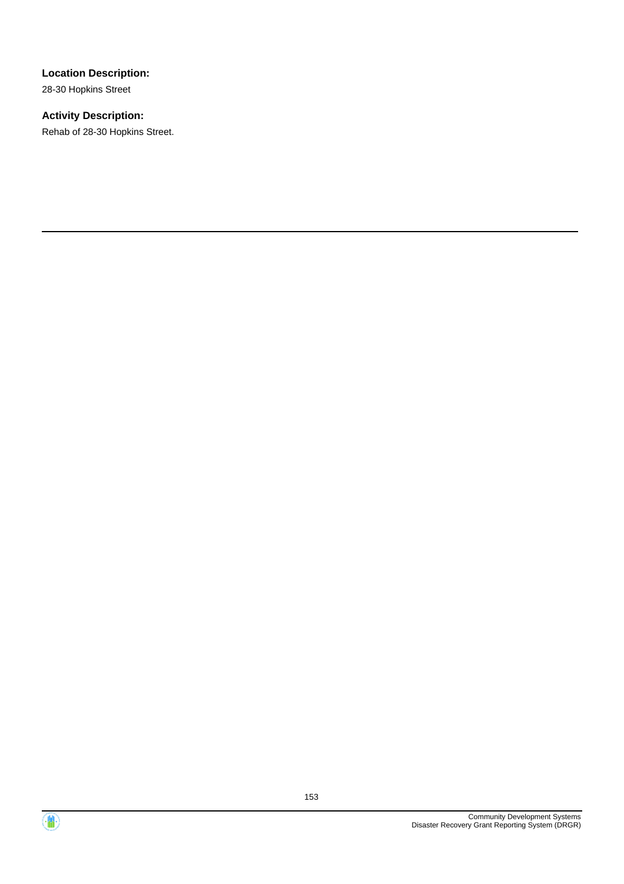28-30 Hopkins Street

#### **Activity Description:**

Rehab of 28-30 Hopkins Street.



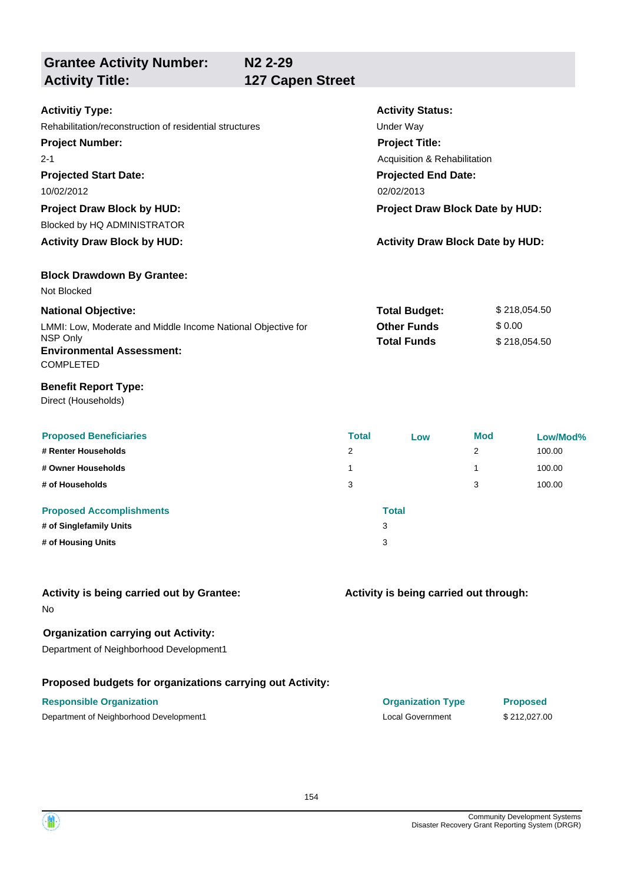**Grantee Activity Number: Projected Start Date:** LMMI: Low, Moderate and Middle Income National Objective for NSP Only **National Objective: Activity Status: Projected End Date: N2 2-29 Activitiy Type:** 10/02/2012 02/02/2013 Rehabilitation/reconstruction of residential structures Theorem Constructure Under Way **Activity Title: 127 Capen Street Project Number:** 2-1 **Project Title:** Acquisition & Rehabilitation **Total Budget:** \$ 218,054.50 **Other Funds** \$ 0.00 **Total Funds** \$ 218,054.50 **Environmental Assessment: Project Draw Block by HUD: Project Draw Block Date by HUD:** Blocked by HQ ADMINISTRATOR **Activity Draw Block by HUD: Activity Draw Block Date by HUD: Block Drawdown By Grantee:** Not Blocked

COMPLETED

Direct (Households) **Benefit Report Type:**

| <b>Proposed Beneficiaries</b>   | <b>Total</b> | Low          | <b>Mod</b> | Low/Mod% |
|---------------------------------|--------------|--------------|------------|----------|
| # Renter Households             | 2            |              | 2          | 100.00   |
| # Owner Households              | 1            |              | 1          | 100.00   |
| # of Households                 | 3            |              | 3          | 100.00   |
| <b>Proposed Accomplishments</b> |              | <b>Total</b> |            |          |
| # of Singlefamily Units         |              | 3            |            |          |
| # of Housing Units              |              | 3            |            |          |
|                                 |              |              |            |          |

| Activity is being carried out by Grantee: | Activ |
|-------------------------------------------|-------|
| No                                        |       |

#### **Organization carrying out Activity:**

Department of Neighborhood Development1

#### **Proposed budgets for organizations carrying out Activity:**

#### **Responsible Organization Organization Type Proposed**

Department of Neighborhood Development1 Local Government \$ 212,027.00

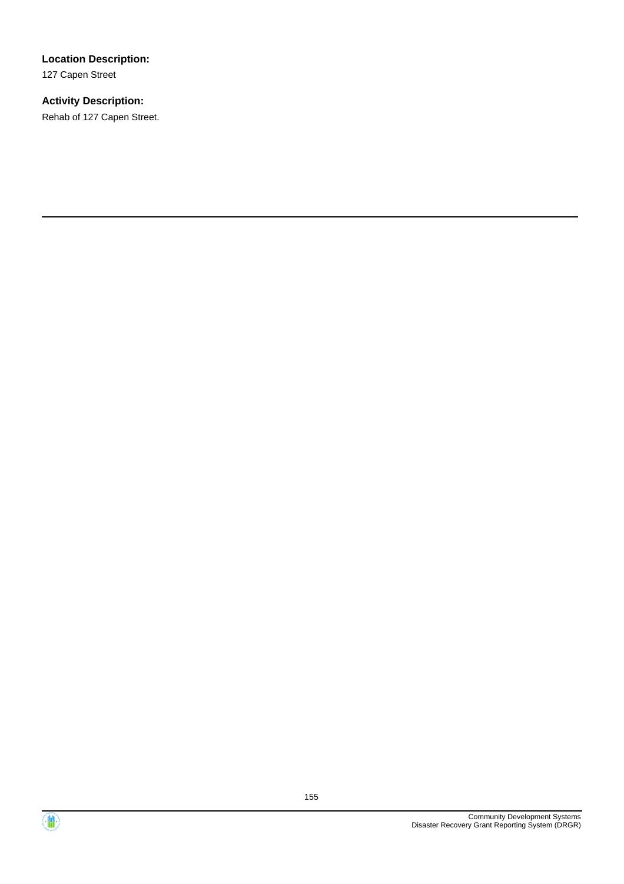127 Capen Street

## **Activity Description:**

Rehab of 127 Capen Street.



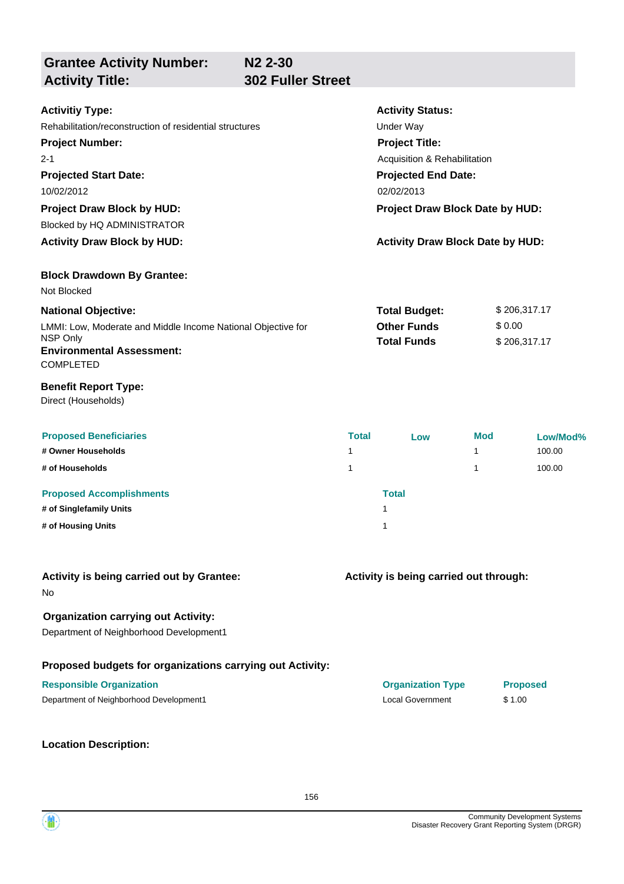**Grantee Activity Number: Projected Start Date:** LMMI: Low, Moderate and Middle Income National Objective for NSP Only **National Objective: Activity Status: Projected End Date: N2 2-30 Activitiy Type:** 10/02/2012 02/02/2013 Rehabilitation/reconstruction of residential structures Theorem Constructure Under Way **Activity Title: 302 Fuller Street Project Number:** 2-1 **Project Title:** Acquisition & Rehabilitation **Total Budget:** \$ 206,317.17 **Other Funds** \$ 0.00 **Total Funds** \$206,317.17 **Environmental Assessment:** COMPLETED **Proposed Beneficiaries Total Low Mod Low/Mod%** Direct (Households) **Benefit Report Type: Project Draw Block by HUD: Project Draw Block Date by HUD:** Blocked by HQ ADMINISTRATOR **Activity Draw Block by HUD: Activity Draw Block Date by HUD: Block Drawdown By Grantee:** Not Blocked

| # Owner Households              |              | 100.00 |
|---------------------------------|--------------|--------|
| # of Households                 |              | 100.00 |
| <b>Proposed Accomplishments</b> | <b>Total</b> |        |
| # of Singlefamily Units         |              |        |
| # of Housing Units              |              |        |

| Activity is being carried out by Grantee: |  |
|-------------------------------------------|--|
| No                                        |  |

## **Organization carrying out Activity:**

Department of Neighborhood Development1

### **Proposed budgets for organizations carrying out Activity:**

| <b>Responsible Organization</b>         | <b>Organization Type</b> | <b>Proposed</b> |
|-----------------------------------------|--------------------------|-----------------|
| Department of Neighborhood Development1 | <b>Local Government</b>  | \$1.00          |

## **Location Description:**

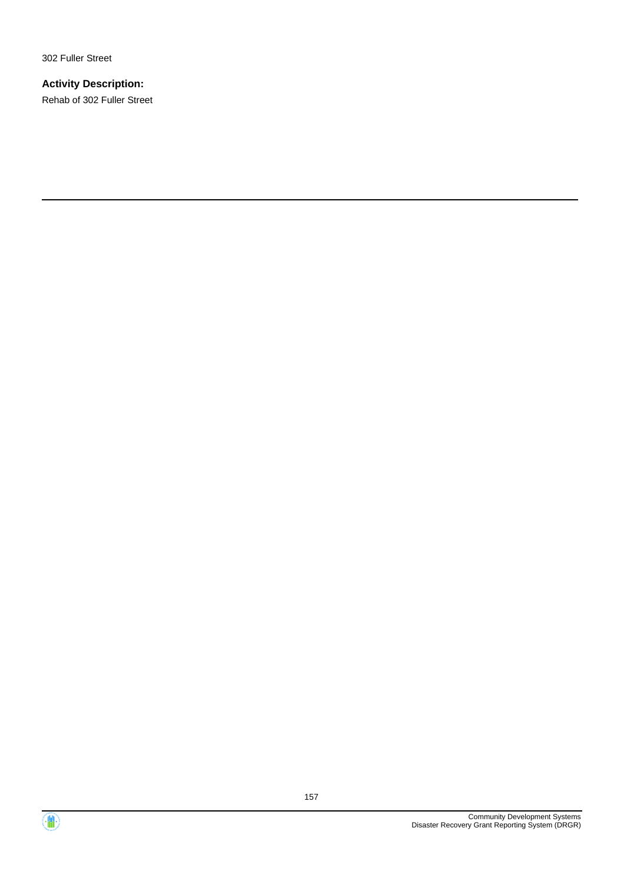302 Fuller Street

## **Activity Description:**

Rehab of 302 Fuller Street



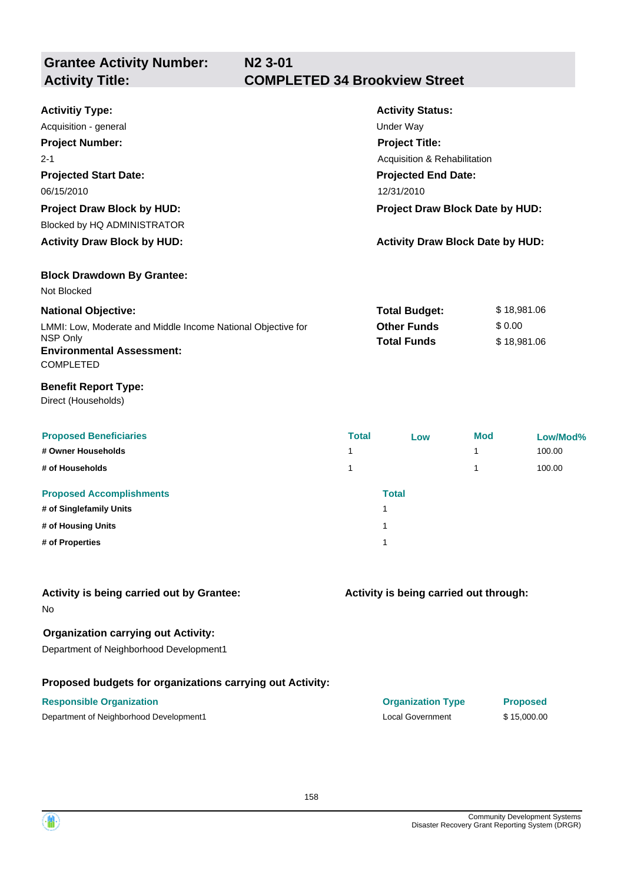**Grantee Activity Number: N2 3-01 Activity Title: COMPLETED 34 Brookview Street**

| <b>Activitiy Type:</b>             | <b>Activity Status:</b>                 |
|------------------------------------|-----------------------------------------|
| Acquisition - general              | Under Way                               |
| <b>Project Number:</b>             | <b>Project Title:</b>                   |
| $2 - 1$                            | Acquisition & Rehabilitation            |
| <b>Projected Start Date:</b>       | <b>Projected End Date:</b>              |
| 06/15/2010                         | 12/31/2010                              |
| <b>Project Draw Block by HUD:</b>  | Project Draw Block Date by HUD:         |
| Blocked by HQ ADMINISTRATOR        |                                         |
| <b>Activity Draw Block by HUD:</b> | <b>Activity Draw Block Date by HUD:</b> |
| <b>Block Drawdown By Grantee:</b>  |                                         |
| Not Blocked                        |                                         |

| <b>National Objective:</b>                                   | <b>Total Budget:</b> | \$18.981.06 |
|--------------------------------------------------------------|----------------------|-------------|
| LMMI: Low, Moderate and Middle Income National Objective for | <b>Other Funds</b>   | \$ 0.00     |
| NSP Only                                                     | <b>Total Funds</b>   | \$18,981.06 |
| <b>Environmental Assessment:</b>                             |                      |             |
| <b>COMPLETED</b>                                             |                      |             |

# **Benefit Report Type:**

Direct (Households)

| <b>Proposed Beneficiaries</b>   | <b>Total</b> | Low | <b>Mod</b> | Low/Mod% |
|---------------------------------|--------------|-----|------------|----------|
| # Owner Households              | 1            |     | и          | 100.00   |
| # of Households                 | 1            |     | -1         | 100.00   |
| <b>Proposed Accomplishments</b> | <b>Total</b> |     |            |          |
| # of Singlefamily Units         | 1            |     |            |          |
| # of Housing Units              | 1            |     |            |          |
| # of Properties                 | ۸            |     |            |          |
|                                 |              |     |            |          |

| Activity is being carried out by Grantee: |  |
|-------------------------------------------|--|
|-------------------------------------------|--|

#### No

### **Organization carrying out Activity:**

Department of Neighborhood Development1

#### **Proposed budgets for organizations carrying out Activity:**

#### **Responsible Organization Organization Type Proposed**

Department of Neighborhood Development1 **Local Government** \$ 15,000.00

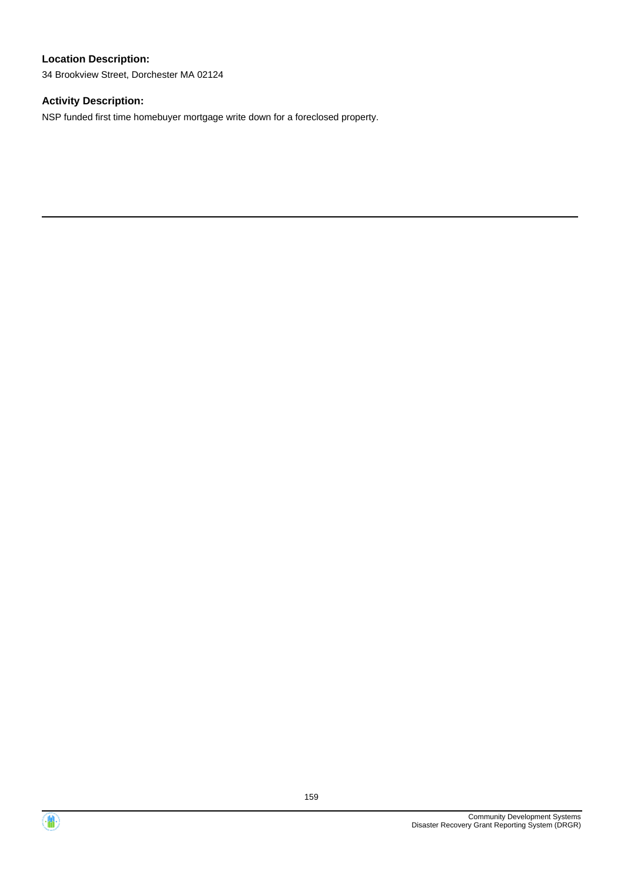34 Brookview Street, Dorchester MA 02124

## **Activity Description:**

NSP funded first time homebuyer mortgage write down for a foreclosed property.



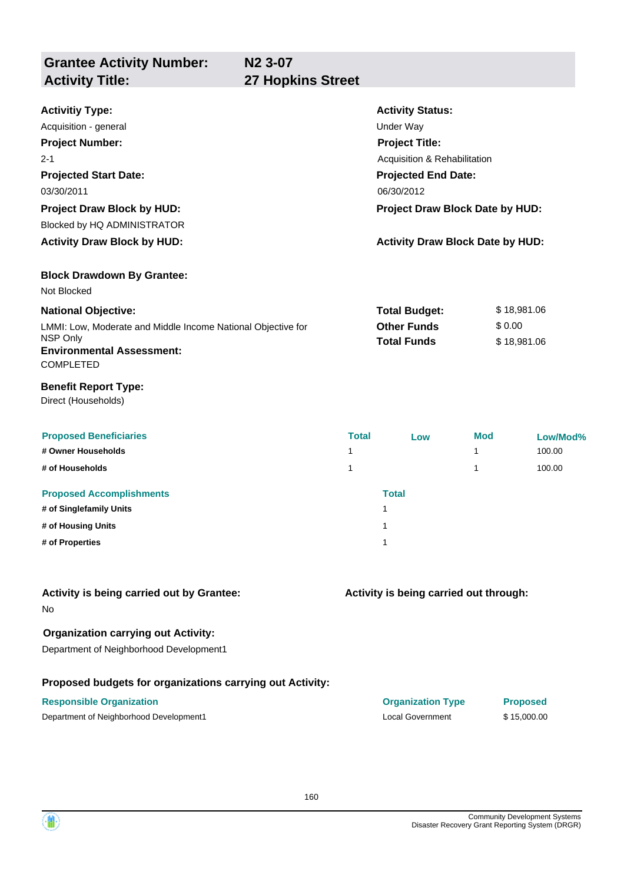**Grantee Activity Number: N2 3-07 Activity Title: 27 Hopkins Street**

| <b>Activitiy Type:</b>                                       | <b>Activity Status:</b>                 |             |  |
|--------------------------------------------------------------|-----------------------------------------|-------------|--|
| Acquisition - general                                        | <b>Under Way</b>                        |             |  |
| <b>Project Number:</b>                                       | <b>Project Title:</b>                   |             |  |
| $2 - 1$                                                      | Acquisition & Rehabilitation            |             |  |
| <b>Projected Start Date:</b>                                 | <b>Projected End Date:</b>              |             |  |
| 03/30/2011                                                   | 06/30/2012                              |             |  |
| <b>Project Draw Block by HUD:</b>                            | <b>Project Draw Block Date by HUD:</b>  |             |  |
| Blocked by HQ ADMINISTRATOR                                  |                                         |             |  |
| <b>Activity Draw Block by HUD:</b>                           | <b>Activity Draw Block Date by HUD:</b> |             |  |
| <b>Block Drawdown By Grantee:</b>                            |                                         |             |  |
| Not Blocked                                                  |                                         |             |  |
| <b>National Objective:</b>                                   | <b>Total Budget:</b>                    | \$18,981.06 |  |
| LMMI: Low, Moderate and Middle Income National Objective for | <b>Other Funds</b>                      | \$0.00      |  |
| <b>NSP Only</b>                                              | <b>Total Funds</b>                      | \$18,981.06 |  |
| <b>Environmental Assessment:</b>                             |                                         |             |  |
| <b>COMPLETED</b>                                             |                                         |             |  |
| <b>Benefit Report Type:</b>                                  |                                         |             |  |
| Direct (Households)                                          |                                         |             |  |

| <b>Proposed Beneficiaries</b>   | <b>Total</b> | Low | <b>Mod</b> | Low/Mod% |
|---------------------------------|--------------|-----|------------|----------|
| # Owner Households              |              |     |            | 100.00   |
| # of Households                 |              |     |            | 100.00   |
| <b>Proposed Accomplishments</b> | <b>Total</b> |     |            |          |
| # of Singlefamily Units         |              |     |            |          |
| # of Housing Units              |              |     |            |          |
| # of Properties                 |              |     |            |          |
|                                 |              |     |            |          |

| Activity is being carried out by Grantee:<br>No | Activity is being carried out through: |
|-------------------------------------------------|----------------------------------------|
| <b>Organization carrying out Activity:</b>      |                                        |
| Department of Neighborhood Development1         |                                        |
|                                                 |                                        |

#### **Proposed budgets for organizations carrying out Activity:**

#### **Responsible Organization COVID-10 COVID-10 Organization Type Proposed**

Department of Neighborhood Development1 Local Government \$ 15,000.00

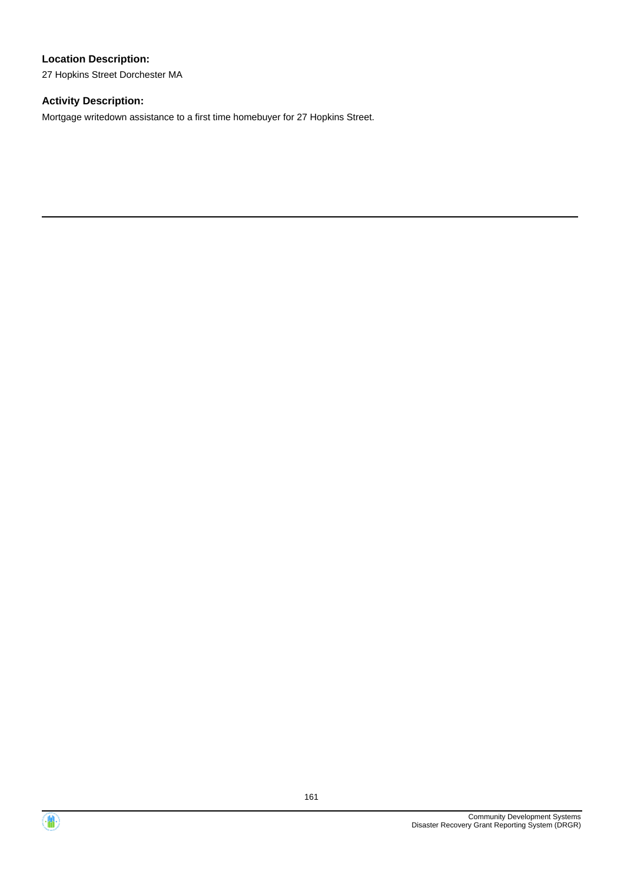27 Hopkins Street Dorchester MA

## **Activity Description:**

Mortgage writedown assistance to a first time homebuyer for 27 Hopkins Street.



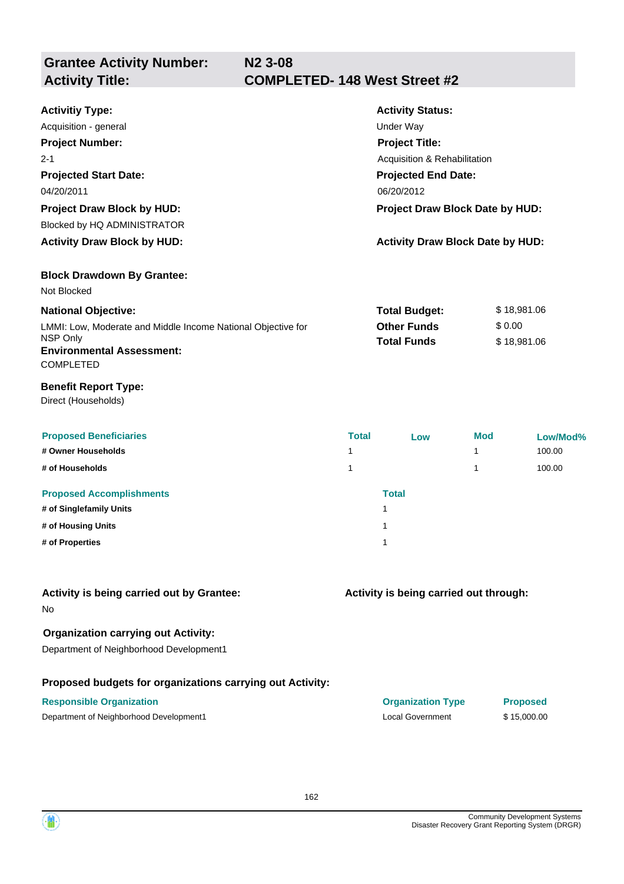**Grantee Activity Number: N2 3-08 Activity Title: COMPLETED- 148 West Street #2**

| <b>Activitiy Type:</b>             | <b>Activity Status:</b>                 |  |  |
|------------------------------------|-----------------------------------------|--|--|
| Acquisition - general              | Under Way                               |  |  |
| <b>Project Number:</b>             | <b>Project Title:</b>                   |  |  |
| $2 - 1$                            | Acquisition & Rehabilitation            |  |  |
| <b>Projected Start Date:</b>       | <b>Projected End Date:</b>              |  |  |
| 04/20/2011                         | 06/20/2012                              |  |  |
| <b>Project Draw Block by HUD:</b>  | Project Draw Block Date by HUD:         |  |  |
| Blocked by HQ ADMINISTRATOR        |                                         |  |  |
| <b>Activity Draw Block by HUD:</b> | <b>Activity Draw Block Date by HUD:</b> |  |  |
| <b>Block Drawdown By Grantee:</b>  |                                         |  |  |
| Not Blocked                        |                                         |  |  |
| <b>National Objective:</b>         | \$18,981.06<br><b>Total Budget:</b>     |  |  |

| LMMI: Low, Moderate and Middle Income National Objective for | <b>Other Funds</b> | \$0.00      |
|--------------------------------------------------------------|--------------------|-------------|
| NSP Only                                                     | <b>Total Funds</b> | \$18,981,06 |
| <b>Environmental Assessment:</b>                             |                    |             |
| <b>COMPLETED</b>                                             |                    |             |

## **Benefit Report Type:**

Direct (Households)

| <b>Proposed Beneficiaries</b>   | <b>Total</b> | Low          | <b>Mod</b> | Low/Mod% |
|---------------------------------|--------------|--------------|------------|----------|
| # Owner Households              | 1            |              | и          | 100.00   |
| # of Households                 | 1            |              |            | 100.00   |
| <b>Proposed Accomplishments</b> |              | <b>Total</b> |            |          |
| # of Singlefamily Units         | 1            |              |            |          |
| # of Housing Units              | 1            |              |            |          |
| # of Properties                 | ۸            |              |            |          |
|                                 |              |              |            |          |

| Activity is being carried out by Grantee:  | Activity is being carried out through: |
|--------------------------------------------|----------------------------------------|
| No.                                        |                                        |
| <b>Organization carrying out Activity:</b> |                                        |

Department of Neighborhood Development1

#### **Proposed budgets for organizations carrying out Activity:**

#### **Responsible Organization Organization Type Proposed**

Department of Neighborhood Development1 **Local Government** \$ 15,000.00

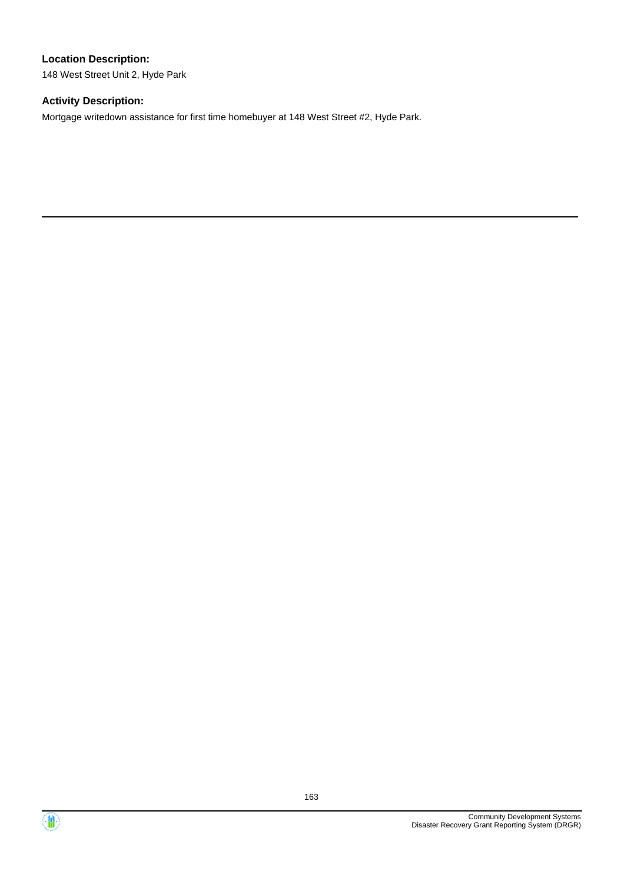148 West Street Unit 2, Hyde Park

## **Activity Description:**

Mortgage writedown assistance for first time homebuyer at 148 West Street #2, Hyde Park.



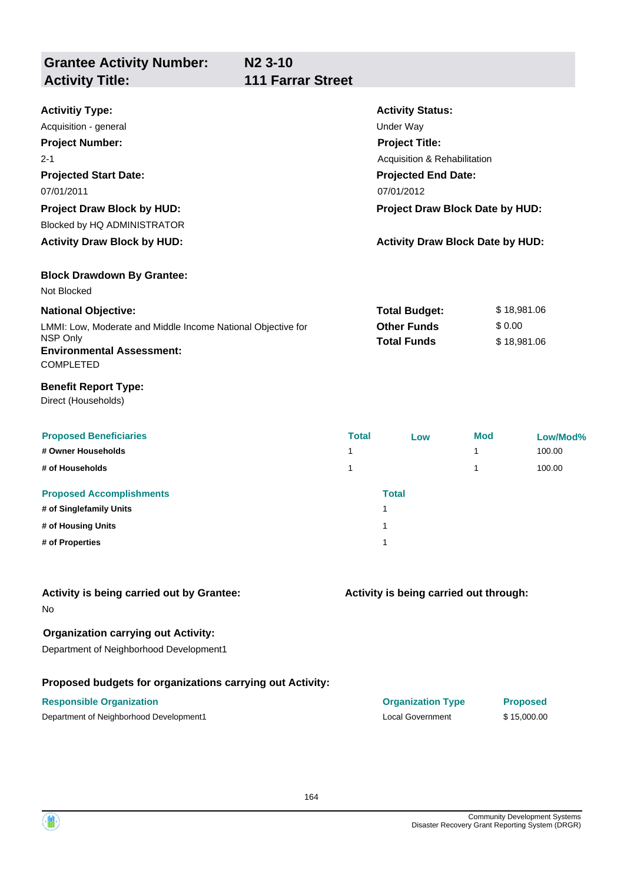**Grantee Activity Number: N2 3-10 Activity Title: 111 Farrar Street**

| <b>Activitiy Type:</b>                                       | <b>Activity Status:</b>                 |             |  |
|--------------------------------------------------------------|-----------------------------------------|-------------|--|
| Acquisition - general                                        | Under Way                               |             |  |
| <b>Project Number:</b>                                       | <b>Project Title:</b>                   |             |  |
| 2-1                                                          | Acquisition & Rehabilitation            |             |  |
| <b>Projected Start Date:</b>                                 | <b>Projected End Date:</b>              |             |  |
| 07/01/2011                                                   | 07/01/2012                              |             |  |
| <b>Project Draw Block by HUD:</b>                            | <b>Project Draw Block Date by HUD:</b>  |             |  |
| Blocked by HQ ADMINISTRATOR                                  |                                         |             |  |
| <b>Activity Draw Block by HUD:</b>                           | <b>Activity Draw Block Date by HUD:</b> |             |  |
| <b>Block Drawdown By Grantee:</b>                            |                                         |             |  |
| Not Blocked                                                  |                                         |             |  |
| <b>National Objective:</b>                                   | <b>Total Budget:</b>                    | \$18,981.06 |  |
| LMMI: Low, Moderate and Middle Income National Objective for | <b>Other Funds</b>                      | \$0.00      |  |
| NSP Only<br><b>Environmental Assessment:</b>                 | <b>Total Funds</b>                      | \$18,981.06 |  |
|                                                              |                                         |             |  |

# COMPLETED

Direct (Households) **Benefit Report Type:**

| <b>Total</b> | Low | <b>Mod</b>   | Low/Mod% |
|--------------|-----|--------------|----------|
|              |     | 4            | 100.00   |
|              |     | 4            | 100.00   |
|              |     |              |          |
|              |     |              |          |
|              |     |              |          |
|              |     |              |          |
|              |     | <b>Total</b> |          |

| Activity is being carried out by Grantee:<br>No | Activity is being carried out through |
|-------------------------------------------------|---------------------------------------|
| <b>Organization carrying out Activity:</b>      |                                       |
| Department of Neighborhood Development1         |                                       |

**Proposed budgets for organizations carrying out Activity:**

#### **Responsible Organization Organization Type Proposed**

Department of Neighborhood Development1 Local Government \$ 15,000.00

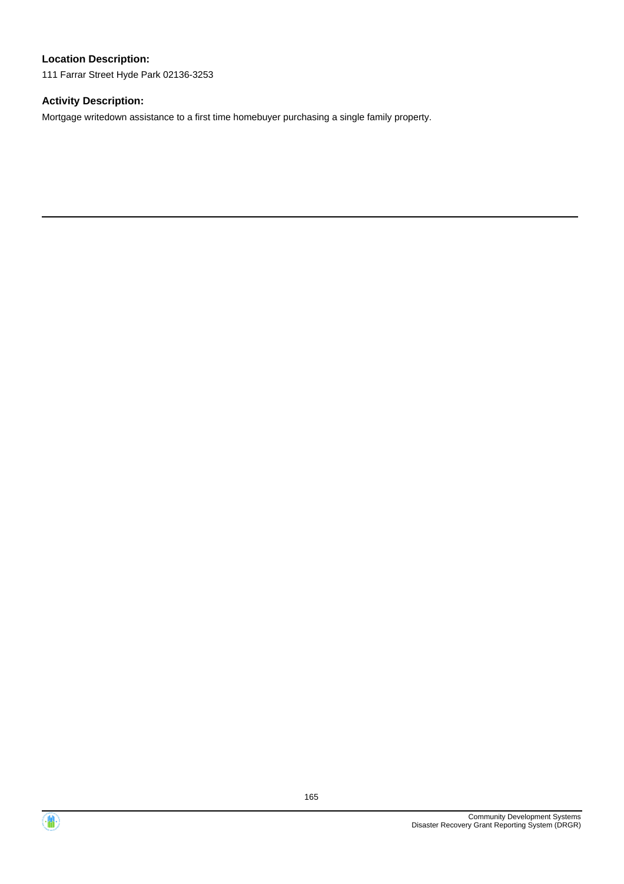111 Farrar Street Hyde Park 02136-3253

## **Activity Description:**

Mortgage writedown assistance to a first time homebuyer purchasing a single family property.



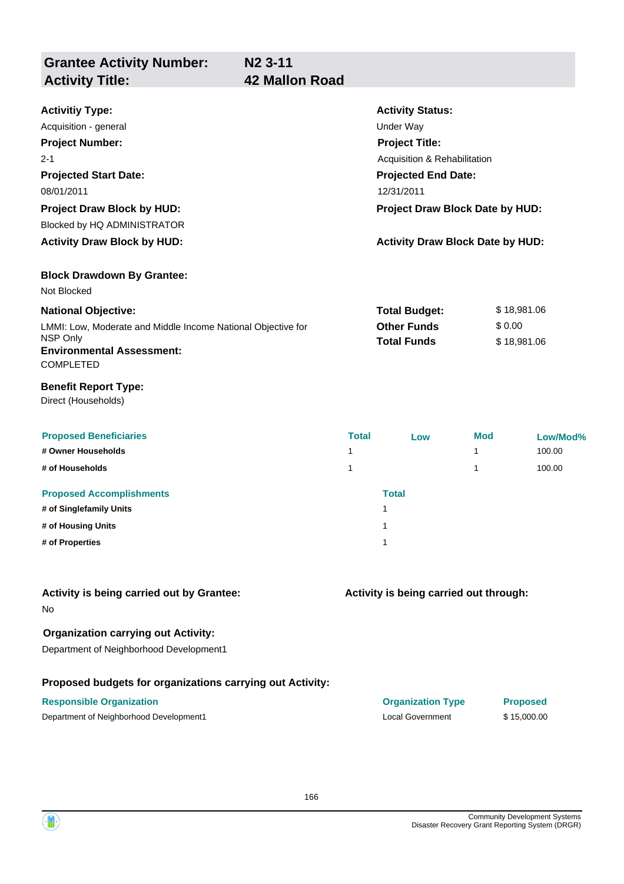**Grantee Activity Number: N2 3-11 Activity Title: 42 Mallon Road**

| <b>Activitiy Type:</b>                                       | <b>Activity Status:</b>                 |             |
|--------------------------------------------------------------|-----------------------------------------|-------------|
| Acquisition - general                                        | Under Way                               |             |
| <b>Project Number:</b>                                       | <b>Project Title:</b>                   |             |
| $2 - 1$                                                      | Acquisition & Rehabilitation            |             |
| <b>Projected Start Date:</b>                                 | <b>Projected End Date:</b>              |             |
| 08/01/2011                                                   | 12/31/2011                              |             |
| <b>Project Draw Block by HUD:</b>                            | Project Draw Block Date by HUD:         |             |
| Blocked by HQ ADMINISTRATOR                                  |                                         |             |
| <b>Activity Draw Block by HUD:</b>                           | <b>Activity Draw Block Date by HUD:</b> |             |
| <b>Block Drawdown By Grantee:</b>                            |                                         |             |
| Not Blocked                                                  |                                         |             |
| <b>National Objective:</b>                                   | <b>Total Budget:</b>                    | \$18,981.06 |
| LMMI: Low, Moderate and Middle Income National Objective for | <b>Other Funds</b>                      | \$0.00      |

| NSP Only                         |  |
|----------------------------------|--|
| <b>Environmental Assessment:</b> |  |

## COMPLETED

Direct (Households) **Benefit Report Type:**

| <b>Proposed Beneficiaries</b>   | <b>Total</b> | Low          | <b>Mod</b> | Low/Mod% |
|---------------------------------|--------------|--------------|------------|----------|
| # Owner Households              | 4            |              |            | 100.00   |
| # of Households                 | 4            |              |            | 100.00   |
| <b>Proposed Accomplishments</b> |              | <b>Total</b> |            |          |
| # of Singlefamily Units         | 1            |              |            |          |
| # of Housing Units              | 1            |              |            |          |
| # of Properties                 | 1            |              |            |          |
|                                 |              |              |            |          |

| Activity is being carried out by Grantee:  | Activity is being carried out th |
|--------------------------------------------|----------------------------------|
| No                                         |                                  |
| <b>Organization carrying out Activity:</b> |                                  |

Department of Neighborhood Development1

#### **Proposed budgets for organizations carrying out Activity:**

#### **Responsible Organization Organization Type Proposed**

Department of Neighborhood Development1 **Local Government** \$ 15,000.00

## **Acces**

**Total Funds** \$ 18,981.06

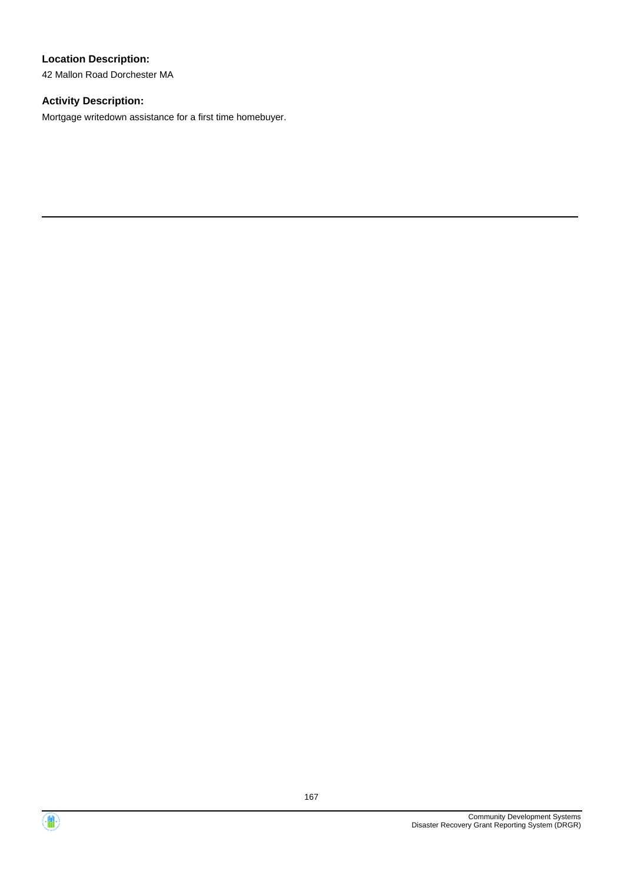42 Mallon Road Dorchester MA

## **Activity Description:**

Mortgage writedown assistance for a first time homebuyer.



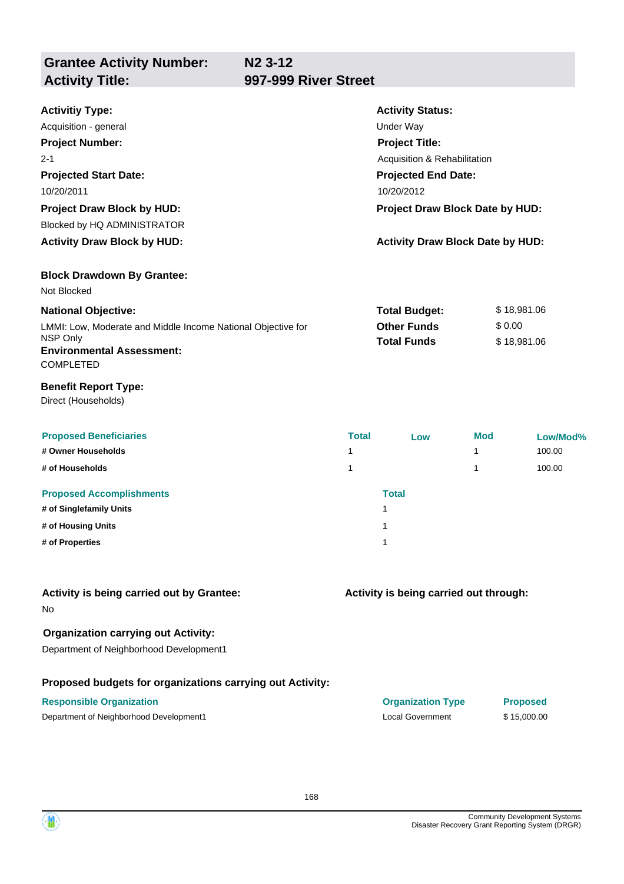**Grantee Activity Number: N2 3-12 Activity Title: 997-999 River Street**

| IVA J-IA            |  |
|---------------------|--|
| 997-999 River Stree |  |

| <b>Activitiy Type:</b><br>Acquisition - general<br><b>Project Number:</b>             |              | <b>Activity Status:</b>                 |     |                 |  |
|---------------------------------------------------------------------------------------|--------------|-----------------------------------------|-----|-----------------|--|
|                                                                                       |              | <b>Under Way</b>                        |     |                 |  |
|                                                                                       |              | <b>Project Title:</b>                   |     |                 |  |
| 2-1                                                                                   |              | Acquisition & Rehabilitation            |     |                 |  |
| <b>Projected Start Date:</b>                                                          |              | <b>Projected End Date:</b>              |     |                 |  |
| 10/20/2011                                                                            |              | 10/20/2012                              |     |                 |  |
| <b>Project Draw Block by HUD:</b>                                                     |              | Project Draw Block Date by HUD:         |     |                 |  |
| Blocked by HQ ADMINISTRATOR                                                           |              |                                         |     |                 |  |
| <b>Activity Draw Block by HUD:</b>                                                    |              | <b>Activity Draw Block Date by HUD:</b> |     |                 |  |
| <b>Block Drawdown By Grantee:</b><br>Not Blocked                                      |              |                                         |     |                 |  |
| <b>National Objective:</b>                                                            |              | <b>Total Budget:</b>                    |     | \$18,981.06     |  |
| LMMI: Low, Moderate and Middle Income National Objective for                          |              | <b>Other Funds</b>                      |     | \$0.00          |  |
| NSP Only<br><b>Environmental Assessment:</b><br><b>COMPLETED</b>                      |              | <b>Total Funds</b>                      |     | \$18,981.06     |  |
| <b>Benefit Report Type:</b><br>Direct (Households)                                    |              |                                         |     |                 |  |
| <b>Proposed Beneficiaries</b>                                                         | <b>Total</b> | Low                                     | Mod | Low/Mod%        |  |
| # Owner Households                                                                    | 1            |                                         | 1   | 100.00          |  |
| # of Households                                                                       | 1            |                                         | 1   | 100.00          |  |
| <b>Proposed Accomplishments</b>                                                       |              | <b>Total</b>                            |     |                 |  |
| # of Singlefamily Units                                                               |              | 1                                       |     |                 |  |
| # of Housing Units                                                                    |              | 1                                       |     |                 |  |
| # of Properties                                                                       |              | 1                                       |     |                 |  |
| Activity is being carried out by Grantee:<br>No                                       |              | Activity is being carried out through:  |     |                 |  |
| <b>Organization carrying out Activity:</b><br>Department of Neighborhood Development1 |              |                                         |     |                 |  |
| Proposed budgets for organizations carrying out Activity:                             |              |                                         |     |                 |  |
| <b>Responsible Organization</b>                                                       |              | <b>Organization Type</b>                |     | <b>Proposed</b> |  |

| <b>Responsible Organization</b>         | <b>Urganization Type</b> | 1.1         |
|-----------------------------------------|--------------------------|-------------|
| Department of Neighborhood Development1 | Local Government         | \$15,000.00 |



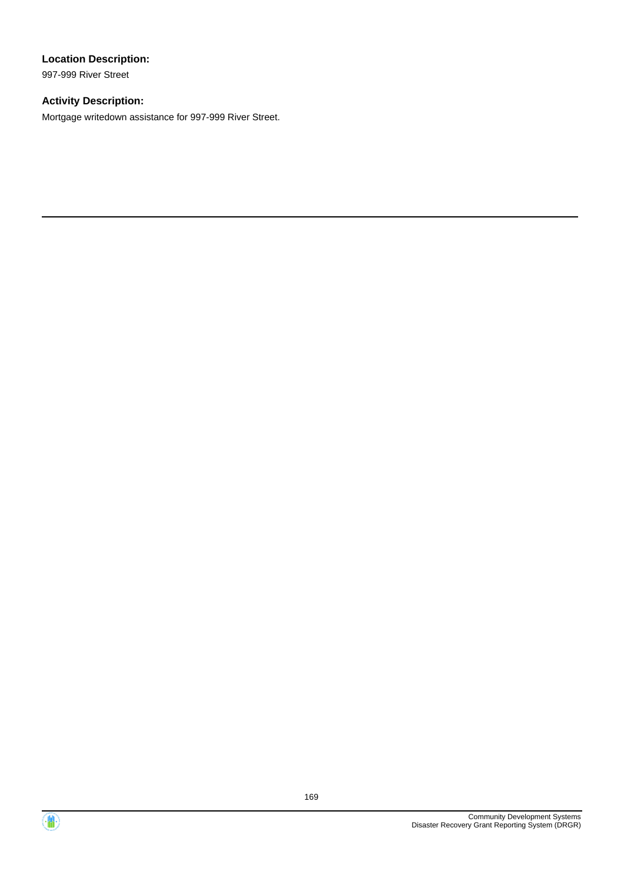997-999 River Street

## **Activity Description:**

Mortgage writedown assistance for 997-999 River Street.



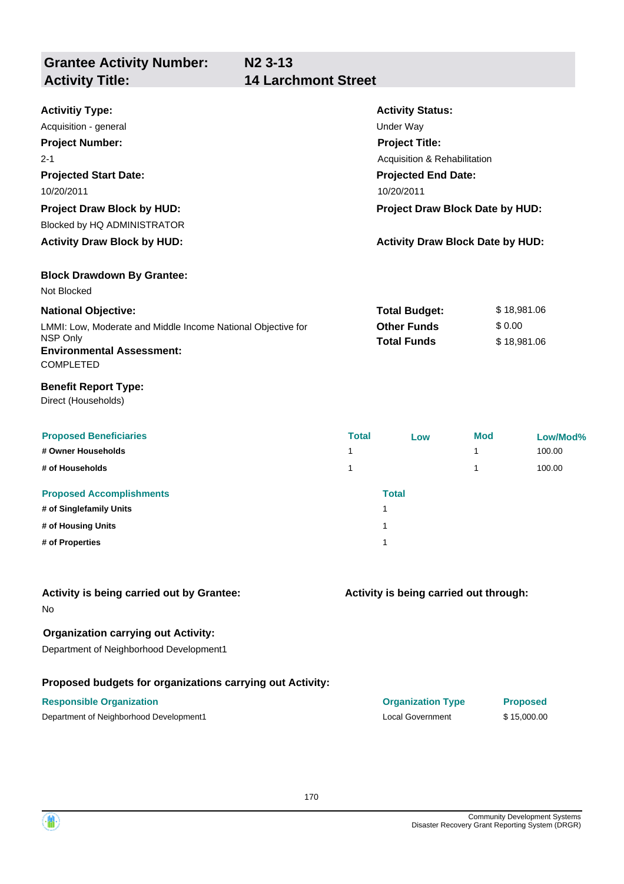**Grantee Activity Number: N2 3-13 Activity Title: 14 Larchmont Street**

| <b>Activitiy Type:</b><br>Acquisition - general<br><b>Project Number:</b><br>$2 - 1$<br><b>Projected Start Date:</b><br>10/20/2011<br><b>Project Draw Block by HUD:</b><br>Blocked by HQ ADMINISTRATOR<br><b>Activity Draw Block by HUD:</b> | <b>Activity Status:</b><br>Under Way<br><b>Project Title:</b><br>Acquisition & Rehabilitation<br><b>Projected End Date:</b><br>10/20/2011<br><b>Project Draw Block Date by HUD:</b><br><b>Activity Draw Block Date by HUD:</b> |             |
|----------------------------------------------------------------------------------------------------------------------------------------------------------------------------------------------------------------------------------------------|--------------------------------------------------------------------------------------------------------------------------------------------------------------------------------------------------------------------------------|-------------|
| <b>Block Drawdown By Grantee:</b><br>Not Blocked                                                                                                                                                                                             |                                                                                                                                                                                                                                |             |
| <b>National Objective:</b>                                                                                                                                                                                                                   | <b>Total Budget:</b>                                                                                                                                                                                                           | \$18,981.06 |
| LMMI: Low, Moderate and Middle Income National Objective for                                                                                                                                                                                 | <b>Other Funds</b>                                                                                                                                                                                                             | \$0.00      |
| NSP Only<br><b>Environmental Assessment:</b><br><b>COMPLETED</b>                                                                                                                                                                             | <b>Total Funds</b>                                                                                                                                                                                                             | \$18,981.06 |

Direct (Households) **Benefit Report Type:**

| <b>Proposed Beneficiaries</b>   | <b>Total</b> | Low          | <b>Mod</b> | Low/Mod% |
|---------------------------------|--------------|--------------|------------|----------|
| # Owner Households              | 4            |              | 1          | 100.00   |
| # of Households                 | 1            |              | и          | 100.00   |
| <b>Proposed Accomplishments</b> |              | <b>Total</b> |            |          |
| # of Singlefamily Units         |              |              |            |          |
| # of Housing Units              |              |              |            |          |
| # of Properties                 |              |              |            |          |
|                                 |              |              |            |          |

| Activity is being carried out by Grantee:  | Activity is being carried out through: |
|--------------------------------------------|----------------------------------------|
| N <sub>o</sub>                             |                                        |
| <b>Organization carrying out Activity:</b> |                                        |
| Department of Neighborhood Development1    |                                        |
|                                            |                                        |

#### **Proposed budgets for organizations carrying out Activity:**

#### **Responsible Organization COVID-10 COVID-10 Organization Type Proposed**

Department of Neighborhood Development1 Local Government \$ 15,000.00

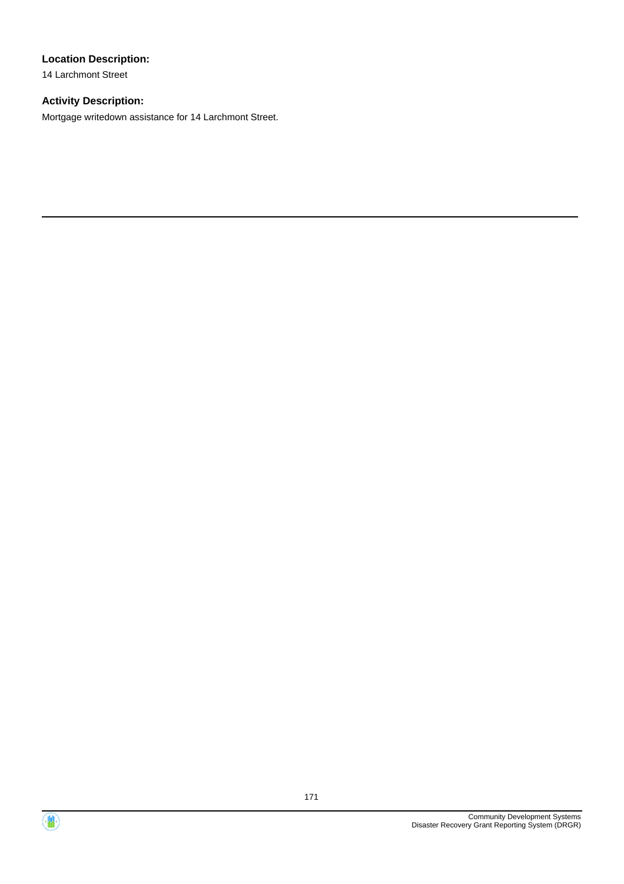14 Larchmont Street

## **Activity Description:**

Mortgage writedown assistance for 14 Larchmont Street.



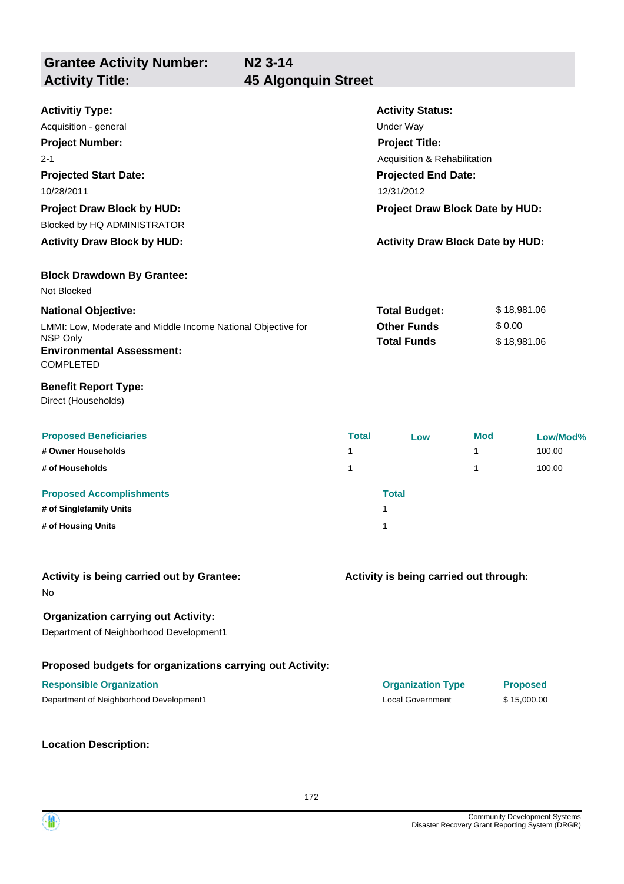**Grantee Activity Number: Activity Title: 45 Algonquin Street**

| <b>Activitiy Type:</b>                                       |              | <b>Activity Status:</b>                 |     |                 |          |  |
|--------------------------------------------------------------|--------------|-----------------------------------------|-----|-----------------|----------|--|
| Acquisition - general                                        |              | <b>Under Way</b>                        |     |                 |          |  |
| <b>Project Number:</b>                                       |              | <b>Project Title:</b>                   |     |                 |          |  |
| $2 - 1$                                                      |              | Acquisition & Rehabilitation            |     |                 |          |  |
| <b>Projected Start Date:</b>                                 |              | <b>Projected End Date:</b>              |     |                 |          |  |
| 10/28/2011                                                   |              | 12/31/2012                              |     |                 |          |  |
| <b>Project Draw Block by HUD:</b>                            |              | <b>Project Draw Block Date by HUD:</b>  |     |                 |          |  |
| Blocked by HQ ADMINISTRATOR                                  |              |                                         |     |                 |          |  |
| <b>Activity Draw Block by HUD:</b>                           |              | <b>Activity Draw Block Date by HUD:</b> |     |                 |          |  |
| <b>Block Drawdown By Grantee:</b>                            |              |                                         |     |                 |          |  |
| Not Blocked                                                  |              |                                         |     |                 |          |  |
| <b>National Objective:</b>                                   |              | <b>Total Budget:</b>                    |     | \$18,981.06     |          |  |
| LMMI: Low, Moderate and Middle Income National Objective for |              | <b>Other Funds</b>                      |     | \$0.00          |          |  |
| NSP Only                                                     |              | <b>Total Funds</b>                      |     | \$18,981.06     |          |  |
| <b>Environmental Assessment:</b><br><b>COMPLETED</b>         |              |                                         |     |                 |          |  |
| <b>Benefit Report Type:</b>                                  |              |                                         |     |                 |          |  |
| Direct (Households)                                          |              |                                         |     |                 |          |  |
| <b>Proposed Beneficiaries</b>                                | <b>Total</b> | Low                                     | Mod |                 | Low/Mod% |  |
| # Owner Households                                           | 1            |                                         | 1   |                 | 100.00   |  |
| # of Households                                              | 1            |                                         | 1   |                 | 100.00   |  |
| <b>Proposed Accomplishments</b>                              |              | <b>Total</b>                            |     |                 |          |  |
| # of Singlefamily Units                                      |              | $\mathbf{1}$                            |     |                 |          |  |
| # of Housing Units                                           |              | $\mathbf{1}$                            |     |                 |          |  |
| Activity is being carried out by Grantee:                    |              | Activity is being carried out through:  |     |                 |          |  |
| No                                                           |              |                                         |     |                 |          |  |
| <b>Organization carrying out Activity:</b>                   |              |                                         |     |                 |          |  |
| Department of Neighborhood Development1                      |              |                                         |     |                 |          |  |
| Proposed budgets for organizations carrying out Activity:    |              |                                         |     |                 |          |  |
| <b>Responsible Organization</b>                              |              | <b>Organization Type</b>                |     | <b>Proposed</b> |          |  |
| Department of Neighborhood Development1                      |              | <b>Local Government</b>                 |     | \$15,000.00     |          |  |
|                                                              |              |                                         |     |                 |          |  |

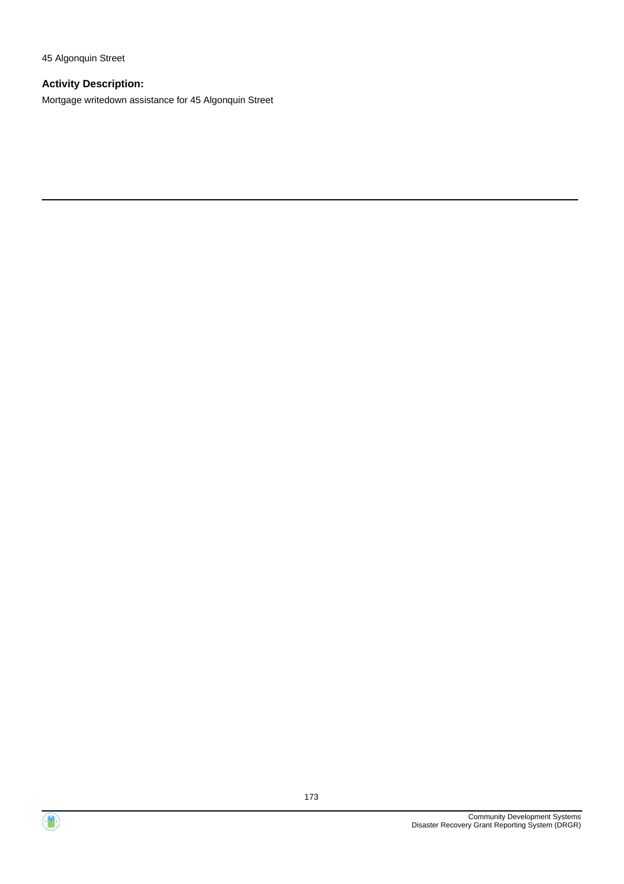45 Algonquin Street

## **Activity Description:**

Mortgage writedown assistance for 45 Algonquin Street



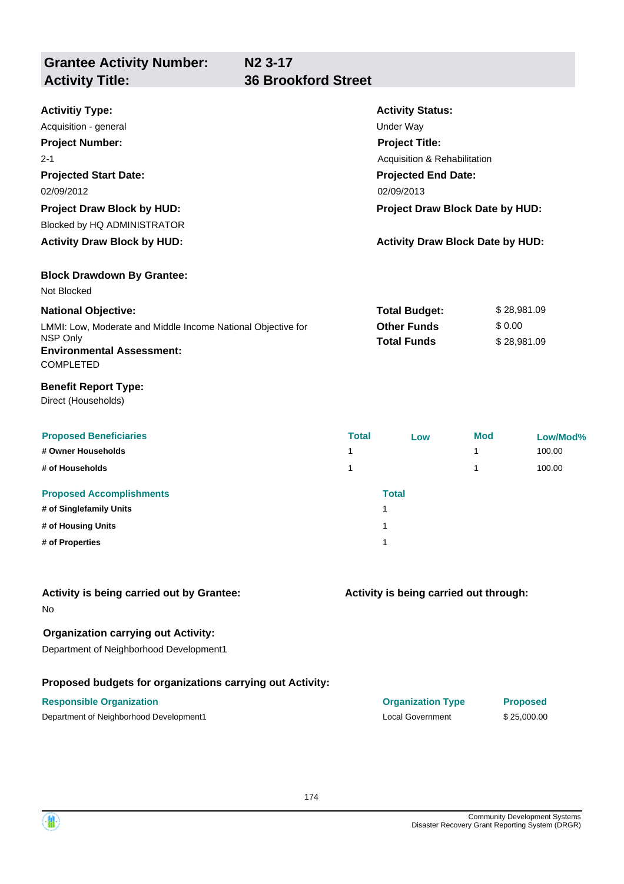**Grantee Activity Number: N2 3-17 Activity Title: 36 Brookford Street**

| <b>Activitiy Type:</b>                                       | <b>Activity Status:</b>                 |             |  |
|--------------------------------------------------------------|-----------------------------------------|-------------|--|
| Acquisition - general                                        | Under Way                               |             |  |
| <b>Project Number:</b>                                       | <b>Project Title:</b>                   |             |  |
| $2 - 1$                                                      | Acquisition & Rehabilitation            |             |  |
| <b>Projected Start Date:</b>                                 | <b>Projected End Date:</b>              |             |  |
| 02/09/2012                                                   | 02/09/2013                              |             |  |
| <b>Project Draw Block by HUD:</b>                            | Project Draw Block Date by HUD:         |             |  |
| Blocked by HQ ADMINISTRATOR                                  |                                         |             |  |
| <b>Activity Draw Block by HUD:</b>                           | <b>Activity Draw Block Date by HUD:</b> |             |  |
| <b>Block Drawdown By Grantee:</b>                            |                                         |             |  |
| Not Blocked                                                  |                                         |             |  |
| <b>National Objective:</b>                                   | <b>Total Budget:</b>                    | \$28,981.09 |  |
| LMMI: Low, Moderate and Middle Income National Objective for | <b>Other Funds</b>                      | \$0.00      |  |
| NSP Only<br><b>Environmental Assessment:</b>                 | <b>Total Funds</b>                      | \$28,981.09 |  |
| <b>COMPLETED</b>                                             |                                         |             |  |
| .                                                            |                                         |             |  |

Direct (Households) **Benefit Report Type:**

| <b>Proposed Beneficiaries</b>   | <b>Total</b> | Low | <b>Mod</b> | Low/Mod% |
|---------------------------------|--------------|-----|------------|----------|
| # Owner Households              | 1            |     | 1          | 100.00   |
| # of Households                 | 4            |     | 1          | 100.00   |
| <b>Proposed Accomplishments</b> | <b>Total</b> |     |            |          |
| # of Singlefamily Units         |              |     |            |          |
| # of Housing Units              |              |     |            |          |
| # of Properties                 |              |     |            |          |
|                                 |              |     |            |          |

| Activity is being carried out by Grantee: |  |  |  |  |  |
|-------------------------------------------|--|--|--|--|--|
|-------------------------------------------|--|--|--|--|--|

#### No

### **Organization carrying out Activity:**

Department of Neighborhood Development1

### **Proposed budgets for organizations carrying out Activity:**

#### **Responsible Organization Organization Type Proposed**

Department of Neighborhood Development1 Local Government \$ 25,000.00

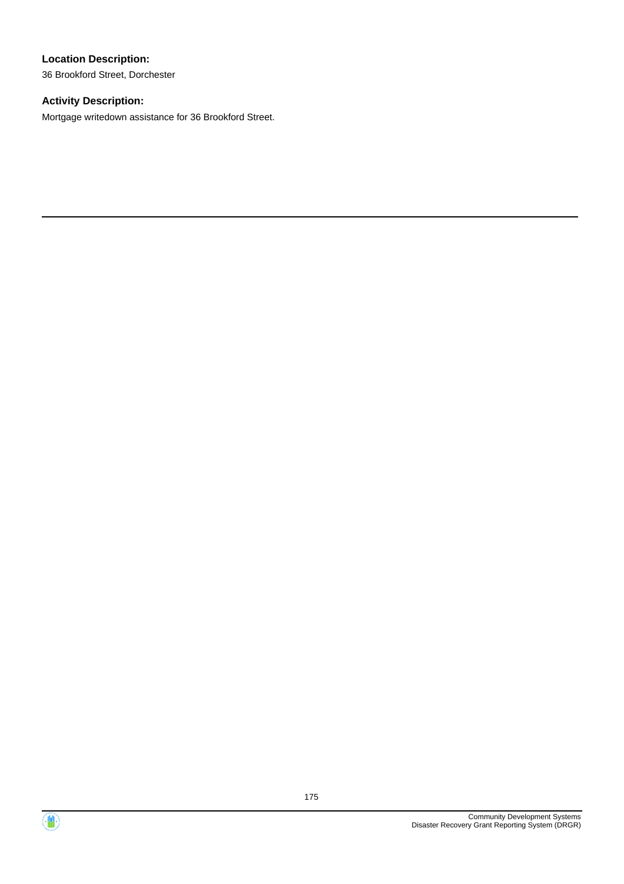36 Brookford Street, Dorchester

## **Activity Description:**

Mortgage writedown assistance for 36 Brookford Street.



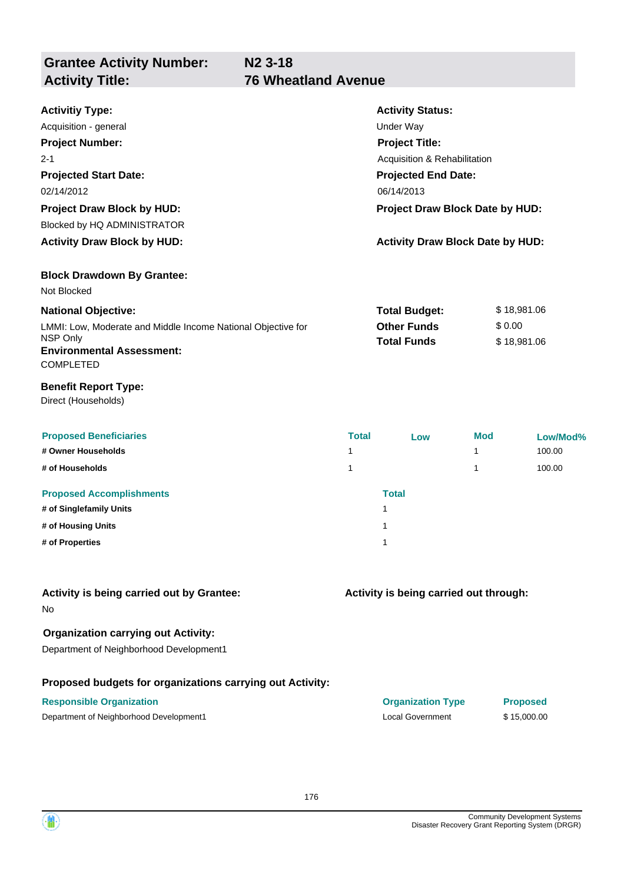**Grantee Activity Number: N2 3-18 Activity Title: 76 Wheatland Avenue**

| <b>Activitiy Type:</b>                                       |              | <b>Activity Status:</b>                 |            |             |
|--------------------------------------------------------------|--------------|-----------------------------------------|------------|-------------|
| Acquisition - general                                        |              | Under Way                               |            |             |
| <b>Project Number:</b>                                       |              | <b>Project Title:</b>                   |            |             |
| $2 - 1$                                                      |              | Acquisition & Rehabilitation            |            |             |
| <b>Projected Start Date:</b>                                 |              | <b>Projected End Date:</b>              |            |             |
| 02/14/2012                                                   |              | 06/14/2013                              |            |             |
| <b>Project Draw Block by HUD:</b>                            |              | Project Draw Block Date by HUD:         |            |             |
| Blocked by HQ ADMINISTRATOR                                  |              |                                         |            |             |
| <b>Activity Draw Block by HUD:</b>                           |              | <b>Activity Draw Block Date by HUD:</b> |            |             |
| <b>Block Drawdown By Grantee:</b>                            |              |                                         |            |             |
| Not Blocked                                                  |              |                                         |            |             |
| <b>National Objective:</b>                                   |              | <b>Total Budget:</b>                    |            | \$18,981.06 |
| LMMI: Low, Moderate and Middle Income National Objective for |              | <b>Other Funds</b>                      | \$0.00     |             |
| NSP Only<br><b>Environmental Assessment:</b>                 |              | <b>Total Funds</b>                      |            | \$18,981.06 |
| <b>COMPLETED</b>                                             |              |                                         |            |             |
| <b>Benefit Report Type:</b><br>Direct (Households)           |              |                                         |            |             |
| <b>Proposed Beneficiaries</b>                                | <b>Total</b> | Low                                     | <b>Mod</b> | Low/Mod%    |
| # Owner Households                                           | 1            |                                         | 1          | 100.00      |
| # of Households                                              | 1            |                                         | 1          | 100.00      |
| <b>Proposed Accomplishments</b>                              |              | <b>Total</b>                            |            |             |
| # of Singlefamily Units                                      |              | $\mathbf{1}$                            |            |             |
| # of Housing Units                                           |              | $\mathbf{1}$                            |            |             |
| # of Properties                                              |              | $\mathbf{1}$                            |            |             |

|  |  |  |  |  |  | Activity is being carried out by Grantee: |
|--|--|--|--|--|--|-------------------------------------------|
|--|--|--|--|--|--|-------------------------------------------|

#### No

#### **Organization carrying out Activity:**

Department of Neighborhood Development1

#### **Proposed budgets for organizations carrying out Activity:**

#### **Responsible Organization Organization Type Proposed**

Department of Neighborhood Development1 Local Government \$ 15,000.00

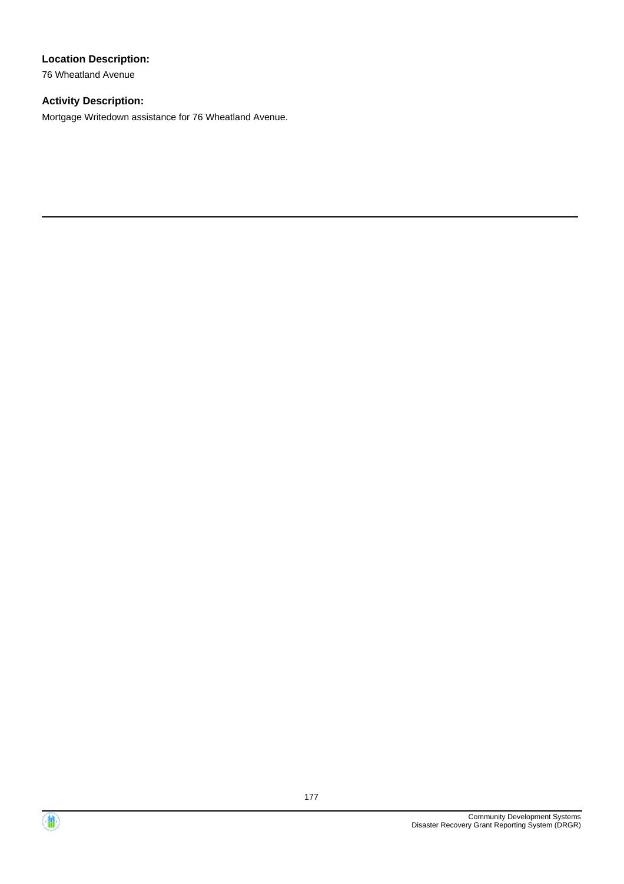76 Wheatland Avenue

#### **Activity Description:**

Mortgage Writedown assistance for 76 Wheatland Avenue.



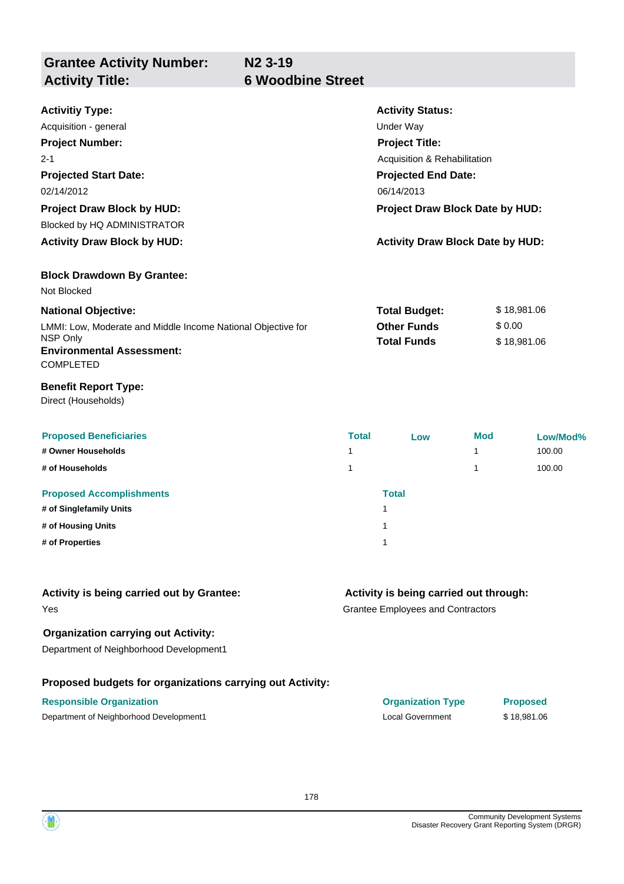**Grantee Activity Number: N2 3-19 Activity Title: 6 Woodbine Street**

| <b>Activitiy Type:</b>                                       | <b>Activity Status:</b>                 |             |  |
|--------------------------------------------------------------|-----------------------------------------|-------------|--|
| Acquisition - general                                        | <b>Under Way</b>                        |             |  |
| <b>Project Number:</b>                                       | <b>Project Title:</b>                   |             |  |
| $2 - 1$                                                      | Acquisition & Rehabilitation            |             |  |
| <b>Projected Start Date:</b>                                 | <b>Projected End Date:</b>              |             |  |
| 02/14/2012                                                   | 06/14/2013                              |             |  |
| <b>Project Draw Block by HUD:</b>                            | <b>Project Draw Block Date by HUD:</b>  |             |  |
| Blocked by HQ ADMINISTRATOR                                  |                                         |             |  |
| <b>Activity Draw Block by HUD:</b>                           | <b>Activity Draw Block Date by HUD:</b> |             |  |
| <b>Block Drawdown By Grantee:</b>                            |                                         |             |  |
| Not Blocked                                                  |                                         |             |  |
| <b>National Objective:</b>                                   | <b>Total Budget:</b>                    | \$18,981.06 |  |
| LMMI: Low, Moderate and Middle Income National Objective for | <b>Other Funds</b>                      | \$0.00      |  |
| NSP Only                                                     | <b>Total Funds</b>                      | \$18,981.06 |  |
| <b>Environmental Assessment:</b>                             |                                         |             |  |
| <b>COMPLETED</b>                                             |                                         |             |  |

Direct (Households) **Benefit Report Type:**

| <b>Proposed Beneficiaries</b>   | <b>Total</b> | Low | <b>Mod</b> | Low/Mod% |
|---------------------------------|--------------|-----|------------|----------|
| # Owner Households              | 4            |     |            | 100.00   |
| # of Households                 | 4            |     | и          | 100.00   |
| <b>Proposed Accomplishments</b> | <b>Total</b> |     |            |          |
| # of Singlefamily Units         | 1            |     |            |          |
| # of Housing Units              | 1            |     |            |          |
| # of Properties                 | 1            |     |            |          |
|                                 |              |     |            |          |

| Activity is being carried out by Grantee: |  |  |  |  |
|-------------------------------------------|--|--|--|--|
|-------------------------------------------|--|--|--|--|

## **Activity is being carried out through:**

Grantee Employees and Contractors

## **Organization carrying out Activity:**

Department of Neighborhood Development1

### **Proposed budgets for organizations carrying out Activity:**

#### **Responsible Organization Organization Type Proposed**

Department of Neighborhood Development1 **Local Government** \$ 18,981.06



Yes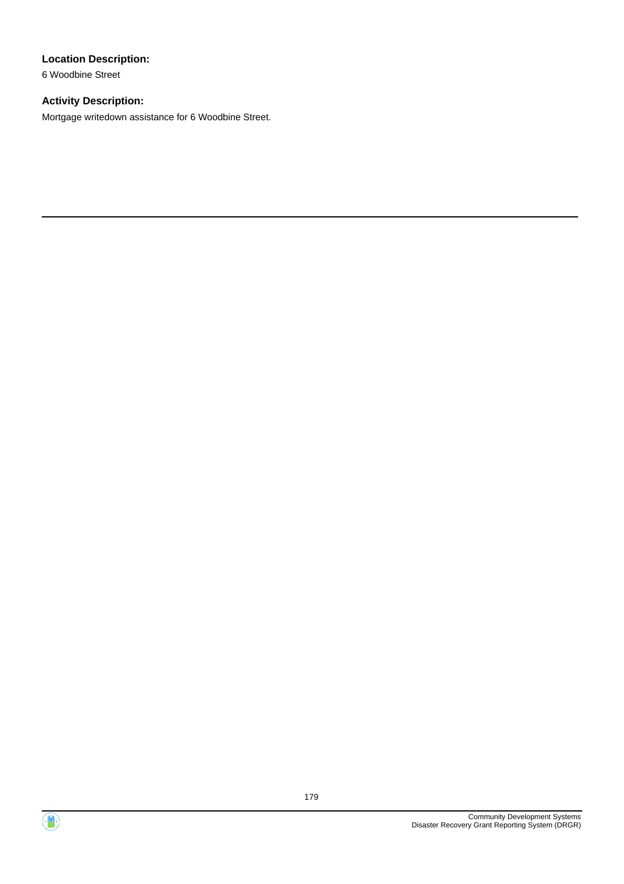6 Woodbine Street

## **Activity Description:**

Mortgage writedown assistance for 6 Woodbine Street.



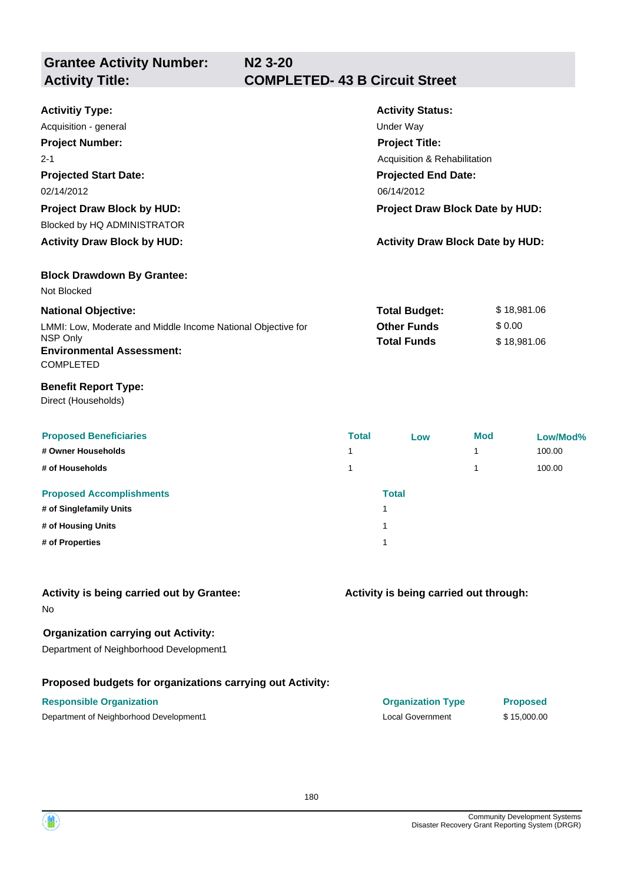**Grantee Activity Number: N2 3-20 Activity Title: COMPLETED- 43 B Circuit Street**

| <b>Activitiy Type:</b>                                       | <b>Activity Status:</b>                 |             |  |
|--------------------------------------------------------------|-----------------------------------------|-------------|--|
| Acquisition - general                                        | Under Way                               |             |  |
| <b>Project Number:</b>                                       | <b>Project Title:</b>                   |             |  |
| $2 - 1$                                                      | Acquisition & Rehabilitation            |             |  |
| <b>Projected Start Date:</b>                                 | <b>Projected End Date:</b>              |             |  |
| 02/14/2012                                                   | 06/14/2012                              |             |  |
| <b>Project Draw Block by HUD:</b>                            | Project Draw Block Date by HUD:         |             |  |
| Blocked by HQ ADMINISTRATOR                                  |                                         |             |  |
| <b>Activity Draw Block by HUD:</b>                           | <b>Activity Draw Block Date by HUD:</b> |             |  |
| <b>Block Drawdown By Grantee:</b>                            |                                         |             |  |
| Not Blocked                                                  |                                         |             |  |
| <b>National Objective:</b>                                   | <b>Total Budget:</b>                    | \$18,981.06 |  |
| LMMI: Low, Moderate and Middle Income National Objective for | \$0.00<br><b>Other Funds</b>            |             |  |

#### NSP Only **Environmental Assessment:**

## COMPLETED

Direct (Households) **Benefit Report Type:**

| <b>Proposed Beneficiaries</b>   | <b>Total</b> | Low | <b>Mod</b> | Low/Mod% |
|---------------------------------|--------------|-----|------------|----------|
| # Owner Households              | 4            |     |            | 100.00   |
| # of Households                 | 1            |     |            | 100.00   |
| <b>Proposed Accomplishments</b> | <b>Total</b> |     |            |          |
| # of Singlefamily Units         | 4            |     |            |          |
| # of Housing Units              | 4            |     |            |          |
| # of Properties                 | 4            |     |            |          |
|                                 |              |     |            |          |

| Activity is being carried out by Grantee:  | Activity is being carried out through: |
|--------------------------------------------|----------------------------------------|
| No                                         |                                        |
| <b>Organization carrying out Activity:</b> |                                        |

## Department of Neighborhood Development1

#### **Proposed budgets for organizations carrying out Activity:**

#### **Responsible Organization Organization Type Proposed**

Department of Neighborhood Development1 **Local Government** \$ 15,000.00

**Total Funds** \$ 18,981.06

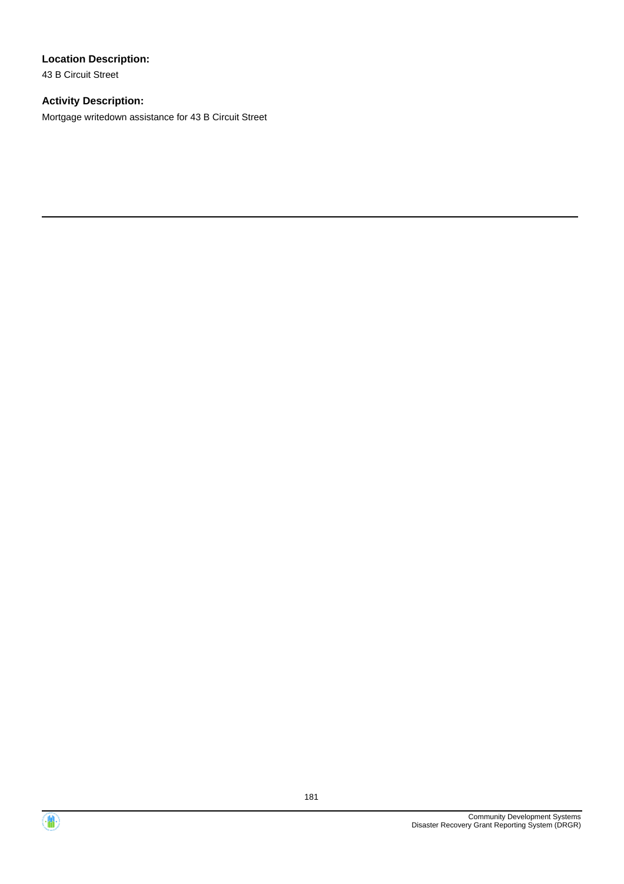43 B Circuit Street

# **Activity Description:**

Mortgage writedown assistance for 43 B Circuit Street



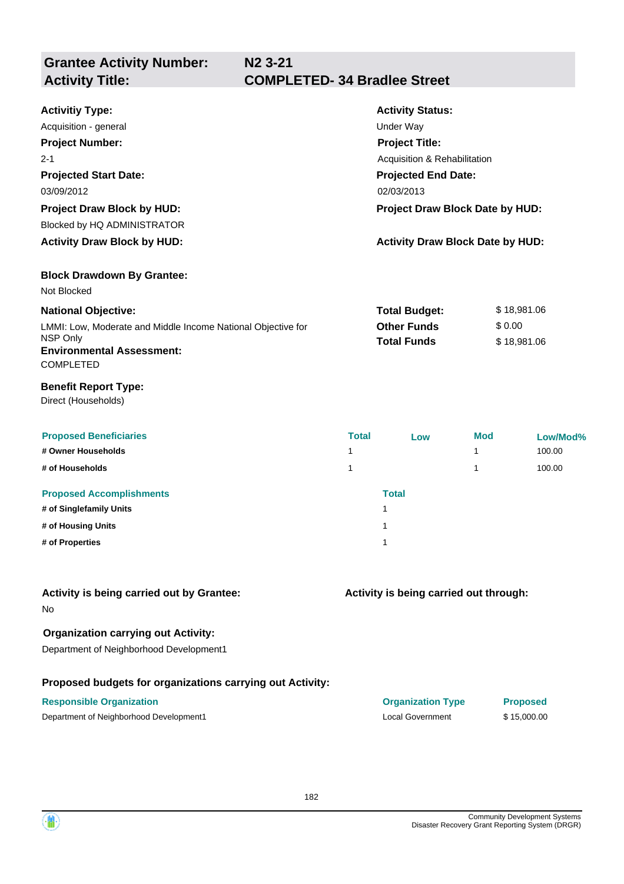**Grantee Activity Number: N2 3-21 Activity Title: COMPLETED- 34 Bradlee Street**

| <b>Activitiy Type:</b>                                       | <b>Activity Status:</b>                 |             |  |
|--------------------------------------------------------------|-----------------------------------------|-------------|--|
| Acquisition - general                                        | Under Way                               |             |  |
| <b>Project Number:</b>                                       | <b>Project Title:</b>                   |             |  |
| $2 - 1$                                                      | Acquisition & Rehabilitation            |             |  |
| <b>Projected Start Date:</b>                                 | <b>Projected End Date:</b>              |             |  |
| 03/09/2012                                                   | 02/03/2013                              |             |  |
| <b>Project Draw Block by HUD:</b>                            | Project Draw Block Date by HUD:         |             |  |
| Blocked by HQ ADMINISTRATOR                                  |                                         |             |  |
| <b>Activity Draw Block by HUD:</b>                           | <b>Activity Draw Block Date by HUD:</b> |             |  |
| <b>Block Drawdown By Grantee:</b>                            |                                         |             |  |
| Not Blocked                                                  |                                         |             |  |
| <b>National Objective:</b>                                   | <b>Total Budget:</b>                    | \$18,981.06 |  |
| LMMI: Low, Moderate and Middle Income National Objective for | <b>Other Funds</b>                      | \$0.00      |  |
| NSP Only                                                     | <b>Total Funds</b>                      | \$18,981.06 |  |

# **Environmental Assessment:**

#### COMPLETED

**Benefit Report Type:**

Direct (Households)

| <b>Proposed Beneficiaries</b><br># Owner Households<br># of Households | <b>Total</b><br>4<br>4 | Low          | <b>Mod</b> | Low/Mod%<br>100.00<br>100.00 |
|------------------------------------------------------------------------|------------------------|--------------|------------|------------------------------|
| <b>Proposed Accomplishments</b>                                        |                        | <b>Total</b> |            |                              |
| # of Singlefamily Units                                                |                        | 1            |            |                              |
| # of Housing Units                                                     |                        | 1            |            |                              |
| # of Properties                                                        |                        | 1            |            |                              |

#### No

#### **Organization carrying out Activity:**

Department of Neighborhood Development1

#### **Proposed budgets for organizations carrying out Activity:**

#### **Responsible Organization Organization Type Proposed**

Department of Neighborhood Development1 **Local Government** \$ 15,000.00

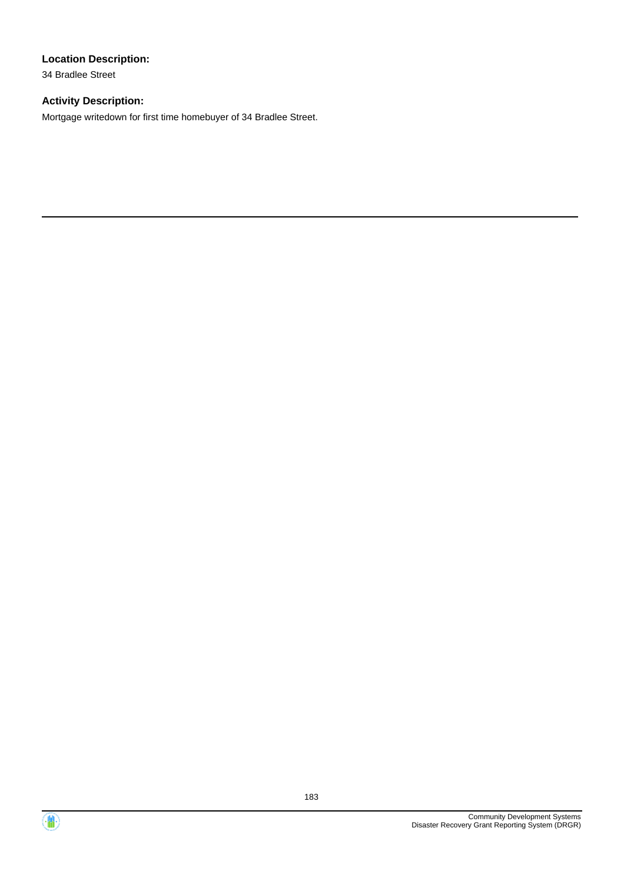34 Bradlee Street

# **Activity Description:**

Mortgage writedown for first time homebuyer of 34 Bradlee Street.



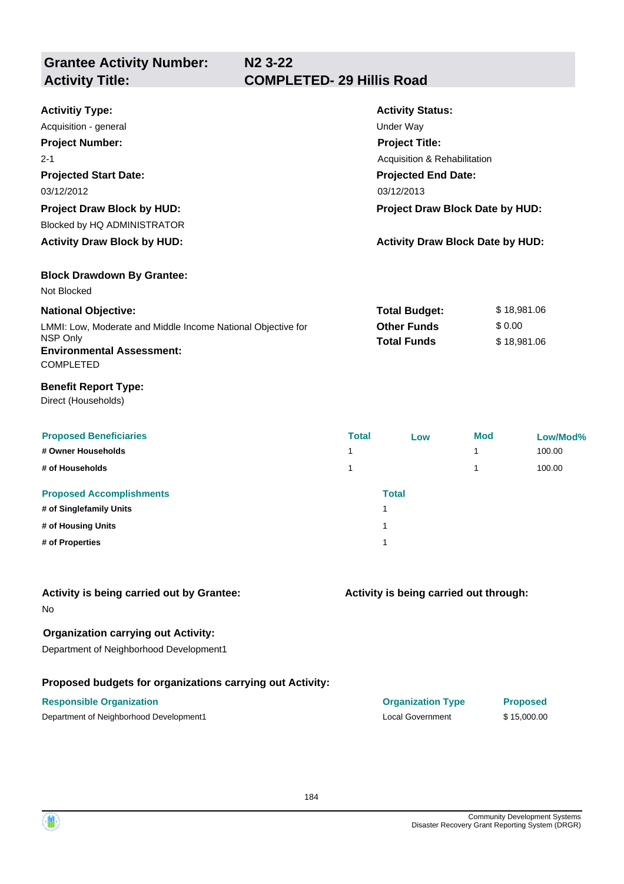**Grantee Activity Number: N2 3-22 Activity Title: COMPLETED- 29 Hillis Road**

| <b>Activitiy Type:</b>                                       | <b>Activity Status:</b>                 |             |
|--------------------------------------------------------------|-----------------------------------------|-------------|
| Acquisition - general                                        | Under Way                               |             |
| <b>Project Number:</b>                                       | <b>Project Title:</b>                   |             |
| $2 - 1$                                                      | Acquisition & Rehabilitation            |             |
| <b>Projected Start Date:</b>                                 | <b>Projected End Date:</b>              |             |
| 03/12/2012                                                   | 03/12/2013                              |             |
| <b>Project Draw Block by HUD:</b>                            | <b>Project Draw Block Date by HUD:</b>  |             |
| Blocked by HQ ADMINISTRATOR                                  |                                         |             |
| <b>Activity Draw Block by HUD:</b>                           | <b>Activity Draw Block Date by HUD:</b> |             |
| <b>Block Drawdown By Grantee:</b>                            |                                         |             |
| Not Blocked                                                  |                                         |             |
| <b>National Objective:</b>                                   | <b>Total Budget:</b>                    | \$18,981.06 |
| LMMI: Low, Moderate and Middle Income National Objective for | <b>Other Funds</b>                      | \$0.00      |
| NSP Only                                                     | <b>Total Funds</b>                      | \$18,981.06 |
| <b>Environmental Assessment:</b>                             |                                         |             |
| <b>COMPLETED</b>                                             |                                         |             |

# **Benefit Report Type:**

Direct (Households)

| <b>Proposed Beneficiaries</b>   | <b>Total</b> | Low | <b>Mod</b> | Low/Mod% |
|---------------------------------|--------------|-----|------------|----------|
| # Owner Households              | 4            |     | и          | 100.00   |
| # of Households                 | 1            |     | и          | 100.00   |
| <b>Proposed Accomplishments</b> | <b>Total</b> |     |            |          |
| # of Singlefamily Units         | 1            |     |            |          |
| # of Housing Units              | 1            |     |            |          |
| # of Properties                 | 1            |     |            |          |
|                                 |              |     |            |          |

| Activity is being carried out by Grantee: |  |
|-------------------------------------------|--|
|-------------------------------------------|--|

#### No

#### **Organization carrying out Activity:**

Department of Neighborhood Development1

#### **Proposed budgets for organizations carrying out Activity:**

#### **Responsible Organization Organization Type Proposed**

Department of Neighborhood Development1 **Local Government** \$ 15,000.00

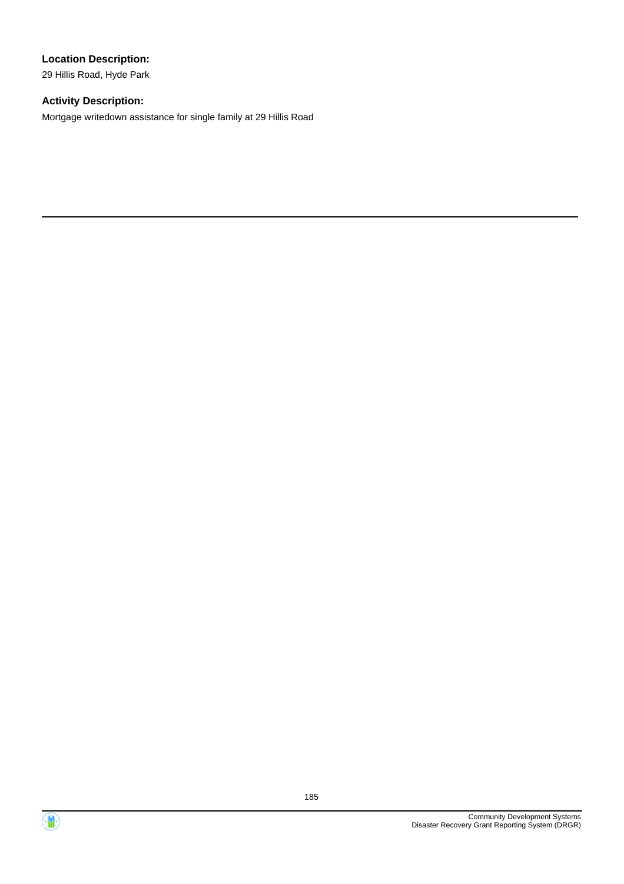29 Hillis Road, Hyde Park

# **Activity Description:**

Mortgage writedown assistance for single family at 29 Hillis Road



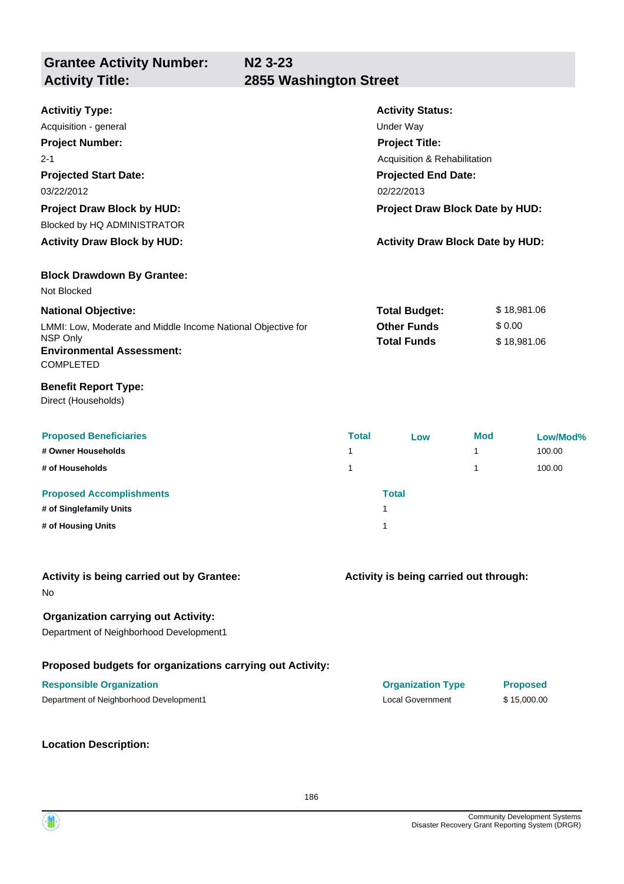**Grantee Activity Number: N2 3-23 Activity Title: 2855 Washington Street**

| <b>Activitiy Type:</b>                                       | <b>Activity Status:</b>                 |             |  |
|--------------------------------------------------------------|-----------------------------------------|-------------|--|
| Acquisition - general                                        | Under Way                               |             |  |
| <b>Project Number:</b>                                       | <b>Project Title:</b>                   |             |  |
| $2 - 1$                                                      | Acquisition & Rehabilitation            |             |  |
| <b>Projected Start Date:</b>                                 | <b>Projected End Date:</b>              |             |  |
| 03/22/2012                                                   | 02/22/2013                              |             |  |
| <b>Project Draw Block by HUD:</b>                            | Project Draw Block Date by HUD:         |             |  |
| Blocked by HQ ADMINISTRATOR                                  |                                         |             |  |
| <b>Activity Draw Block by HUD:</b>                           | <b>Activity Draw Block Date by HUD:</b> |             |  |
| <b>Block Drawdown By Grantee:</b>                            |                                         |             |  |
| Not Blocked                                                  |                                         |             |  |
| <b>National Objective:</b>                                   | <b>Total Budget:</b>                    | \$18,981.06 |  |
| LMMI: Low, Moderate and Middle Income National Objective for | \$0.00<br><b>Other Funds</b>            |             |  |

#### NSP Only **Environmental Assessment:**

COMPLETED

#### Direct (Households) **Benefit Report Type:**

| <b>Proposed Beneficiaries</b>   | Total | Low          | <b>Mod</b> | Low/Mod% |
|---------------------------------|-------|--------------|------------|----------|
| # Owner Households              |       |              |            | 100.00   |
| # of Households                 |       |              |            | 100.00   |
| <b>Proposed Accomplishments</b> |       | <b>Total</b> |            |          |
| # of Singlefamily Units         | 1     |              |            |          |
| # of Housing Units              |       |              |            |          |

#### No **Activity is being carried out by Grantee:**

### **Organization carrying out Activity:**

Department of Neighborhood Development1

# **Proposed budgets for organizations carrying out Activity:**

#### **Responsible Organization Organization Type Proposed** Department of Neighborhood Development1 Local Government \$ 15,000.00

# **Location Description:**

**Total Funds** \$ 18,981.06

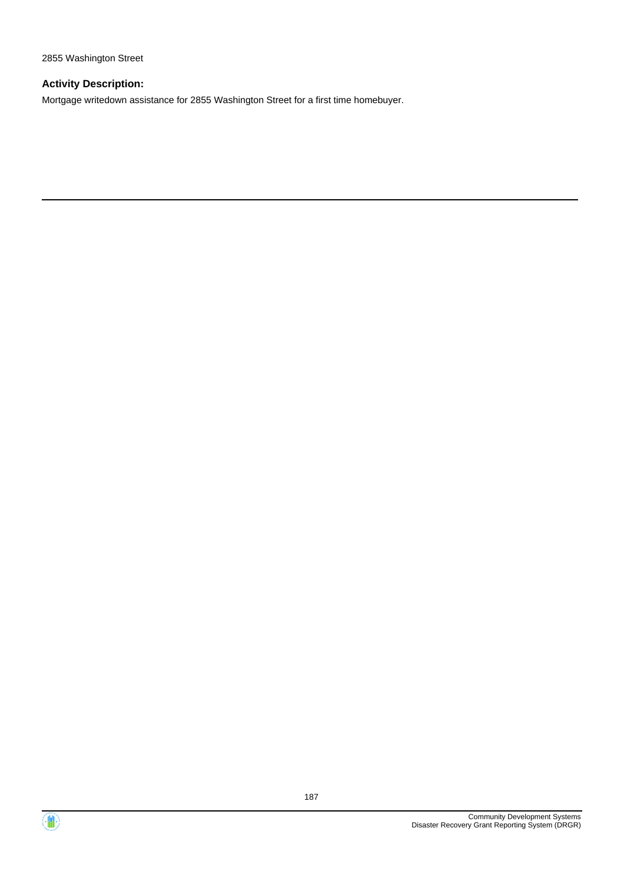2855 Washington Street

#### **Activity Description:**

Mortgage writedown assistance for 2855 Washington Street for a first time homebuyer.



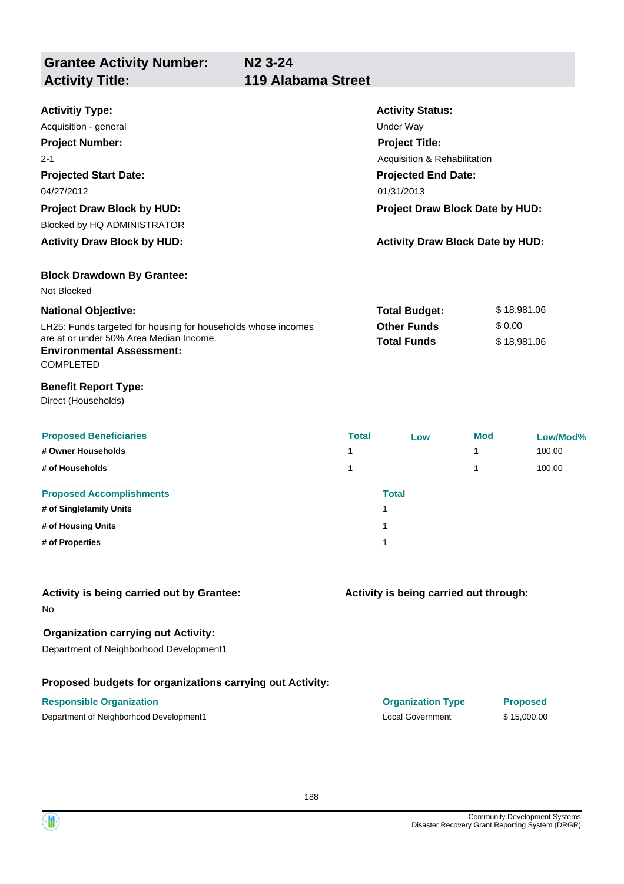**Grantee Activity Number: N2 3-24**

**Activity Title: 119 Alabama Street**

| <b>Activitiy Type:</b><br>Acquisition - general<br><b>Project Number:</b><br>$2 - 1$<br><b>Projected Start Date:</b><br>04/27/2012                                                             |                   | <b>Activity Status:</b><br>Under Way<br><b>Project Title:</b><br>Acquisition & Rehabilitation<br><b>Projected End Date:</b><br>01/31/2013 |          |                                      |
|------------------------------------------------------------------------------------------------------------------------------------------------------------------------------------------------|-------------------|-------------------------------------------------------------------------------------------------------------------------------------------|----------|--------------------------------------|
| <b>Project Draw Block by HUD:</b>                                                                                                                                                              |                   | Project Draw Block Date by HUD:                                                                                                           |          |                                      |
| Blocked by HQ ADMINISTRATOR<br><b>Activity Draw Block by HUD:</b>                                                                                                                              |                   | <b>Activity Draw Block Date by HUD:</b>                                                                                                   |          |                                      |
| <b>Block Drawdown By Grantee:</b><br>Not Blocked                                                                                                                                               |                   |                                                                                                                                           |          |                                      |
| <b>National Objective:</b><br>LH25: Funds targeted for housing for households whose incomes<br>are at or under 50% Area Median Income.<br><b>Environmental Assessment:</b><br><b>COMPLETED</b> |                   | <b>Total Budget:</b><br><b>Other Funds</b><br><b>Total Funds</b>                                                                          |          | \$18,981.06<br>\$0.00<br>\$18,981.06 |
| <b>Benefit Report Type:</b><br>Direct (Households)                                                                                                                                             |                   |                                                                                                                                           |          |                                      |
| <b>Proposed Beneficiaries</b><br># Owner Households                                                                                                                                            | <b>Total</b><br>1 | Low                                                                                                                                       | Mod<br>1 | Low/Mod%<br>100.00                   |
| # of Households<br><b>Proposed Accomplishments</b><br># of Singlefamily Units<br># of Housing Units<br># of Properties                                                                         | 1                 | <b>Total</b><br>$\mathbf{1}$<br>1<br>1                                                                                                    | 1        | 100.00                               |
| Activity is being carried out by Grantee:<br>No                                                                                                                                                |                   | Activity is being carried out through:                                                                                                    |          |                                      |
| <b>Organization carrying out Activity:</b><br>Department of Neighborhood Development1                                                                                                          |                   |                                                                                                                                           |          |                                      |
| Proposed budgets for organizations carrying out Activity:<br><b>Responsible Organization</b><br>Department of Neighborhood Development1                                                        |                   | <b>Organization Type</b><br><b>Local Government</b>                                                                                       |          | <b>Proposed</b><br>\$15,000.00       |

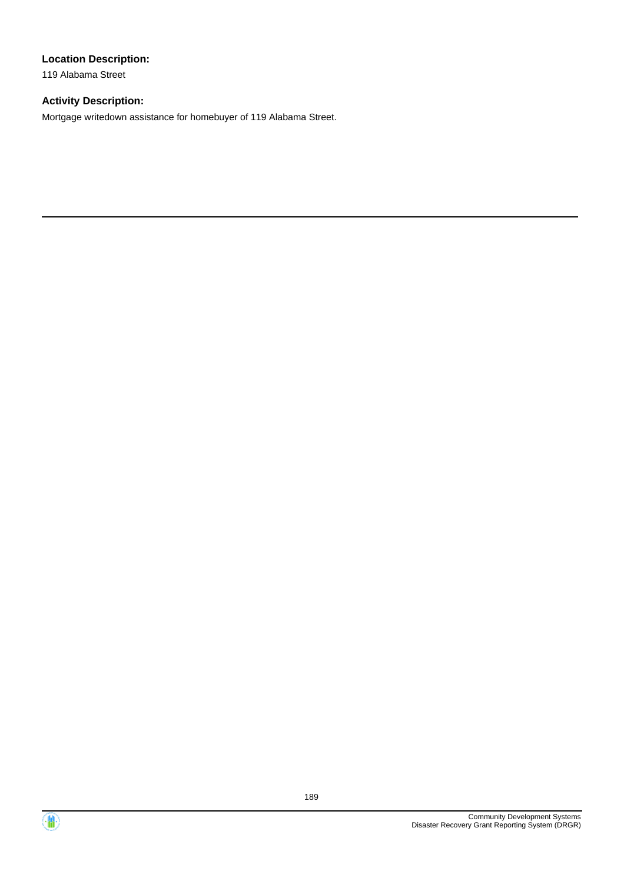119 Alabama Street

### **Activity Description:**

Mortgage writedown assistance for homebuyer of 119 Alabama Street.



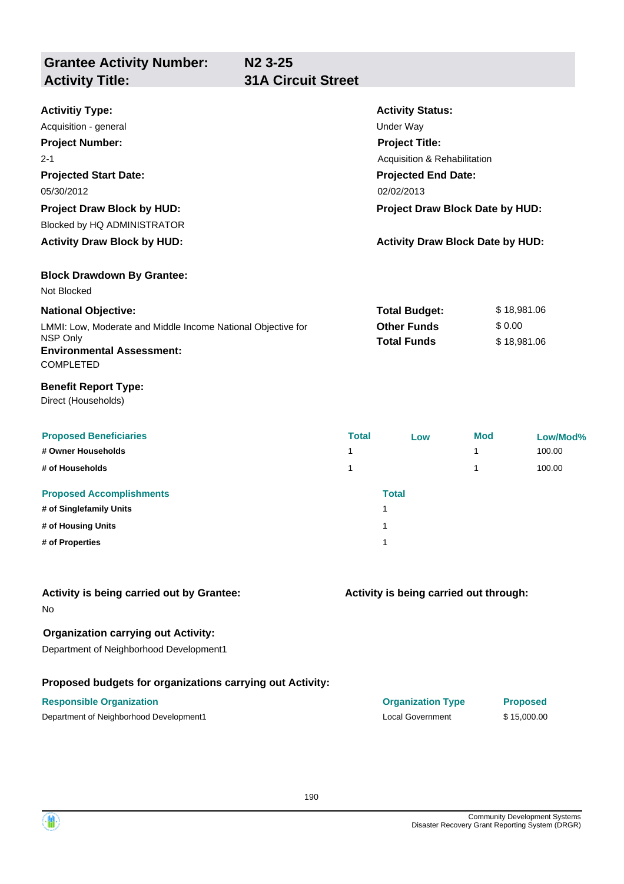**Grantee Activity Number: N2 3-25 Activity Title: 31A Circuit Street**

| <b>Activitiy Type:</b>                                       | <b>Activity Status:</b>                 |             |  |
|--------------------------------------------------------------|-----------------------------------------|-------------|--|
| Acquisition - general                                        | Under Way                               |             |  |
| <b>Project Number:</b>                                       | <b>Project Title:</b>                   |             |  |
| $2 - 1$                                                      | Acquisition & Rehabilitation            |             |  |
| <b>Projected Start Date:</b>                                 | <b>Projected End Date:</b>              |             |  |
| 05/30/2012                                                   | 02/02/2013                              |             |  |
| <b>Project Draw Block by HUD:</b>                            | <b>Project Draw Block Date by HUD:</b>  |             |  |
| Blocked by HQ ADMINISTRATOR                                  |                                         |             |  |
| <b>Activity Draw Block by HUD:</b>                           | <b>Activity Draw Block Date by HUD:</b> |             |  |
| <b>Block Drawdown By Grantee:</b>                            |                                         |             |  |
| Not Blocked                                                  |                                         |             |  |
| <b>National Objective:</b>                                   | <b>Total Budget:</b>                    | \$18,981.06 |  |
| LMMI: Low, Moderate and Middle Income National Objective for | <b>Other Funds</b>                      | \$0.00      |  |
| NSP Only                                                     | <b>Total Funds</b>                      | \$18,981.06 |  |
| <b>Environmental Assessment:</b>                             |                                         |             |  |
| <b>COMPLETED</b>                                             |                                         |             |  |
| <b>Benefit Report Type:</b>                                  |                                         |             |  |
| Direct (Households)                                          |                                         |             |  |

| <b>Proposed Beneficiaries</b>   | <b>Total</b> | Low | <b>Mod</b> | Low/Mod% |
|---------------------------------|--------------|-----|------------|----------|
| # Owner Households              |              |     |            | 100.00   |
| # of Households                 |              |     | 4          | 100.00   |
| <b>Proposed Accomplishments</b> | <b>Total</b> |     |            |          |
| # of Singlefamily Units         |              |     |            |          |
| # of Housing Units              |              |     |            |          |
| # of Properties                 |              |     |            |          |
|                                 |              |     |            |          |

| Activity is being carried out by Grantee:<br>No. | Activity is being carried out through |
|--------------------------------------------------|---------------------------------------|
| <b>Organization carrying out Activity:</b>       |                                       |
| Department of Neighborhood Development1          |                                       |

#### **Proposed budgets for organizations carrying out Activity:**

#### **Responsible Organization COVID-10 COVID-10 Organization Type Proposed**

Department of Neighborhood Development1 Local Government \$ 15,000.00

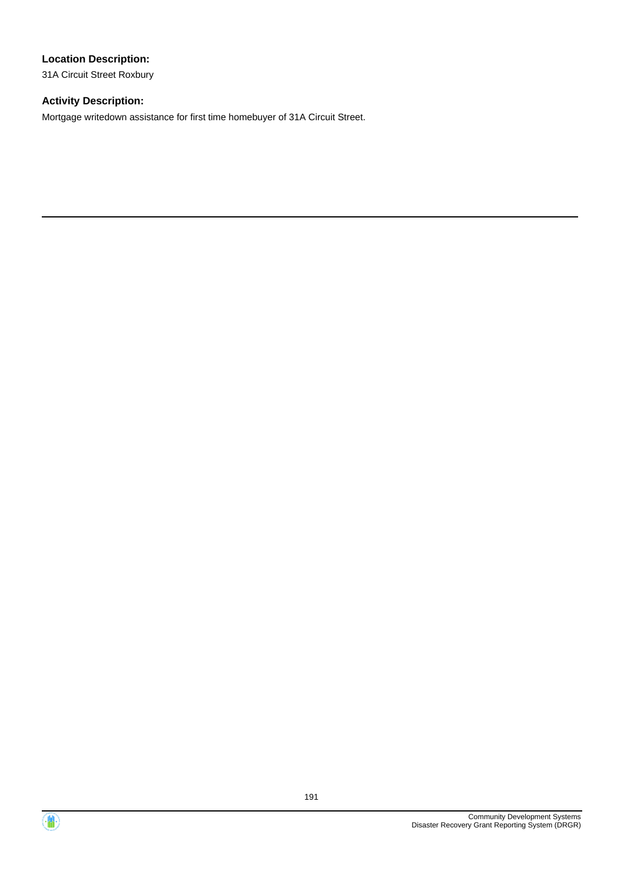31A Circuit Street Roxbury

### **Activity Description:**

Mortgage writedown assistance for first time homebuyer of 31A Circuit Street.



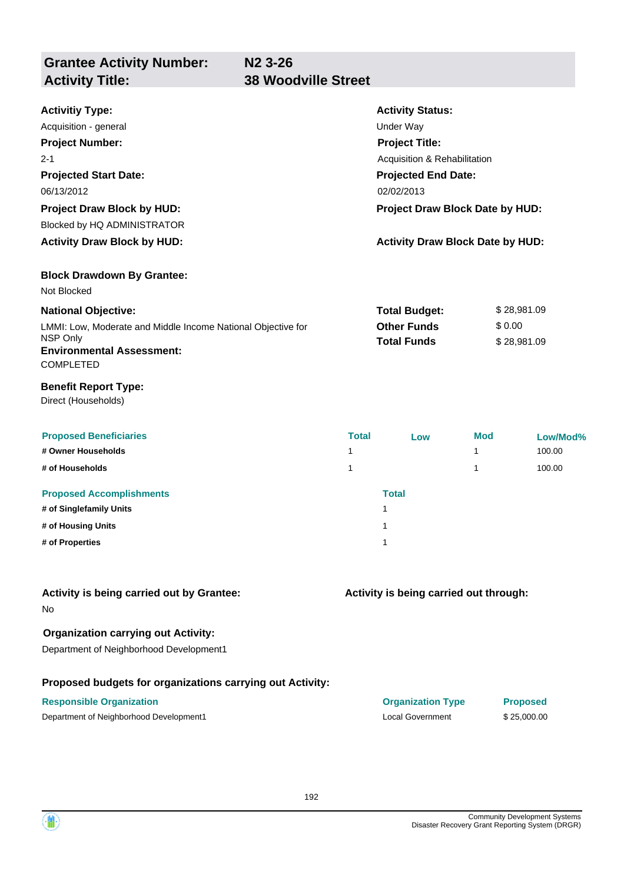**Grantee Activity Number: N2 3-26 Activity Title: 38 Woodville Street**

| <b>Activitiy Type:</b>                                       | <b>Activity Status:</b>                 |             |  |
|--------------------------------------------------------------|-----------------------------------------|-------------|--|
| Acquisition - general                                        | Under Way                               |             |  |
| <b>Project Number:</b>                                       | <b>Project Title:</b>                   |             |  |
| $2 - 1$                                                      | Acquisition & Rehabilitation            |             |  |
| <b>Projected Start Date:</b>                                 | <b>Projected End Date:</b>              |             |  |
| 06/13/2012                                                   | 02/02/2013                              |             |  |
| <b>Project Draw Block by HUD:</b>                            | <b>Project Draw Block Date by HUD:</b>  |             |  |
| Blocked by HQ ADMINISTRATOR                                  |                                         |             |  |
| <b>Activity Draw Block by HUD:</b>                           | <b>Activity Draw Block Date by HUD:</b> |             |  |
| <b>Block Drawdown By Grantee:</b>                            |                                         |             |  |
| Not Blocked                                                  |                                         |             |  |
| <b>National Objective:</b>                                   | <b>Total Budget:</b>                    | \$28,981.09 |  |
| LMMI: Low, Moderate and Middle Income National Objective for | <b>Other Funds</b>                      | \$0.00      |  |
| NSP Only<br><b>Environmental Assessment:</b>                 | <b>Total Funds</b>                      | \$28,981.09 |  |
|                                                              |                                         |             |  |

| <b>Proposed Beneficiaries</b>   | <b>Total</b> | Low          | <b>Mod</b> | Low/Mod% |
|---------------------------------|--------------|--------------|------------|----------|
| # Owner Households              | 1            |              |            | 100.00   |
| # of Households                 | 1            |              |            | 100.00   |
| <b>Proposed Accomplishments</b> |              | <b>Total</b> |            |          |
| # of Singlefamily Units         |              |              |            |          |
| # of Housing Units              |              |              |            |          |
| # of Properties                 |              |              |            |          |

| Activity is being carried out by Grantee:<br><b>No</b> | Activity is being carried out through |
|--------------------------------------------------------|---------------------------------------|
| <b>Organization carrying out Activity:</b>             |                                       |
| Department of Neighborhood Development1                |                                       |

#### **Proposed budgets for organizations carrying out Activity:**

#### **Responsible Organization COVID-10 COVID-10 Organization Type Proposed**

Department of Neighborhood Development1 Local Government \$ 25,000.00

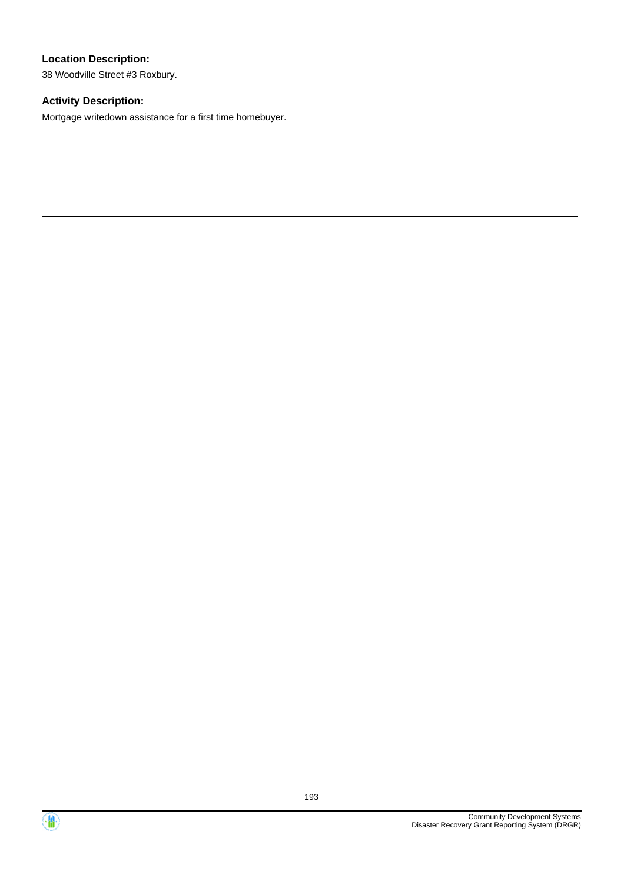38 Woodville Street #3 Roxbury.

# **Activity Description:**

Mortgage writedown assistance for a first time homebuyer.



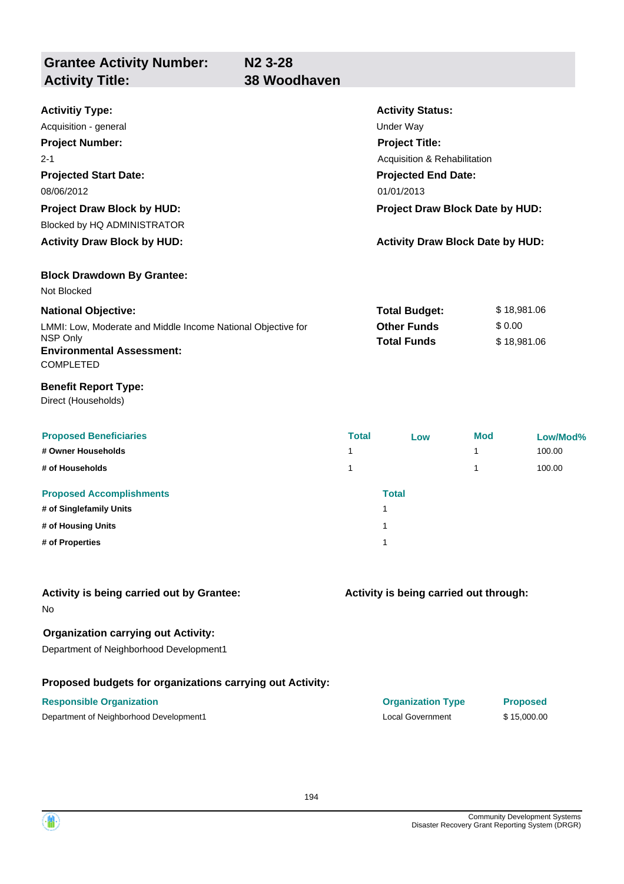**Grantee Activity Number: Projected Start Date:** LMMI: Low, Moderate and Middle Income National Objective for NSP Only **National Objective: Activity Status: Projected End Date: N2 3-28 Activitiy Type:** 08/06/2012 01/01/2013 Acquisition - general and the set of the set of the set of the Under Way **Activity Title: 38 Woodhaven Project Number:** 2-1 **Project Title:** Acquisition & Rehabilitation **Total Budget:** \$ 18,981.06 **Other Funds** \$ 0.00 **Total Funds** \$ 18,981.06 **Environmental Assessment:** COMPLETED **Proposed Beneficiaries Total Low Mod Low/Mod% # Owner Households** 1 1 100.00 **# of Households** 1 1 100.00 **Proposed Accomplishments Total # of Singlefamily Units** 1 **# of Housing Units** 1 **# of Properties** 1 **Activity is being carried out through:** No **Activity is being carried out by Grantee: Organization carrying out Activity:** Department of Neighborhood Development1 Direct (Households) **Benefit Report Type: Project Draw Block by HUD: Project Draw Block Date by HUD:** Blocked by HQ ADMINISTRATOR **Activity Draw Block by HUD: Activity Draw Block Date by HUD: Block Drawdown By Grantee:** Not Blocked

#### **Proposed budgets for organizations carrying out Activity:**

#### **Responsible Organization Organization Type Proposed**

Department of Neighborhood Development1 and the community of Neighborhood Development \$ 15,000.00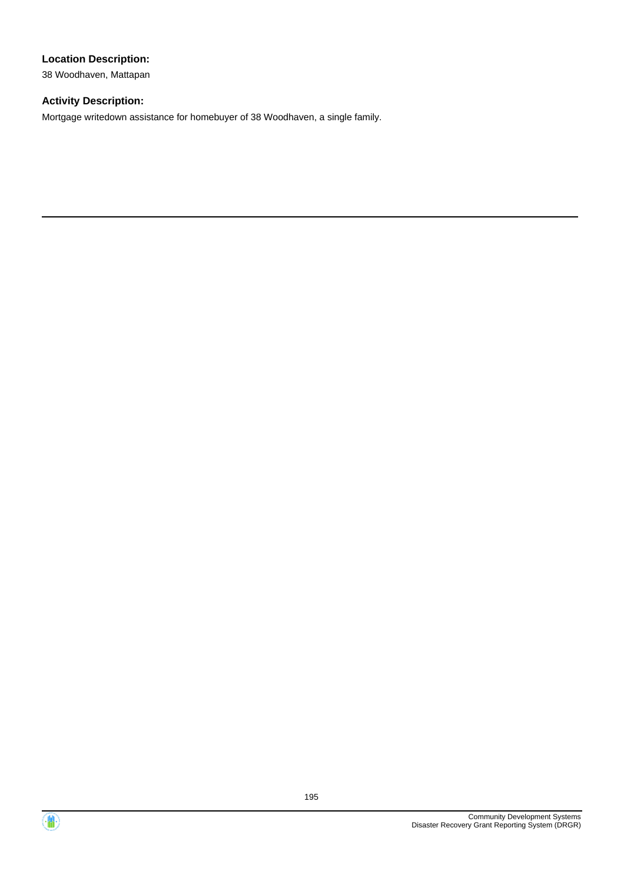38 Woodhaven, Mattapan

# **Activity Description:**

Mortgage writedown assistance for homebuyer of 38 Woodhaven, a single family.



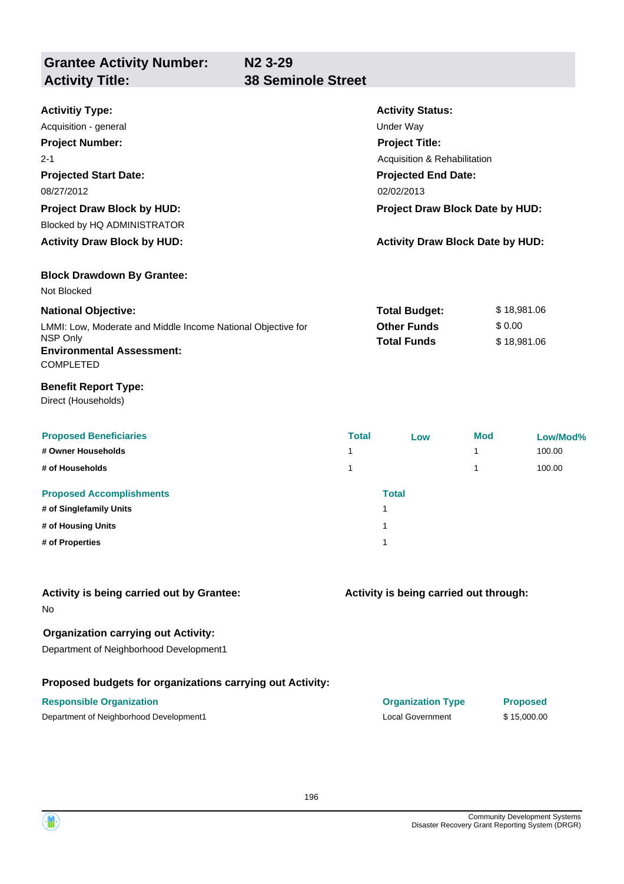**Grantee Activity Number: Activity Title: 38 Seminole Street**

**N2 3-29**

| <b>Activitiy Type:</b>                                                                |              | <b>Activity Status:</b>                 |     |                 |          |  |
|---------------------------------------------------------------------------------------|--------------|-----------------------------------------|-----|-----------------|----------|--|
| Acquisition - general                                                                 |              | Under Way                               |     |                 |          |  |
| <b>Project Number:</b>                                                                |              | <b>Project Title:</b>                   |     |                 |          |  |
| $2 - 1$                                                                               |              | Acquisition & Rehabilitation            |     |                 |          |  |
| <b>Projected Start Date:</b>                                                          |              | <b>Projected End Date:</b>              |     |                 |          |  |
| 08/27/2012                                                                            |              | 02/02/2013                              |     |                 |          |  |
| <b>Project Draw Block by HUD:</b>                                                     |              | <b>Project Draw Block Date by HUD:</b>  |     |                 |          |  |
| Blocked by HQ ADMINISTRATOR                                                           |              |                                         |     |                 |          |  |
| <b>Activity Draw Block by HUD:</b>                                                    |              | <b>Activity Draw Block Date by HUD:</b> |     |                 |          |  |
| <b>Block Drawdown By Grantee:</b>                                                     |              |                                         |     |                 |          |  |
| Not Blocked                                                                           |              |                                         |     |                 |          |  |
| <b>National Objective:</b>                                                            |              | <b>Total Budget:</b>                    |     | \$18,981.06     |          |  |
| LMMI: Low, Moderate and Middle Income National Objective for                          |              | <b>Other Funds</b>                      |     | \$0.00          |          |  |
| NSP Only                                                                              |              | <b>Total Funds</b>                      |     | \$18,981.06     |          |  |
| <b>Environmental Assessment:</b><br><b>COMPLETED</b>                                  |              |                                         |     |                 |          |  |
| <b>Benefit Report Type:</b><br>Direct (Households)                                    |              |                                         |     |                 |          |  |
| <b>Proposed Beneficiaries</b>                                                         | <b>Total</b> | Low                                     | Mod |                 | Low/Mod% |  |
| # Owner Households                                                                    | 1            |                                         | 1   |                 | 100.00   |  |
| # of Households                                                                       | 1            |                                         | 1   |                 | 100.00   |  |
| <b>Proposed Accomplishments</b>                                                       |              | <b>Total</b>                            |     |                 |          |  |
| # of Singlefamily Units                                                               |              | 1                                       |     |                 |          |  |
| # of Housing Units                                                                    |              | 1                                       |     |                 |          |  |
| # of Properties                                                                       |              | 1                                       |     |                 |          |  |
| Activity is being carried out by Grantee:                                             |              | Activity is being carried out through:  |     |                 |          |  |
| No                                                                                    |              |                                         |     |                 |          |  |
| <b>Organization carrying out Activity:</b><br>Department of Neighborhood Development1 |              |                                         |     |                 |          |  |
| Proposed budgets for organizations carrying out Activity:                             |              |                                         |     |                 |          |  |
| <b>Responsible Organization</b>                                                       |              | <b>Organization Type</b>                |     | <b>Proposed</b> |          |  |
| Department of Neighborhood Development1                                               |              | <b>Local Government</b>                 |     | \$15,000.00     |          |  |
|                                                                                       |              |                                         |     |                 |          |  |

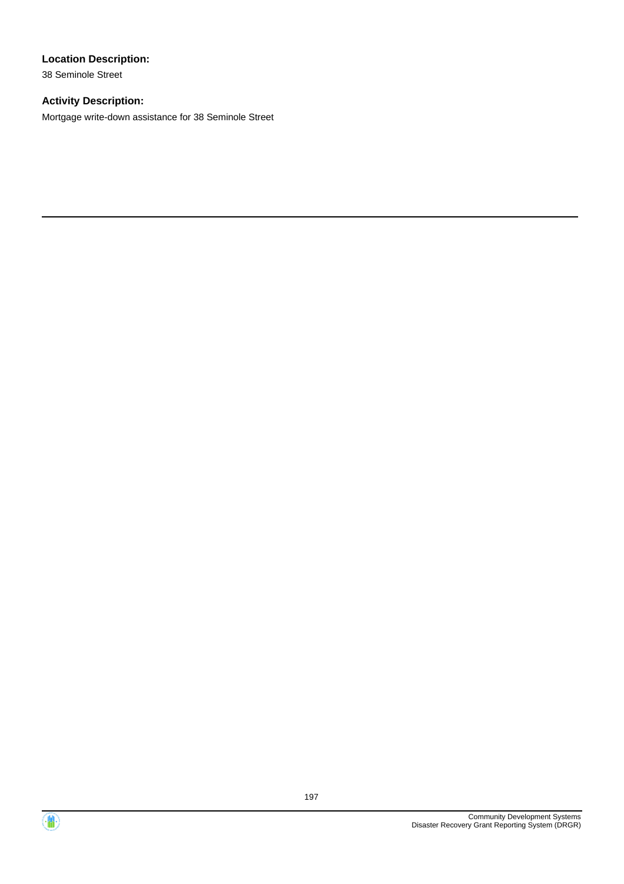38 Seminole Street

# **Activity Description:**

Mortgage write-down assistance for 38 Seminole Street



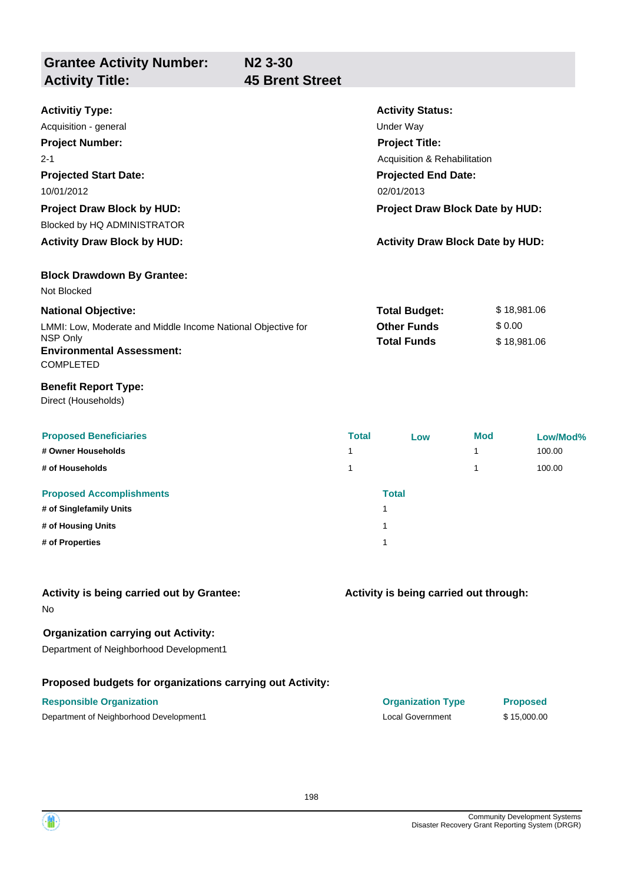**Grantee Activity Number: N2 3-30 Activity Title: 45 Brent Street**

| <b>Activitiy Type:</b>                                                   |                                 | <b>Activity Status:</b>                 |            |             |  |  |
|--------------------------------------------------------------------------|---------------------------------|-----------------------------------------|------------|-------------|--|--|
| Acquisition - general                                                    |                                 | <b>Under Way</b>                        |            |             |  |  |
| <b>Project Number:</b>                                                   |                                 | <b>Project Title:</b>                   |            |             |  |  |
| 2-1                                                                      |                                 | Acquisition & Rehabilitation            |            |             |  |  |
| <b>Projected Start Date:</b>                                             |                                 | <b>Projected End Date:</b>              |            |             |  |  |
| 10/01/2012                                                               |                                 | 02/01/2013                              |            |             |  |  |
| <b>Project Draw Block by HUD:</b>                                        | Project Draw Block Date by HUD: |                                         |            |             |  |  |
| <b>Blocked by HQ ADMINISTRATOR</b>                                       |                                 |                                         |            |             |  |  |
| <b>Activity Draw Block by HUD:</b>                                       |                                 | <b>Activity Draw Block Date by HUD:</b> |            |             |  |  |
| <b>Block Drawdown By Grantee:</b>                                        |                                 |                                         |            |             |  |  |
| Not Blocked                                                              |                                 |                                         |            |             |  |  |
| <b>National Objective:</b>                                               |                                 | <b>Total Budget:</b>                    |            | \$18,981.06 |  |  |
| LMMI: Low, Moderate and Middle Income National Objective for<br>NSP Only |                                 | <b>Other Funds</b>                      | \$0.00     |             |  |  |
| <b>Environmental Assessment:</b><br>COMPLETED                            |                                 | <b>Total Funds</b>                      |            | \$18,981.06 |  |  |
| <b>Benefit Report Type:</b><br>Direct (Households)                       |                                 |                                         |            |             |  |  |
| <b>Proposed Beneficiaries</b>                                            | <b>Total</b>                    | Low                                     | <b>Mod</b> | Low/Mod%    |  |  |

| # Owner Households              |              | 100.00 |
|---------------------------------|--------------|--------|
| # of Households                 |              | 100.00 |
| <b>Proposed Accomplishments</b> | <b>Total</b> |        |
| # of Singlefamily Units         |              |        |
| # of Housing Units              | и            |        |
| # of Properties                 | и            |        |
|                                 |              |        |

| <b>Activity is being carried out by Grantee:</b> | Activity is being carried out through: |
|--------------------------------------------------|----------------------------------------|
| No.                                              |                                        |
| <b>Organization carrying out Activity:</b>       |                                        |
| Department of Neighborhood Development1          |                                        |
|                                                  |                                        |

#### **Proposed budgets for organizations carrying out Activity:**

#### **Responsible Organization COVID-10 COVID-10 Organization Type Proposed**

Department of Neighborhood Development1 Local Government \$ 15,000.00

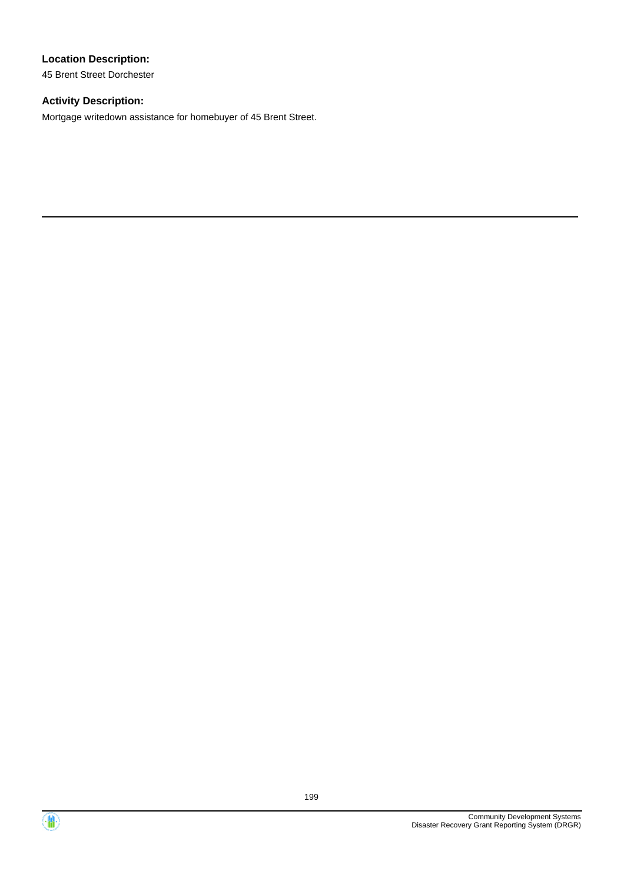45 Brent Street Dorchester

### **Activity Description:**

Mortgage writedown assistance for homebuyer of 45 Brent Street.



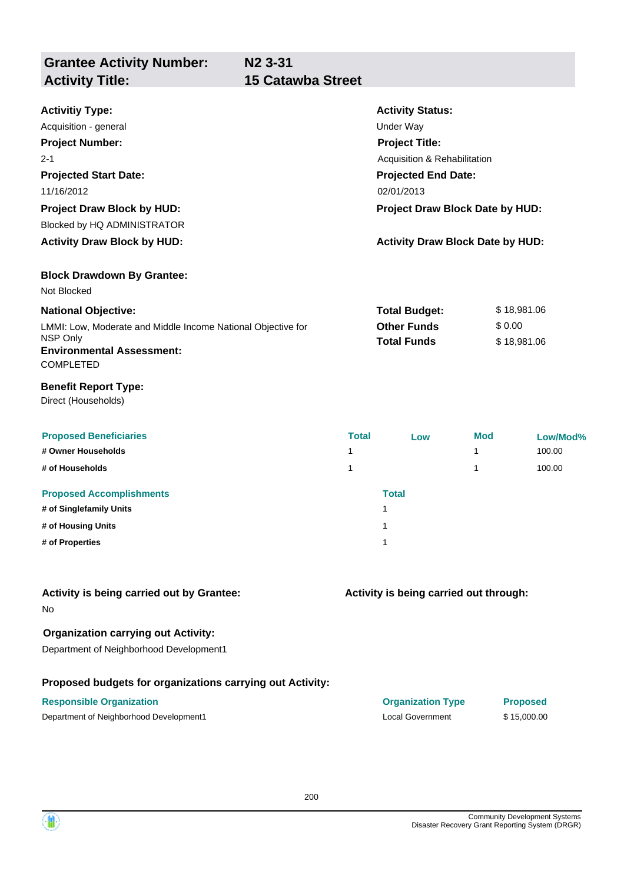**Grantee Activity Number: N2 3-31 Activity Title: 15 Catawba Street**

| <b>Activitiy Type:</b>                                       | <b>Activity Status:</b>                 |             |  |
|--------------------------------------------------------------|-----------------------------------------|-------------|--|
| Acquisition - general                                        | Under Way                               |             |  |
| <b>Project Number:</b>                                       | <b>Project Title:</b>                   |             |  |
| $2 - 1$                                                      | Acquisition & Rehabilitation            |             |  |
| <b>Projected Start Date:</b>                                 | <b>Projected End Date:</b>              |             |  |
| 11/16/2012                                                   | 02/01/2013                              |             |  |
| <b>Project Draw Block by HUD:</b>                            | <b>Project Draw Block Date by HUD:</b>  |             |  |
| Blocked by HQ ADMINISTRATOR                                  |                                         |             |  |
| <b>Activity Draw Block by HUD:</b>                           | <b>Activity Draw Block Date by HUD:</b> |             |  |
| <b>Block Drawdown By Grantee:</b>                            |                                         |             |  |
| Not Blocked                                                  |                                         |             |  |
| <b>National Objective:</b>                                   | <b>Total Budget:</b>                    | \$18,981.06 |  |
| LMMI: Low, Moderate and Middle Income National Objective for | <b>Other Funds</b>                      | \$0.00      |  |
| NSP Only                                                     | <b>Total Funds</b>                      | \$18,981.06 |  |
| <b>Environmental Assessment:</b>                             |                                         |             |  |
| <b>COMPLETED</b>                                             |                                         |             |  |

# **Benefit Report Type:**

Direct (Households)

| <b>Proposed Beneficiaries</b>   | <b>Total</b> | Low | <b>Mod</b> | Low/Mod% |
|---------------------------------|--------------|-----|------------|----------|
| # Owner Households              | 1            |     |            | 100.00   |
| # of Households                 | 1            |     |            | 100.00   |
| <b>Proposed Accomplishments</b> | <b>Total</b> |     |            |          |
| # of Singlefamily Units         |              |     |            |          |
| # of Housing Units              |              |     |            |          |
| # of Properties                 |              |     |            |          |
|                                 |              |     |            |          |

| Activity is being carried out by Grantee: |  |
|-------------------------------------------|--|
| No                                        |  |

#### **Organization carrying out Activity:**

Department of Neighborhood Development1

#### **Proposed budgets for organizations carrying out Activity:**

#### **Responsible Organization Organization Type Proposed**

Department of Neighborhood Development1 **Local Government** \$ 15,000.00

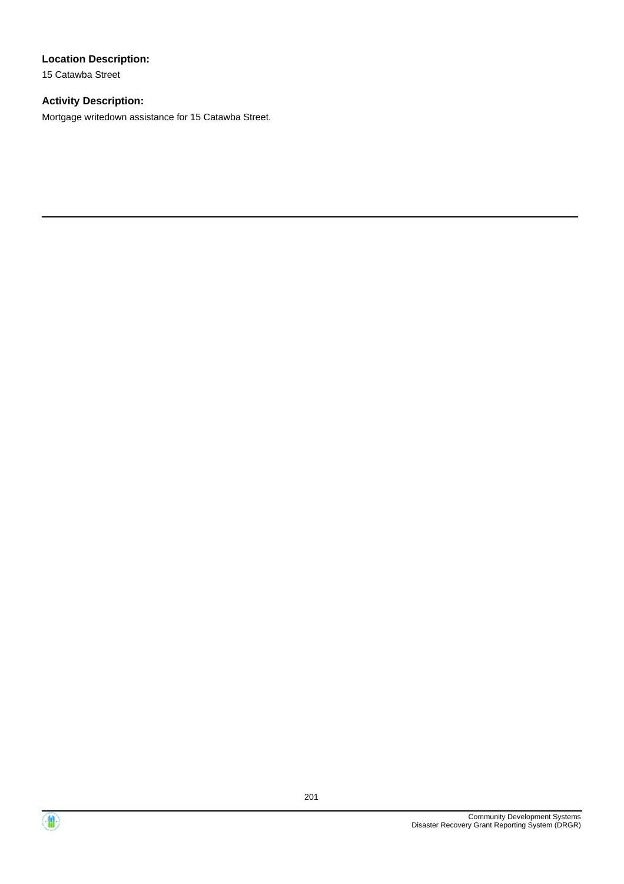15 Catawba Street

# **Activity Description:**

Mortgage writedown assistance for 15 Catawba Street.



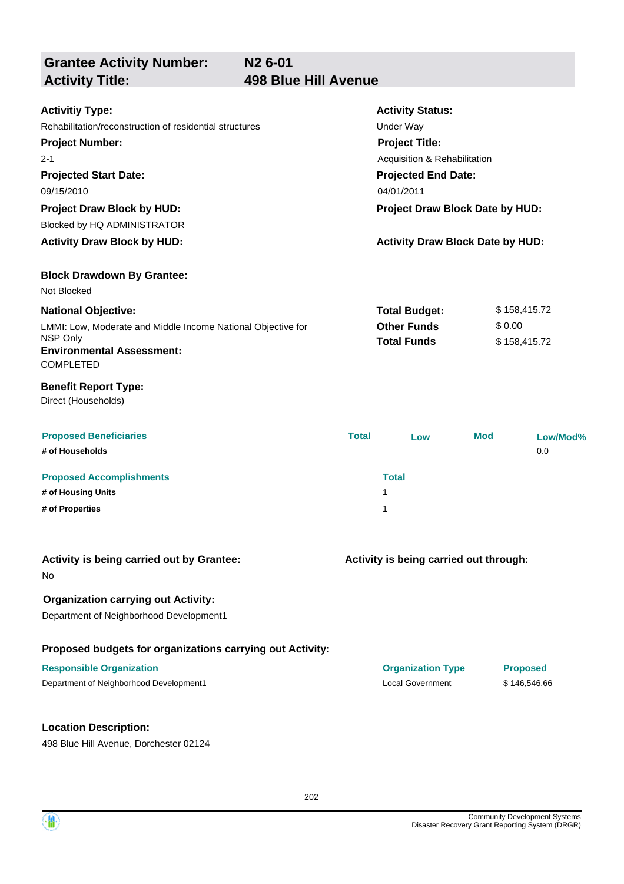**Grantee Activity Number: Projected Start Date:** LMMI: Low, Moderate and Middle Income National Objective for NSP Only **National Objective: Activity Status: Projected End Date: N2 6-01 Activitiy Type:** 09/15/2010 04/01/2011 Rehabilitation/reconstruction of residential structures example of the Under Way **Activity Title: 498 Blue Hill Avenue Project Number:** 2-1 **Project Title:** Acquisition & Rehabilitation **Total Budget:** \$ 158,415.72 **Other Funds** \$ 0.00 **Total Funds** \$ 158,415.72 **Environmental Assessment:** COMPLETED **Location Description: Proposed Beneficiaries Total Low Mod Low/Mod% # of Households** 0.0 **Proposed Accomplishments Total # of Housing Units** 1 **# of Properties** 1 **Proposed budgets for organizations carrying out Activity: Activity is being carried out through: Responsible Organization Organization Type Proposed** No **Activity is being carried out by Grantee: Organization carrying out Activity:** Department of Neighborhood Development1 Department of Neighborhood Development1 Local Government \$ 146,546.66 Direct (Households) **Benefit Report Type: Project Draw Block by HUD: Project Draw Block Date by HUD:** Blocked by HQ ADMINISTRATOR **Activity Draw Block by HUD: Activity Draw Block Date by HUD: Block Drawdown By Grantee:** Not Blocked

498 Blue Hill Avenue, Dorchester 02124

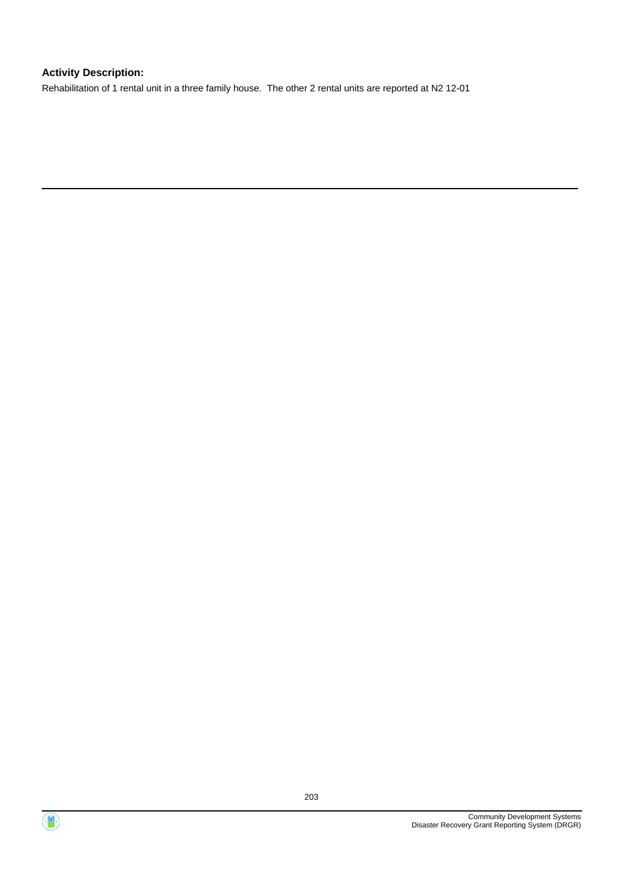# **Activity Description:**

Rehabilitation of 1 rental unit in a three family house. The other 2 rental units are reported at N2 12-01



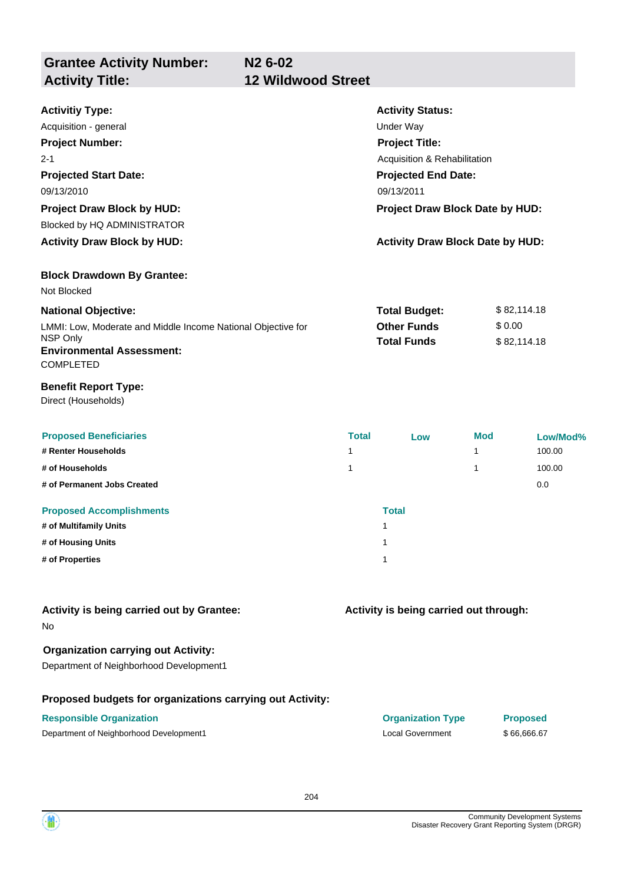**Grantee Activity Number: Activity Title: 12 Wildwood Street**

# **N2 6-02**

| <b>Activitiy Type:</b><br>Acquisition - general<br><b>Project Number:</b><br>$2 - 1$<br><b>Projected Start Date:</b><br>09/13/2010<br><b>Project Draw Block by HUD:</b><br>Blocked by HQ ADMINISTRATOR<br><b>Activity Draw Block by HUD:</b> | <b>Activity Status:</b><br><b>Under Way</b><br><b>Project Title:</b><br>Acquisition & Rehabilitation<br><b>Projected End Date:</b><br>09/13/2011<br>Project Draw Block Date by HUD:<br><b>Activity Draw Block Date by HUD:</b> |                                                                            |               |                                     |  |
|----------------------------------------------------------------------------------------------------------------------------------------------------------------------------------------------------------------------------------------------|--------------------------------------------------------------------------------------------------------------------------------------------------------------------------------------------------------------------------------|----------------------------------------------------------------------------|---------------|-------------------------------------|--|
| <b>Block Drawdown By Grantee:</b><br>Not Blocked                                                                                                                                                                                             |                                                                                                                                                                                                                                |                                                                            |               |                                     |  |
| <b>National Objective:</b><br>LMMI: Low, Moderate and Middle Income National Objective for<br>NSP Only<br><b>Environmental Assessment:</b><br><b>COMPLETED</b>                                                                               |                                                                                                                                                                                                                                | <b>Total Budget:</b><br><b>Other Funds</b><br>\$0.00<br><b>Total Funds</b> |               | \$82,114.18<br>\$82,114.18          |  |
| <b>Benefit Report Type:</b><br>Direct (Households)                                                                                                                                                                                           |                                                                                                                                                                                                                                |                                                                            |               |                                     |  |
| <b>Proposed Beneficiaries</b><br># Renter Households<br># of Households<br># of Permanent Jobs Created                                                                                                                                       | <b>Total</b><br>1<br>1                                                                                                                                                                                                         | Low                                                                        | Mod<br>1<br>1 | Low/Mod%<br>100.00<br>100.00<br>0.0 |  |
| <b>Proposed Accomplishments</b><br># of Multifamily Units<br># of Housing Units<br># of Properties                                                                                                                                           |                                                                                                                                                                                                                                | <b>Total</b><br>1<br>1<br>1                                                |               |                                     |  |
| Activity is being carried out by Grantee:<br>No                                                                                                                                                                                              |                                                                                                                                                                                                                                | Activity is being carried out through:                                     |               |                                     |  |
| <b>Organization carrying out Activity:</b><br>Department of Neighborhood Development1                                                                                                                                                        |                                                                                                                                                                                                                                |                                                                            |               |                                     |  |

#### **Proposed budgets for organizations carrying out Activity:**

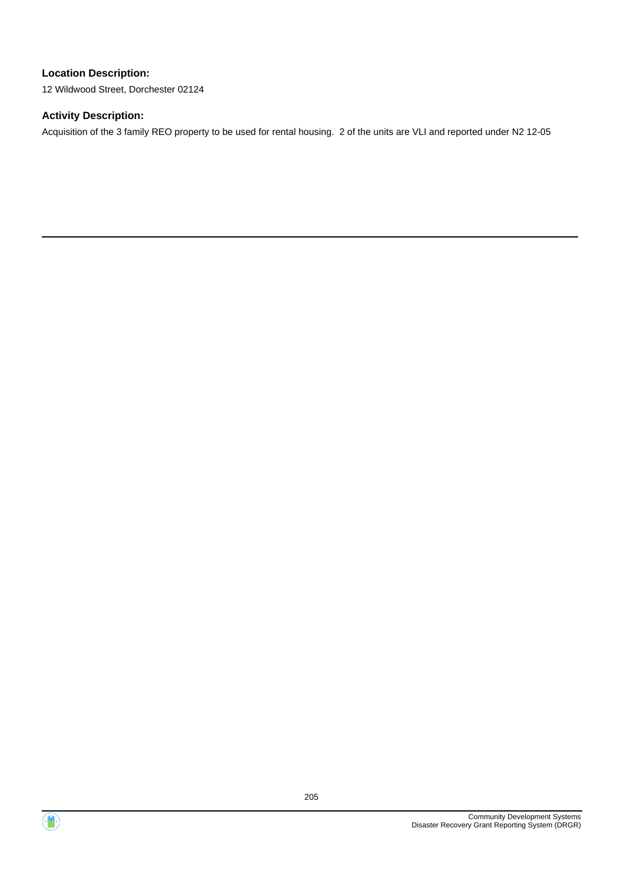12 Wildwood Street, Dorchester 02124

#### **Activity Description:**

Acquisition of the 3 family REO property to be used for rental housing. 2 of the units are VLI and reported under N2 12-05



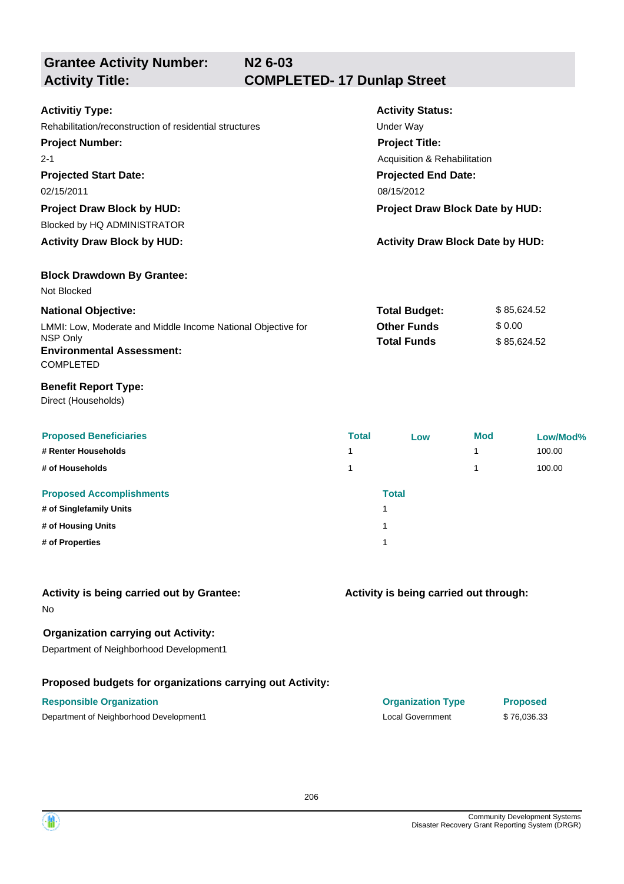**Grantee Activity Number: Projected Start Date:** LMMI: Low, Moderate and Middle Income National Objective for NSP Only **National Objective: Activity Status: Projected End Date: N2 6-03 Activitiy Type:** 02/15/2011 08/15/2012 Rehabilitation/reconstruction of residential structures example of the Under Way **Activity Title: COMPLETED- 17 Dunlap Street Project Number:** 2-1 **Project Title:** Acquisition & Rehabilitation **Total Budget:** \$ 85,624.52 **Other Funds** \$ 0.00 **Total Funds** \$ 85,624.52 **Environmental Assessment:** COMPLETED **Project Draw Block by HUD: Project Draw Block Date by HUD:** Blocked by HQ ADMINISTRATOR **Activity Draw Block by HUD: Activity Draw Block Date by HUD: Block Drawdown By Grantee:** Not Blocked

**Benefit Report Type:**

Direct (Households)

| <b>Proposed Beneficiaries</b>   | <b>Total</b> | Low          | Mod | Low/Mod% |
|---------------------------------|--------------|--------------|-----|----------|
| # Renter Households             | 4            |              | 1   | 100.00   |
| # of Households                 | 4            |              |     | 100.00   |
| <b>Proposed Accomplishments</b> |              | <b>Total</b> |     |          |
| # of Singlefamily Units         | 1            |              |     |          |
| # of Housing Units              |              |              |     |          |
| # of Properties                 | 4            |              |     |          |
|                                 |              |              |     |          |

| Activity is being carried out by Grantee: |  |
|-------------------------------------------|--|
| No                                        |  |

#### **Organization carrying out Activity:**

Department of Neighborhood Development1

#### **Proposed budgets for organizations carrying out Activity:**

#### **Responsible Organization Organization Type Proposed**

Department of Neighborhood Development1 and the community of Neighborhood Development \$ 76,036.33

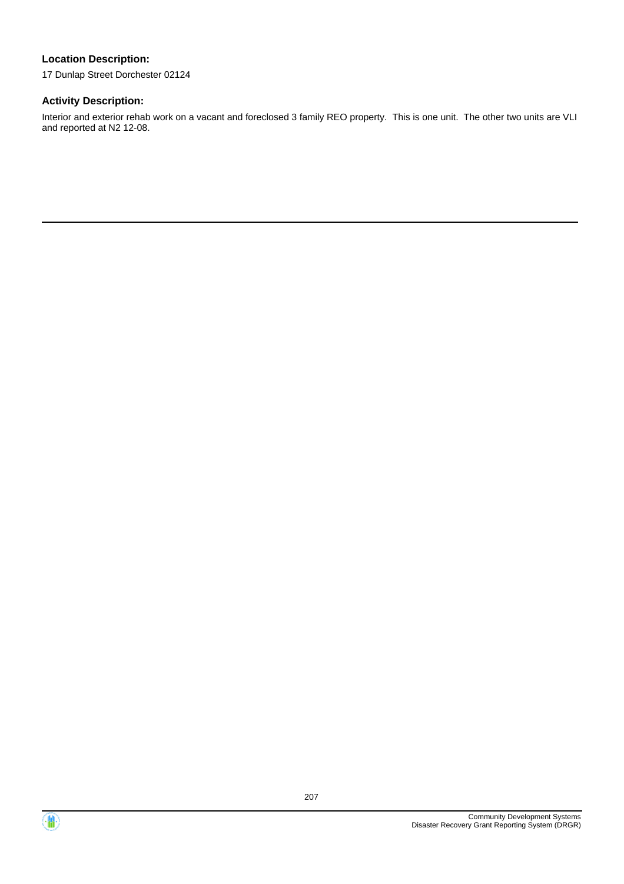17 Dunlap Street Dorchester 02124

#### **Activity Description:**

Interior and exterior rehab work on a vacant and foreclosed 3 family REO property. This is one unit. The other two units are VLI and reported at N2 12-08.



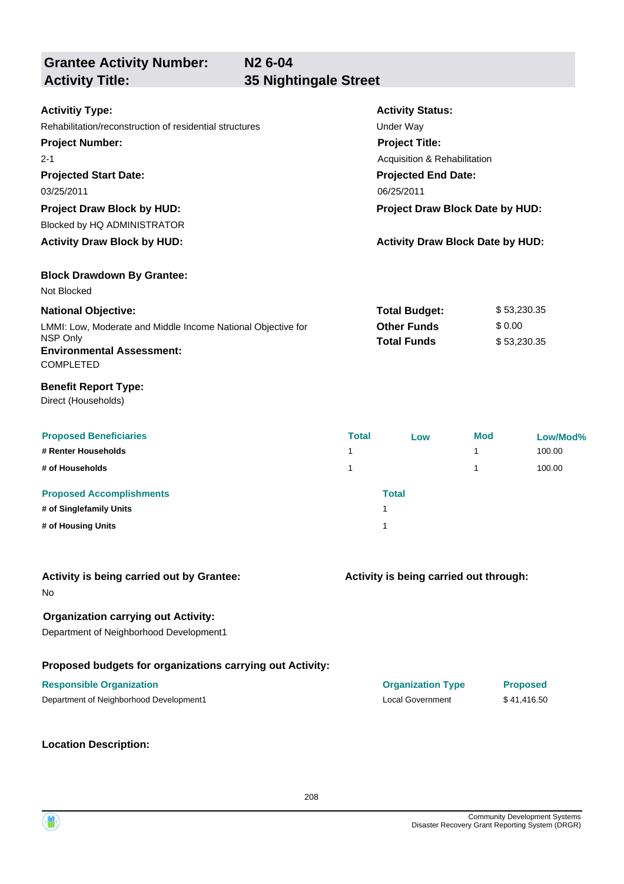**Grantee Activity Number: Projected Start Date:** LMMI: Low, Moderate and Middle Income National Objective for NSP Only **National Objective: Activity Status: Projected End Date: N2 6-04 Activitiy Type:** 03/25/2011 06/25/2011 Rehabilitation/reconstruction of residential structures example of the Under Way **Activity Title: 35 Nightingale Street Project Number:** 2-1 **Project Title:** Acquisition & Rehabilitation **Total Budget:** \$ 53,230.35 **Other Funds** \$ 0.00 **Total Funds** \$ 53,230.35 **Environmental Assessment:** COMPLETED **Proposed Beneficiaries Total Low Mod Low/Mod% # Renter Households** 1 1 100.00 **# of Households** 1 1 100.00 **Proposed Accomplishments Total # of Singlefamily Units** 1 **# of Housing Units** 1 **Proposed budgets for organizations carrying out Activity: Activity is being carried out through:** No **Activity is being carried out by Grantee: Organization carrying out Activity:** Department of Neighborhood Development1 Direct (Households) **Benefit Report Type: Project Draw Block by HUD: Project Draw Block Date by HUD:** Blocked by HQ ADMINISTRATOR **Activity Draw Block by HUD: Activity Draw Block Date by HUD: Block Drawdown By Grantee:** Not Blocked

**Responsible Organization Organization Type Proposed** Department of Neighborhood Development1 and the community of the community of the S 41,416.50

#### **Location Description:**

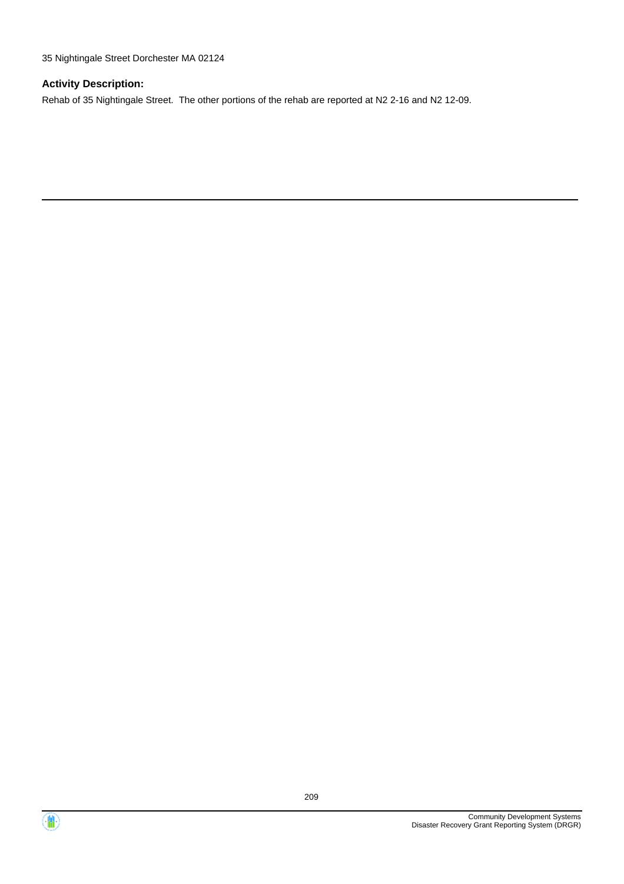35 Nightingale Street Dorchester MA 02124

#### **Activity Description:**

Rehab of 35 Nightingale Street. The other portions of the rehab are reported at N2 2-16 and N2 12-09.



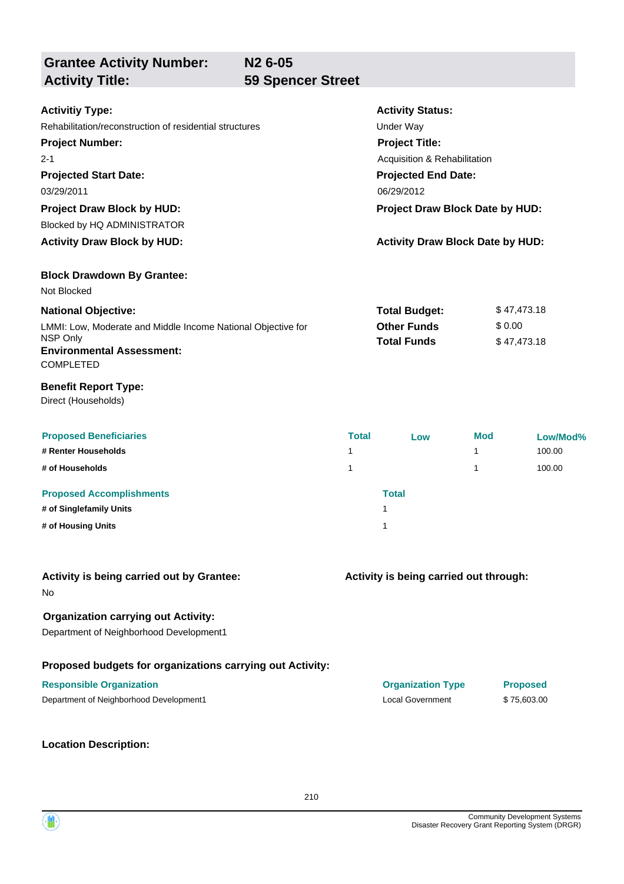**Grantee Activity Number: Projected Start Date:** LMMI: Low, Moderate and Middle Income National Objective for NSP Only **National Objective: Activity Status: Projected End Date: N2 6-05 Activitiy Type:** 03/29/2011 06/29/2012 Rehabilitation/reconstruction of residential structures example of the Under Way **Activity Title: 59 Spencer Street Project Number:** 2-1 **Project Title:** Acquisition & Rehabilitation **Total Budget:** \$ 47,473.18 **Other Funds** \$ 0.00 **Total Funds** \$47,473.18 **Environmental Assessment:** COMPLETED **Proposed Beneficiaries Total Low Mod Low/Mod% # Renter Households** 1 1 100.00 **# of Households** 1 1 100.00 **Proposed Accomplishments Total # of Singlefamily Units** 1 **# of Housing Units** 1 **Activity is being carried out through:** No **Activity is being carried out by Grantee:** Direct (Households) **Benefit Report Type: Project Draw Block by HUD: Project Draw Block Date by HUD:** Blocked by HQ ADMINISTRATOR **Activity Draw Block by HUD: Activity Draw Block Date by HUD: Block Drawdown By Grantee:** Not Blocked

# **Organization carrying out Activity:**

Department of Neighborhood Development1

#### **Proposed budgets for organizations carrying out Activity:**

| <b>Responsible Organization</b>         | <b>Organization Type</b> | <b>Proposed</b> |
|-----------------------------------------|--------------------------|-----------------|
| Department of Neighborhood Development1 | Local Government         | \$75.603.00     |

# **Location Description:**

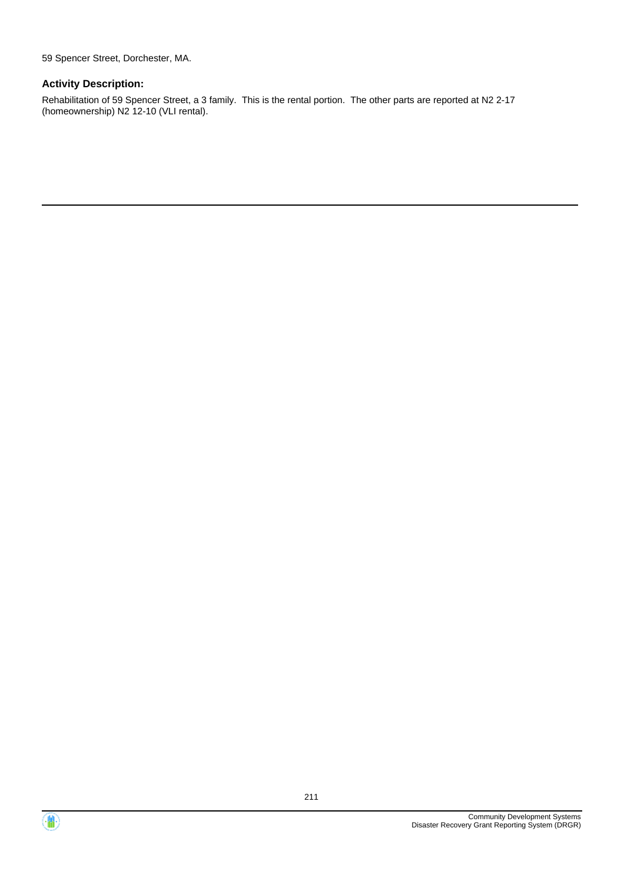59 Spencer Street, Dorchester, MA.

#### **Activity Description:**

Rehabilitation of 59 Spencer Street, a 3 family. This is the rental portion. The other parts are reported at N2 2-17 (homeownership) N2 12-10 (VLI rental).



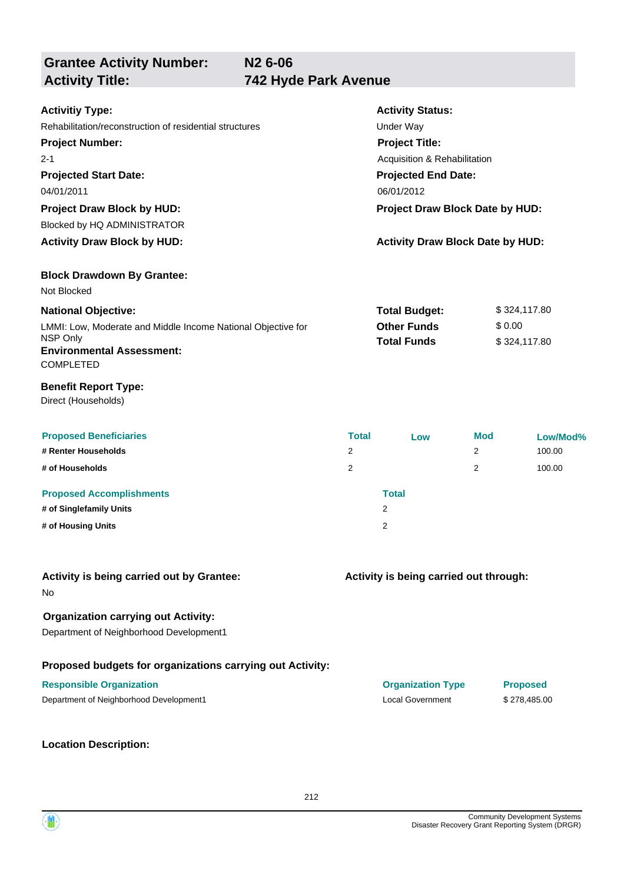| <b>Grantee Activity Number:</b><br><b>Activity Title:</b>                                                                                                                                                                                                                  | N <sub>2</sub> 6-06<br>742 Hyde Park Avenue |                                                                                                                                                                                                                                |                      |                                 |
|----------------------------------------------------------------------------------------------------------------------------------------------------------------------------------------------------------------------------------------------------------------------------|---------------------------------------------|--------------------------------------------------------------------------------------------------------------------------------------------------------------------------------------------------------------------------------|----------------------|---------------------------------|
| <b>Activitiy Type:</b><br>Rehabilitation/reconstruction of residential structures<br><b>Project Number:</b><br>2-1<br><b>Projected Start Date:</b><br>04/01/2011<br><b>Project Draw Block by HUD:</b><br>Blocked by HQ ADMINISTRATOR<br><b>Activity Draw Block by HUD:</b> |                                             | <b>Activity Status:</b><br><b>Under Way</b><br><b>Project Title:</b><br>Acquisition & Rehabilitation<br><b>Projected End Date:</b><br>06/01/2012<br>Project Draw Block Date by HUD:<br><b>Activity Draw Block Date by HUD:</b> |                      |                                 |
| <b>Block Drawdown By Grantee:</b><br>Not Blocked                                                                                                                                                                                                                           |                                             |                                                                                                                                                                                                                                |                      |                                 |
| <b>National Objective:</b><br>LMMI: Low, Moderate and Middle Income National Objective for<br>NSP Only<br><b>Environmental Assessment:</b><br><b>COMPLETED</b>                                                                                                             |                                             | <b>Total Budget:</b><br><b>Other Funds</b><br><b>Total Funds</b>                                                                                                                                                               | \$0.00               | \$324,117.80<br>\$324,117.80    |
| <b>Benefit Report Type:</b><br>Direct (Households)                                                                                                                                                                                                                         |                                             |                                                                                                                                                                                                                                |                      |                                 |
| <b>Proposed Beneficiaries</b><br># Renter Households<br># of Households                                                                                                                                                                                                    | <b>Total</b><br>2<br>2                      | Low                                                                                                                                                                                                                            | <b>Mod</b><br>2<br>2 | Low/Mod%<br>100.00<br>100.00    |
| <b>Proposed Accomplishments</b><br># of Singlefamily Units<br># of Housing Units                                                                                                                                                                                           |                                             | <b>Total</b><br>2<br>2                                                                                                                                                                                                         |                      |                                 |
| Activity is being carried out by Grantee:<br>No.                                                                                                                                                                                                                           |                                             | Activity is being carried out through:                                                                                                                                                                                         |                      |                                 |
| <b>Organization carrying out Activity:</b><br>Department of Neighborhood Development1                                                                                                                                                                                      |                                             |                                                                                                                                                                                                                                |                      |                                 |
| Proposed budgets for organizations carrying out Activity:                                                                                                                                                                                                                  |                                             |                                                                                                                                                                                                                                |                      |                                 |
| <b>Responsible Organization</b><br>Department of Neighborhood Development1                                                                                                                                                                                                 |                                             | <b>Organization Type</b><br><b>Local Government</b>                                                                                                                                                                            |                      | <b>Proposed</b><br>\$278,485.00 |
| <b>Location Description:</b>                                                                                                                                                                                                                                               |                                             |                                                                                                                                                                                                                                |                      |                                 |

212

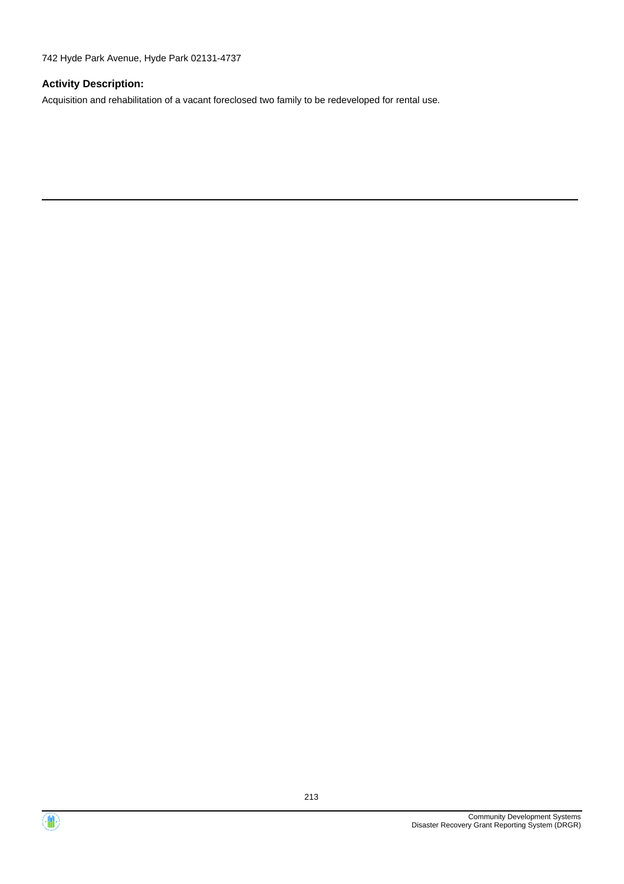742 Hyde Park Avenue, Hyde Park 02131-4737

#### **Activity Description:**

Acquisition and rehabilitation of a vacant foreclosed two family to be redeveloped for rental use.



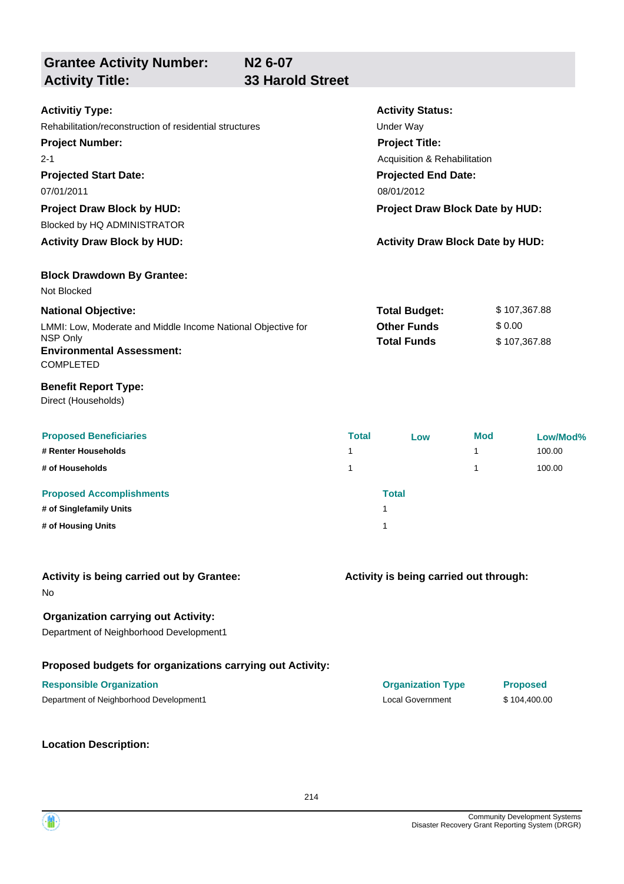| <b>Grantee Activity Number:</b><br><b>Activity Title:</b>                                                                                                                                                                                                                         | N <sub>2</sub> 6-07<br><b>33 Harold Street</b>                                                            |                                                                                                            |                      |                                                                                                            |  |  |
|-----------------------------------------------------------------------------------------------------------------------------------------------------------------------------------------------------------------------------------------------------------------------------------|-----------------------------------------------------------------------------------------------------------|------------------------------------------------------------------------------------------------------------|----------------------|------------------------------------------------------------------------------------------------------------|--|--|
| <b>Activitiy Type:</b><br>Rehabilitation/reconstruction of residential structures<br><b>Project Number:</b><br>2-1<br><b>Projected Start Date:</b><br>07/01/2011<br><b>Project Draw Block by HUD:</b><br><b>Blocked by HQ ADMINISTRATOR</b><br><b>Activity Draw Block by HUD:</b> | <b>Activity Status:</b><br>Under Way<br><b>Project Title:</b><br><b>Projected End Date:</b><br>08/01/2012 |                                                                                                            |                      | Acquisition & Rehabilitation<br>Project Draw Block Date by HUD:<br><b>Activity Draw Block Date by HUD:</b> |  |  |
| <b>Block Drawdown By Grantee:</b>                                                                                                                                                                                                                                                 |                                                                                                           |                                                                                                            |                      |                                                                                                            |  |  |
| Not Blocked<br><b>National Objective:</b><br>LMMI: Low, Moderate and Middle Income National Objective for<br>NSP Only<br><b>Environmental Assessment:</b><br>COMPLETED                                                                                                            |                                                                                                           | \$107,367.88<br><b>Total Budget:</b><br><b>Other Funds</b><br>\$0.00<br><b>Total Funds</b><br>\$107,367.88 |                      |                                                                                                            |  |  |
| <b>Benefit Report Type:</b><br>Direct (Households)                                                                                                                                                                                                                                |                                                                                                           |                                                                                                            |                      |                                                                                                            |  |  |
| <b>Proposed Beneficiaries</b><br># Renter Households<br># of Households                                                                                                                                                                                                           | <b>Total</b><br>1<br>1                                                                                    | Low                                                                                                        | <b>Mod</b><br>1<br>1 | Low/Mod%<br>100.00<br>100.00                                                                               |  |  |
| <b>Proposed Accomplishments</b><br># of Singlefamily Units<br># of Housing Units                                                                                                                                                                                                  |                                                                                                           | <b>Total</b><br>1<br>1                                                                                     |                      |                                                                                                            |  |  |
| Activity is being carried out by Grantee:<br>No                                                                                                                                                                                                                                   |                                                                                                           | Activity is being carried out through:                                                                     |                      |                                                                                                            |  |  |
| <b>Organization carrying out Activity:</b><br>Department of Neighborhood Development1                                                                                                                                                                                             |                                                                                                           |                                                                                                            |                      |                                                                                                            |  |  |
| Proposed budgets for organizations carrying out Activity:                                                                                                                                                                                                                         |                                                                                                           |                                                                                                            |                      |                                                                                                            |  |  |
| <b>Responsible Organization</b><br>Department of Neighborhood Development1                                                                                                                                                                                                        |                                                                                                           | <b>Organization Type</b><br><b>Local Government</b>                                                        |                      | <b>Proposed</b><br>\$104,400.00                                                                            |  |  |
| <b>Location Description:</b>                                                                                                                                                                                                                                                      |                                                                                                           |                                                                                                            |                      |                                                                                                            |  |  |

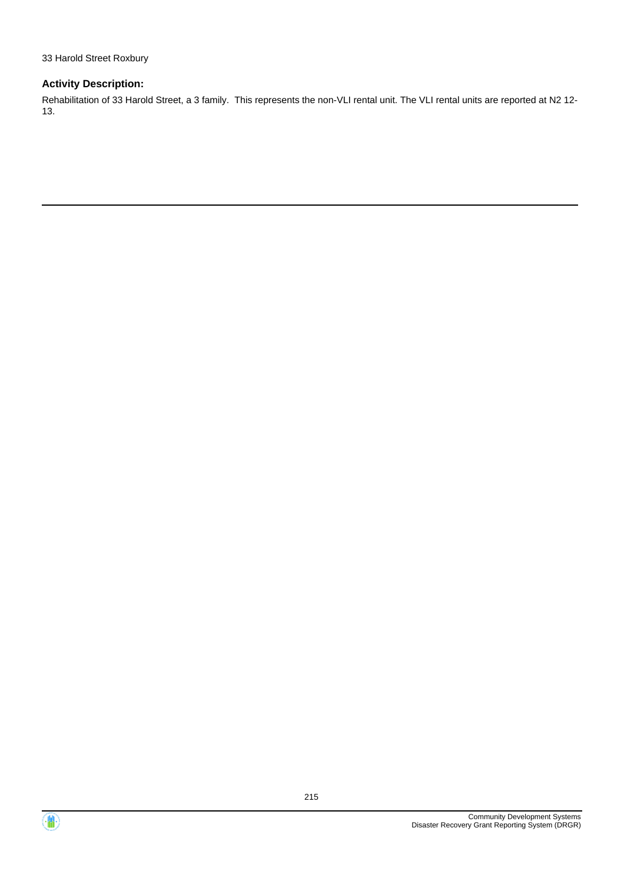33 Harold Street Roxbury

#### **Activity Description:**

Rehabilitation of 33 Harold Street, a 3 family. This represents the non-VLI rental unit. The VLI rental units are reported at N2 12- 13.



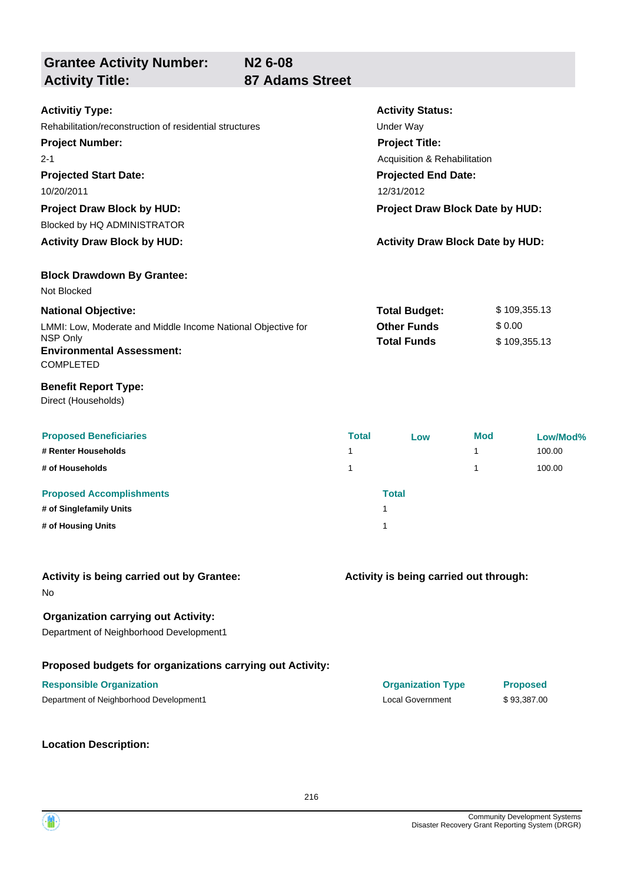**Grantee Activity Number: Projected Start Date:** LMMI: Low, Moderate and Middle Income National Objective for NSP Only **National Objective: Activity Status: Projected End Date: N2 6-08 Activitiy Type:** 10/20/2011 12/31/2012 Rehabilitation/reconstruction of residential structures Theorem Constructure Under Way **Activity Title: 87 Adams Street Project Number:** 2-1 **Project Title:** Acquisition & Rehabilitation **Total Budget:** \$ 109,355.13 **Other Funds** \$ 0.00 **Total Funds** \$ 109,355.13 **Environmental Assessment:** COMPLETED **Project Draw Block by HUD: Project Draw Block Date by HUD:** Blocked by HQ ADMINISTRATOR **Activity Draw Block by HUD: Activity Draw Block Date by HUD: Block Drawdown By Grantee:** Not Blocked

# **Benefit Report Type:**

Direct (Households)

| <b>Proposed Beneficiaries</b>   | <b>Total</b> | Low          | <b>Mod</b> | Low/Mod% |
|---------------------------------|--------------|--------------|------------|----------|
| # Renter Households             | 4            |              | 1          | 100.00   |
| # of Households                 | 4            |              |            | 100.00   |
| <b>Proposed Accomplishments</b> |              | <b>Total</b> |            |          |
| # of Singlefamily Units         |              |              |            |          |
| # of Housing Units              |              |              |            |          |

| <b>Activity is being carried out by Grantee:</b> |  |  |
|--------------------------------------------------|--|--|
| No                                               |  |  |

### **Organization carrying out Activity:**

Department of Neighborhood Development1

# **Proposed budgets for organizations carrying out Activity:**

# **Responsible Organization Organization Type Proposed** Department of Neighborhood Development1 and the community of the community of the state of \$ 93,387.00

# **Location Description:**

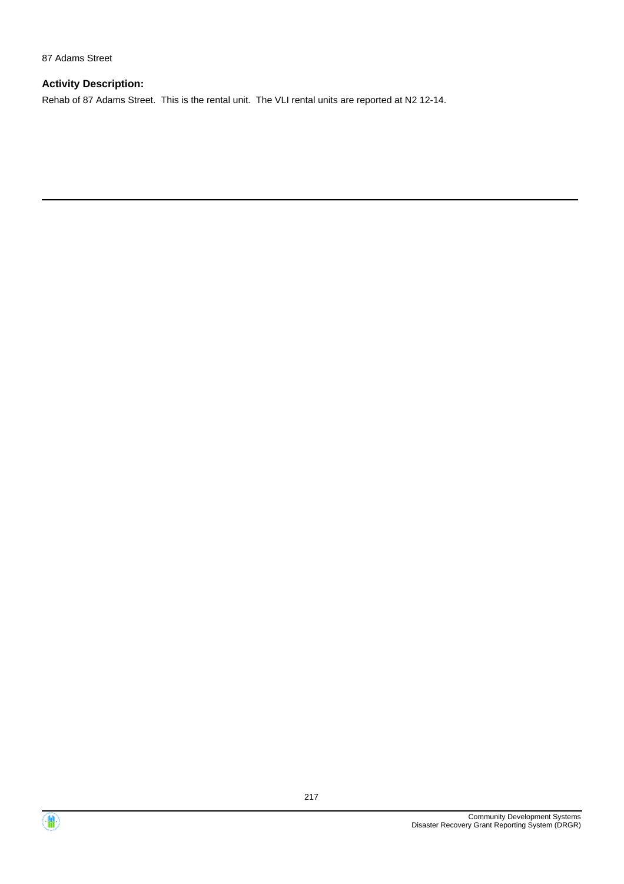87 Adams Street

# **Activity Description:**

Rehab of 87 Adams Street. This is the rental unit. The VLI rental units are reported at N2 12-14.



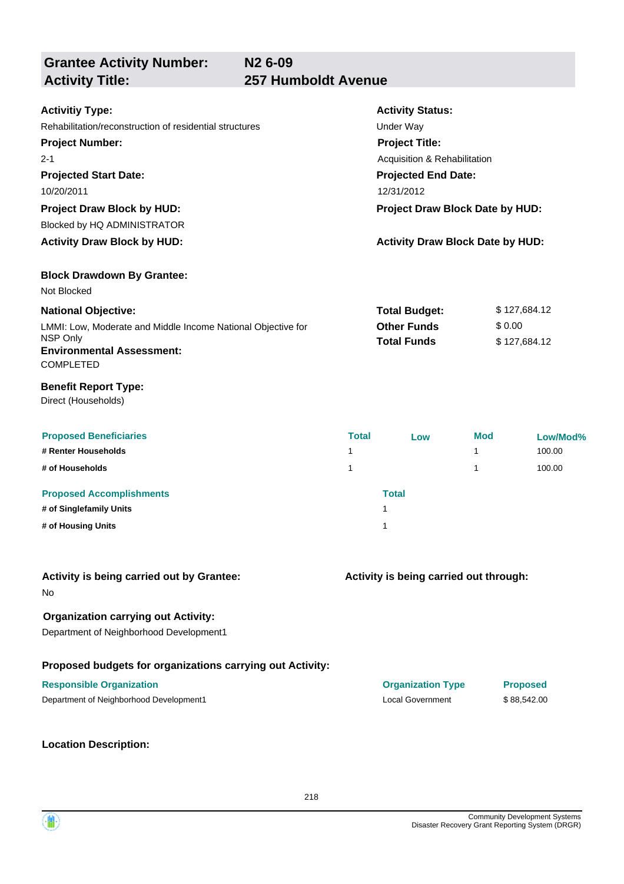| <b>Grantee Activity Number:</b><br><b>Activity Title:</b>                                                                                                                                                                                                                      | N <sub>2</sub> 6-09<br><b>257 Humboldt Avenue</b> |                                                                                                                                                                                                                         |               |                                |
|--------------------------------------------------------------------------------------------------------------------------------------------------------------------------------------------------------------------------------------------------------------------------------|---------------------------------------------------|-------------------------------------------------------------------------------------------------------------------------------------------------------------------------------------------------------------------------|---------------|--------------------------------|
| <b>Activitiy Type:</b><br>Rehabilitation/reconstruction of residential structures<br><b>Project Number:</b><br>$2 - 1$<br><b>Projected Start Date:</b><br>10/20/2011<br><b>Project Draw Block by HUD:</b><br>Blocked by HQ ADMINISTRATOR<br><b>Activity Draw Block by HUD:</b> |                                                   | <b>Activity Status:</b><br>Under Way<br><b>Project Title:</b><br>Acquisition & Rehabilitation<br><b>Projected End Date:</b><br>12/31/2012<br>Project Draw Block Date by HUD:<br><b>Activity Draw Block Date by HUD:</b> |               |                                |
| <b>Block Drawdown By Grantee:</b><br>Not Blocked                                                                                                                                                                                                                               |                                                   |                                                                                                                                                                                                                         |               |                                |
| <b>National Objective:</b><br>LMMI: Low, Moderate and Middle Income National Objective for<br>NSP Only<br><b>Environmental Assessment:</b><br><b>COMPLETED</b>                                                                                                                 |                                                   | \$127,684.12<br><b>Total Budget:</b><br><b>Other Funds</b><br>\$0.00<br><b>Total Funds</b><br>\$127,684.12                                                                                                              |               |                                |
| <b>Benefit Report Type:</b><br>Direct (Households)                                                                                                                                                                                                                             |                                                   |                                                                                                                                                                                                                         |               |                                |
| <b>Proposed Beneficiaries</b><br># Renter Households<br># of Households                                                                                                                                                                                                        | 1<br>1                                            | <b>Total</b><br>Low                                                                                                                                                                                                     | Mod<br>1<br>1 | Low/Mod%<br>100.00<br>100.00   |
| <b>Proposed Accomplishments</b><br># of Singlefamily Units<br># of Housing Units                                                                                                                                                                                               |                                                   | <b>Total</b><br>1<br>1                                                                                                                                                                                                  |               |                                |
| Activity is being carried out by Grantee:<br>No                                                                                                                                                                                                                                |                                                   | Activity is being carried out through:                                                                                                                                                                                  |               |                                |
| <b>Organization carrying out Activity:</b><br>Department of Neighborhood Development1                                                                                                                                                                                          |                                                   |                                                                                                                                                                                                                         |               |                                |
| Proposed budgets for organizations carrying out Activity:                                                                                                                                                                                                                      |                                                   |                                                                                                                                                                                                                         |               |                                |
| <b>Responsible Organization</b><br>Department of Neighborhood Development1                                                                                                                                                                                                     |                                                   | <b>Organization Type</b><br><b>Local Government</b>                                                                                                                                                                     |               | <b>Proposed</b><br>\$88,542.00 |
| <b>Location Description:</b>                                                                                                                                                                                                                                                   |                                                   |                                                                                                                                                                                                                         |               |                                |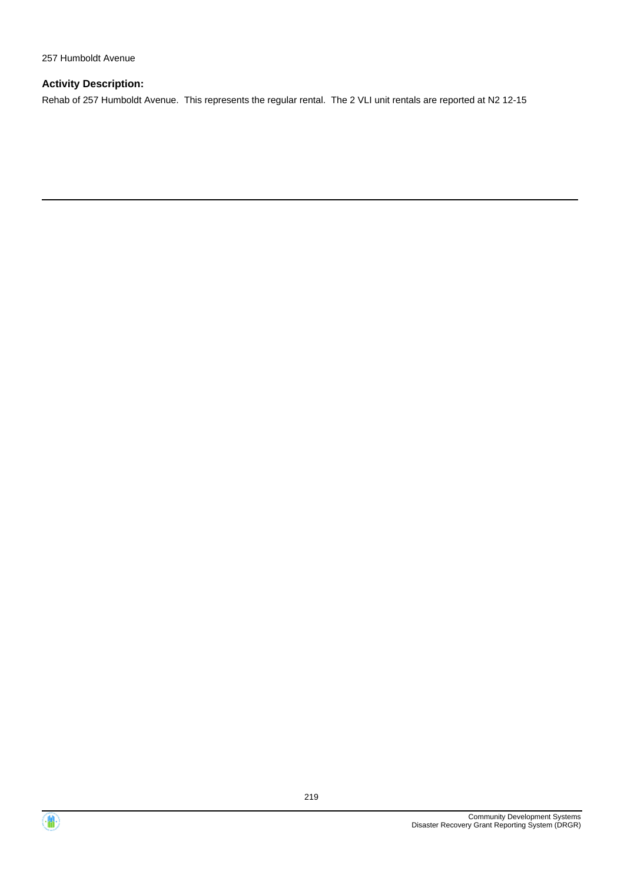257 Humboldt Avenue

## **Activity Description:**

Rehab of 257 Humboldt Avenue. This represents the regular rental. The 2 VLI unit rentals are reported at N2 12-15



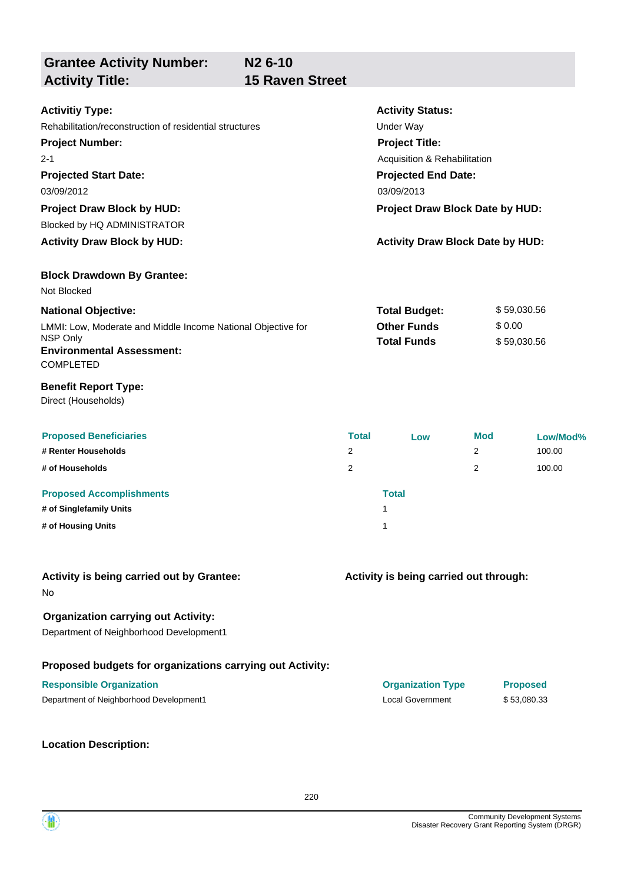| <b>Grantee Activity Number:</b><br>N <sub>2</sub> 6-10<br><b>Activity Title:</b><br><b>15 Raven Street</b>                                                                                                                                                                        |                                                                                                                                                                                                                                |                                                                  |                      |                                      |
|-----------------------------------------------------------------------------------------------------------------------------------------------------------------------------------------------------------------------------------------------------------------------------------|--------------------------------------------------------------------------------------------------------------------------------------------------------------------------------------------------------------------------------|------------------------------------------------------------------|----------------------|--------------------------------------|
| <b>Activitiy Type:</b><br>Rehabilitation/reconstruction of residential structures<br><b>Project Number:</b><br>2-1<br><b>Projected Start Date:</b><br>03/09/2012<br><b>Project Draw Block by HUD:</b><br><b>Blocked by HQ ADMINISTRATOR</b><br><b>Activity Draw Block by HUD:</b> | <b>Activity Status:</b><br><b>Under Way</b><br><b>Project Title:</b><br>Acquisition & Rehabilitation<br><b>Projected End Date:</b><br>03/09/2013<br>Project Draw Block Date by HUD:<br><b>Activity Draw Block Date by HUD:</b> |                                                                  |                      |                                      |
| <b>Block Drawdown By Grantee:</b><br>Not Blocked                                                                                                                                                                                                                                  |                                                                                                                                                                                                                                |                                                                  |                      |                                      |
| <b>National Objective:</b><br>LMMI: Low, Moderate and Middle Income National Objective for<br>NSP Only<br><b>Environmental Assessment:</b><br><b>COMPLETED</b>                                                                                                                    |                                                                                                                                                                                                                                | <b>Total Budget:</b><br><b>Other Funds</b><br><b>Total Funds</b> |                      | \$59,030.56<br>\$0.00<br>\$59,030.56 |
| <b>Benefit Report Type:</b><br>Direct (Households)                                                                                                                                                                                                                                |                                                                                                                                                                                                                                |                                                                  |                      |                                      |
| <b>Proposed Beneficiaries</b><br># Renter Households<br># of Households                                                                                                                                                                                                           | <b>Total</b><br>2<br>2                                                                                                                                                                                                         | Low                                                              | <b>Mod</b><br>2<br>2 | Low/Mod%<br>100.00<br>100.00         |
| <b>Proposed Accomplishments</b><br># of Singlefamily Units<br># of Housing Units                                                                                                                                                                                                  |                                                                                                                                                                                                                                | <b>Total</b><br>1<br>$\mathbf{1}$                                |                      |                                      |
| Activity is being carried out by Grantee:<br>No                                                                                                                                                                                                                                   |                                                                                                                                                                                                                                | Activity is being carried out through:                           |                      |                                      |
| <b>Organization carrying out Activity:</b><br>Department of Neighborhood Development1                                                                                                                                                                                             |                                                                                                                                                                                                                                |                                                                  |                      |                                      |
| Proposed budgets for organizations carrying out Activity:<br><b>Responsible Organization</b><br>Department of Neighborhood Development1                                                                                                                                           |                                                                                                                                                                                                                                | <b>Organization Type</b><br><b>Local Government</b>              |                      | <b>Proposed</b><br>\$53,080.33       |
| <b>Location Description:</b>                                                                                                                                                                                                                                                      |                                                                                                                                                                                                                                |                                                                  |                      |                                      |

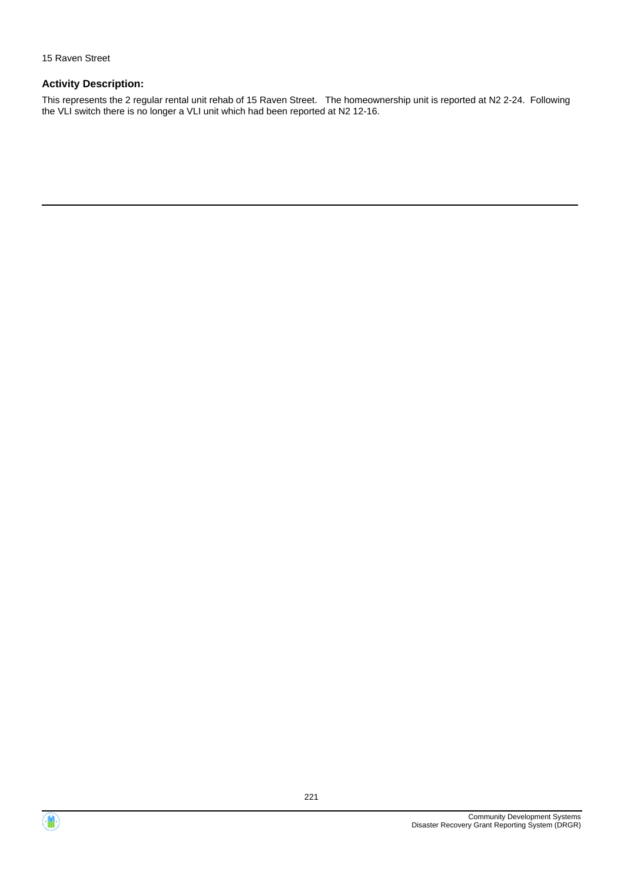15 Raven Street

#### **Activity Description:**

This represents the 2 regular rental unit rehab of 15 Raven Street. The homeownership unit is reported at N2 2-24. Following the VLI switch there is no longer a VLI unit which had been reported at N2 12-16.



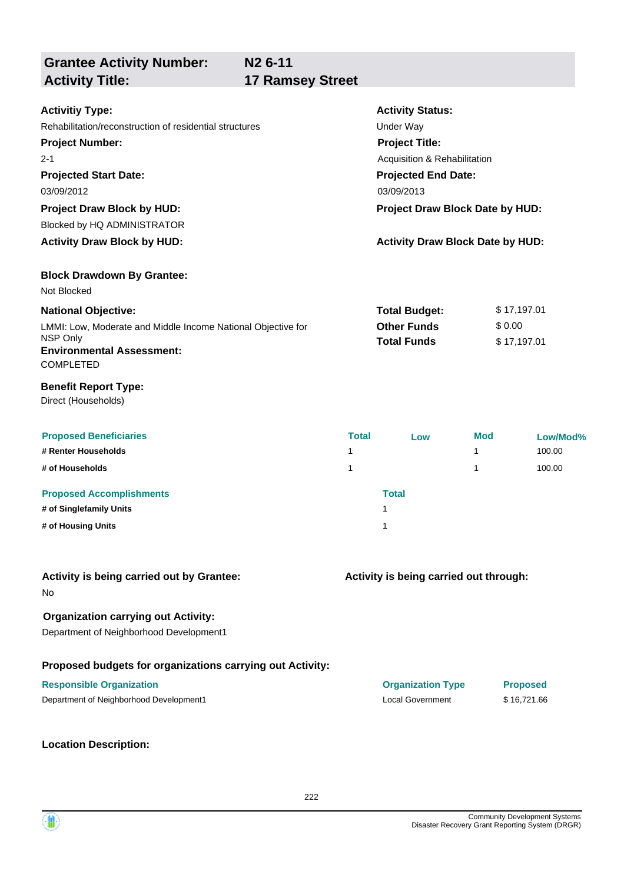**Grantee Activity Number: Projected Start Date:** LMMI: Low, Moderate and Middle Income National Objective for NSP Only **National Objective: Activity Status: Projected End Date: N2 6-11 Activitiy Type:** 03/09/2012 03/09/2013 Rehabilitation/reconstruction of residential structures example of the Under Way **Activity Title: 17 Ramsey Street Project Number:** 2-1 **Project Title:** Acquisition & Rehabilitation **Total Budget:** \$ 17,197.01 **Other Funds** \$ 0.00 **Total Funds** \$ 17,197.01 **Environmental Assessment:** COMPLETED **Proposed Beneficiaries Total Low Mod Low/Mod% # Renter Households** 1 1 100.00 **# of Households** 1 1 100.00 **Proposed Accomplishments Total # of Singlefamily Units** 1 **# of Housing Units** 1 Direct (Households) **Benefit Report Type: Project Draw Block by HUD: Project Draw Block Date by HUD:** Blocked by HQ ADMINISTRATOR **Activity Draw Block by HUD: Activity Draw Block Date by HUD: Block Drawdown By Grantee:** Not Blocked

| Activity is being carried out by Grantee: |  |  |
|-------------------------------------------|--|--|
| No                                        |  |  |

## **Organization carrying out Activity:**

Department of Neighborhood Development1

#### **Proposed budgets for organizations carrying out Activity:**

| <b>Responsible Organization</b>         | <b>Organization Type</b> | <b>Proposed</b> |
|-----------------------------------------|--------------------------|-----------------|
| Department of Neighborhood Development1 | Local Government         | \$16.721.66     |

#### **Location Description:**

**Activity is being carried out through:**

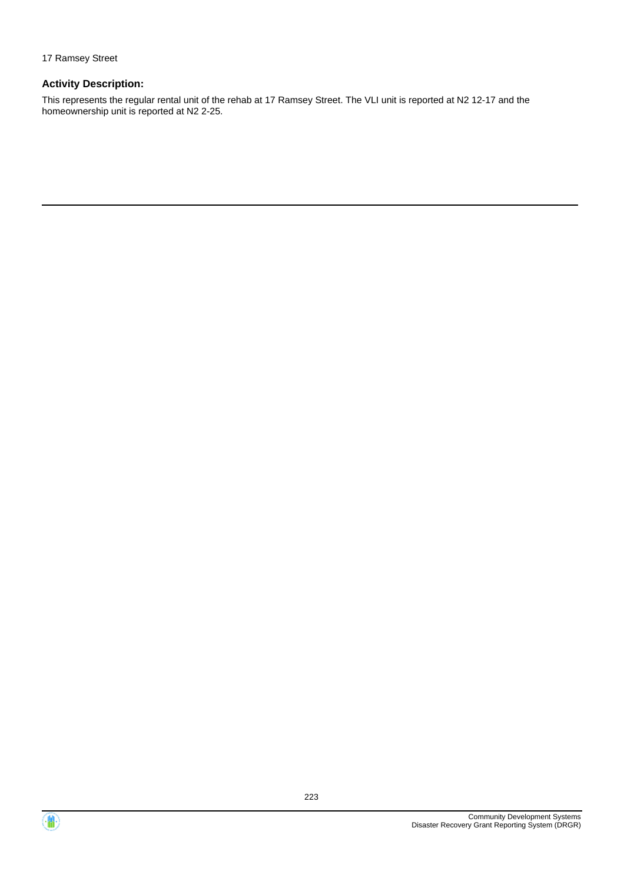17 Ramsey Street

#### **Activity Description:**

This represents the regular rental unit of the rehab at 17 Ramsey Street. The VLI unit is reported at N2 12-17 and the homeownership unit is reported at N2 2-25.



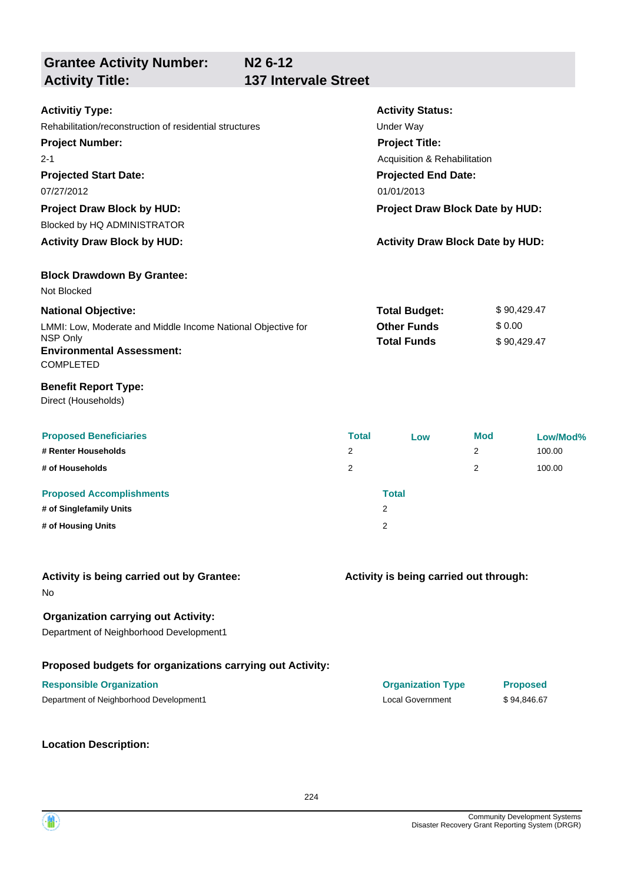**Grantee Activity Number: Projected Start Date:** LMMI: Low, Moderate and Middle Income National Objective for NSP Only **National Objective: Activity Status: Projected End Date: N2 6-12 Activitiy Type:** 07/27/2012 01/01/2013 Rehabilitation/reconstruction of residential structures example of the Under Way **Activity Title: 137 Intervale Street Project Number:** 2-1 **Project Title:** Acquisition & Rehabilitation **Total Budget:** \$ 90,429.47 **Other Funds** \$ 0.00 **Total Funds** \$ 90,429.47 **Environmental Assessment:** COMPLETED **Proposed Beneficiaries Total Low Mod Low/Mod% # Renter Households** 2 2 100.00 **# of Households** 2 2 100.00 **Proposed Accomplishments Total # of Singlefamily Units** 2 **# of Housing Units** 2 **Proposed budgets for organizations carrying out Activity: Activity is being carried out through: Responsible Organization Organization Type Proposed** No **Activity is being carried out by Grantee: Organization carrying out Activity:** Department of Neighborhood Development1 Department of Neighborhood Development1 and the control of Neighborhood Development \$ 94,846.67 Direct (Households) **Benefit Report Type: Project Draw Block by HUD: Project Draw Block Date by HUD:** Blocked by HQ ADMINISTRATOR **Activity Draw Block by HUD: Activity Draw Block Date by HUD: Block Drawdown By Grantee:** Not Blocked

## **Location Description:**

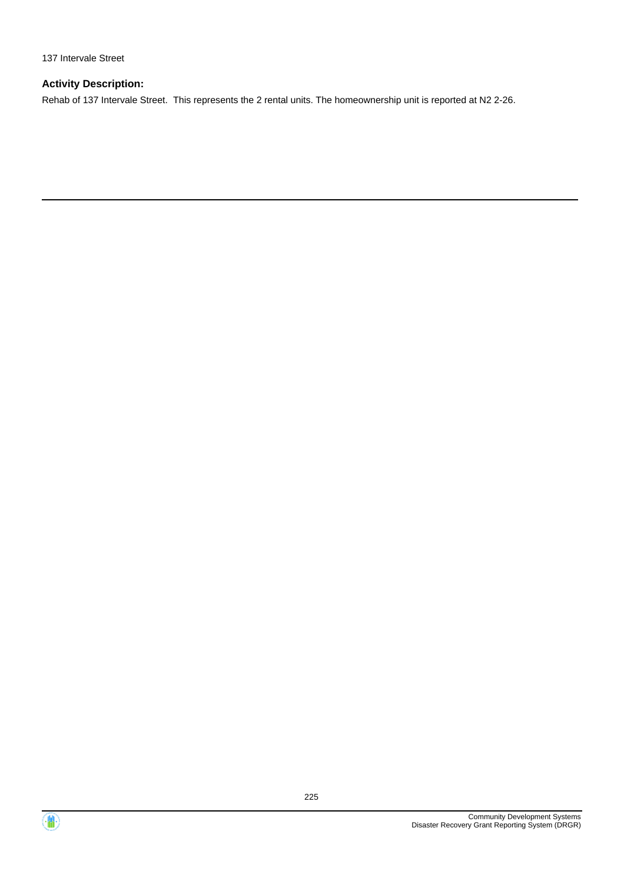137 Intervale Street

## **Activity Description:**

Rehab of 137 Intervale Street. This represents the 2 rental units. The homeownership unit is reported at N2 2-26.





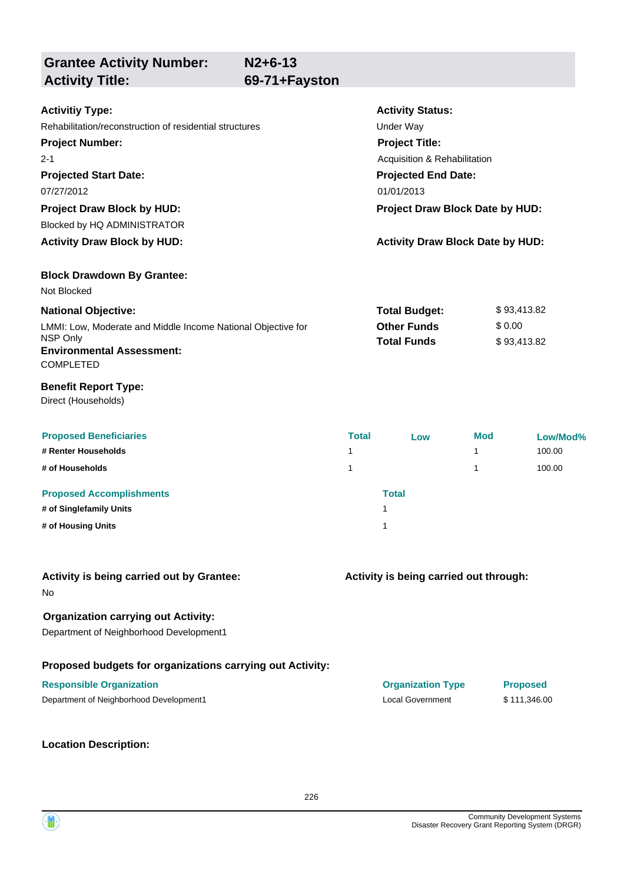| <b>Grantee Activity Number:</b><br><b>Activity Title:</b>                                                                                                                                                                                                           | $N2+6-13$<br>69-71+Fayston |                        |                                                                                                                                                                                                                                |                      |                                      |                              |
|---------------------------------------------------------------------------------------------------------------------------------------------------------------------------------------------------------------------------------------------------------------------|----------------------------|------------------------|--------------------------------------------------------------------------------------------------------------------------------------------------------------------------------------------------------------------------------|----------------------|--------------------------------------|------------------------------|
| <b>Activitiy Type:</b><br>Rehabilitation/reconstruction of residential structures<br><b>Project Number:</b><br>2-1<br><b>Projected Start Date:</b><br>07/27/2012<br>Project Draw Block by HUD:<br>Blocked by HQ ADMINISTRATOR<br><b>Activity Draw Block by HUD:</b> |                            |                        | <b>Activity Status:</b><br><b>Under Way</b><br><b>Project Title:</b><br>Acquisition & Rehabilitation<br><b>Projected End Date:</b><br>01/01/2013<br>Project Draw Block Date by HUD:<br><b>Activity Draw Block Date by HUD:</b> |                      |                                      |                              |
| <b>Block Drawdown By Grantee:</b>                                                                                                                                                                                                                                   |                            |                        |                                                                                                                                                                                                                                |                      |                                      |                              |
| Not Blocked<br><b>National Objective:</b><br>LMMI: Low, Moderate and Middle Income National Objective for<br>NSP Only<br><b>Environmental Assessment:</b><br>COMPLETED                                                                                              |                            |                        | <b>Total Budget:</b><br><b>Other Funds</b><br><b>Total Funds</b>                                                                                                                                                               |                      | \$93,413.82<br>\$0.00<br>\$93,413.82 |                              |
| <b>Benefit Report Type:</b><br>Direct (Households)                                                                                                                                                                                                                  |                            |                        |                                                                                                                                                                                                                                |                      |                                      |                              |
| <b>Proposed Beneficiaries</b><br># Renter Households<br># of Households                                                                                                                                                                                             |                            | <b>Total</b><br>1<br>1 | Low                                                                                                                                                                                                                            | <b>Mod</b><br>1<br>1 |                                      | Low/Mod%<br>100.00<br>100.00 |
| <b>Proposed Accomplishments</b><br># of Singlefamily Units<br># of Housing Units                                                                                                                                                                                    |                            |                        | <b>Total</b><br>1<br>1                                                                                                                                                                                                         |                      |                                      |                              |
| Activity is being carried out by Grantee:<br>No                                                                                                                                                                                                                     |                            |                        | Activity is being carried out through:                                                                                                                                                                                         |                      |                                      |                              |
| <b>Organization carrying out Activity:</b><br>Department of Neighborhood Development1                                                                                                                                                                               |                            |                        |                                                                                                                                                                                                                                |                      |                                      |                              |
| Proposed budgets for organizations carrying out Activity:                                                                                                                                                                                                           |                            |                        |                                                                                                                                                                                                                                |                      |                                      |                              |
| <b>Responsible Organization</b><br>Department of Neighborhood Development1                                                                                                                                                                                          |                            |                        | <b>Organization Type</b><br><b>Local Government</b>                                                                                                                                                                            |                      | <b>Proposed</b><br>\$111,346.00      |                              |
| <b>Location Description:</b>                                                                                                                                                                                                                                        |                            |                        |                                                                                                                                                                                                                                |                      |                                      |                              |

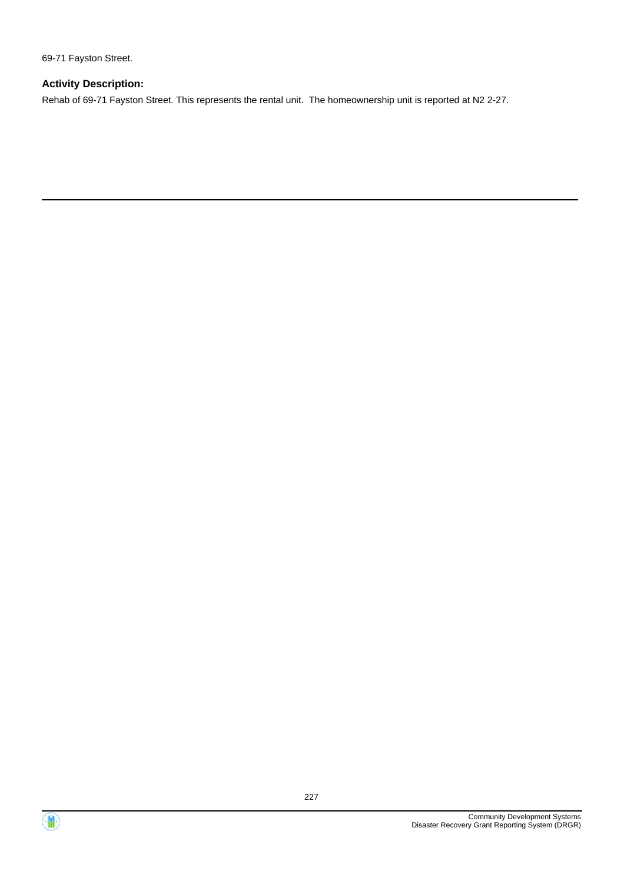69-71 Fayston Street.

## **Activity Description:**

Rehab of 69-71 Fayston Street. This represents the rental unit. The homeownership unit is reported at N2 2-27.





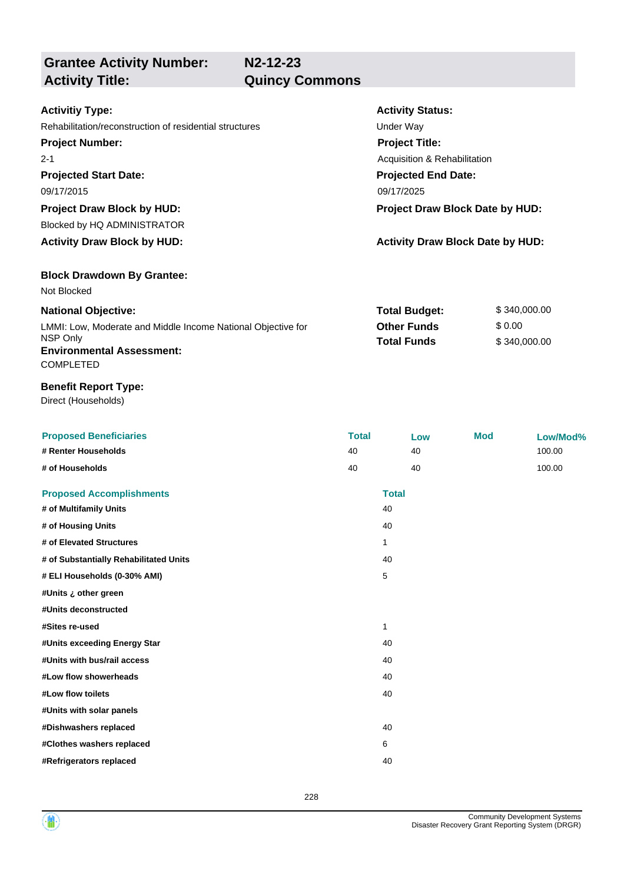**Grantee Activity Number: Projected Start Date: Activity Status: Projected End Date: N2-12-23 Activitiy Type:** Rehabilitation/reconstruction of residential structures **Exercise 2018** Under Way **Activity Title: Quincy Commons Project Number:** 2-1 **Project Title:** Acquisition & Rehabilitation

09/17/2015 09/17/2025 **Project Draw Block by HUD: Project Draw Block Date by HUD:** Blocked by HQ ADMINISTRATOR **Activity Draw Block by HUD: Activity Draw Block Date by HUD:**

## **Block Drawdown By Grantee:**

Not Blocked

| <b>National Objective:</b>                                   | <b>Total Budget:</b> | \$340,000,00 |
|--------------------------------------------------------------|----------------------|--------------|
| LMMI: Low, Moderate and Middle Income National Objective for | <b>Other Funds</b>   | \$ 0.00      |
| NSP Only                                                     | <b>Total Funds</b>   | \$340,000,00 |
| <b>Environmental Assessment:</b>                             |                      |              |

# COMPLETED

**Benefit Report Type:**

|  | Direct (Households) |
|--|---------------------|
|--|---------------------|

| <b>Proposed Beneficiaries</b>          | <b>Total</b> |              | Low | <b>Mod</b> | Low/Mod% |
|----------------------------------------|--------------|--------------|-----|------------|----------|
| # Renter Households                    | 40           |              | 40  |            | 100.00   |
| # of Households                        | 40           |              | 40  |            | 100.00   |
| <b>Proposed Accomplishments</b>        |              | <b>Total</b> |     |            |          |
| # of Multifamily Units                 |              | 40           |     |            |          |
| # of Housing Units                     |              | 40           |     |            |          |
| # of Elevated Structures               |              | 1            |     |            |          |
| # of Substantially Rehabilitated Units |              | 40           |     |            |          |
| # ELI Households (0-30% AMI)           |              | 5            |     |            |          |
| #Units ¿ other green                   |              |              |     |            |          |
| #Units deconstructed                   |              |              |     |            |          |
| #Sites re-used                         |              | $\mathbf{1}$ |     |            |          |
| #Units exceeding Energy Star           |              | 40           |     |            |          |
| #Units with bus/rail access            |              | 40           |     |            |          |
| #Low flow showerheads                  |              | 40           |     |            |          |
| #Low flow toilets                      |              | 40           |     |            |          |
| #Units with solar panels               |              |              |     |            |          |
| #Dishwashers replaced                  |              | 40           |     |            |          |
| #Clothes washers replaced              |              | 6            |     |            |          |
| #Refrigerators replaced                |              | 40           |     |            |          |

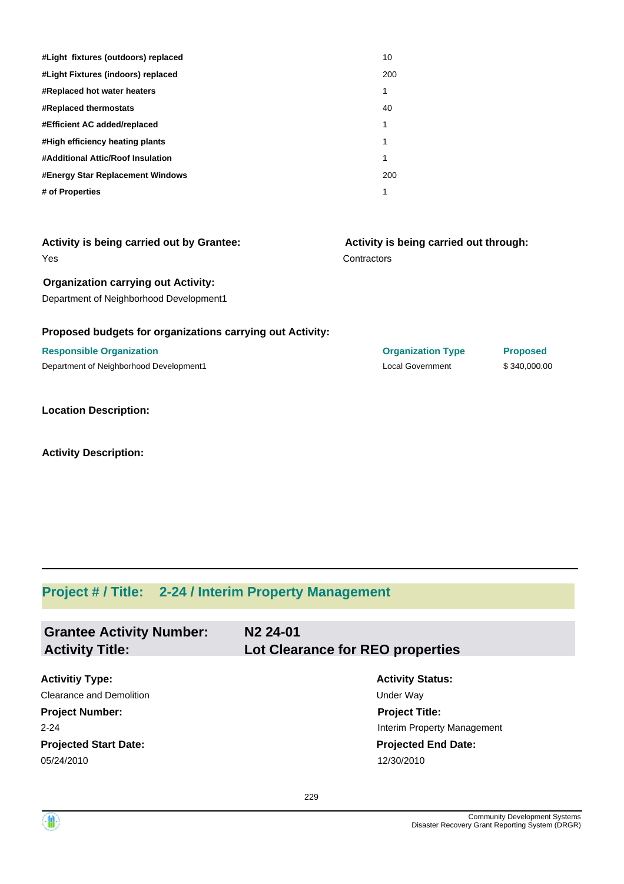| #Light fixtures (outdoors) replaced     | 10  |
|-----------------------------------------|-----|
| #Light Fixtures (indoors) replaced      | 200 |
| #Replaced hot water heaters             | 1   |
| <b>#Replaced thermostats</b>            | 40  |
| #Efficient AC added/replaced            | 1   |
| #High efficiency heating plants         | 1   |
| #Additional Attic/Roof Insulation       | 1   |
| <b>#Energy Star Replacement Windows</b> | 200 |
| # of Properties                         | 1   |

| <b>Activity is being carried out by Grantee:</b><br>Yes   | Activity is being carried out through:<br>Contractors |                 |  |
|-----------------------------------------------------------|-------------------------------------------------------|-----------------|--|
| <b>Organization carrying out Activity:</b>                |                                                       |                 |  |
| Department of Neighborhood Development1                   |                                                       |                 |  |
| Proposed budgets for organizations carrying out Activity: |                                                       |                 |  |
| <b>Responsible Organization</b>                           | <b>Organization Type</b>                              | <b>Proposed</b> |  |
| Department of Neighborhood Development1                   | Local Government                                      | \$340,000.00    |  |
| <b>Location Description:</b>                              |                                                       |                 |  |

# **Project # / Title: 2-24 / Interim Property Management**

| <b>Grantee Activity Number:</b><br><b>Activity Title:</b> | N <sub>2</sub> 24-01<br>Lot Clearance for REO properties |
|-----------------------------------------------------------|----------------------------------------------------------|
|                                                           |                                                          |
| <b>Activitiy Type:</b>                                    | <b>Activity Status:</b>                                  |
| Clearance and Demolition                                  | Under Way                                                |
| <b>Project Number:</b>                                    | <b>Project Title:</b>                                    |
| $2 - 24$                                                  | Interim Property Management                              |
| <b>Projected Start Date:</b>                              | <b>Projected End Date:</b>                               |
| 05/24/2010                                                | 12/30/2010                                               |

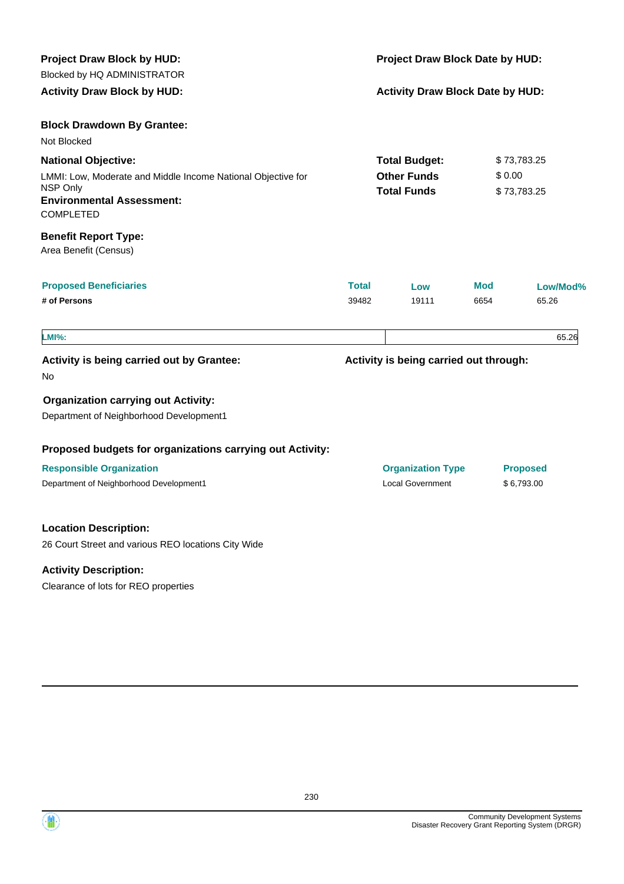| <b>Project Draw Block by HUD:</b><br><b>Blocked by HQ ADMINISTRATOR</b>                                                                                 |                       | Project Draw Block Date by HUD:                                  |                    |                            |  |
|---------------------------------------------------------------------------------------------------------------------------------------------------------|-----------------------|------------------------------------------------------------------|--------------------|----------------------------|--|
| <b>Activity Draw Block by HUD:</b>                                                                                                                      |                       | <b>Activity Draw Block Date by HUD:</b>                          |                    |                            |  |
| <b>Block Drawdown By Grantee:</b><br>Not Blocked                                                                                                        |                       |                                                                  |                    |                            |  |
| <b>National Objective:</b><br>LMMI: Low, Moderate and Middle Income National Objective for<br>NSP Only<br><b>Environmental Assessment:</b><br>COMPLETED |                       | <b>Total Budget:</b><br><b>Other Funds</b><br><b>Total Funds</b> | \$0.00             | \$73,783.25<br>\$73,783.25 |  |
| <b>Benefit Report Type:</b><br>Area Benefit (Census)                                                                                                    |                       |                                                                  |                    |                            |  |
| <b>Proposed Beneficiaries</b><br># of Persons                                                                                                           | <b>Total</b><br>39482 | Low<br>19111                                                     | <b>Mod</b><br>6654 | Low/Mod%<br>65.26          |  |
| <b>LMI%:</b>                                                                                                                                            |                       |                                                                  |                    | 65.26                      |  |
| Activity is being carried out by Grantee:<br>No                                                                                                         |                       | Activity is being carried out through:                           |                    |                            |  |
| <b>Organization carrying out Activity:</b><br>Department of Neighborhood Development1                                                                   |                       |                                                                  |                    |                            |  |
| Proposed budgets for organizations carrying out Activity:                                                                                               |                       |                                                                  |                    |                            |  |
| <b>Responsible Organization</b>                                                                                                                         |                       | <b>Organization Type</b>                                         |                    | <b>Proposed</b>            |  |
| Department of Neighborhood Development1                                                                                                                 |                       | <b>Local Government</b>                                          |                    | \$6,793.00                 |  |
| <b>Location Description:</b>                                                                                                                            |                       |                                                                  |                    |                            |  |
| 26 Court Street and various REO locations City Wide                                                                                                     |                       |                                                                  |                    |                            |  |
| <b>Activity Description:</b>                                                                                                                            |                       |                                                                  |                    |                            |  |
| Clearance of lots for REO properties                                                                                                                    |                       |                                                                  |                    |                            |  |
|                                                                                                                                                         |                       |                                                                  |                    |                            |  |

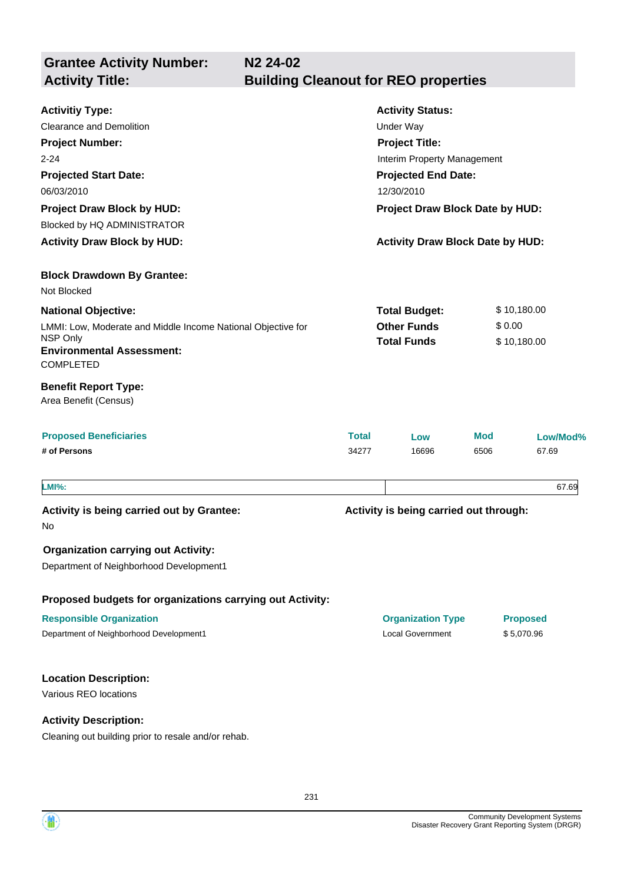| <b>Grantee Activity Number:</b><br><b>Activity Title:</b>                                                                                                                                                                                               | N <sub>2</sub> 24-02<br><b>Building Cleanout for REO properties</b> |                       |                                                                                                                                                                                                                        |             |                               |
|---------------------------------------------------------------------------------------------------------------------------------------------------------------------------------------------------------------------------------------------------------|---------------------------------------------------------------------|-----------------------|------------------------------------------------------------------------------------------------------------------------------------------------------------------------------------------------------------------------|-------------|-------------------------------|
| <b>Activitiy Type:</b><br>Clearance and Demolition<br><b>Project Number:</b><br>$2 - 24$<br><b>Projected Start Date:</b><br>06/03/2010<br><b>Project Draw Block by HUD:</b><br><b>Blocked by HQ ADMINISTRATOR</b><br><b>Activity Draw Block by HUD:</b> |                                                                     |                       | <b>Activity Status:</b><br>Under Way<br><b>Project Title:</b><br>Interim Property Management<br><b>Projected End Date:</b><br>12/30/2010<br>Project Draw Block Date by HUD:<br><b>Activity Draw Block Date by HUD:</b> |             |                               |
| <b>Block Drawdown By Grantee:</b><br>Not Blocked                                                                                                                                                                                                        |                                                                     |                       |                                                                                                                                                                                                                        |             |                               |
| <b>National Objective:</b><br>LMMI: Low, Moderate and Middle Income National Objective for<br>NSP Only<br><b>Environmental Assessment:</b><br>COMPLETED                                                                                                 |                                                                     |                       | <b>Total Budget:</b><br><b>Other Funds</b><br><b>Total Funds</b>                                                                                                                                                       | \$0.00      | \$10,180.00<br>\$10,180.00    |
| <b>Benefit Report Type:</b><br>Area Benefit (Census)                                                                                                                                                                                                    |                                                                     |                       |                                                                                                                                                                                                                        |             |                               |
| <b>Proposed Beneficiaries</b><br># of Persons                                                                                                                                                                                                           |                                                                     | <b>Total</b><br>34277 | Low<br>16696                                                                                                                                                                                                           | Mod<br>6506 | Low/Mod%<br>67.69             |
| <b>LMI%:</b>                                                                                                                                                                                                                                            |                                                                     |                       |                                                                                                                                                                                                                        |             | 67.69                         |
| Activity is being carried out by Grantee:<br>No                                                                                                                                                                                                         |                                                                     |                       | Activity is being carried out through:                                                                                                                                                                                 |             |                               |
| <b>Organization carrying out Activity:</b><br>Department of Neighborhood Development1                                                                                                                                                                   |                                                                     |                       |                                                                                                                                                                                                                        |             |                               |
| Proposed budgets for organizations carrying out Activity:                                                                                                                                                                                               |                                                                     |                       |                                                                                                                                                                                                                        |             |                               |
| <b>Responsible Organization</b><br>Department of Neighborhood Development1                                                                                                                                                                              |                                                                     |                       | <b>Organization Type</b><br><b>Local Government</b>                                                                                                                                                                    |             | <b>Proposed</b><br>\$5,070.96 |
| <b>Location Description:</b><br>Various REO locations                                                                                                                                                                                                   |                                                                     |                       |                                                                                                                                                                                                                        |             |                               |
| <b>Activity Description:</b>                                                                                                                                                                                                                            |                                                                     |                       |                                                                                                                                                                                                                        |             |                               |
| Cleaning out building prior to resale and/or rehab.                                                                                                                                                                                                     |                                                                     |                       |                                                                                                                                                                                                                        |             |                               |

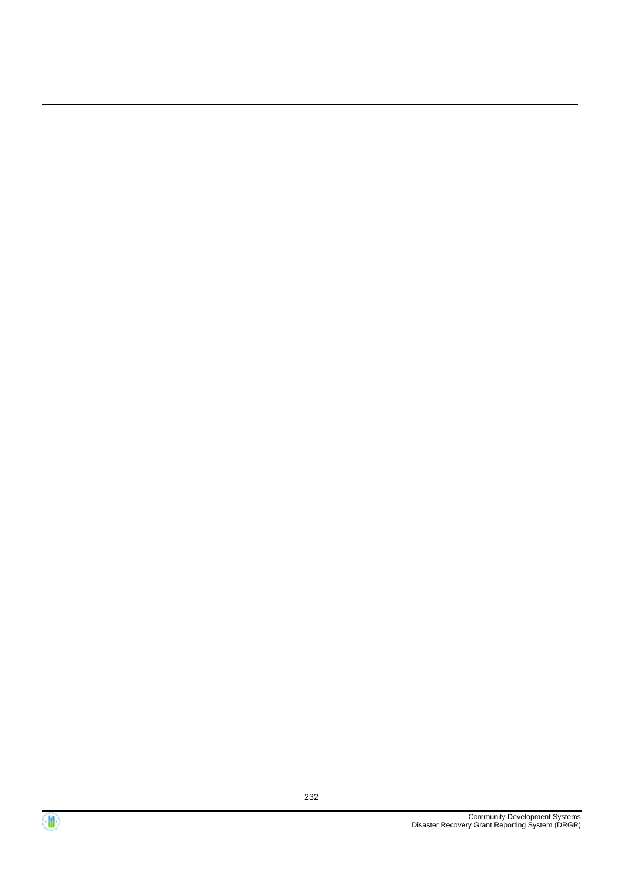

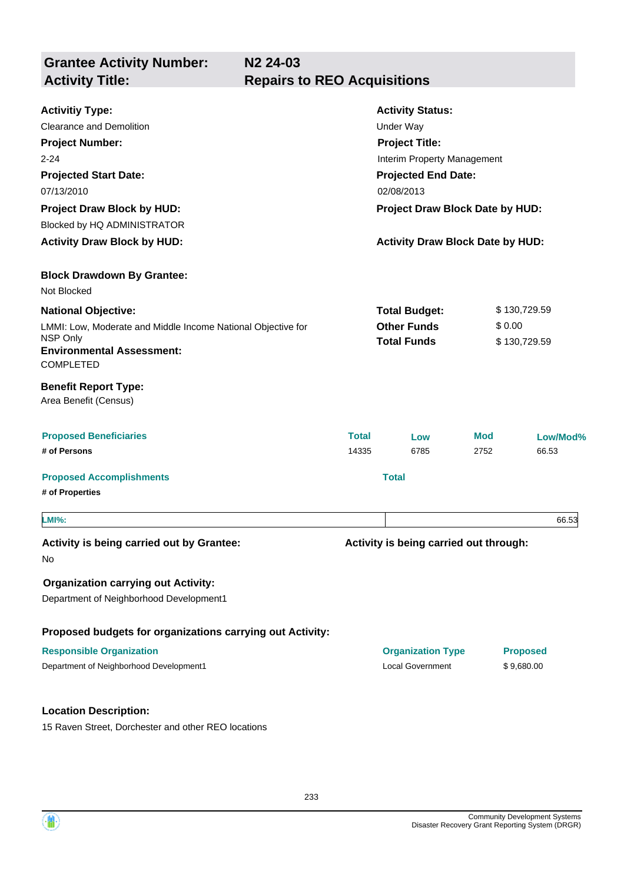| <b>Grantee Activity Number:</b>                                                                                                                                                                                                                     | N <sub>2</sub> 24-03               |                                                                  |                                                                                                                                                                                                                               |                                        |                   |
|-----------------------------------------------------------------------------------------------------------------------------------------------------------------------------------------------------------------------------------------------------|------------------------------------|------------------------------------------------------------------|-------------------------------------------------------------------------------------------------------------------------------------------------------------------------------------------------------------------------------|----------------------------------------|-------------------|
| <b>Activity Title:</b>                                                                                                                                                                                                                              | <b>Repairs to REO Acquisitions</b> |                                                                  |                                                                                                                                                                                                                               |                                        |                   |
| <b>Activitiy Type:</b><br><b>Clearance and Demolition</b><br><b>Project Number:</b><br>2-24<br><b>Projected Start Date:</b><br>07/13/2010<br><b>Project Draw Block by HUD:</b><br>Blocked by HQ ADMINISTRATOR<br><b>Activity Draw Block by HUD:</b> |                                    |                                                                  | <b>Activity Status:</b><br><b>Under Way</b><br><b>Project Title:</b><br>Interim Property Management<br><b>Projected End Date:</b><br>02/08/2013<br>Project Draw Block Date by HUD:<br><b>Activity Draw Block Date by HUD:</b> |                                        |                   |
| <b>Block Drawdown By Grantee:</b><br>Not Blocked                                                                                                                                                                                                    |                                    |                                                                  |                                                                                                                                                                                                                               |                                        |                   |
| <b>National Objective:</b><br>LMMI: Low, Moderate and Middle Income National Objective for<br>NSP Only<br><b>Environmental Assessment:</b><br>COMPLETED                                                                                             |                                    | <b>Total Budget:</b><br><b>Other Funds</b><br><b>Total Funds</b> |                                                                                                                                                                                                                               | \$130,729.59<br>\$0.00<br>\$130,729.59 |                   |
| <b>Benefit Report Type:</b><br>Area Benefit (Census)                                                                                                                                                                                                |                                    |                                                                  |                                                                                                                                                                                                                               |                                        |                   |
| <b>Proposed Beneficiaries</b><br># of Persons                                                                                                                                                                                                       |                                    | <b>Total</b><br>14335                                            | Low<br>6785                                                                                                                                                                                                                   | <b>Mod</b><br>2752                     | Low/Mod%<br>66.53 |
| <b>Proposed Accomplishments</b><br># of Properties                                                                                                                                                                                                  |                                    |                                                                  | <b>Total</b>                                                                                                                                                                                                                  |                                        |                   |
| I<br>.MI%:                                                                                                                                                                                                                                          |                                    |                                                                  |                                                                                                                                                                                                                               |                                        | 66.53             |
| Activity is being carried out by Grantee:<br>No                                                                                                                                                                                                     |                                    |                                                                  | Activity is being carried out through:                                                                                                                                                                                        |                                        |                   |
| <b>Organization carrying out Activity:</b><br>Department of Neighborhood Development1                                                                                                                                                               |                                    |                                                                  |                                                                                                                                                                                                                               |                                        |                   |
| Proposed budgets for organizations carrying out Activity:                                                                                                                                                                                           |                                    |                                                                  |                                                                                                                                                                                                                               |                                        |                   |
| <b>Responsible Organization</b>                                                                                                                                                                                                                     |                                    |                                                                  | <b>Organization Type</b>                                                                                                                                                                                                      |                                        | <b>Proposed</b>   |
| Department of Neighborhood Development1                                                                                                                                                                                                             |                                    |                                                                  | <b>Local Government</b>                                                                                                                                                                                                       |                                        | \$9,680.00        |
| <b>Location Description:</b>                                                                                                                                                                                                                        |                                    |                                                                  |                                                                                                                                                                                                                               |                                        |                   |
| 15 Raven Street, Dorchester and other REO locations                                                                                                                                                                                                 |                                    |                                                                  |                                                                                                                                                                                                                               |                                        |                   |

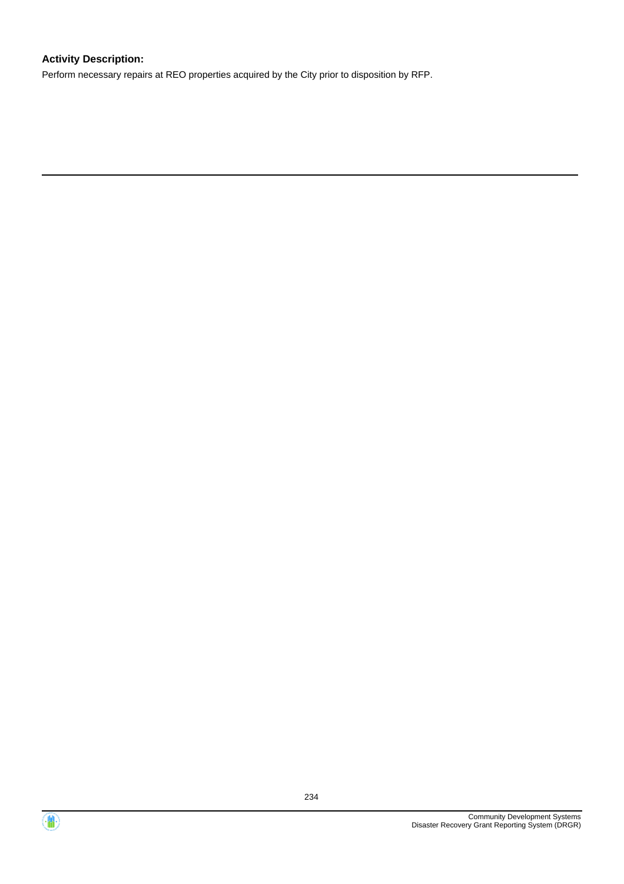Perform necessary repairs at REO properties acquired by the City prior to disposition by RFP.



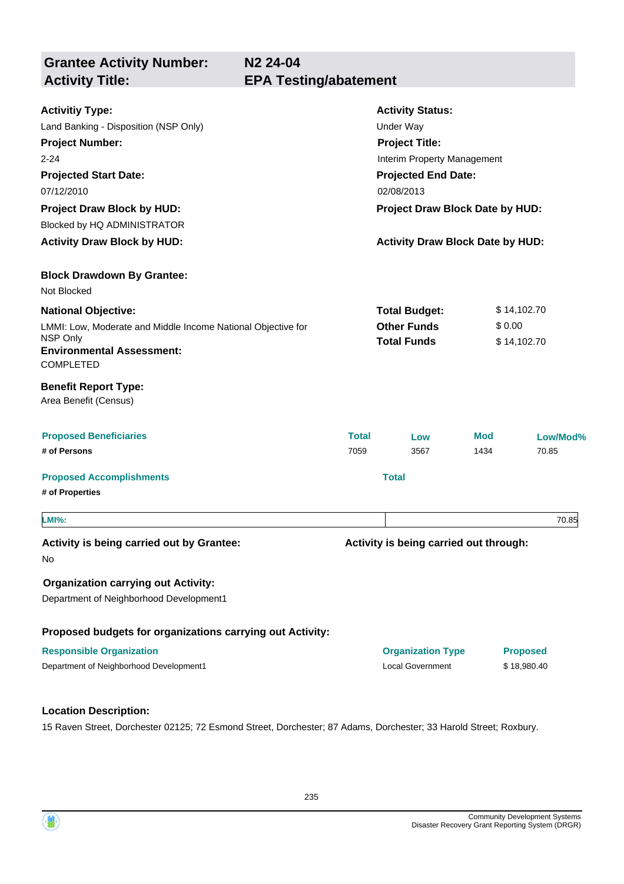| <b>Grantee Activity Number:</b><br><b>Activity Title:</b>                                                                                                                                                                                                     | N <sub>2</sub> 24-04<br><b>EPA Testing/abatement</b> |                                                                  |                                                                                                                                                                                                                        |                                      |                   |
|---------------------------------------------------------------------------------------------------------------------------------------------------------------------------------------------------------------------------------------------------------------|------------------------------------------------------|------------------------------------------------------------------|------------------------------------------------------------------------------------------------------------------------------------------------------------------------------------------------------------------------|--------------------------------------|-------------------|
| <b>Activitiy Type:</b><br>Land Banking - Disposition (NSP Only)<br><b>Project Number:</b><br>$2 - 24$<br><b>Projected Start Date:</b><br>07/12/2010<br><b>Project Draw Block by HUD:</b><br>Blocked by HQ ADMINISTRATOR<br><b>Activity Draw Block by HUD:</b> |                                                      |                                                                  | <b>Activity Status:</b><br>Under Way<br><b>Project Title:</b><br>Interim Property Management<br><b>Projected End Date:</b><br>02/08/2013<br>Project Draw Block Date by HUD:<br><b>Activity Draw Block Date by HUD:</b> |                                      |                   |
| <b>Block Drawdown By Grantee:</b>                                                                                                                                                                                                                             |                                                      |                                                                  |                                                                                                                                                                                                                        |                                      |                   |
| Not Blocked                                                                                                                                                                                                                                                   |                                                      |                                                                  |                                                                                                                                                                                                                        |                                      |                   |
| <b>National Objective:</b><br>LMMI: Low, Moderate and Middle Income National Objective for<br>NSP Only<br><b>Environmental Assessment:</b><br><b>COMPLETED</b>                                                                                                |                                                      | <b>Total Budget:</b><br><b>Other Funds</b><br><b>Total Funds</b> |                                                                                                                                                                                                                        | \$14,102.70<br>\$0.00<br>\$14,102.70 |                   |
| <b>Benefit Report Type:</b><br>Area Benefit (Census)                                                                                                                                                                                                          |                                                      |                                                                  |                                                                                                                                                                                                                        |                                      |                   |
| <b>Proposed Beneficiaries</b><br># of Persons                                                                                                                                                                                                                 |                                                      | <b>Total</b><br>7059                                             | Low<br>3567                                                                                                                                                                                                            | <b>Mod</b><br>1434                   | Low/Mod%<br>70.85 |
| <b>Proposed Accomplishments</b><br># of Properties                                                                                                                                                                                                            |                                                      |                                                                  | <b>Total</b>                                                                                                                                                                                                           |                                      |                   |
| LMI%:                                                                                                                                                                                                                                                         |                                                      |                                                                  |                                                                                                                                                                                                                        |                                      | 70.85             |
| Activity is being carried out by Grantee:<br>No                                                                                                                                                                                                               |                                                      |                                                                  | Activity is being carried out through:                                                                                                                                                                                 |                                      |                   |
| <b>Organization carrying out Activity:</b><br>Department of Neighborhood Development1                                                                                                                                                                         |                                                      |                                                                  |                                                                                                                                                                                                                        |                                      |                   |
| Proposed budgets for organizations carrying out Activity:                                                                                                                                                                                                     |                                                      |                                                                  |                                                                                                                                                                                                                        |                                      |                   |
| <b>Responsible Organization</b>                                                                                                                                                                                                                               |                                                      |                                                                  | <b>Organization Type</b>                                                                                                                                                                                               |                                      | <b>Proposed</b>   |
| Department of Neighborhood Development1                                                                                                                                                                                                                       |                                                      |                                                                  | <b>Local Government</b>                                                                                                                                                                                                |                                      | \$18,980.40       |
| <b>Location Description:</b>                                                                                                                                                                                                                                  |                                                      |                                                                  |                                                                                                                                                                                                                        |                                      |                   |

15 Raven Street, Dorchester 02125; 72 Esmond Street, Dorchester; 87 Adams, Dorchester; 33 Harold Street; Roxbury.

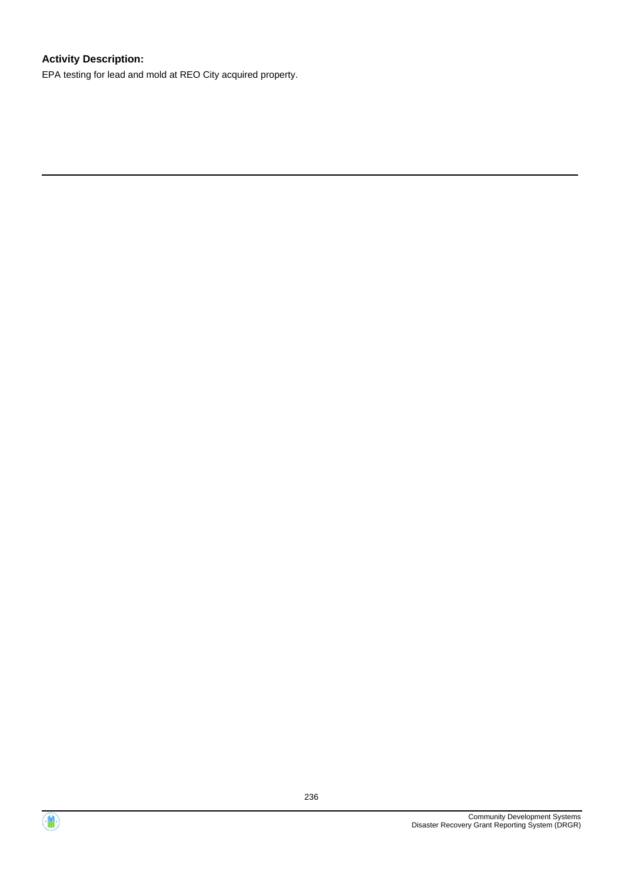EPA testing for lead and mold at REO City acquired property.



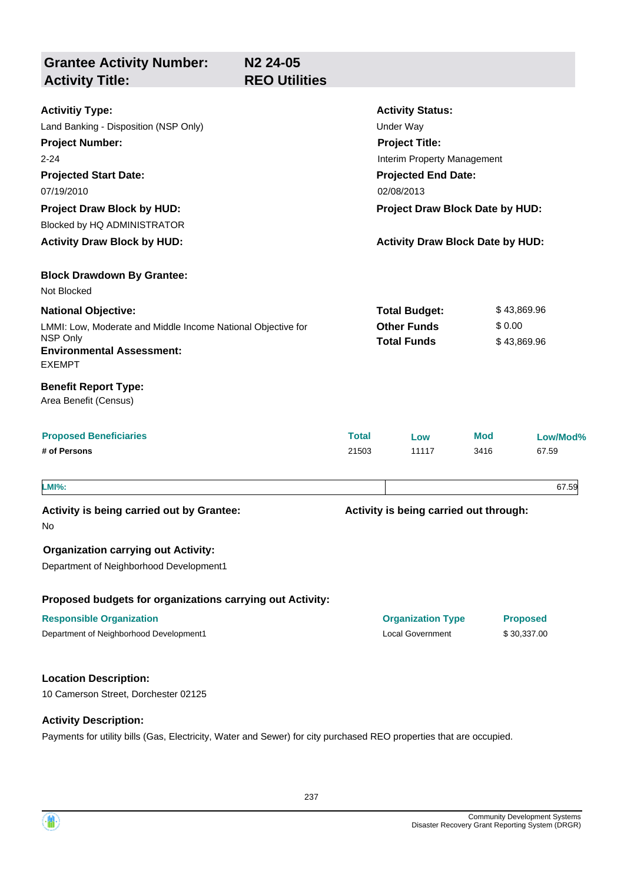| <b>Grantee Activity Number:</b><br><b>Activity Title:</b>                                                                                                                                                                  | N <sub>2</sub> 24-05<br><b>REO Utilities</b> |                                                                            |                                                                                                                                                                                    |                            |                                |
|----------------------------------------------------------------------------------------------------------------------------------------------------------------------------------------------------------------------------|----------------------------------------------|----------------------------------------------------------------------------|------------------------------------------------------------------------------------------------------------------------------------------------------------------------------------|----------------------------|--------------------------------|
| <b>Activitiy Type:</b><br>Land Banking - Disposition (NSP Only)<br><b>Project Number:</b><br>2-24<br><b>Projected Start Date:</b><br>07/19/2010<br><b>Project Draw Block by HUD:</b><br><b>Blocked by HQ ADMINISTRATOR</b> |                                              |                                                                            | <b>Activity Status:</b><br><b>Under Way</b><br><b>Project Title:</b><br>Interim Property Management<br><b>Projected End Date:</b><br>02/08/2013<br>Project Draw Block Date by HUD: |                            |                                |
| <b>Activity Draw Block by HUD:</b><br><b>Block Drawdown By Grantee:</b><br>Not Blocked                                                                                                                                     |                                              |                                                                            | <b>Activity Draw Block Date by HUD:</b>                                                                                                                                            |                            |                                |
| <b>National Objective:</b><br>LMMI: Low, Moderate and Middle Income National Objective for<br>NSP Only<br><b>Environmental Assessment:</b><br><b>EXEMPT</b>                                                                |                                              | <b>Total Budget:</b><br><b>Other Funds</b><br>\$0.00<br><b>Total Funds</b> |                                                                                                                                                                                    | \$43,869.96<br>\$43,869.96 |                                |
| <b>Benefit Report Type:</b><br>Area Benefit (Census)                                                                                                                                                                       |                                              |                                                                            |                                                                                                                                                                                    |                            |                                |
| <b>Proposed Beneficiaries</b><br># of Persons                                                                                                                                                                              |                                              | Total<br>21503                                                             | Low<br>11117                                                                                                                                                                       | <b>Mod</b><br>3416         | Low/Mod%<br>67.59              |
| <b>LMI%:</b>                                                                                                                                                                                                               |                                              |                                                                            |                                                                                                                                                                                    |                            | 67.59                          |
| Activity is being carried out by Grantee:<br>No<br><b>Organization carrying out Activity:</b><br>Department of Neighborhood Development1                                                                                   |                                              |                                                                            | Activity is being carried out through:                                                                                                                                             |                            |                                |
| Proposed budgets for organizations carrying out Activity:                                                                                                                                                                  |                                              |                                                                            |                                                                                                                                                                                    |                            |                                |
| <b>Responsible Organization</b><br>Department of Neighborhood Development1                                                                                                                                                 |                                              |                                                                            | <b>Organization Type</b><br><b>Local Government</b>                                                                                                                                |                            | <b>Proposed</b><br>\$30,337.00 |
| <b>Location Description:</b><br>10 Camerson Street, Dorchester 02125                                                                                                                                                       |                                              |                                                                            |                                                                                                                                                                                    |                            |                                |
| <b>Activity Description:</b>                                                                                                                                                                                               |                                              |                                                                            |                                                                                                                                                                                    |                            |                                |

Payments for utility bills (Gas, Electricity, Water and Sewer) for city purchased REO properties that are occupied.

(他)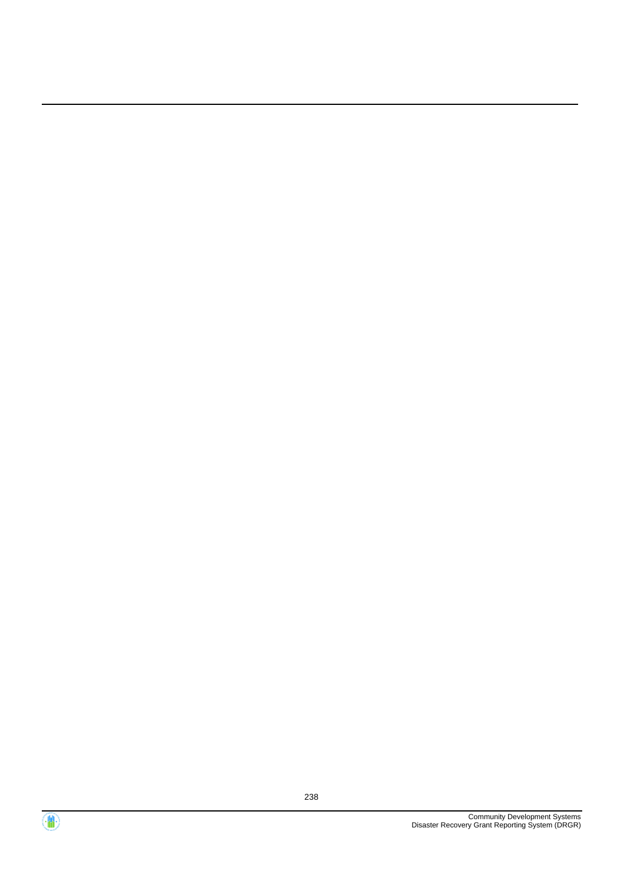

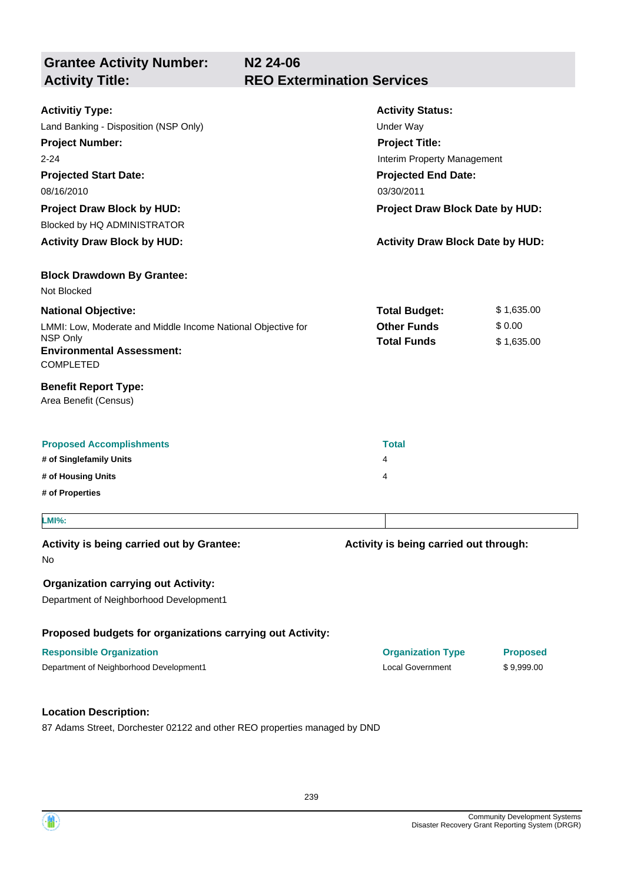| <b>Grantee Activity Number:</b><br><b>Activity Title:</b>                 | N <sub>2</sub> 24-06<br><b>REO Extermination Services</b> |                                         |                 |
|---------------------------------------------------------------------------|-----------------------------------------------------------|-----------------------------------------|-----------------|
|                                                                           |                                                           |                                         |                 |
| <b>Activitiy Type:</b>                                                    |                                                           | <b>Activity Status:</b>                 |                 |
| Land Banking - Disposition (NSP Only)                                     |                                                           | <b>Under Way</b>                        |                 |
| <b>Project Number:</b>                                                    |                                                           | <b>Project Title:</b>                   |                 |
| $2 - 24$                                                                  |                                                           | Interim Property Management             |                 |
| <b>Projected Start Date:</b>                                              |                                                           | <b>Projected End Date:</b>              |                 |
| 08/16/2010                                                                |                                                           | 03/30/2011                              |                 |
| <b>Project Draw Block by HUD:</b>                                         |                                                           | Project Draw Block Date by HUD:         |                 |
| Blocked by HQ ADMINISTRATOR                                               |                                                           |                                         |                 |
| <b>Activity Draw Block by HUD:</b>                                        |                                                           | <b>Activity Draw Block Date by HUD:</b> |                 |
| <b>Block Drawdown By Grantee:</b><br>Not Blocked                          |                                                           |                                         |                 |
| <b>National Objective:</b>                                                |                                                           | <b>Total Budget:</b>                    | \$1,635.00      |
| LMMI: Low, Moderate and Middle Income National Objective for              |                                                           | <b>Other Funds</b>                      | \$0.00          |
| NSP Only                                                                  |                                                           | <b>Total Funds</b>                      | \$1,635.00      |
| <b>Environmental Assessment:</b>                                          |                                                           |                                         |                 |
| <b>COMPLETED</b>                                                          |                                                           |                                         |                 |
| <b>Benefit Report Type:</b><br>Area Benefit (Census)                      |                                                           |                                         |                 |
| <b>Proposed Accomplishments</b>                                           |                                                           | <b>Total</b>                            |                 |
| # of Singlefamily Units                                                   |                                                           | 4                                       |                 |
| # of Housing Units                                                        |                                                           | 4                                       |                 |
| # of Properties                                                           |                                                           |                                         |                 |
| <b>LMI%:</b>                                                              |                                                           |                                         |                 |
| Activity is being carried out by Grantee:<br>No                           |                                                           | Activity is being carried out through:  |                 |
| <b>Organization carrying out Activity:</b>                                |                                                           |                                         |                 |
| Department of Neighborhood Development1                                   |                                                           |                                         |                 |
| Proposed budgets for organizations carrying out Activity:                 |                                                           |                                         |                 |
| <b>Responsible Organization</b>                                           |                                                           | <b>Organization Type</b>                | <b>Proposed</b> |
| Department of Neighborhood Development1                                   |                                                           | <b>Local Government</b>                 | \$9,999.00      |
| <b>Location Description:</b>                                              |                                                           |                                         |                 |
| 87 Adams Street, Dorchester 02122 and other REO properties managed by DND |                                                           |                                         |                 |

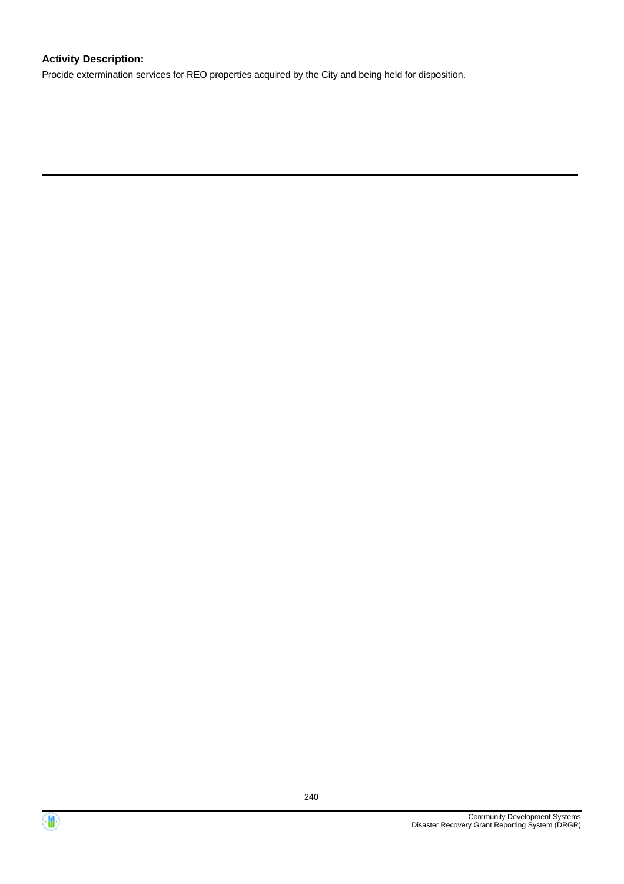Procide extermination services for REO properties acquired by the City and being held for disposition.



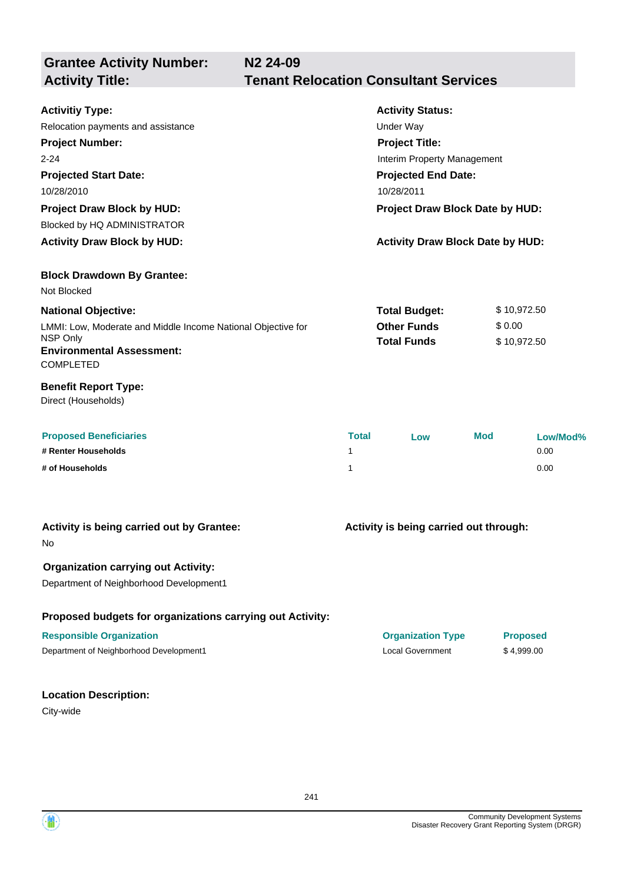| <b>Grantee Activity Number:</b><br><b>Activity Title:</b>    | N <sub>2</sub> 24-09<br><b>Tenant Relocation Consultant Services</b> |                                         |                            |                                        |             |  |  |
|--------------------------------------------------------------|----------------------------------------------------------------------|-----------------------------------------|----------------------------|----------------------------------------|-------------|--|--|
| <b>Activitiy Type:</b>                                       |                                                                      |                                         | <b>Activity Status:</b>    |                                        |             |  |  |
| Relocation payments and assistance                           |                                                                      | <b>Under Way</b>                        |                            |                                        |             |  |  |
| <b>Project Number:</b>                                       |                                                                      | <b>Project Title:</b>                   |                            |                                        |             |  |  |
| $2 - 24$                                                     |                                                                      | Interim Property Management             |                            |                                        |             |  |  |
| <b>Projected Start Date:</b>                                 |                                                                      |                                         | <b>Projected End Date:</b> |                                        |             |  |  |
| 10/28/2010                                                   |                                                                      |                                         | 10/28/2011                 |                                        |             |  |  |
| <b>Project Draw Block by HUD:</b>                            |                                                                      |                                         |                            | Project Draw Block Date by HUD:        |             |  |  |
| Blocked by HQ ADMINISTRATOR                                  |                                                                      |                                         |                            |                                        |             |  |  |
| <b>Activity Draw Block by HUD:</b>                           |                                                                      | <b>Activity Draw Block Date by HUD:</b> |                            |                                        |             |  |  |
| <b>Block Drawdown By Grantee:</b>                            |                                                                      |                                         |                            |                                        |             |  |  |
| Not Blocked                                                  |                                                                      |                                         |                            |                                        |             |  |  |
| <b>National Objective:</b>                                   |                                                                      |                                         | <b>Total Budget:</b>       |                                        | \$10,972.50 |  |  |
| LMMI: Low, Moderate and Middle Income National Objective for |                                                                      |                                         | <b>Other Funds</b>         | \$0.00                                 |             |  |  |
| NSP Only<br><b>Environmental Assessment:</b>                 |                                                                      |                                         | <b>Total Funds</b>         |                                        | \$10,972.50 |  |  |
| <b>COMPLETED</b>                                             |                                                                      |                                         |                            |                                        |             |  |  |
| <b>Benefit Report Type:</b><br>Direct (Households)           |                                                                      |                                         |                            |                                        |             |  |  |
| <b>Proposed Beneficiaries</b>                                |                                                                      | <b>Total</b>                            | Low                        | <b>Mod</b>                             | Low/Mod%    |  |  |
| # Renter Households                                          |                                                                      | 1                                       |                            |                                        | 0.00        |  |  |
| # of Households                                              |                                                                      | 1                                       |                            |                                        | 0.00        |  |  |
| Activity is being carried out by Grantee:<br>No              |                                                                      |                                         |                            | Activity is being carried out through: |             |  |  |

**Organization carrying out Activity:**

Department of Neighborhood Development1

## **Proposed budgets for organizations carrying out Activity:**

### **Responsible Organization Organization Type Proposed**

Department of Neighborhood Development1 Local Government \$ 4,999.00

### **Location Description:**

City-wide

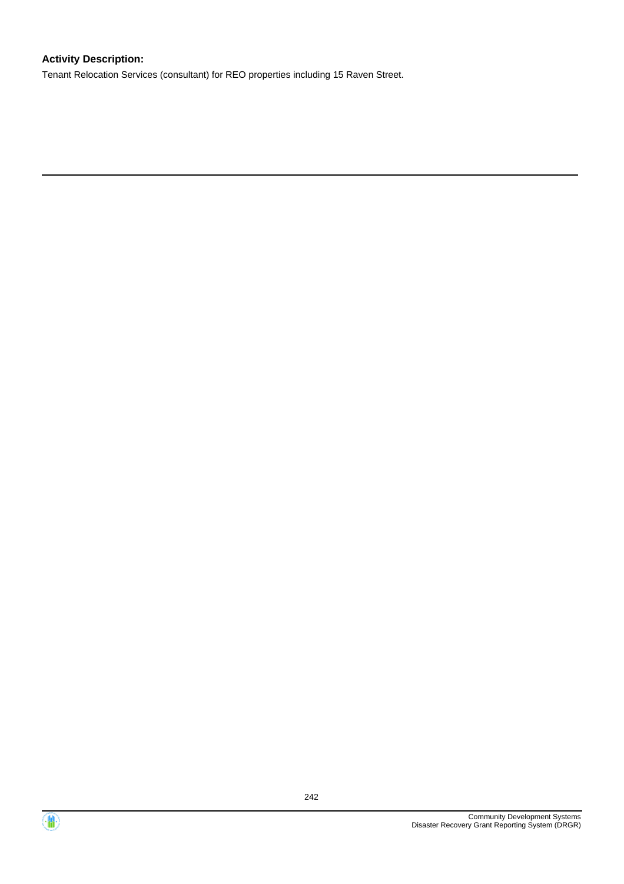Tenant Relocation Services (consultant) for REO properties including 15 Raven Street.



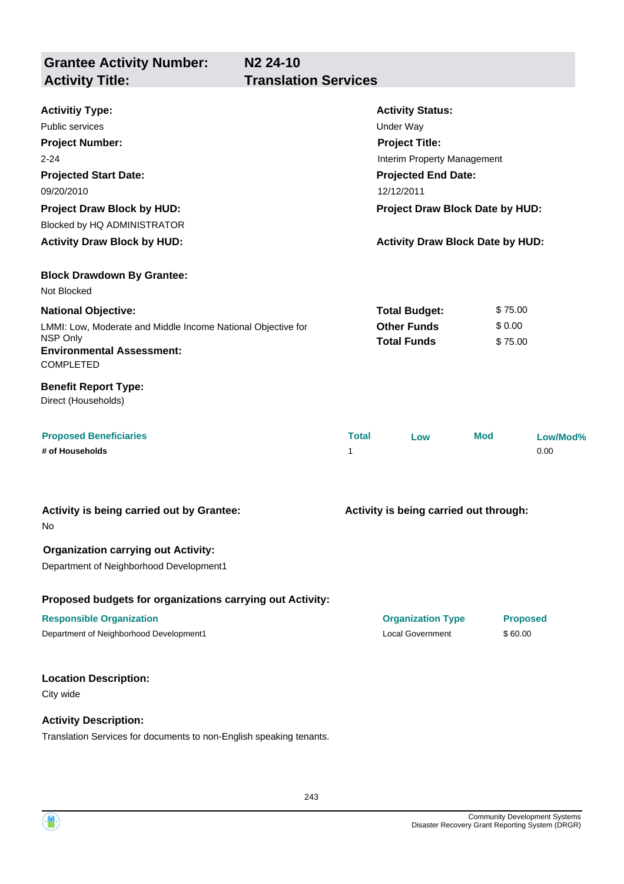**Grantee Activity Number: N2 24-10 Activity Title: Translation Services**

| <b>Activitiy Type:</b>                                           |                                         | <b>Activity Status:</b>     |            |          |
|------------------------------------------------------------------|-----------------------------------------|-----------------------------|------------|----------|
| Public services                                                  |                                         | <b>Under Way</b>            |            |          |
| <b>Project Number:</b>                                           |                                         | <b>Project Title:</b>       |            |          |
| $2 - 24$                                                         |                                         | Interim Property Management |            |          |
| <b>Projected Start Date:</b>                                     |                                         | <b>Projected End Date:</b>  |            |          |
| 09/20/2010                                                       |                                         | 12/12/2011                  |            |          |
| <b>Project Draw Block by HUD:</b><br>Blocked by HQ ADMINISTRATOR | Project Draw Block Date by HUD:         |                             |            |          |
| <b>Activity Draw Block by HUD:</b>                               | <b>Activity Draw Block Date by HUD:</b> |                             |            |          |
| <b>Block Drawdown By Grantee:</b>                                |                                         |                             |            |          |
| Not Blocked                                                      |                                         |                             |            |          |
| <b>National Objective:</b>                                       |                                         | <b>Total Budget:</b>        |            | \$75.00  |
| LMMI: Low, Moderate and Middle Income National Objective for     |                                         | <b>Other Funds</b>          | \$0.00     |          |
| NSP Only<br><b>Environmental Assessment:</b><br><b>COMPLETED</b> | <b>Total Funds</b>                      |                             | \$75.00    |          |
| <b>Benefit Report Type:</b><br>Direct (Households)               |                                         |                             |            |          |
| <b>Proposed Beneficiaries</b>                                    | <b>Total</b>                            | Low                         | <b>Mod</b> | Low/Mod% |
| # of Households                                                  | 1                                       |                             |            | 0.00     |
|                                                                  |                                         |                             |            |          |

| Activity is being carried out by Grantee: |  |  |
|-------------------------------------------|--|--|
| No                                        |  |  |

**Organization carrying out Activity:**

Department of Neighborhood Development1

## **Proposed budgets for organizations carrying out Activity:**

#### **Responsible Organization Organization Type Proposed**

Department of Neighborhood Development1 Local Government \$ 60.00

#### **Location Description:**

City wide

#### **Activity Description:**

Translation Services for documents to non-English speaking tenants.

**Activity is being carried out through:**

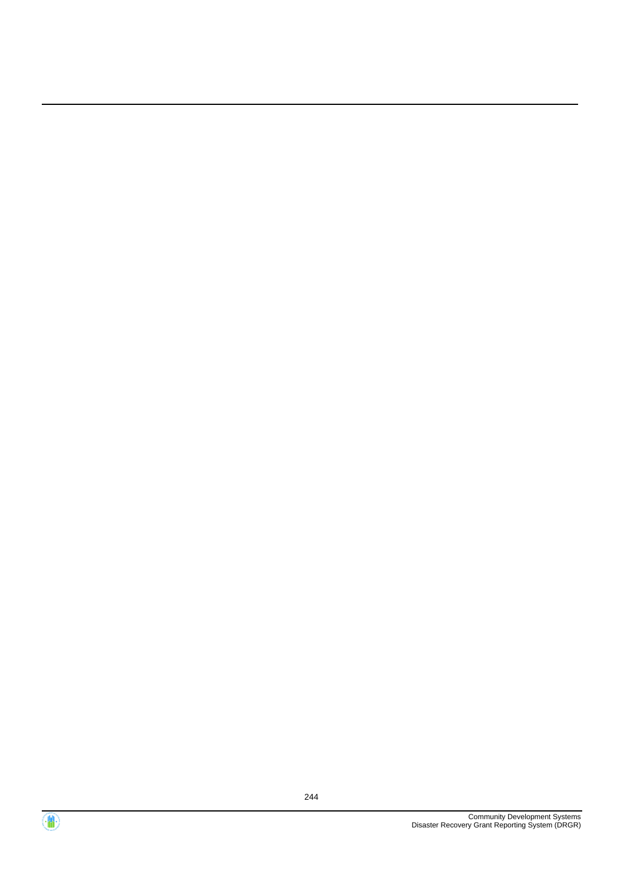

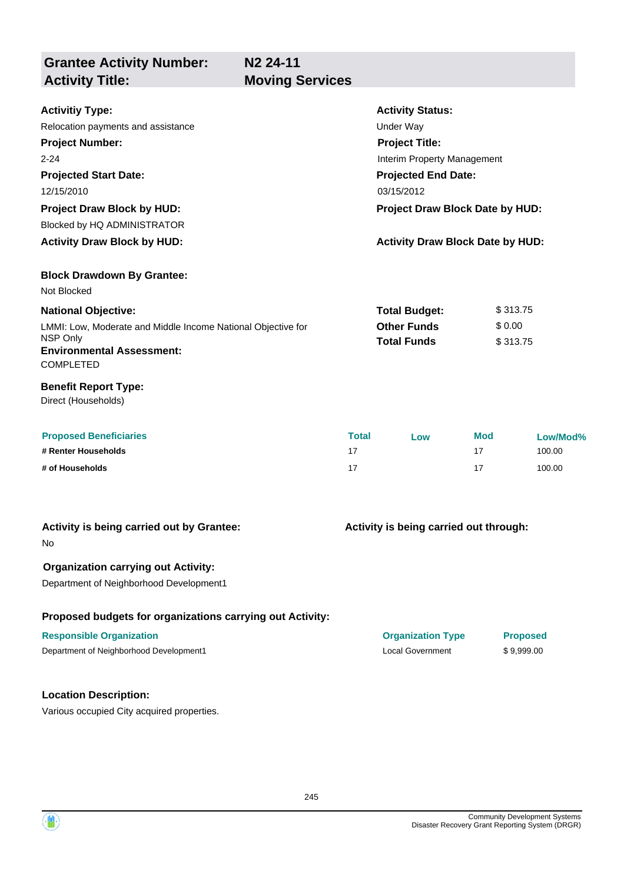**N2 24-11**

**Grantee Activity Number:**

**Moving Services** 

| <b>Activitiy Type:</b>                                           |               | <b>Activity Status:</b>                 |            |          |  |
|------------------------------------------------------------------|---------------|-----------------------------------------|------------|----------|--|
| Relocation payments and assistance                               |               | <b>Under Way</b>                        |            |          |  |
| <b>Project Number:</b>                                           |               | <b>Project Title:</b>                   |            |          |  |
| $2 - 24$                                                         |               | Interim Property Management             |            |          |  |
| <b>Projected Start Date:</b>                                     |               | <b>Projected End Date:</b>              |            |          |  |
| 12/15/2010                                                       |               | 03/15/2012                              |            |          |  |
| <b>Project Draw Block by HUD:</b>                                |               | Project Draw Block Date by HUD:         |            |          |  |
| Blocked by HQ ADMINISTRATOR                                      |               |                                         |            |          |  |
| <b>Activity Draw Block by HUD:</b>                               |               | <b>Activity Draw Block Date by HUD:</b> |            |          |  |
| <b>Block Drawdown By Grantee:</b>                                |               |                                         |            |          |  |
| Not Blocked                                                      |               |                                         |            |          |  |
| <b>National Objective:</b>                                       |               | <b>Total Budget:</b>                    | \$313.75   |          |  |
| LMMI: Low, Moderate and Middle Income National Objective for     |               | <b>Other Funds</b>                      | \$0.00     |          |  |
| NSP Only<br><b>Environmental Assessment:</b><br><b>COMPLETED</b> |               | <b>Total Funds</b>                      | \$313.75   |          |  |
| <b>Benefit Report Type:</b><br>Direct (Households)               |               |                                         |            |          |  |
| <b>Proposed Beneficiaries</b>                                    | <b>Total</b>  | Low                                     | <b>Mod</b> | Low/Mod% |  |
| All Property of the computer of the                              | $\rightarrow$ |                                         |            | 10000    |  |

| # Renter Households | $\overline{ }$ | 100.00 |
|---------------------|----------------|--------|
| # of Households     | 47             | 100.00 |

| Activity is being carried out by Grantee:<br>No.                                      | Activity is being carried out through: |                 |
|---------------------------------------------------------------------------------------|----------------------------------------|-----------------|
| <b>Organization carrying out Activity:</b><br>Department of Neighborhood Development1 |                                        |                 |
| Proposed budgets for organizations carrying out Activity:                             |                                        |                 |
| <b>Responsible Organization</b>                                                       | <b>Organization Type</b>               | <b>Proposed</b> |
| Department of Neighborhood Development1                                               | Local Government                       | \$9,999.00      |
| <b>Location Description:</b>                                                          |                                        |                 |
| Various occupied City acquired properties.                                            |                                        |                 |

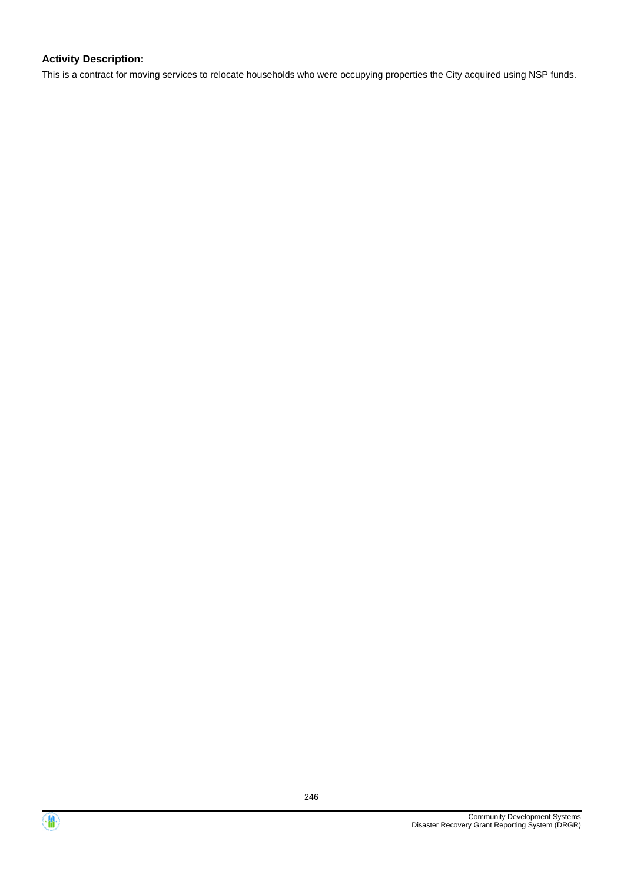This is a contract for moving services to relocate households who were occupying properties the City acquired using NSP funds.



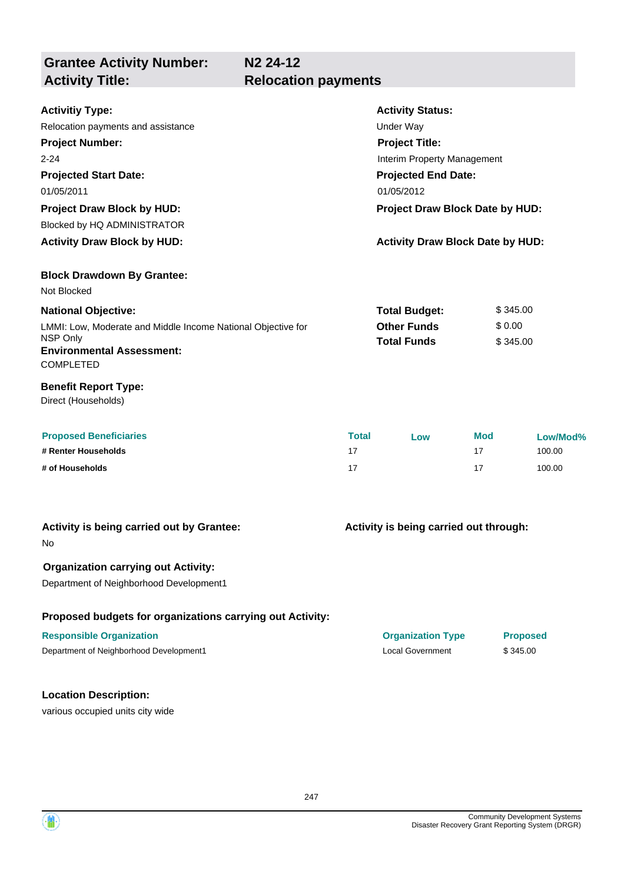| <b>Grantee Activity Number:</b><br><b>Activity Title:</b>               | N <sub>2</sub> 24-12<br><b>Relocation payments</b> |                                         |                                 |            |          |
|-------------------------------------------------------------------------|----------------------------------------------------|-----------------------------------------|---------------------------------|------------|----------|
| <b>Activitiy Type:</b>                                                  |                                                    |                                         | <b>Activity Status:</b>         |            |          |
| Relocation payments and assistance                                      |                                                    |                                         | <b>Under Way</b>                |            |          |
| <b>Project Number:</b>                                                  |                                                    |                                         | <b>Project Title:</b>           |            |          |
| $2 - 24$                                                                |                                                    |                                         | Interim Property Management     |            |          |
| <b>Projected Start Date:</b><br>01/05/2011                              | <b>Projected End Date:</b><br>01/05/2012           |                                         |                                 |            |          |
|                                                                         |                                                    |                                         |                                 |            |          |
| <b>Project Draw Block by HUD:</b><br><b>Blocked by HQ ADMINISTRATOR</b> |                                                    |                                         | Project Draw Block Date by HUD: |            |          |
| <b>Activity Draw Block by HUD:</b>                                      |                                                    | <b>Activity Draw Block Date by HUD:</b> |                                 |            |          |
| <b>Block Drawdown By Grantee:</b>                                       |                                                    |                                         |                                 |            |          |
| Not Blocked                                                             |                                                    |                                         |                                 |            |          |
| <b>National Objective:</b>                                              |                                                    |                                         | <b>Total Budget:</b>            |            | \$345.00 |
| LMMI: Low, Moderate and Middle Income National Objective for            |                                                    |                                         | <b>Other Funds</b>              | \$0.00     |          |
| NSP Only<br><b>Environmental Assessment:</b><br>COMPLETED               |                                                    |                                         | <b>Total Funds</b>              |            | \$345.00 |
| <b>Benefit Report Type:</b><br>Direct (Households)                      |                                                    |                                         |                                 |            |          |
| <b>Proposed Beneficiaries</b>                                           |                                                    | <b>Total</b>                            | Low                             | <b>Mod</b> | Low/Mod% |
| # Renter Households                                                     |                                                    | 17                                      |                                 | 17         | 100.00   |
| # of Households                                                         |                                                    | 17                                      |                                 | 17         | 100.00   |

| Activity is being carried out by Grantee:                 | Activity is being carried out through: |                 |  |  |
|-----------------------------------------------------------|----------------------------------------|-----------------|--|--|
| No.                                                       |                                        |                 |  |  |
| <b>Organization carrying out Activity:</b>                |                                        |                 |  |  |
| Department of Neighborhood Development1                   |                                        |                 |  |  |
| Proposed budgets for organizations carrying out Activity: |                                        |                 |  |  |
| <b>Responsible Organization</b>                           | <b>Organization Type</b>               | <b>Proposed</b> |  |  |

Department of Neighborhood Development1 **Local Government** \$ 345.00

## **Location Description:**

various occupied units city wide

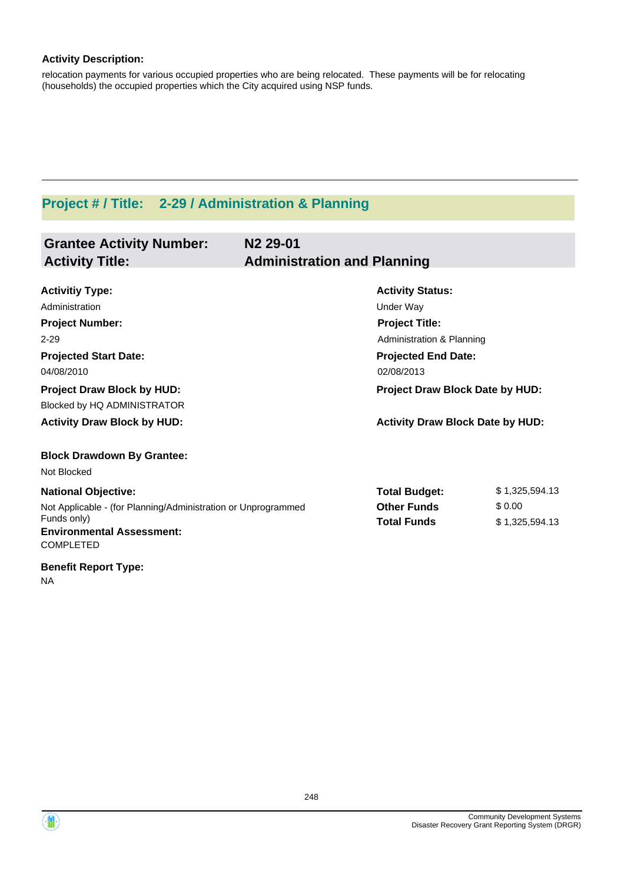relocation payments for various occupied properties who are being relocated. These payments will be for relocating (households) the occupied properties which the City acquired using NSP funds.

# **Project # / Title: 2-29 / Administration & Planning**

| <b>Grantee Activity Number:</b><br><b>Activity Title:</b>                                                                            | N <sub>2</sub> 29-01<br><b>Administration and Planning</b> |                                         |  |  |
|--------------------------------------------------------------------------------------------------------------------------------------|------------------------------------------------------------|-----------------------------------------|--|--|
| <b>Activitiy Type:</b>                                                                                                               | <b>Activity Status:</b>                                    |                                         |  |  |
| Administration                                                                                                                       | Under Way                                                  |                                         |  |  |
| <b>Project Number:</b>                                                                                                               | <b>Project Title:</b>                                      |                                         |  |  |
| $2 - 29$                                                                                                                             | Administration & Planning                                  |                                         |  |  |
| <b>Projected Start Date:</b><br>04/08/2010                                                                                           | 02/08/2013                                                 | <b>Projected End Date:</b>              |  |  |
| <b>Project Draw Block by HUD:</b><br>Blocked by HQ ADMINISTRATOR                                                                     |                                                            | <b>Project Draw Block Date by HUD:</b>  |  |  |
| <b>Activity Draw Block by HUD:</b>                                                                                                   |                                                            | <b>Activity Draw Block Date by HUD:</b> |  |  |
| <b>Block Drawdown By Grantee:</b><br>Not Blocked                                                                                     |                                                            |                                         |  |  |
| <b>National Objective:</b>                                                                                                           | <b>Total Budget:</b>                                       | \$1,325,594.13                          |  |  |
| Not Applicable - (for Planning/Administration or Unprogrammed<br>Funds only)<br><b>Environmental Assessment:</b><br><b>COMPLETED</b> | <b>Other Funds</b><br><b>Total Funds</b>                   | \$0.00<br>\$1,325,594.13                |  |  |
| <b>Benefit Report Type:</b>                                                                                                          |                                                            |                                         |  |  |

NA

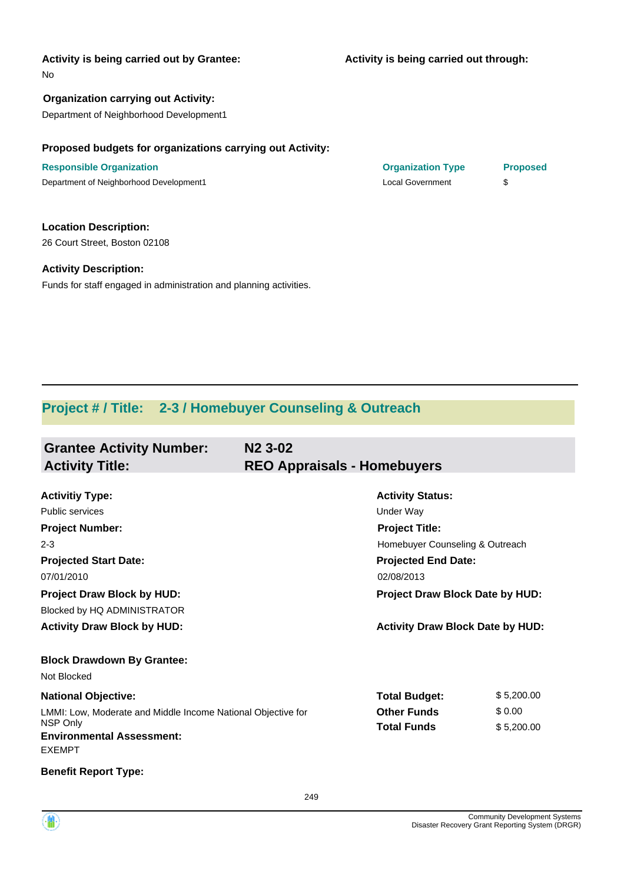#### **Activity is being carried out by Grantee:**

#### No

**Organization carrying out Activity:** Department of Neighborhood Development1

#### **Proposed budgets for organizations carrying out Activity:**

**Responsible Organization Organization Type Proposed** Department of Neighborhood Development1 Separatment by the Unit of Neighborhood Development1

### **Location Description:**

26 Court Street, Boston 02108

### **Activity Description:**

Funds for staff engaged in administration and planning activities.

**Activity is being carried out through:**

# **Project # / Title: 2-3 / Homebuyer Counseling & Outreach**

| <b>Grantee Activity Number:</b><br><b>Activity Title:</b>    | N <sub>2</sub> 3-02<br><b>REO Appraisals - Homebuyers</b> |                                 |  |  |
|--------------------------------------------------------------|-----------------------------------------------------------|---------------------------------|--|--|
|                                                              |                                                           |                                 |  |  |
| <b>Activitiy Type:</b>                                       | <b>Activity Status:</b>                                   |                                 |  |  |
| <b>Public services</b>                                       | Under Way                                                 |                                 |  |  |
| <b>Project Number:</b>                                       | <b>Project Title:</b>                                     |                                 |  |  |
| $2 - 3$                                                      |                                                           | Homebuyer Counseling & Outreach |  |  |
| <b>Projected Start Date:</b>                                 |                                                           | <b>Projected End Date:</b>      |  |  |
| 07/01/2010                                                   | 02/08/2013                                                |                                 |  |  |
| <b>Project Draw Block by HUD:</b>                            |                                                           | Project Draw Block Date by HUD: |  |  |
| Blocked by HQ ADMINISTRATOR                                  |                                                           |                                 |  |  |
| <b>Activity Draw Block by HUD:</b>                           | <b>Activity Draw Block Date by HUD:</b>                   |                                 |  |  |
| <b>Block Drawdown By Grantee:</b>                            |                                                           |                                 |  |  |
| Not Blocked                                                  |                                                           |                                 |  |  |
| <b>National Objective:</b>                                   | <b>Total Budget:</b>                                      | \$5,200.00                      |  |  |
| LMMI: Low, Moderate and Middle Income National Objective for | <b>Other Funds</b>                                        | \$0.00                          |  |  |
| <b>NSP Only</b>                                              | <b>Total Funds</b>                                        | \$5,200.00                      |  |  |
| <b>Environmental Assessment:</b>                             |                                                           |                                 |  |  |
| <b>EXEMPT</b>                                                |                                                           |                                 |  |  |
| Banafit Banant Tu                                            |                                                           |                                 |  |  |

**Benefit Report Type:**

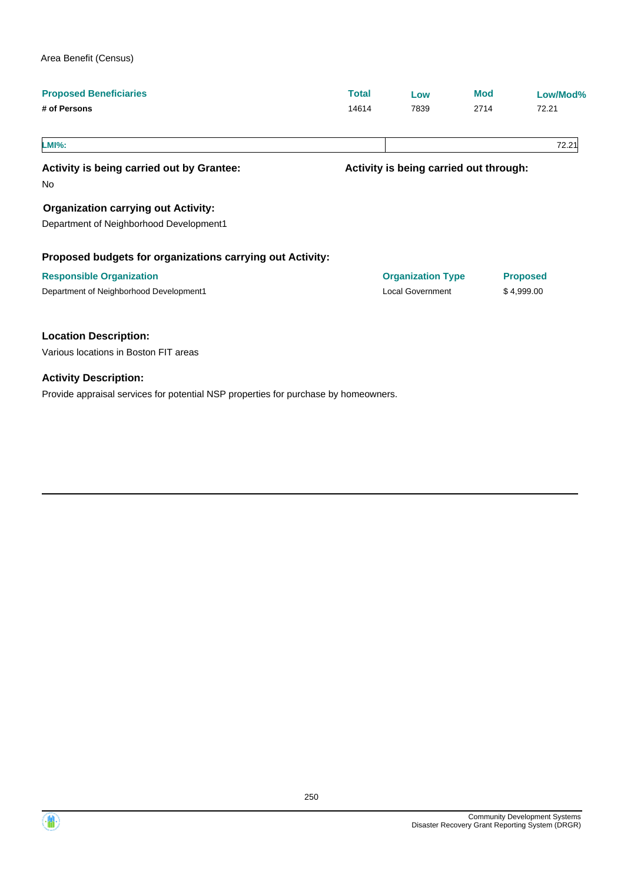Area Benefit (Census)

| <b>Proposed Beneficiaries</b><br># of Persons             | <b>Total</b><br>14614 | Low                                    | <b>Mod</b><br>2714 | Low/Mod%        |
|-----------------------------------------------------------|-----------------------|----------------------------------------|--------------------|-----------------|
|                                                           |                       | 7839                                   |                    | 72.21           |
| <b>LMI%:</b>                                              |                       |                                        |                    | 72.21           |
| Activity is being carried out by Grantee:                 |                       | Activity is being carried out through: |                    |                 |
| No.                                                       |                       |                                        |                    |                 |
| <b>Organization carrying out Activity:</b>                |                       |                                        |                    |                 |
| Department of Neighborhood Development1                   |                       |                                        |                    |                 |
| Proposed budgets for organizations carrying out Activity: |                       |                                        |                    |                 |
| <b>Responsible Organization</b>                           |                       | <b>Organization Type</b>               |                    | <b>Proposed</b> |
| Department of Neighborhood Development1                   |                       | <b>Local Government</b>                |                    | \$4,999.00      |
| <b>Location Description:</b>                              |                       |                                        |                    |                 |

Various locations in Boston FIT areas

## **Activity Description:**

Provide appraisal services for potential NSP properties for purchase by homeowners.

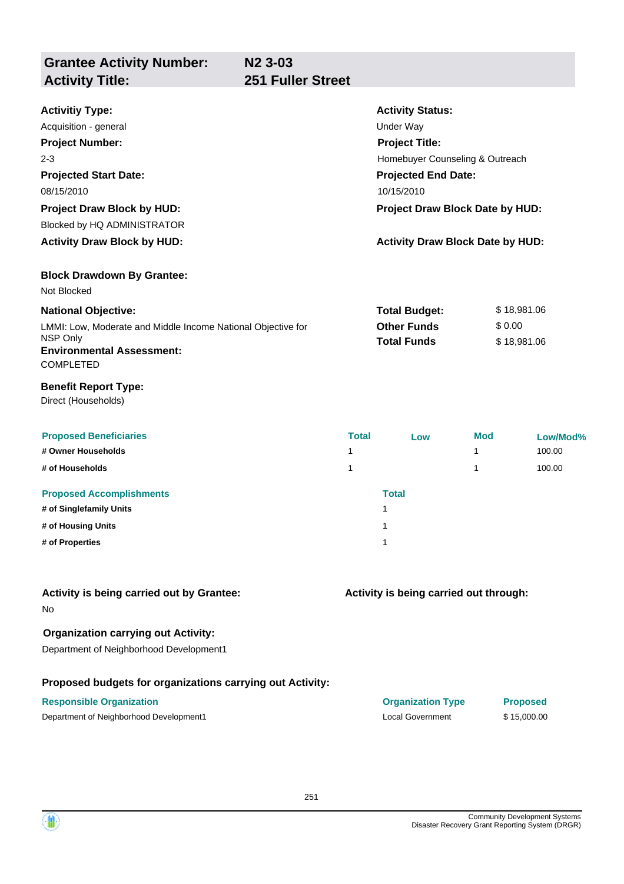**Grantee Activity Number: Activity Title: 251 Fuller Street**

**N2 3-03**

| <b>Activitiy Type:</b>                                                                | <b>Activity Status:</b><br><b>Under Way</b> |                                                                             |        |                 |  |
|---------------------------------------------------------------------------------------|---------------------------------------------|-----------------------------------------------------------------------------|--------|-----------------|--|
| Acquisition - general                                                                 |                                             |                                                                             |        |                 |  |
| <b>Project Number:</b>                                                                |                                             | <b>Project Title:</b>                                                       |        |                 |  |
| Homebuyer Counseling & Outreach<br>$2 - 3$                                            |                                             |                                                                             |        |                 |  |
| <b>Projected Start Date:</b>                                                          |                                             | <b>Projected End Date:</b><br>10/15/2010<br>Project Draw Block Date by HUD: |        |                 |  |
| 08/15/2010                                                                            |                                             |                                                                             |        |                 |  |
| <b>Project Draw Block by HUD:</b>                                                     |                                             |                                                                             |        |                 |  |
| Blocked by HQ ADMINISTRATOR                                                           |                                             |                                                                             |        |                 |  |
| <b>Activity Draw Block by HUD:</b>                                                    | <b>Activity Draw Block Date by HUD:</b>     |                                                                             |        |                 |  |
| <b>Block Drawdown By Grantee:</b>                                                     |                                             |                                                                             |        |                 |  |
| Not Blocked                                                                           |                                             |                                                                             |        |                 |  |
| <b>National Objective:</b>                                                            |                                             | <b>Total Budget:</b>                                                        |        | \$18,981.06     |  |
| LMMI: Low, Moderate and Middle Income National Objective for                          |                                             | <b>Other Funds</b>                                                          | \$0.00 |                 |  |
| NSP Only                                                                              |                                             | <b>Total Funds</b>                                                          |        | \$18,981.06     |  |
| <b>Environmental Assessment:</b><br><b>COMPLETED</b>                                  |                                             |                                                                             |        |                 |  |
| <b>Benefit Report Type:</b><br>Direct (Households)                                    |                                             |                                                                             |        |                 |  |
| <b>Proposed Beneficiaries</b>                                                         | <b>Total</b>                                | Low                                                                         | Mod    | Low/Mod%        |  |
| # Owner Households                                                                    | 1                                           |                                                                             | 1      | 100.00          |  |
| # of Households                                                                       | 1                                           |                                                                             | 1      | 100.00          |  |
| <b>Proposed Accomplishments</b>                                                       |                                             | <b>Total</b>                                                                |        |                 |  |
| # of Singlefamily Units                                                               |                                             | 1                                                                           |        |                 |  |
| # of Housing Units                                                                    |                                             | 1                                                                           |        |                 |  |
| # of Properties                                                                       |                                             | 1                                                                           |        |                 |  |
| Activity is being carried out by Grantee:<br>No                                       |                                             | Activity is being carried out through:                                      |        |                 |  |
| <b>Organization carrying out Activity:</b><br>Department of Neighborhood Development1 |                                             |                                                                             |        |                 |  |
| Proposed budgets for organizations carrying out Activity:                             |                                             |                                                                             |        |                 |  |
| <b>Responsible Organization</b>                                                       |                                             | <b>Organization Type</b>                                                    |        | <b>Proposed</b> |  |

Department of Neighborhood Development1 Local Government \$ 15,000.00

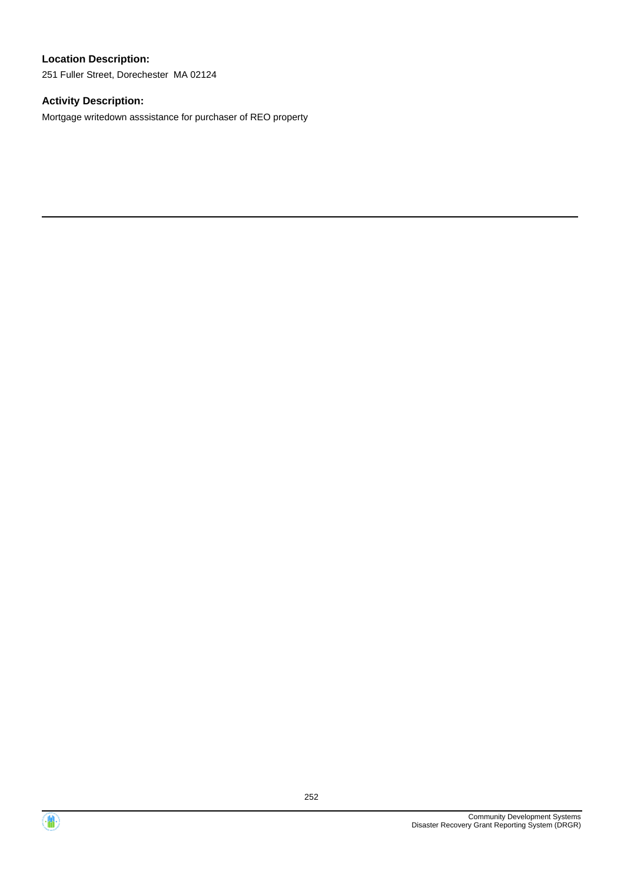## **Location Description:**

251 Fuller Street, Dorechester MA 02124

## **Activity Description:**

Mortgage writedown asssistance for purchaser of REO property



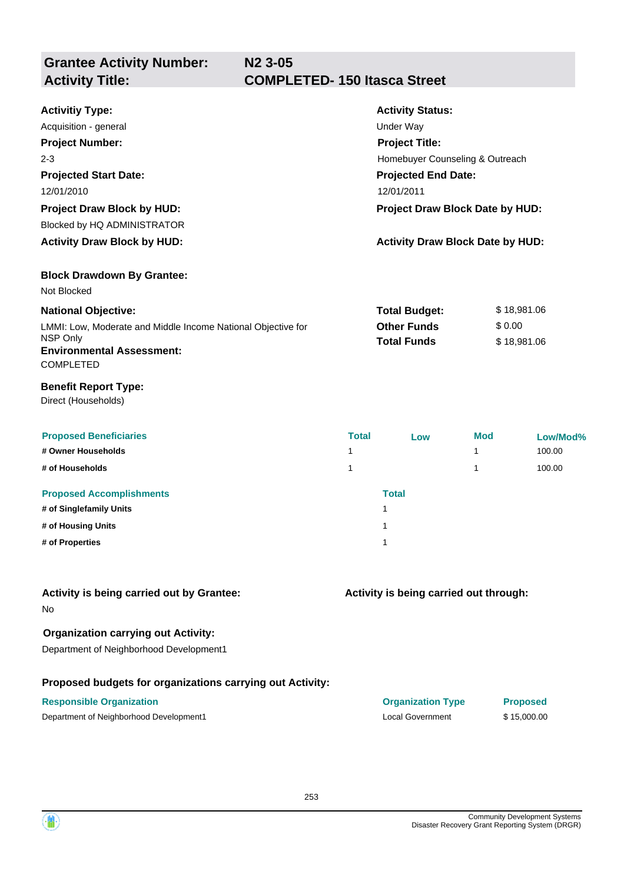**Grantee Activity Number: N2 3-05 Activity Title: COMPLETED- 150 Itasca Street**

| <b>Activitiy Type:</b>             | <b>Activity Status:</b>                 |  |  |
|------------------------------------|-----------------------------------------|--|--|
| Acquisition - general              | Under Way                               |  |  |
| <b>Project Number:</b>             | <b>Project Title:</b>                   |  |  |
| $2 - 3$                            | Homebuyer Counseling & Outreach         |  |  |
| <b>Projected Start Date:</b>       | <b>Projected End Date:</b>              |  |  |
| 12/01/2010                         | 12/01/2011                              |  |  |
| <b>Project Draw Block by HUD:</b>  | <b>Project Draw Block Date by HUD:</b>  |  |  |
| Blocked by HQ ADMINISTRATOR        |                                         |  |  |
| <b>Activity Draw Block by HUD:</b> | <b>Activity Draw Block Date by HUD:</b> |  |  |
| <b>Block Drawdown By Grantee:</b>  |                                         |  |  |
| Not Blocked                        |                                         |  |  |
|                                    |                                         |  |  |

## **National Objective:**

| LMMI: Low, Moderate and Middle Income National Objective for | <b>Other Funds</b> | \$0.00      |
|--------------------------------------------------------------|--------------------|-------------|
| NSP Only                                                     | <b>Total Funds</b> | \$18,981,06 |
| <b>Environmental Assessment:</b>                             |                    |             |
| <b>COMPLETED</b>                                             |                    |             |

#### **Benefit Report Type:**

Direct (Households)

| <b>Proposed Beneficiaries</b><br># Owner Households<br># of Households | <b>Total</b><br>4<br>4 | Low          | <b>Mod</b><br>и | Low/Mod%<br>100.00<br>100.00 |
|------------------------------------------------------------------------|------------------------|--------------|-----------------|------------------------------|
| <b>Proposed Accomplishments</b><br># of Singlefamily Units             | 1                      | <b>Total</b> |                 |                              |
| # of Housing Units                                                     | 1                      |              |                 |                              |
| # of Properties                                                        | 1                      |              |                 |                              |

| Activity is being carried out by Grantee: |  |
|-------------------------------------------|--|
|-------------------------------------------|--|

#### No

#### **Organization carrying out Activity:**

Department of Neighborhood Development1

#### **Proposed budgets for organizations carrying out Activity:**

#### **Responsible Organization Organization Type Proposed**

Department of Neighborhood Development1 **Local Government** \$ 15,000.00

## **Activity is being carried out through:**

**Total Budget:** \$ 18,981.06

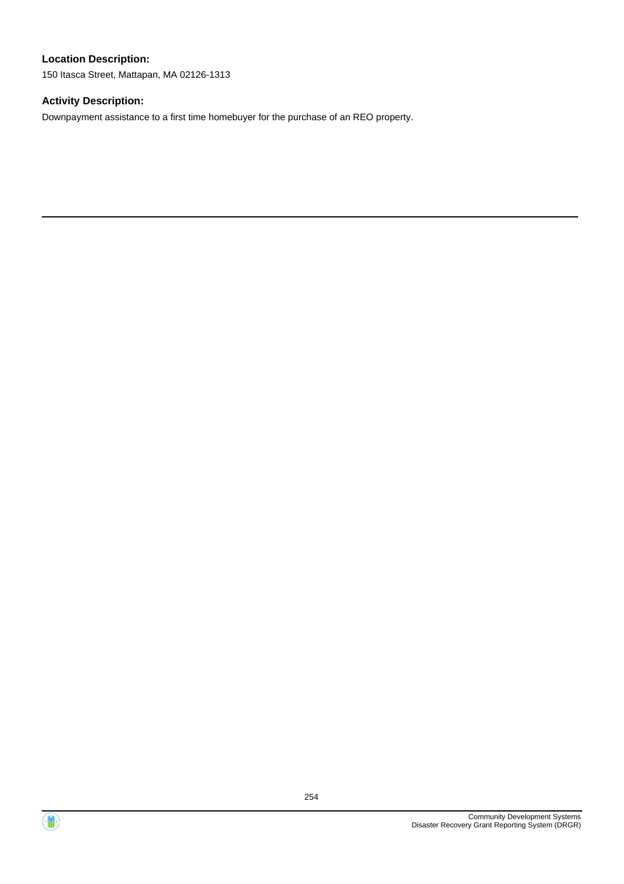### **Location Description:**

150 Itasca Street, Mattapan, MA 02126-1313

#### **Activity Description:**

Downpayment assistance to a first time homebuyer for the purchase of an REO property.



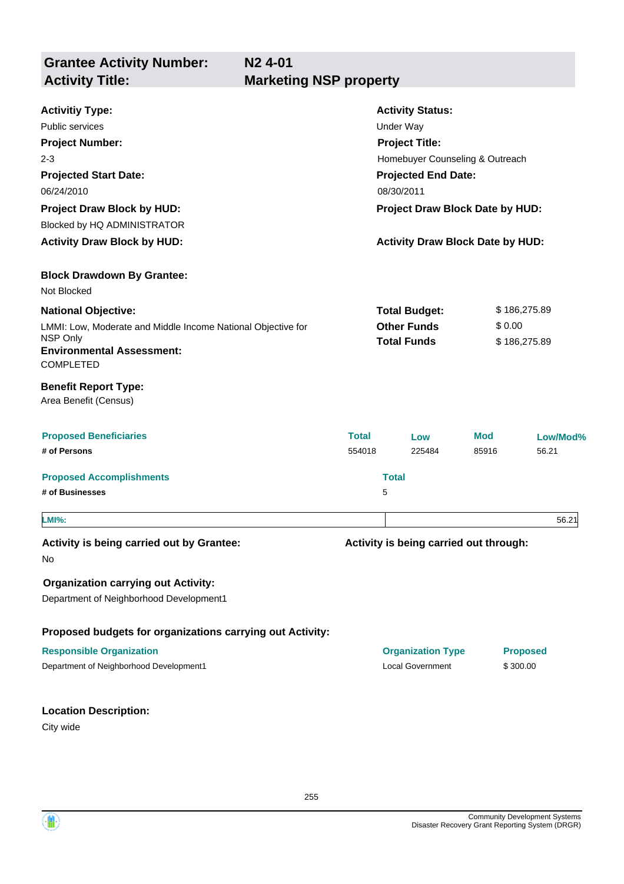| N <sub>2</sub> 4-01<br><b>Grantee Activity Number:</b><br><b>Activity Title:</b><br><b>Marketing NSP property</b> |              |                                                          |                        |                 |  |
|-------------------------------------------------------------------------------------------------------------------|--------------|----------------------------------------------------------|------------------------|-----------------|--|
|                                                                                                                   |              |                                                          |                        |                 |  |
| <b>Activitiy Type:</b>                                                                                            |              | <b>Activity Status:</b>                                  |                        |                 |  |
| Public services                                                                                                   |              | <b>Under Way</b>                                         |                        |                 |  |
| <b>Project Number:</b>                                                                                            |              | <b>Project Title:</b><br>Homebuyer Counseling & Outreach |                        |                 |  |
| 2-3<br><b>Projected Start Date:</b>                                                                               |              | <b>Projected End Date:</b>                               |                        |                 |  |
| 06/24/2010                                                                                                        |              | 08/30/2011                                               |                        |                 |  |
| <b>Project Draw Block by HUD:</b>                                                                                 |              | Project Draw Block Date by HUD:                          |                        |                 |  |
| <b>Blocked by HQ ADMINISTRATOR</b>                                                                                |              |                                                          |                        |                 |  |
| <b>Activity Draw Block by HUD:</b>                                                                                |              | <b>Activity Draw Block Date by HUD:</b>                  |                        |                 |  |
| <b>Block Drawdown By Grantee:</b>                                                                                 |              |                                                          |                        |                 |  |
| Not Blocked                                                                                                       |              |                                                          |                        |                 |  |
| <b>National Objective:</b>                                                                                        |              | <b>Total Budget:</b>                                     |                        | \$186,275.89    |  |
| LMMI: Low, Moderate and Middle Income National Objective for<br>NSP Only                                          |              | <b>Other Funds</b><br><b>Total Funds</b>                 | \$0.00<br>\$186,275.89 |                 |  |
| <b>Environmental Assessment:</b><br>COMPLETED                                                                     |              |                                                          |                        |                 |  |
| <b>Benefit Report Type:</b><br>Area Benefit (Census)                                                              |              |                                                          |                        |                 |  |
| <b>Proposed Beneficiaries</b>                                                                                     | <b>Total</b> | Low                                                      | <b>Mod</b>             | Low/Mod%        |  |
| # of Persons                                                                                                      | 554018       | 225484                                                   | 85916                  | 56.21           |  |
| <b>Proposed Accomplishments</b>                                                                                   |              | <b>Total</b>                                             |                        |                 |  |
| # of Businesses                                                                                                   |              | 5                                                        |                        |                 |  |
| <b>LMI%:</b>                                                                                                      |              |                                                          |                        | 56.21           |  |
| Activity is being carried out by Grantee:<br>No                                                                   |              | Activity is being carried out through:                   |                        |                 |  |
| <b>Organization carrying out Activity:</b>                                                                        |              |                                                          |                        |                 |  |
| Department of Neighborhood Development1                                                                           |              |                                                          |                        |                 |  |
| Proposed budgets for organizations carrying out Activity:                                                         |              |                                                          |                        |                 |  |
| <b>Responsible Organization</b>                                                                                   |              | <b>Organization Type</b>                                 |                        | <b>Proposed</b> |  |
| Department of Neighborhood Development1                                                                           |              | <b>Local Government</b>                                  |                        | \$300.00        |  |
| <b>Location Description:</b>                                                                                      |              |                                                          |                        |                 |  |
| City wide                                                                                                         |              |                                                          |                        |                 |  |
|                                                                                                                   |              |                                                          |                        |                 |  |

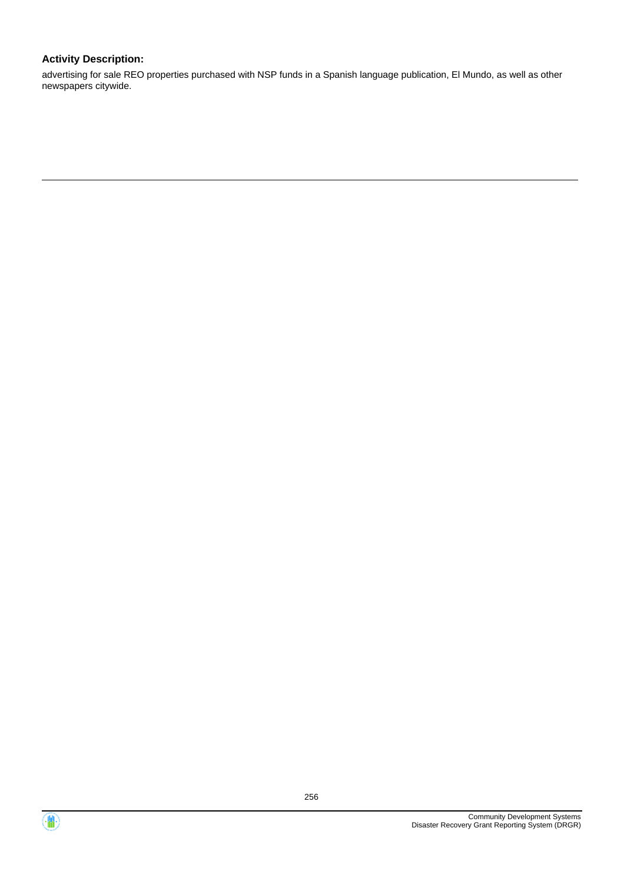### **Activity Description:**

advertising for sale REO properties purchased with NSP funds in a Spanish language publication, El Mundo, as well as other newspapers citywide.

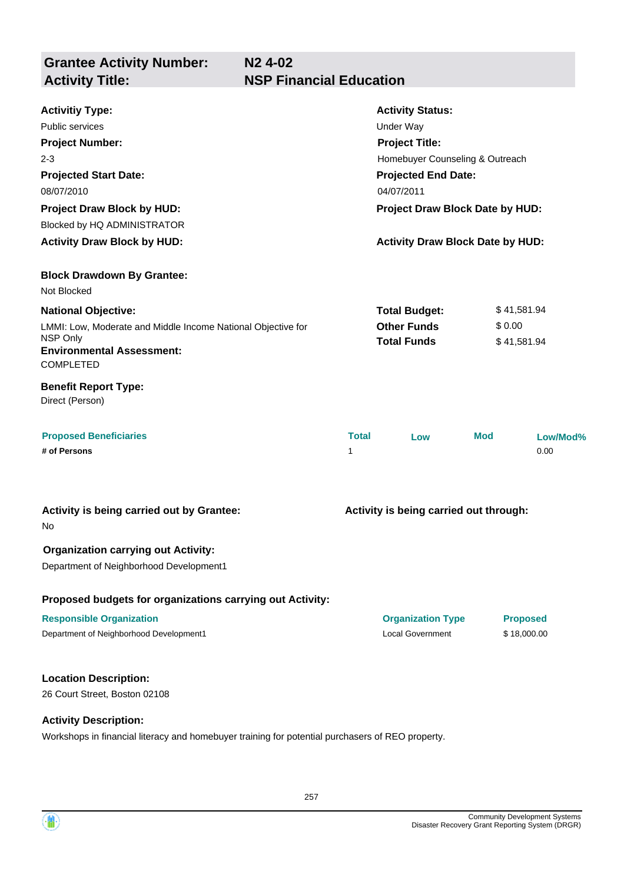| <b>Grantee Activity Number:</b><br><b>Activity Title:</b>                                                                                                                                        | N <sub>2</sub> 4-0 <sub>2</sub><br><b>NSP Financial Education</b> |              |                                                                                                                                                                                 |            |                                      |
|--------------------------------------------------------------------------------------------------------------------------------------------------------------------------------------------------|-------------------------------------------------------------------|--------------|---------------------------------------------------------------------------------------------------------------------------------------------------------------------------------|------------|--------------------------------------|
| <b>Activitiy Type:</b><br>Public services<br><b>Project Number:</b><br>$2 - 3$<br><b>Projected Start Date:</b><br>08/07/2010<br><b>Project Draw Block by HUD:</b><br>Blocked by HQ ADMINISTRATOR |                                                                   |              | <b>Activity Status:</b><br>Under Way<br><b>Project Title:</b><br>Homebuyer Counseling & Outreach<br><b>Projected End Date:</b><br>04/07/2011<br>Project Draw Block Date by HUD: |            |                                      |
| <b>Activity Draw Block by HUD:</b><br><b>Block Drawdown By Grantee:</b><br>Not Blocked                                                                                                           |                                                                   |              | <b>Activity Draw Block Date by HUD:</b>                                                                                                                                         |            |                                      |
| <b>National Objective:</b><br>LMMI: Low, Moderate and Middle Income National Objective for<br>NSP Only<br><b>Environmental Assessment:</b><br><b>COMPLETED</b>                                   |                                                                   |              | <b>Total Budget:</b><br><b>Other Funds</b><br><b>Total Funds</b>                                                                                                                |            | \$41,581.94<br>\$0.00<br>\$41,581.94 |
| <b>Benefit Report Type:</b><br>Direct (Person)                                                                                                                                                   |                                                                   |              |                                                                                                                                                                                 |            |                                      |
| <b>Proposed Beneficiaries</b><br># of Persons                                                                                                                                                    | 1                                                                 | <b>Total</b> | Low                                                                                                                                                                             | <b>Mod</b> | Low/Mod%<br>0.00                     |
| Activity is being carried out by Grantee:<br>No                                                                                                                                                  |                                                                   |              | Activity is being carried out through:                                                                                                                                          |            |                                      |
| <b>Organization carrying out Activity:</b><br>Department of Neighborhood Development1                                                                                                            |                                                                   |              |                                                                                                                                                                                 |            |                                      |
| Proposed budgets for organizations carrying out Activity:                                                                                                                                        |                                                                   |              |                                                                                                                                                                                 |            |                                      |
| <b>Responsible Organization</b><br>Department of Neighborhood Development1                                                                                                                       |                                                                   |              | <b>Organization Type</b><br><b>Local Government</b>                                                                                                                             |            | <b>Proposed</b><br>\$18,000.00       |
| <b>Location Description:</b><br>26 Court Street, Boston 02108                                                                                                                                    |                                                                   |              |                                                                                                                                                                                 |            |                                      |
| <b>Activity Description:</b>                                                                                                                                                                     |                                                                   |              |                                                                                                                                                                                 |            |                                      |

Workshops in financial literacy and homebuyer training for potential purchasers of REO property.

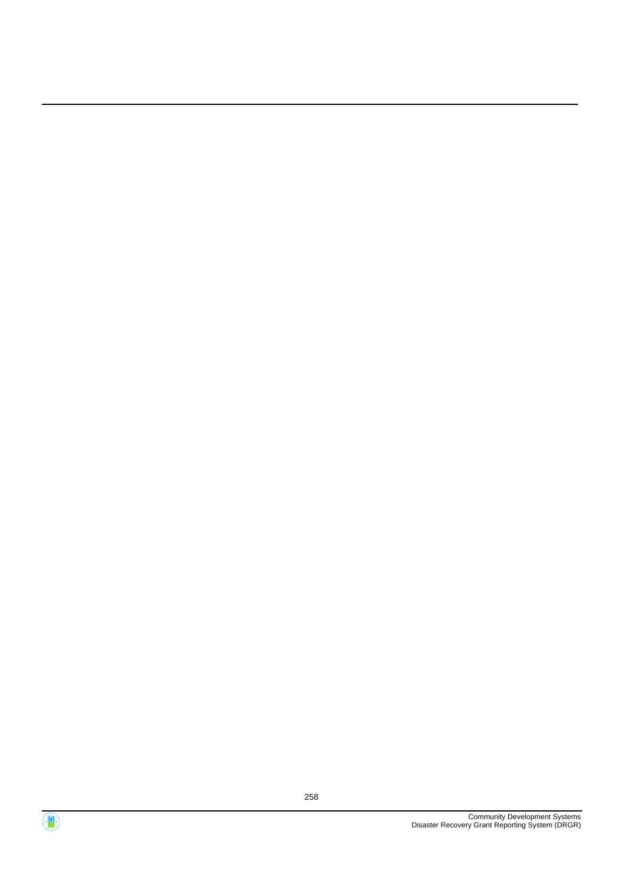

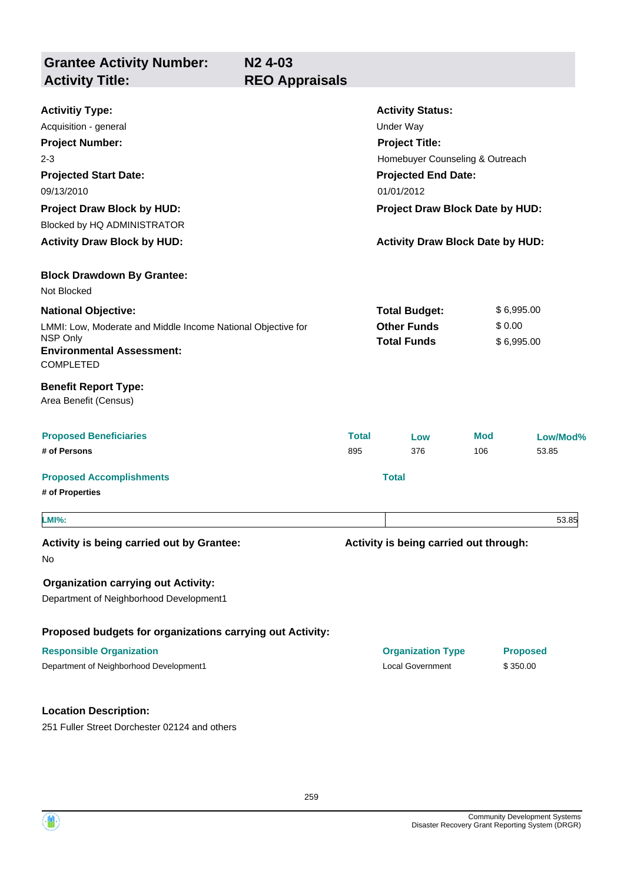**Grantee Activity Number: Projected Start Date:** LMMI: Low, Moderate and Middle Income National Objective for NSP Only **National Objective: Activity Status: Projected End Date: N2 4-03 Activitiy Type:** 09/13/2010 01/01/2012 Acquisition - general and the set of the set of the set of the Under Way **Activity Title: REO Appraisals Project Number:** 2-3 **Project Title:** Homebuyer Counseling & Outreach **Total Budget:** \$ 6,995.00 **Other Funds** \$ 0.00 **Total Funds** \$ 6,995.00 **Environmental Assessment:** COMPLETED **Location Description:** 251 Fuller Street Dorchester 02124 and others **Proposed Beneficiaries Total Low Mod Low/Mod% # of Persons** 895 376 106 53.85 **Proposed Accomplishments Total # of Properties Proposed budgets for organizations carrying out Activity: Activity is being carried out through: Responsible Organization Organization Type Proposed** No **Activity is being carried out by Grantee: Organization carrying out Activity:** Department of Neighborhood Development1 Department of Neighborhood Development1 Local Government \$ 350.00 Area Benefit (Census) **Benefit Report Type: Project Draw Block by HUD: Project Draw Block Date by HUD:** Blocked by HQ ADMINISTRATOR **Activity Draw Block by HUD: Activity Draw Block Date by HUD: Block Drawdown By Grantee:** Not Blocked **LMI%:** 53.85

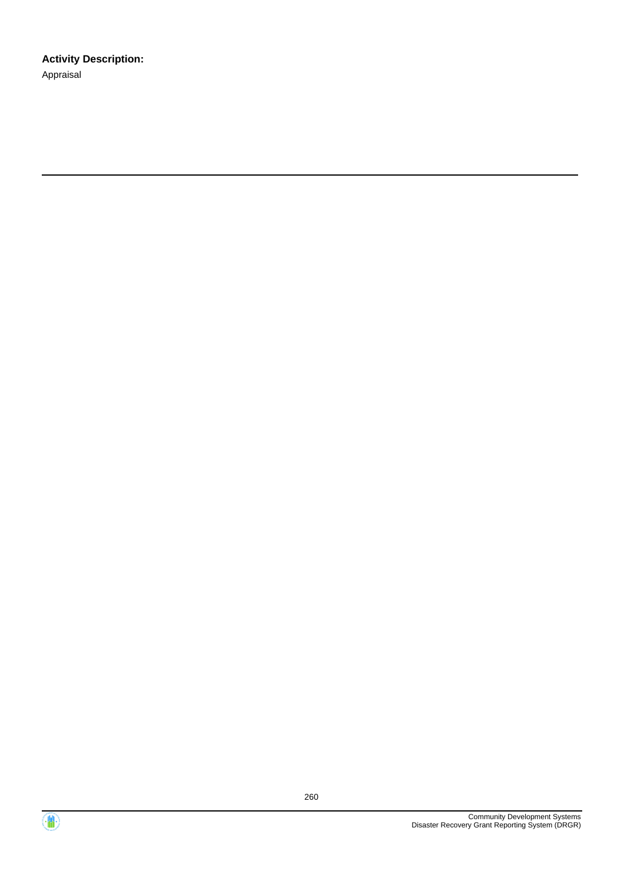## **Activity Description:**

Appraisal



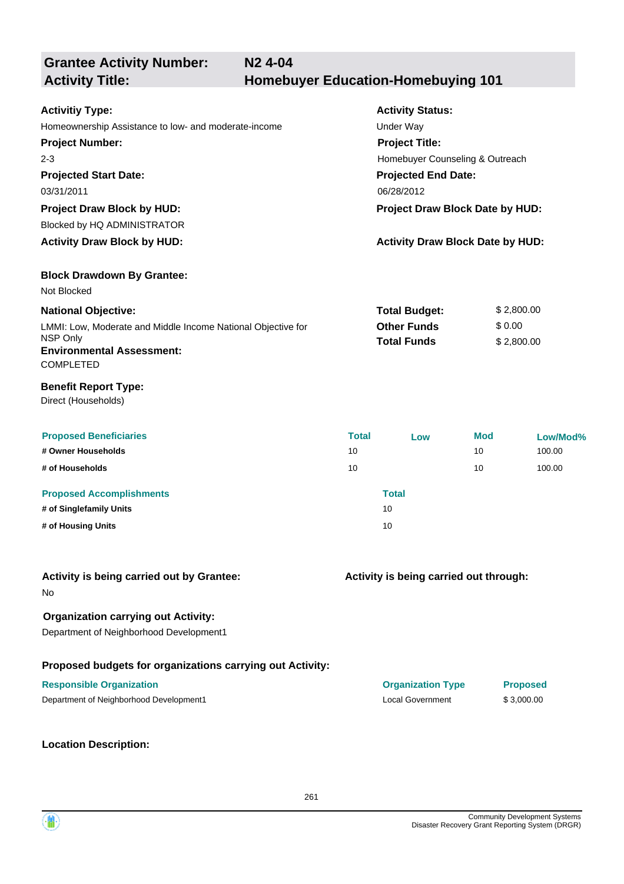| <b>Grantee Activity Number:</b>                              | N <sub>2</sub> 4-04                       |              |                                         |            |                 |          |  |
|--------------------------------------------------------------|-------------------------------------------|--------------|-----------------------------------------|------------|-----------------|----------|--|
| <b>Activity Title:</b>                                       | <b>Homebuyer Education-Homebuying 101</b> |              |                                         |            |                 |          |  |
| <b>Activitiy Type:</b>                                       |                                           |              | <b>Activity Status:</b>                 |            |                 |          |  |
| Homeownership Assistance to low- and moderate-income         |                                           |              | <b>Under Way</b>                        |            |                 |          |  |
| <b>Project Number:</b>                                       |                                           |              | <b>Project Title:</b>                   |            |                 |          |  |
| $2 - 3$                                                      |                                           |              | Homebuyer Counseling & Outreach         |            |                 |          |  |
| <b>Projected Start Date:</b>                                 |                                           |              | <b>Projected End Date:</b>              |            |                 |          |  |
| 03/31/2011                                                   |                                           |              | 06/28/2012                              |            |                 |          |  |
| <b>Project Draw Block by HUD:</b>                            |                                           |              | Project Draw Block Date by HUD:         |            |                 |          |  |
| Blocked by HQ ADMINISTRATOR                                  |                                           |              |                                         |            |                 |          |  |
| <b>Activity Draw Block by HUD:</b>                           |                                           |              | <b>Activity Draw Block Date by HUD:</b> |            |                 |          |  |
| <b>Block Drawdown By Grantee:</b>                            |                                           |              |                                         |            |                 |          |  |
| Not Blocked                                                  |                                           |              |                                         |            |                 |          |  |
| <b>National Objective:</b>                                   |                                           |              | <b>Total Budget:</b>                    |            | \$2,800.00      |          |  |
| LMMI: Low, Moderate and Middle Income National Objective for |                                           |              | <b>Other Funds</b>                      |            | \$0.00          |          |  |
| NSP Only<br><b>Environmental Assessment:</b>                 |                                           |              | <b>Total Funds</b>                      |            | \$2,800.00      |          |  |
| <b>COMPLETED</b>                                             |                                           |              |                                         |            |                 |          |  |
| <b>Benefit Report Type:</b><br>Direct (Households)           |                                           |              |                                         |            |                 |          |  |
| <b>Proposed Beneficiaries</b>                                |                                           | <b>Total</b> | Low                                     | <b>Mod</b> |                 | Low/Mod% |  |
| # Owner Households                                           |                                           | 10           |                                         | 10         |                 | 100.00   |  |
| # of Households                                              |                                           | 10           |                                         | 10         |                 | 100.00   |  |
| <b>Proposed Accomplishments</b>                              |                                           |              | <b>Total</b>                            |            |                 |          |  |
| # of Singlefamily Units                                      |                                           |              | 10                                      |            |                 |          |  |
| # of Housing Units                                           |                                           |              | 10                                      |            |                 |          |  |
| Activity is being carried out by Grantee:<br>No              |                                           |              | Activity is being carried out through:  |            |                 |          |  |
| <b>Organization carrying out Activity:</b>                   |                                           |              |                                         |            |                 |          |  |
| Department of Neighborhood Development1                      |                                           |              |                                         |            |                 |          |  |
| Proposed budgets for organizations carrying out Activity:    |                                           |              |                                         |            |                 |          |  |
| <b>Responsible Organization</b>                              |                                           |              | <b>Organization Type</b>                |            | <b>Proposed</b> |          |  |
| Department of Neighborhood Development1                      |                                           |              | <b>Local Government</b>                 |            | \$3,000.00      |          |  |
| <b>Location Description:</b>                                 |                                           |              |                                         |            |                 |          |  |

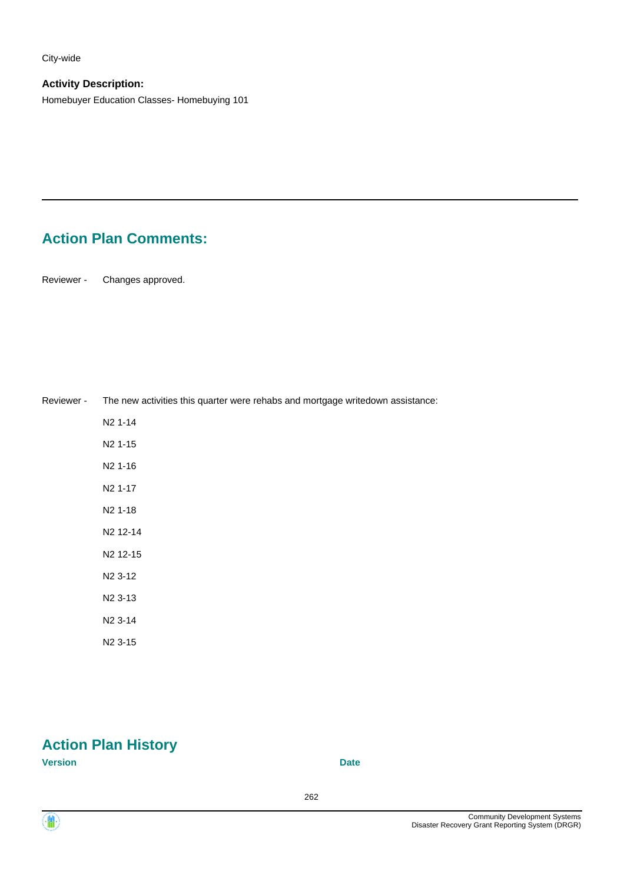City-wide

#### **Activity Description:**

Homebuyer Education Classes- Homebuying 101

# **Action Plan Comments:**

Reviewer - Changes approved.

| Reviewer - | The new activities this quarter were rehabs and mortgage writedown assistance: |
|------------|--------------------------------------------------------------------------------|
|            | N <sub>2</sub> 1-14                                                            |
|            | N <sub>2</sub> 1-15                                                            |
|            | N2 1-16                                                                        |
|            | N <sub>2</sub> 1-17                                                            |
|            | N2 1-18                                                                        |
|            | N2 12-14                                                                       |
|            | N2 12-15                                                                       |
|            | N <sub>2</sub> 3-12                                                            |
|            | N <sub>2</sub> 3-13                                                            |
|            | N <sub>2</sub> 3-14                                                            |
|            | N <sub>2</sub> 3-15                                                            |
|            |                                                                                |

## **Action Plan History**

**Version Date**